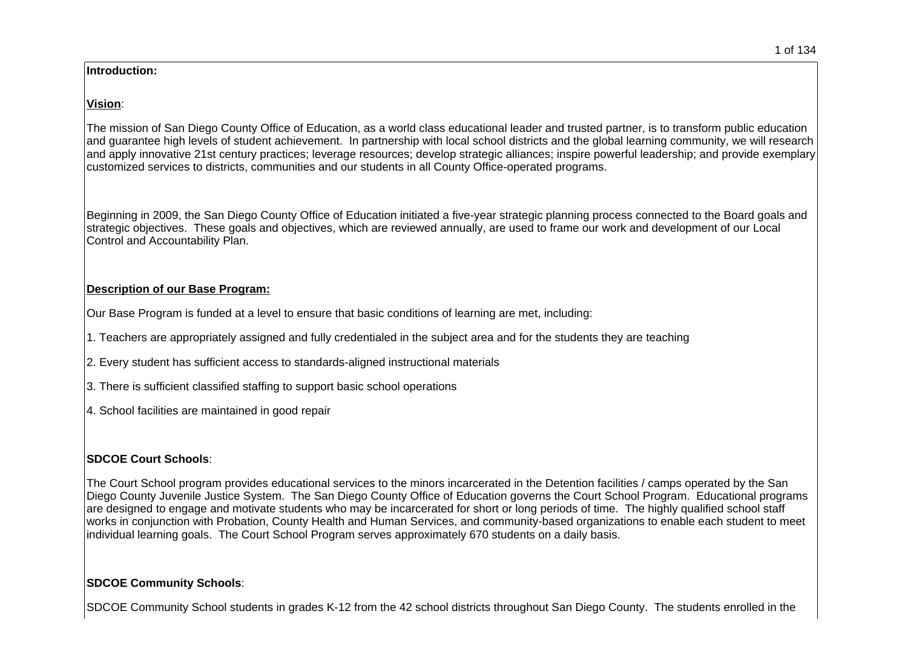#### **Introduction:**

#### **Vision**:

The mission of San Diego County Office of Education, as a world class educational leader and trusted partner, is to transform public education and guarantee high levels of student achievement. In partnership with local school districts and the global learning community, we will research and apply innovative 21st century practices; leverage resources; develop strategic alliances; inspire powerful leadership; and provide exemplary customized services to districts, communities and our students in all County Office-operated programs.

Beginning in 2009, the San Diego County Office of Education initiated a five-year strategic planning process connected to the Board goals and strategic objectives. These goals and objectives, which are reviewed annually, are used to frame our work and development of our Local Control and Accountability Plan.

### **Description of our Base Program:**

Our Base Program is funded at a level to ensure that basic conditions of learning are met, including:

1. Teachers are appropriately assigned and fully credentialed in the subject area and for the students they are teaching

2. Every student has sufficient access to standards-aligned instructional materials

3. There is sufficient classified staffing to support basic school operations

4. School facilities are maintained in good repair

## **SDCOE Court Schools**:

The Court School program provides educational services to the minors incarcerated in the Detention facilities / camps operated by the San Diego County Juvenile Justice System. The San Diego County Office of Education governs the Court School Program. Educational programs are designed to engage and motivate students who may be incarcerated for short or long periods of time. The highly qualified school staff works in conjunction with Probation, County Health and Human Services, and community-based organizations to enable each student to meet individual learning goals. The Court School Program serves approximately 670 students on a daily basis.

## **SDCOE Community Schools**:

SDCOE Community School students in grades K-12 from the 42 school districts throughout San Diego County. The students enrolled in the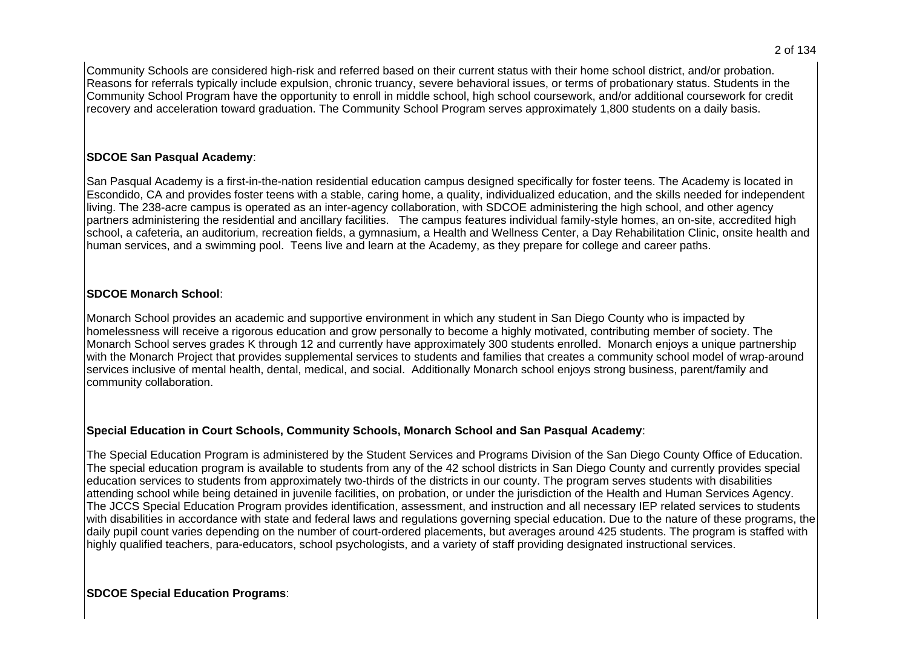Community Schools are considered high-risk and referred based on their current status with their home school district, and/or probation. Reasons for referrals typically include expulsion, chronic truancy, severe behavioral issues, or terms of probationary status. Students in the Community School Program have the opportunity to enroll in middle school, high school coursework, and/or additional coursework for credit recovery and acceleration toward graduation. The Community School Program serves approximately 1,800 students on a daily basis.

### **SDCOE San Pasqual Academy**:

San Pasqual Academy is a first-in-the-nation residential education campus designed specifically for foster teens. The Academy is located in Escondido, CA and provides foster teens with a stable, caring home, a quality, individualized education, and the skills needed for independent living. The 238-acre campus is operated as an inter-agency collaboration, with SDCOE administering the high school, and other agency partners administering the residential and ancillary facilities. The campus features individual family-style homes, an on-site, accredited high school, a cafeteria, an auditorium, recreation fields, a gymnasium, a Health and Wellness Center, a Day Rehabilitation Clinic, onsite health and human services, and a swimming pool. Teens live and learn at the Academy, as they prepare for college and career paths.

### **SDCOE Monarch School**:

Monarch School provides an academic and supportive environment in which any student in San Diego County who is impacted by homelessness will receive a rigorous education and grow personally to become a highly motivated, contributing member of society. The Monarch School serves grades K through 12 and currently have approximately 300 students enrolled. Monarch enjoys a unique partnership with the Monarch Project that provides supplemental services to students and families that creates a community school model of wrap-around services inclusive of mental health, dental, medical, and social. Additionally Monarch school enjoys strong business, parent/family and community collaboration.

## **Special Education in Court Schools, Community Schools, Monarch School and San Pasqual Academy**:

The Special Education Program is administered by the Student Services and Programs Division of the San Diego County Office of Education. The special education program is available to students from any of the 42 school districts in San Diego County and currently provides special education services to students from approximately two-thirds of the districts in our county. The program serves students with disabilities attending school while being detained in juvenile facilities, on probation, or under the jurisdiction of the Health and Human Services Agency. The JCCS Special Education Program provides identification, assessment, and instruction and all necessary IEP related services to students with disabilities in accordance with state and federal laws and regulations governing special education. Due to the nature of these programs, the daily pupil count varies depending on the number of court-ordered placements, but averages around 425 students. The program is staffed with highly qualified teachers, para-educators, school psychologists, and a variety of staff providing designated instructional services.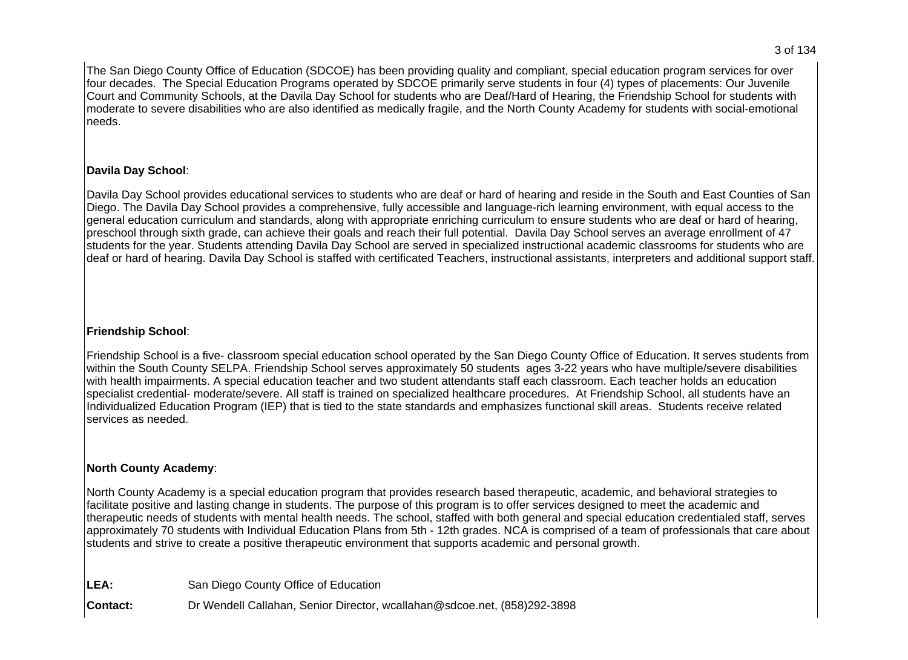The San Diego County Office of Education (SDCOE) has been providing quality and compliant, special education program services for over four decades. The Special Education Programs operated by SDCOE primarily serve students in four (4) types of placements: Our Juvenile Court and Community Schools, at the Davila Day School for students who are Deaf/Hard of Hearing, the Friendship School for students with moderate to severe disabilities who are also identified as medically fragile, and the North County Academy for students with social-emotional needs.

# **Davila Day School**:

Davila Day School provides educational services to students who are deaf or hard of hearing and reside in the South and East Counties of San Diego. The Davila Day School provides a comprehensive, fully accessible and language-rich learning environment, with equal access to the general education curriculum and standards, along with appropriate enriching curriculum to ensure students who are deaf or hard of hearing, preschool through sixth grade, can achieve their goals and reach their full potential. Davila Day School serves an average enrollment of 47 students for the year. Students attending Davila Day School are served in specialized instructional academic classrooms for students who are deaf or hard of hearing. Davila Day School is staffed with certificated Teachers, instructional assistants, interpreters and additional support staff.

# **Friendship School**:

Friendship School is a five- classroom special education school operated by the San Diego County Office of Education. It serves students from within the South County SELPA. Friendship School serves approximately 50 students ages 3-22 years who have multiple/severe disabilities with health impairments. A special education teacher and two student attendants staff each classroom. Each teacher holds an education specialist credential- moderate/severe. All staff is trained on specialized healthcare procedures. At Friendship School, all students have an Individualized Education Program (IEP) that is tied to the state standards and emphasizes functional skill areas. Students receive related services as needed.

## **North County Academy**:

North County Academy is a special education program that provides research based therapeutic, academic, and behavioral strategies to facilitate positive and lasting change in students. The purpose of this program is to offer services designed to meet the academic and therapeutic needs of students with mental health needs. The school, staffed with both general and special education credentialed staff, serves approximately 70 students with Individual Education Plans from 5th - 12th grades. NCA is comprised of a team of professionals that care about students and strive to create a positive therapeutic environment that supports academic and personal growth.

| LEA:            | San Diego County Office of Education                                     |
|-----------------|--------------------------------------------------------------------------|
| <b>Contact:</b> | Dr Wendell Callahan, Senior Director, wcallahan@sdcoe.net, (858)292-3898 |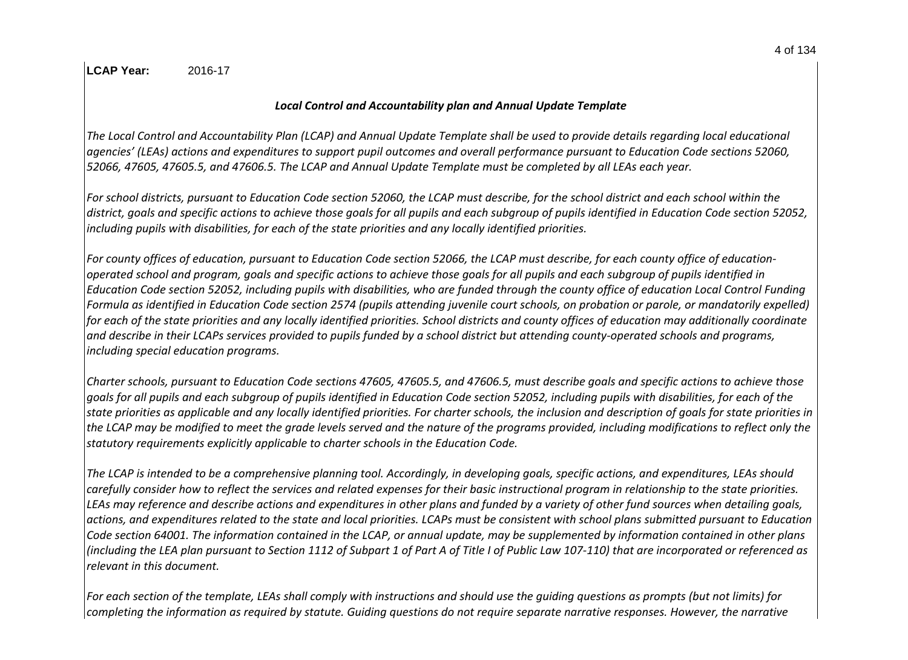### **LCAP Year:** 2016-17

### *Local Control and Accountability plan and Annual Update Template*

*The Local Control and Accountability Plan (LCAP) and Annual Update Template shall be used to provide details regarding local educational agencies͛(LEAs) actions and expenditures to support pupil outcomes and overall performance pursuant to Education Code sections 52060, 52066, 47605, 47605.5, and 47606.5. The LCAP and Annual Update Template must be completed by all LEAs each year.*

*For school districts, pursuant to Education Code section 52060, the LCAP must describe, for the school district and each school within the district, goals and specific actions to achieve those goals for all pupils and each subgroup of pupils identified in Education Code section 52052, including pupils with disabilities, for each of the state priorities and any locally identified priorities.*

*For county offices of education, pursuant to Education Code section 52066, the LCAP must describe, for each county office of educationoperated school and program, goals and specific actions to achieve those goals for all pupils and each subgroup of pupils identified in Education Code section 52052, including pupils with disabilities, who are funded through the county office of education Local Control Funding Formula as identified in Education Code section 2574 (pupils attending juvenile court schools, on probation or parole, or mandatorily expelled) for each of the state priorities and any locally identified priorities. School districts and county offices of education may additionally coordinate and describe in their LCAPs services provided to pupils funded by a school district but attending county-operated schools and programs, including special education programs.*

*Charter schools, pursuant to Education Code sections 47605, 47605.5, and 47606.5, must describe goals and specific actions to achieve those goals for all pupils and each subgroup of pupils identified in Education Code section 52052, including pupils with disabilities, for each of the state priorities as applicable and any locally identified priorities. For charter schools, the inclusion and description of goals for state priorities in the LCAP may be modified to meet the grade levels served and the nature of the programs provided, including modifications to reflect only the statutory requirements explicitly applicable to charter schools in the Education Code.*

*The LCAP is intended to be a comprehensive planning tool. Accordingly, in developing goals, specific actions, and expenditures, LEAs should carefully consider how to reflect the services and related expenses for their basic instructional program in relationship to the state priorities. LEAs may reference and describe actions and expenditures in other plans and funded by a variety of other fund sources when detailing goals, actions, and expenditures related to the state and local priorities. LCAPs must be consistent with school plans submitted pursuant to Education Code section 64001. The information contained in the LCAP, or annual update, may be supplemented by information contained in other plans (including the LEA plan pursuant to Section 1112 of Subpart 1 of Part A of Title I of Public Law 107-110) that are incorporated or referenced as relevant in this document.* 

*For each section of the template, LEAs shall comply with instructions and should use the guiding questions as prompts (but not limits) for completing the information as required by statute. Guiding questions do not require separate narrative responses. However, the narrative*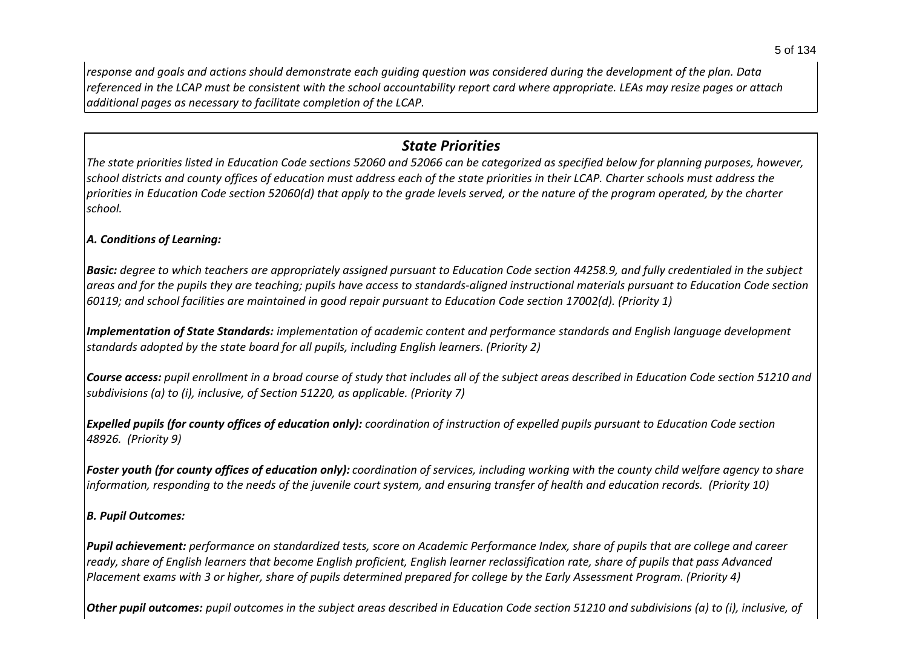*response and goals and actions should demonstrate each guiding question was considered during the development of the plan. Data referenced in the LCAP must be consistent with the school accountability report card where appropriate. LEAs may resize pages or attach additional pages as necessary to facilitate completion of the LCAP.*

# *State Priorities*

*The state priorities listed in Education Code sections 52060 and 52066 can be categorized as specified below for planning purposes, however, school districts and county offices of education must address each of the state priorities in their LCAP. Charter schools must address the priorities in Education Code section 52060(d) that apply to the grade levels served, or the nature of the program operated, by the charter school.*

## *A. Conditions of Learning:*

*Basic: degree to which teachers are appropriately assigned pursuant to Education Code section 44258.9, and fully credentialed in the subject areas and for the pupils they are teaching; pupils have access to standards-aligned instructional materials pursuant to Education Code section 60119; and school facilities are maintained in good repair pursuant to Education Code section 17002(d). (Priority 1)*

*Implementation of State Standards: implementation of academic content and performance standards and English language development standards adopted by the state board for all pupils, including English learners. (Priority 2)*

*Course access: pupil enrollment in a broad course of study that includes all of the subject areas described in Education Code section 51210 and subdivisions (a) to (i), inclusive, of Section 51220, as applicable. (Priority 7)*

*Expelled pupils (for county offices of education only): coordination of instruction of expelled pupils pursuant to Education Code section 48926. (Priority 9)*

*Foster youth (for county offices of education only): coordination of services, including working with the county child welfare agency to share information, responding to the needs of the juvenile court system, and ensuring transfer of health and education records. (Priority 10)*

### *B. Pupil Outcomes:*

*Pupil achievement: performance on standardized tests, score on Academic Performance Index, share of pupils that are college and career ready, share of English learners that become English proficient, English learner reclassification rate, share of pupils that pass Advanced Placement exams with 3 or higher, share of pupils determined prepared for college by the Early Assessment Program. (Priority 4)*

*Other pupil outcomes: pupil outcomes in the subject areas described in Education Code section 51210 and subdivisions (a) to (i), inclusive, of*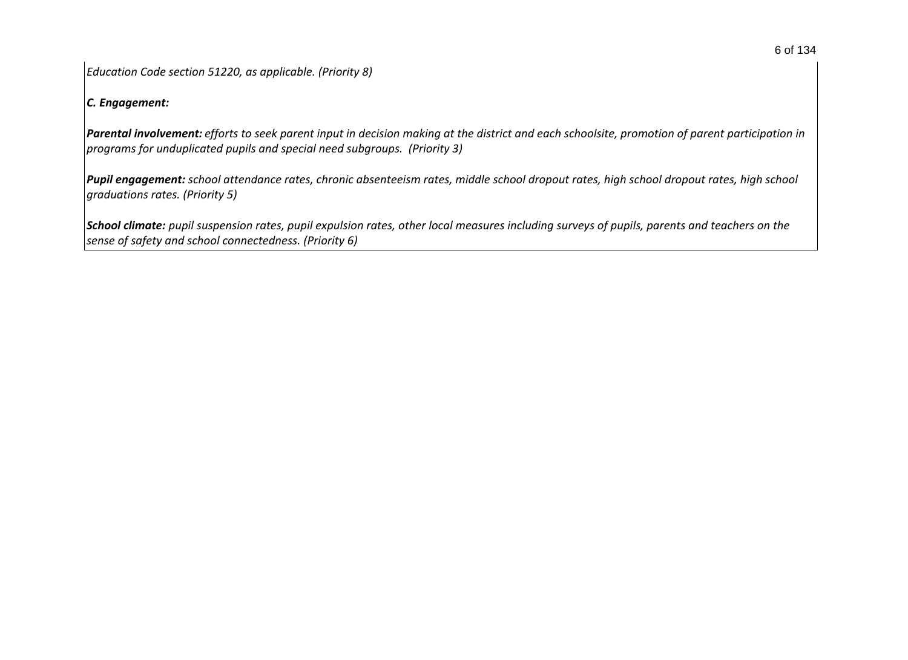*Education Code section 51220, as applicable. (Priority 8)* 

### *C. Engagement:*

*Parental involvement: efforts to seek parent input in decision making at the district and each schoolsite, promotion of parent participation in programs for unduplicated pupils and special need subgroups. (Priority 3)*

*Pupil engagement: school attendance rates, chronic absenteeism rates, middle school dropout rates, high school dropout rates, high school graduations rates. (Priority 5)*

*School climate: pupil suspension rates, pupil expulsion rates, other local measures including surveys of pupils, parents and teachers on the sense of safety and school connectedness. (Priority 6)*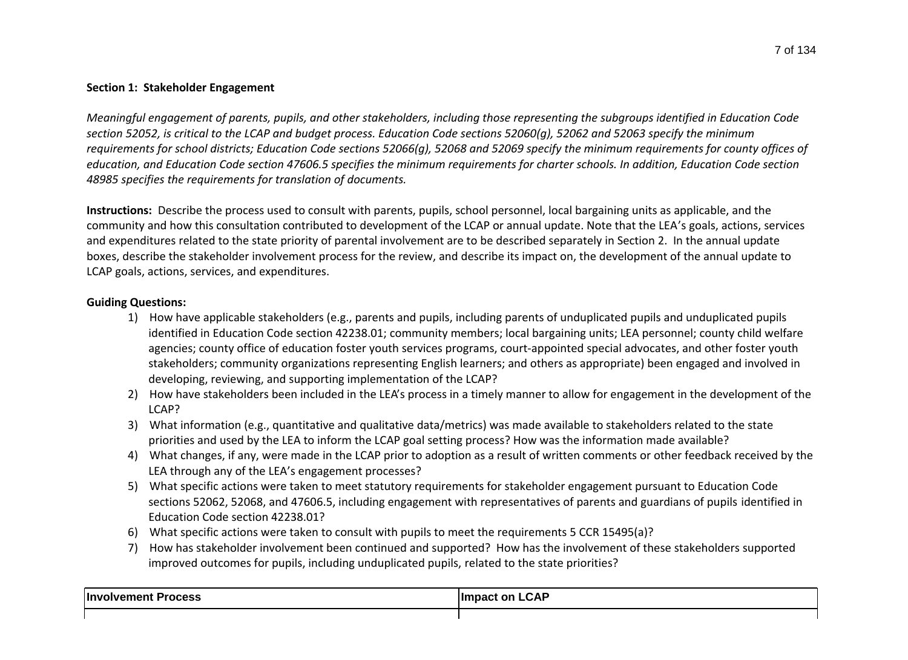#### **Section 1: Stakeholder Engagement**

*Meaningful engagement of parents, pupils, and other stakeholders, including those representing the subgroups identified in Education Code section 52052, is critical to the LCAP and budget process. Education Code sections 52060(g), 52062 and 52063 specify the minimum requirements for school districts; Education Code sections 52066(g), 52068 and 52069 specify the minimum requirements for county offices of education, and Education Code section 47606.5 specifies the minimum requirements for charter schools. In addition, Education Code section 48985 specifies the requirements for translation of documents.*

**Instructions:** Describe the process used to consult with parents, pupils, school personnel, local bargaining units as applicable, and the community and how this consultation contributed to development of the LCAP or annual update. Note that the LEA͛s goals, actions, services and expenditures related to the state priority of parental involvement are to be described separately in Section 2. In the annual update boxes, describe the stakeholder involvement process for the review, and describe its impact on, the development of the annual update to LCAP goals, actions, services, and expenditures.

### **Guiding Questions:**

- 1) How have applicable stakeholders (e.g., parents and pupils, including parents of unduplicated pupils and unduplicated pupils identified in Education Code section 42238.01; community members; local bargaining units; LEA personnel; county child welfare agencies; county office of education foster youth services programs, court-appointed special advocates, and other foster youth stakeholders; community organizations representing English learners; and others as appropriate) been engaged and involved in developing, reviewing, and supporting implementation of the LCAP?
- 2) How have stakeholders been included in the LEA's process in a timely manner to allow for engagement in the development of the LCAP?
- 3) What information (e.g., quantitative and qualitative data/metrics) was made available to stakeholders related to the state priorities and used by the LEA to inform the LCAP goal setting process? How was the information made available?
- 4) What changes, if any, were made in the LCAP prior to adoption as a result of written comments or other feedback received by the LEA through any of the LEA's engagement processes?
- 5) What specific actions were taken to meet statutory requirements for stakeholder engagement pursuant to Education Code sections 52062, 52068, and 47606.5, including engagement with representatives of parents and guardians of pupils identified in Education Code section 42238.01?
- 6) What specific actions were taken to consult with pupils to meet the requirements 5 CCR 15495(a)?
- 7) How has stakeholder involvement been continued and supported? How has the involvement of these stakeholders supported improved outcomes for pupils, including unduplicated pupils, related to the state priorities?

| ∣Invo<br>rocess<br>- 11 | <b>CAP</b><br>llm.<br>nr |
|-------------------------|--------------------------|
|                         |                          |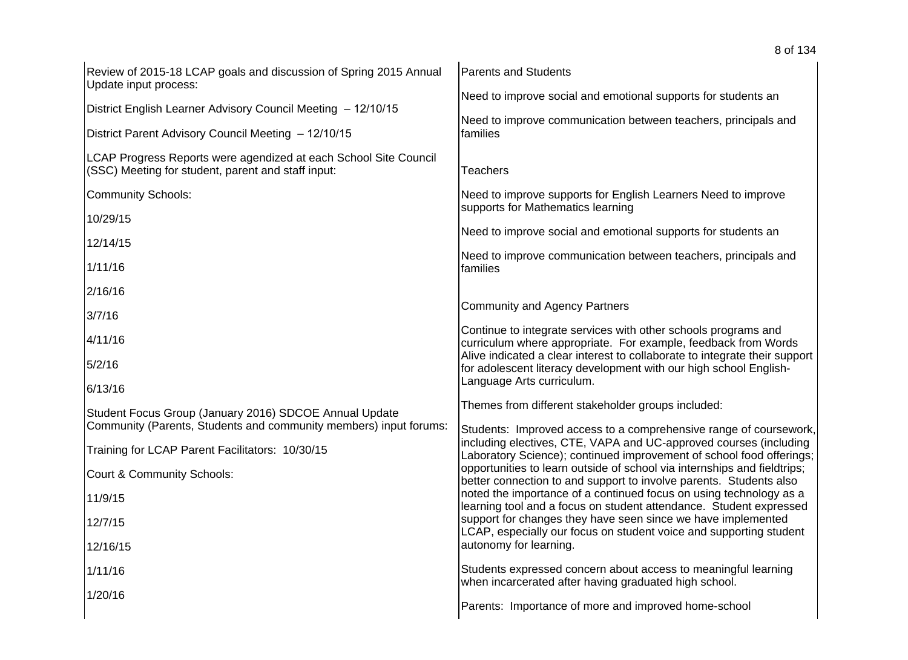| Review of 2015-18 LCAP goals and discussion of Spring 2015 Annual<br>Update input process:                                  | <b>Parents and Students</b>                                                                                                                                                                                    |
|-----------------------------------------------------------------------------------------------------------------------------|----------------------------------------------------------------------------------------------------------------------------------------------------------------------------------------------------------------|
| District English Learner Advisory Council Meeting - 12/10/15                                                                | Need to improve social and emotional supports for students an                                                                                                                                                  |
| District Parent Advisory Council Meeting - 12/10/15                                                                         | Need to improve communication between teachers, principals and<br>families                                                                                                                                     |
| LCAP Progress Reports were agendized at each School Site Council<br>(SSC) Meeting for student, parent and staff input:      | <b>Teachers</b>                                                                                                                                                                                                |
| <b>Community Schools:</b>                                                                                                   | Need to improve supports for English Learners Need to improve<br>supports for Mathematics learning                                                                                                             |
| 10/29/15                                                                                                                    |                                                                                                                                                                                                                |
| 12/14/15                                                                                                                    | Need to improve social and emotional supports for students an                                                                                                                                                  |
| 1/11/16                                                                                                                     | Need to improve communication between teachers, principals and<br>families                                                                                                                                     |
| 2/16/16                                                                                                                     |                                                                                                                                                                                                                |
| 3/7/16                                                                                                                      | <b>Community and Agency Partners</b>                                                                                                                                                                           |
| 4/11/16                                                                                                                     | Continue to integrate services with other schools programs and<br>curriculum where appropriate. For example, feedback from Words                                                                               |
| 5/2/16                                                                                                                      | Alive indicated a clear interest to collaborate to integrate their support<br>for adolescent literacy development with our high school English-                                                                |
| 6/13/16                                                                                                                     | Language Arts curriculum.                                                                                                                                                                                      |
| Student Focus Group (January 2016) SDCOE Annual Update<br>Community (Parents, Students and community members) input forums: | Themes from different stakeholder groups included:                                                                                                                                                             |
| Training for LCAP Parent Facilitators: 10/30/15                                                                             | Students: Improved access to a comprehensive range of coursework,<br>including electives, CTE, VAPA and UC-approved courses (including<br>Laboratory Science); continued improvement of school food offerings; |
| Court & Community Schools:                                                                                                  | opportunities to learn outside of school via internships and fieldtrips;<br>better connection to and support to involve parents. Students also                                                                 |
| 11/9/15                                                                                                                     | noted the importance of a continued focus on using technology as a<br>learning tool and a focus on student attendance. Student expressed                                                                       |
| 12/7/15                                                                                                                     | support for changes they have seen since we have implemented<br>LCAP, especially our focus on student voice and supporting student                                                                             |
| 12/16/15                                                                                                                    | autonomy for learning.                                                                                                                                                                                         |
| 1/11/16                                                                                                                     | Students expressed concern about access to meaningful learning<br>when incarcerated after having graduated high school.                                                                                        |
| 1/20/16                                                                                                                     | Parents: Importance of more and improved home-school                                                                                                                                                           |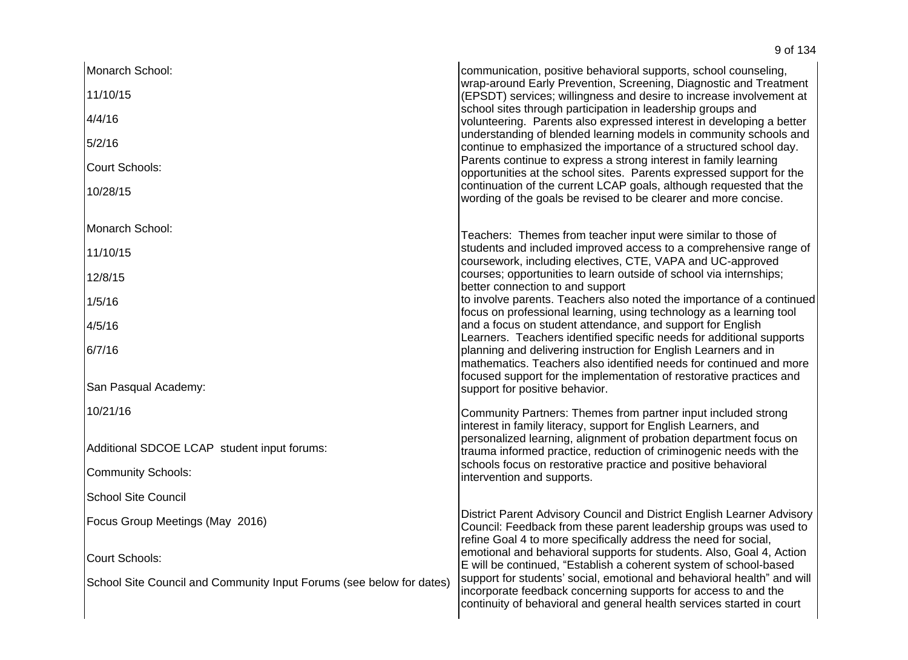| Monarch School:                                                      | communication, positive behavioral supports, school counseling,                                                                                                                                                    |
|----------------------------------------------------------------------|--------------------------------------------------------------------------------------------------------------------------------------------------------------------------------------------------------------------|
| 11/10/15                                                             | wrap-around Early Prevention, Screening, Diagnostic and Treatment<br>(EPSDT) services; willingness and desire to increase involvement at                                                                           |
| 4/4/16                                                               | school sites through participation in leadership groups and<br>volunteering. Parents also expressed interest in developing a better                                                                                |
| 5/2/16                                                               | understanding of blended learning models in community schools and<br>continue to emphasized the importance of a structured school day.                                                                             |
| Court Schools:                                                       | Parents continue to express a strong interest in family learning<br>opportunities at the school sites. Parents expressed support for the                                                                           |
| 10/28/15                                                             | continuation of the current LCAP goals, although requested that the<br>wording of the goals be revised to be clearer and more concise.                                                                             |
| Monarch School:                                                      | Teachers: Themes from teacher input were similar to those of                                                                                                                                                       |
| 11/10/15                                                             | students and included improved access to a comprehensive range of<br>coursework, including electives, CTE, VAPA and UC-approved                                                                                    |
| 12/8/15                                                              | courses; opportunities to learn outside of school via internships;<br>better connection to and support                                                                                                             |
| 1/5/16                                                               | to involve parents. Teachers also noted the importance of a continued<br>focus on professional learning, using technology as a learning tool                                                                       |
| 4/5/16                                                               | and a focus on student attendance, and support for English<br>Learners. Teachers identified specific needs for additional supports                                                                                 |
| 6/7/16                                                               | planning and delivering instruction for English Learners and in<br>mathematics. Teachers also identified needs for continued and more                                                                              |
| San Pasqual Academy:                                                 | focused support for the implementation of restorative practices and<br>support for positive behavior.                                                                                                              |
| 10/21/16                                                             | Community Partners: Themes from partner input included strong<br>interest in family literacy, support for English Learners, and                                                                                    |
| Additional SDCOE LCAP student input forums:                          | personalized learning, alignment of probation department focus on<br>trauma informed practice, reduction of criminogenic needs with the                                                                            |
| <b>Community Schools:</b>                                            | schools focus on restorative practice and positive behavioral<br>intervention and supports.                                                                                                                        |
| <b>School Site Council</b>                                           |                                                                                                                                                                                                                    |
| Focus Group Meetings (May 2016)                                      | District Parent Advisory Council and District English Learner Advisory<br>Council: Feedback from these parent leadership groups was used to<br>refine Goal 4 to more specifically address the need for social,     |
| Court Schools:                                                       | emotional and behavioral supports for students. Also, Goal 4, Action<br>E will be continued, "Establish a coherent system of school-based                                                                          |
| School Site Council and Community Input Forums (see below for dates) | support for students' social, emotional and behavioral health" and will<br>incorporate feedback concerning supports for access to and the<br>continuity of behavioral and general health services started in court |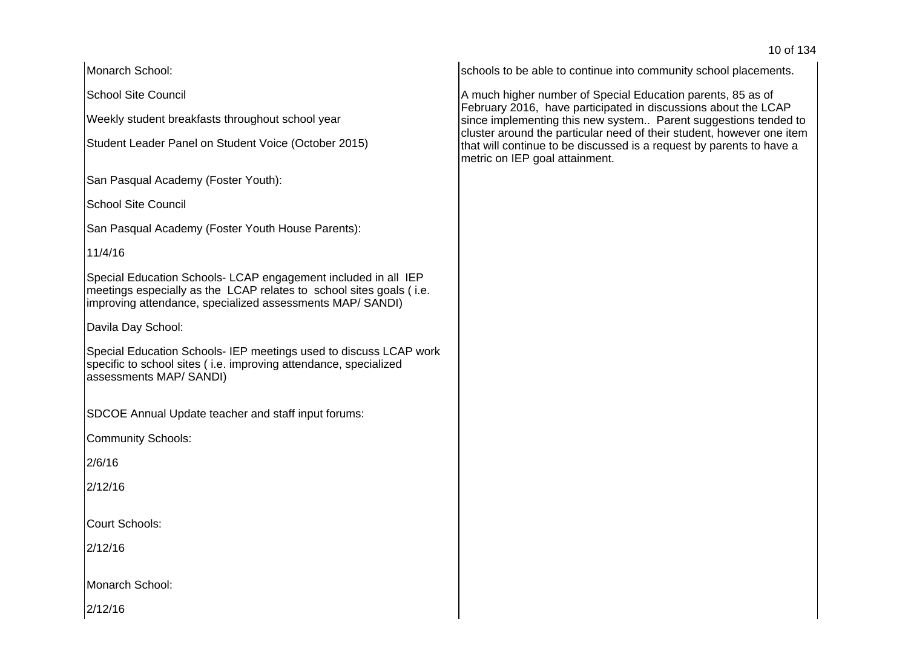10 of 134

Monarch School:

School Site Council

Weekly student breakfasts throughout school year

Student Leader Panel on Student Voice (October 2015)

San Pasqual Academy (Foster Youth):

School Site Council

San Pasqual Academy (Foster Youth House Parents):

# 11/4/16

Special Education Schools- LCAP engagement included in all IEP meetings especially as the LCAP relates to school sites goals ( i.e. improving attendance, specialized assessments MAP/ SANDI)

Davila Day School:

Special Education Schools- IEP meetings used to discuss LCAP work specific to school sites ( i.e. improving attendance, specialized assessments MAP/ SANDI)

SDCOE Annual Update teacher and staff input forums:

Community Schools:

2/6/16

2/12/16

Court Schools:

2/12/16

Monarch School:

2/12/16

schools to be able to continue into community school placements.

A much higher number of Special Education parents, 85 as of February 2016, have participated in discussions about the LCAP since implementing this new system.. Parent suggestions tended to cluster around the particular need of their student, however one item that will continue to be discussed is a request by parents to have a metric on IEP goal attainment.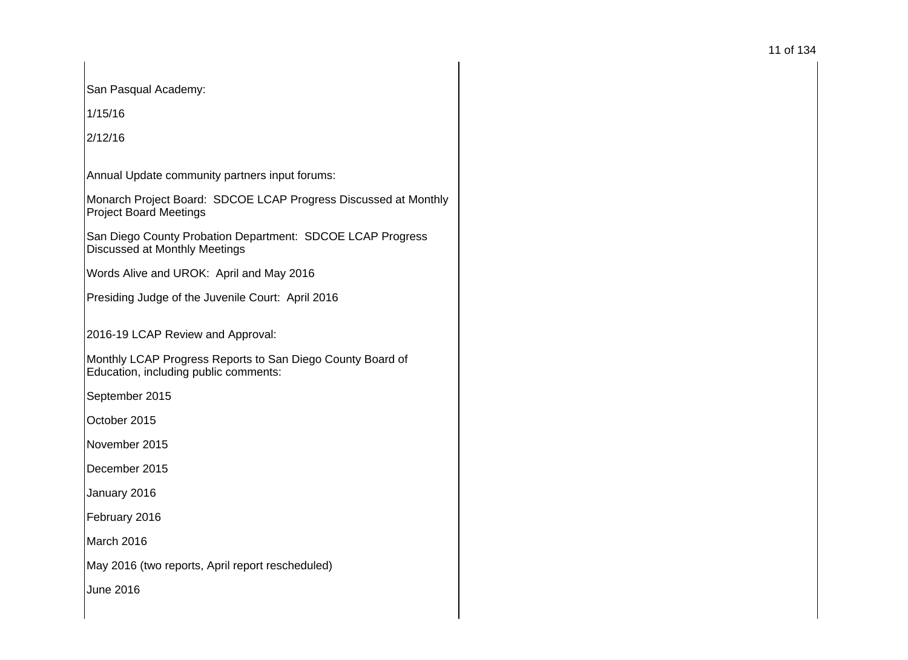San Pasqual Academy:

 $1/15/16$ 

 $2/12/16$ 

Annual Update community partners input forums:

Monarch Project Board: SDCOE LCAP Progress Discussed at Monthly Project Board Meetings

San Diego County Probation Department: SDCOE LCAP Progress Discussed at Monthly Meetings

Words Alive and UROK: April and May 2016

Presiding Judge of the Juvenile Court: April 2016

2016-19 LCAP Review and Approval:

Monthly LCAP Progress Reports to San Diego County Board of Education, including public comments:

September 2015

October 2015

November 2015

December 2015

January 2016

February 2016

March 2016

May 2016 (two reports, April report rescheduled)

June 2016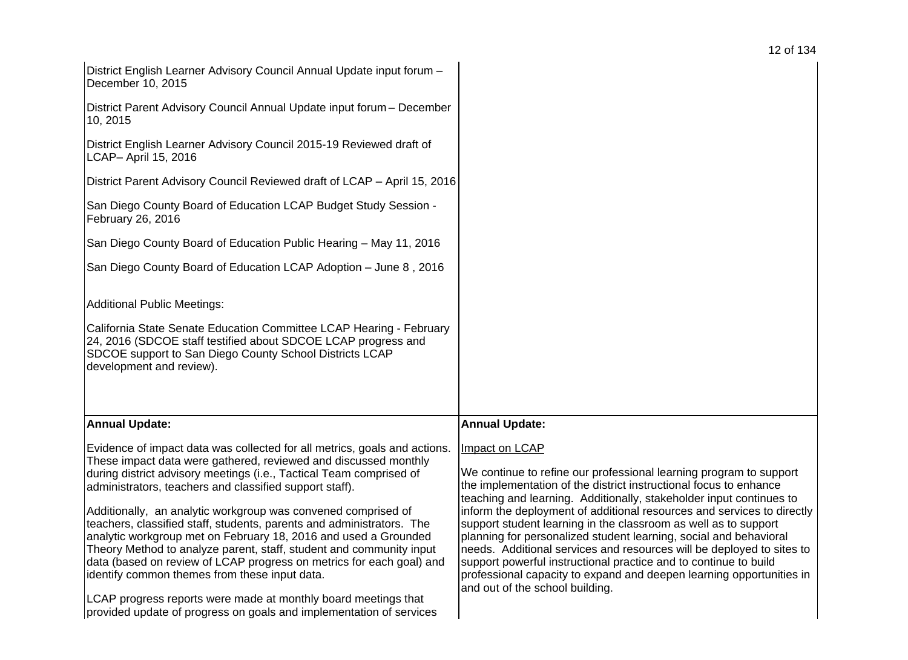| 12 of 134 |  |
|-----------|--|
|-----------|--|

| District Parent Advisory Council Reviewed draft of LCAP - April 15, 2016                                                                                                                                                                                                                                                                                                                                                                                                                                                                                                                                                                                                                                   |
|------------------------------------------------------------------------------------------------------------------------------------------------------------------------------------------------------------------------------------------------------------------------------------------------------------------------------------------------------------------------------------------------------------------------------------------------------------------------------------------------------------------------------------------------------------------------------------------------------------------------------------------------------------------------------------------------------------|
|                                                                                                                                                                                                                                                                                                                                                                                                                                                                                                                                                                                                                                                                                                            |
|                                                                                                                                                                                                                                                                                                                                                                                                                                                                                                                                                                                                                                                                                                            |
|                                                                                                                                                                                                                                                                                                                                                                                                                                                                                                                                                                                                                                                                                                            |
|                                                                                                                                                                                                                                                                                                                                                                                                                                                                                                                                                                                                                                                                                                            |
|                                                                                                                                                                                                                                                                                                                                                                                                                                                                                                                                                                                                                                                                                                            |
| <b>Annual Update:</b>                                                                                                                                                                                                                                                                                                                                                                                                                                                                                                                                                                                                                                                                                      |
| Impact on LCAP<br>We continue to refine our professional learning program to support<br>the implementation of the district instructional focus to enhance<br>teaching and learning. Additionally, stakeholder input continues to<br>inform the deployment of additional resources and services to directly<br>support student learning in the classroom as well as to support<br>planning for personalized student learning, social and behavioral<br>needs. Additional services and resources will be deployed to sites to<br>support powerful instructional practice and to continue to build<br>professional capacity to expand and deepen learning opportunities in<br>and out of the school building. |
| District Parent Advisory Council Annual Update input forum - December<br>California State Senate Education Committee LCAP Hearing - February<br>Evidence of impact data was collected for all metrics, goals and actions.                                                                                                                                                                                                                                                                                                                                                                                                                                                                                  |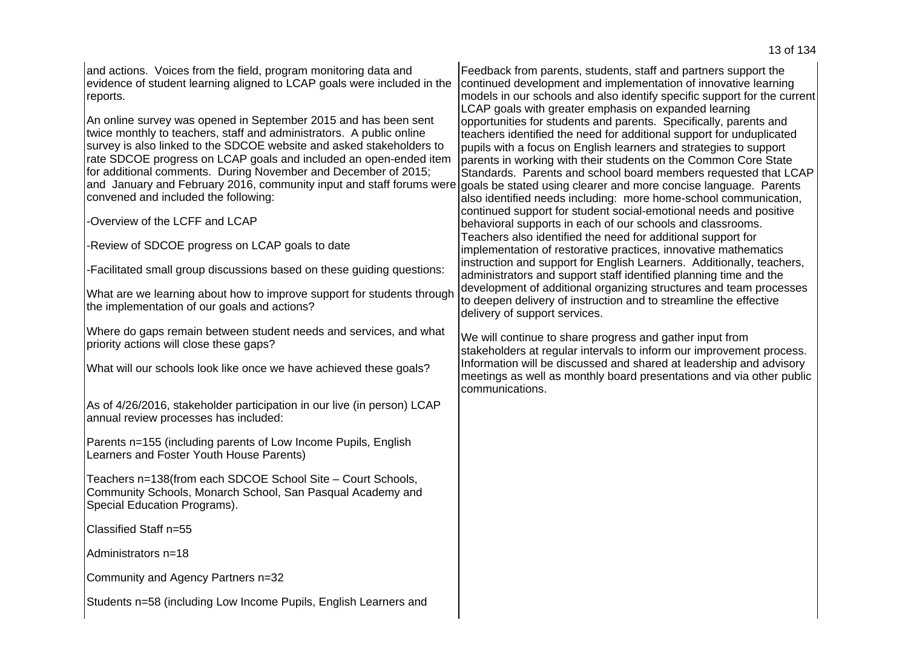and actions. Voices from the field, program monitoring data and evidence of student learning aligned to LCAP goals were included in the reports. An online survey was opened in September 2015 and has been sent twice monthly to teachers, staff and administrators. A public online survey is also linked to the SDCOE website and asked stakeholders to rate SDCOE progress on LCAP goals and included an open-ended item for additional comments. During November and December of 2015; and January and February 2016, community input and staff forums were convened and included the following: -Overview of the LCFF and LCAP -Review of SDCOE progress on LCAP goals to date -Facilitated small group discussions based on these guiding questions: What are we learning about how to improve support for students through the implementation of our goals and actions? Where do gaps remain between student needs and services, and what priority actions will close these gaps? What will our schools look like once we have achieved these goals? As of 4/26/2016, stakeholder participation in our live (in person) LCAP annual review processes has included: Parents n=155 (including parents of Low Income Pupils, English Learners and Foster Youth House Parents) Teachers n=138(from each SDCOE School Site - Court Schools, Community Schools, Monarch School, San Pasqual Academy and Special Education Programs). Classified Staff n=55 Administrators n=18 Community and Agency Partners n=32 Students n=58 (including Low Income Pupils, English Learners and Feedback from parents, students, staff and partners support the continued development and implementation of innovative learning models in our schools and also identify specific support for the current LCAP goals with greater emphasis on expanded learning opportunities for students and parents. Specifically, parents and teachers identified the need for additional support for unduplicated pupils with a focus on English learners and strategies to support parents in working with their students on the Common Core State Standards. Parents and school board members requested that LCAP goals be stated using clearer and more concise language. Parents also identified needs including: more home-school communication, continued support for student social-emotional needs and positive behavioral supports in each of our schools and classrooms. Teachers also identified the need for additional support for implementation of restorative practices, innovative mathematics instruction and support for English Learners. Additionally, teachers, administrators and support staff identified planning time and the development of additional organizing structures and team processes to deepen delivery of instruction and to streamline the effective delivery of support services. We will continue to share progress and gather input from stakeholders at regular intervals to inform our improvement process. Information will be discussed and shared at leadership and advisory meetings as well as monthly board presentations and via other public communications.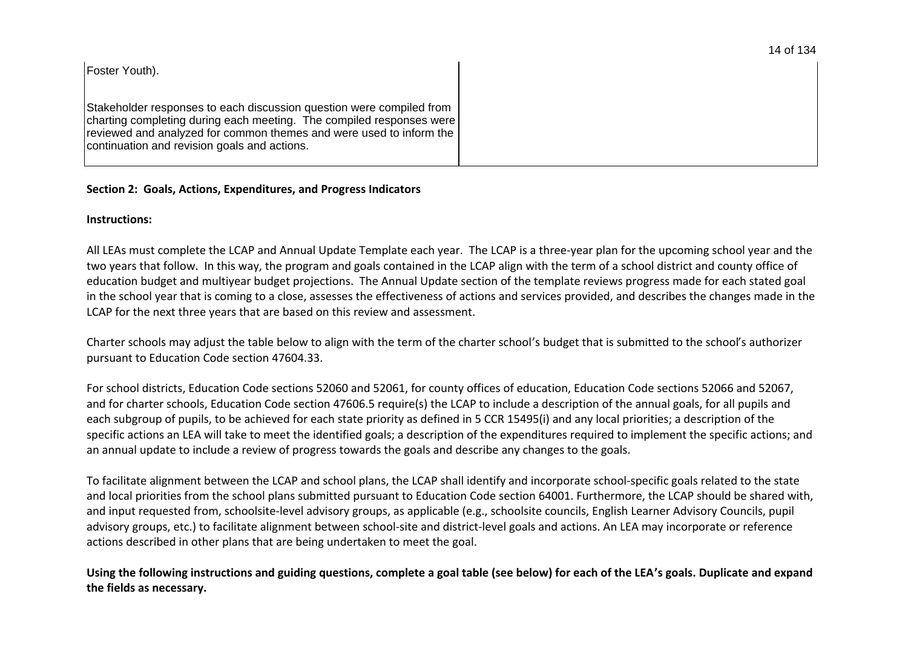|  |  | 14 of 134 |
|--|--|-----------|
|--|--|-----------|

| Foster Youth).                                                                                                                                                                                                                                                        |
|-----------------------------------------------------------------------------------------------------------------------------------------------------------------------------------------------------------------------------------------------------------------------|
| Stakeholder responses to each discussion question were compiled from<br>charting completing during each meeting. The compiled responses were<br>  reviewed and analyzed for common themes and were used to inform the<br>continuation and revision goals and actions. |

### **Section 2: Goals, Actions, Expenditures, and Progress Indicators**

#### **Instructions:**

All LEAs must complete the LCAP and Annual Update Template each year. The LCAP is a three-year plan for the upcoming school year and the two years that follow. In this way, the program and goals contained in the LCAP align with the term of a school district and county office of education budget and multiyear budget projections. The Annual Update section of the template reviews progress made for each stated goal in the school year that is coming to a close, assesses the effectiveness of actions and services provided, and describes the changes made in the LCAP for the next three years that are based on this review and assessment.

Charter schools may adjust the table below to align with the term of the charter school's budget that is submitted to the school's authorizer pursuant to Education Code section 47604.33.

For school districts, Education Code sections 52060 and 52061, for county offices of education, Education Code sections 52066 and 52067, and for charter schools, Education Code section 47606.5 require(s) the LCAP to include a description of the annual goals, for all pupils and each subgroup of pupils, to be achieved for each state priority as defined in 5 CCR 15495(i) and any local priorities; a description of the specific actions an LEA will take to meet the identified goals; a description of the expenditures required to implement the specific actions; and an annual update to include a review of progress towards the goals and describe any changes to the goals.

To facilitate alignment between the LCAP and school plans, the LCAP shall identify and incorporate school-specific goals related to the state and local priorities from the school plans submitted pursuant to Education Code section 64001. Furthermore, the LCAP should be shared with, and input requested from, schoolsite-level advisory groups, as applicable (e.g., schoolsite councils, English Learner Advisory Councils, pupil advisory groups, etc.) to facilitate alignment between school-site and district-level goals and actions. An LEA may incorporate or reference actions described in other plans that are being undertaken to meet the goal.

**Using the following instructions and guiding questions, complete a goal table (see below) for each of the LEA͛s goals. Duplicate and expand the fields as necessary.**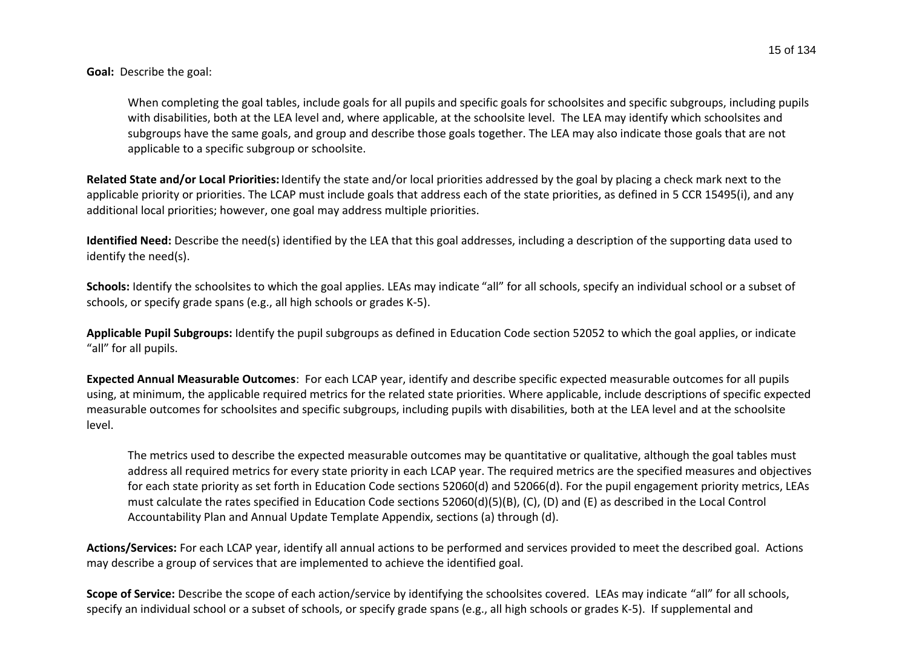**Goal:** Describe the goal:

When completing the goal tables, include goals for all pupils and specific goals for schoolsites and specific subgroups, including pupils with disabilities, both at the LEA level and, where applicable, at the schoolsite level. The LEA may identify which schoolsites and subgroups have the same goals, and group and describe those goals together. The LEA may also indicate those goals that are not applicable to a specific subgroup or schoolsite.

**Related State and/or Local Priorities:** Identify the state and/or local priorities addressed by the goal by placing a check mark next to the applicable priority or priorities. The LCAP must include goals that address each of the state priorities, as defined in 5 CCR 15495(i), and any additional local priorities; however, one goal may address multiple priorities.

**Identified Need:** Describe the need(s) identified by the LEA that this goal addresses, including a description of the supporting data used to identify the need(s).

**Schools:** Identify the schoolsites to which the goal applies. LEAs may indicate "all" for all schools, specify an individual school or a subset of schools, or specify grade spans (e.g., all high schools or grades K-5).

**Applicable Pupil Subgroups:** Identify the pupil subgroups as defined in Education Code section 52052 to which the goal applies, or indicate "all" for all pupils.

**Expected Annual Measurable Outcomes**: For each LCAP year, identify and describe specific expected measurable outcomes for all pupils using, at minimum, the applicable required metrics for the related state priorities. Where applicable, include descriptions of specific expected measurable outcomes for schoolsites and specific subgroups, including pupils with disabilities, both at the LEA level and at the schoolsite level.

The metrics used to describe the expected measurable outcomes may be quantitative or qualitative, although the goal tables must address all required metrics for every state priority in each LCAP year. The required metrics are the specified measures and objectives for each state priority as set forth in Education Code sections 52060(d) and 52066(d). For the pupil engagement priority metrics, LEAs must calculate the rates specified in Education Code sections 52060(d)(5)(B), (C), (D) and (E) as described in the Local Control Accountability Plan and Annual Update Template Appendix, sections (a) through (d).

**Actions/Services:** For each LCAP year, identify all annual actions to be performed and services provided to meet the described goal. Actions may describe a group of services that are implemented to achieve the identified goal.

Scope of Service: Describe the scope of each action/service by identifying the schoolsites covered. LEAs may indicate "all" for all schools, specify an individual school or a subset of schools, or specify grade spans (e.g., all high schools or grades K-5). If supplemental and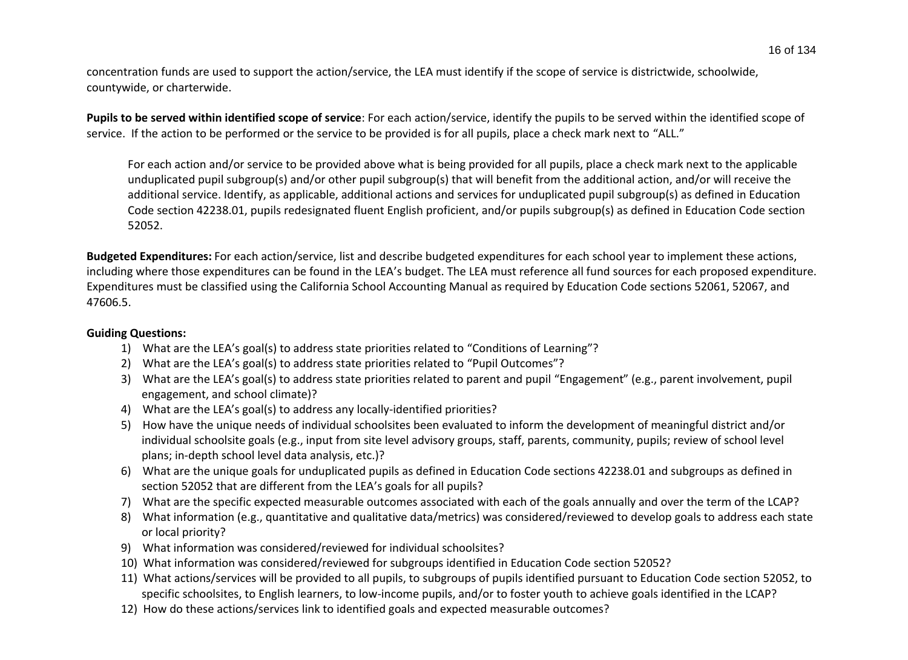concentration funds are used to support the action/service, the LEA must identify if the scope of service is districtwide, schoolwide, countywide, or charterwide.

**Pupils to be served within identified scope of service**: For each action/service, identify the pupils to be served within the identified scope of service. If the action to be performed or the service to be provided is for all pupils, place a check mark next to "ALL."

For each action and/or service to be provided above what is being provided for all pupils, place a check mark next to the applicable unduplicated pupil subgroup(s) and/or other pupil subgroup(s) that will benefit from the additional action, and/or will receive the additional service. Identify, as applicable, additional actions and services for unduplicated pupil subgroup(s) as defined in Education Code section 42238.01, pupils redesignated fluent English proficient, and/or pupils subgroup(s) as defined in Education Code section 52052.

**Budgeted Expenditures:** For each action/service, list and describe budgeted expenditures for each school year to implement these actions, including where those expenditures can be found in the LEA's budget. The LEA must reference all fund sources for each proposed expenditure. Expenditures must be classified using the California School Accounting Manual as required by Education Code sections 52061, 52067, and 47606.5.

#### **Guiding Questions:**

- 1) What are the LEA's goal(s) to address state priorities related to "Conditions of Learning"?
- 2) What are the LEA's goal(s) to address state priorities related to "Pupil Outcomes"?
- 3) What are the LEA's goal(s) to address state priorities related to parent and pupil "Engagement" (e.g., parent involvement, pupil engagement, and school climate)?
- 4) What are the LEA's goal(s) to address any locally-identified priorities?
- 5) How have the unique needs of individual schoolsites been evaluated to inform the development of meaningful district and/or individual schoolsite goals (e.g., input from site level advisory groups, staff, parents, community, pupils; review of school level plans; in-depth school level data analysis, etc.)?
- 6) What are the unique goals for unduplicated pupils as defined in Education Code sections 42238.01 and subgroups as defined in section 52052 that are different from the LEA's goals for all pupils?
- 7) What are the specific expected measurable outcomes associated with each of the goals annually and over the term of the LCAP?
- 8) What information (e.g., quantitative and qualitative data/metrics) was considered/reviewed to develop goals to address each state or local priority?
- 9) What information was considered/reviewed for individual schoolsites?
- 10) What information was considered/reviewed for subgroups identified in Education Code section 52052?
- 11) What actions/services will be provided to all pupils, to subgroups of pupils identified pursuant to Education Code section 52052, to specific schoolsites, to English learners, to low-income pupils, and/or to foster youth to achieve goals identified in the LCAP?
- 12) How do these actions/services link to identified goals and expected measurable outcomes?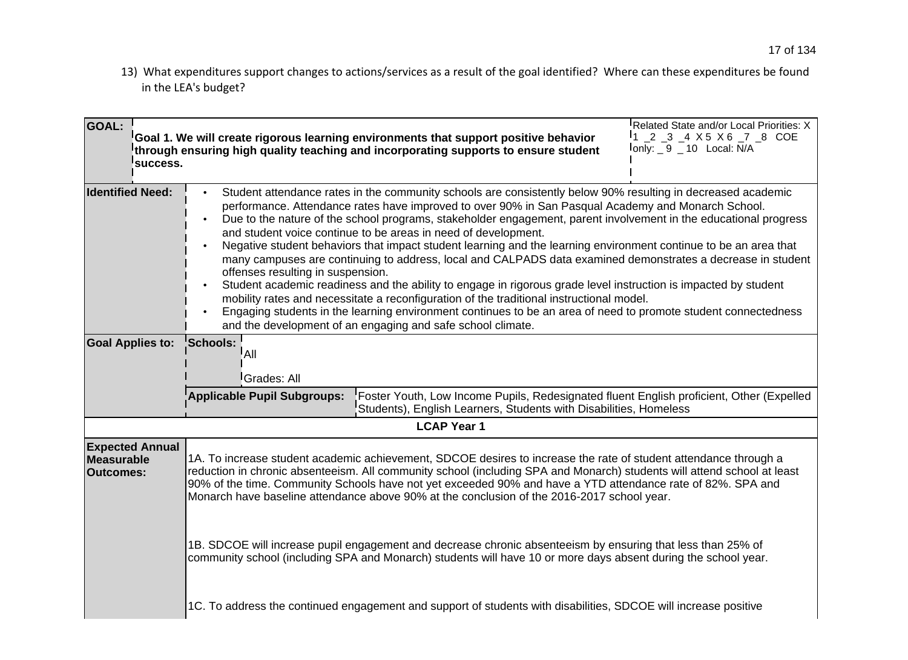13) What expenditures support changes to actions/services as a result of the goal identified? Where can these expenditures be found in the LEA's budget?

| <b>GOAL:</b><br>success.                                        | Related State and/or Local Priorities: X<br>$12 - 3 - 4 \times 5 \times 6 - 7 - 8$ COE<br>Goal 1. We will create rigorous learning environments that support positive behavior<br>$lonly: 9 - 10$ Local: N/A<br>through ensuring high quality teaching and incorporating supports to ensure student                                                                                                                                                                                                                                                                                                                                                                                                                                                                                                                                                                                                                                                                                                                                                                              |  |  |  |  |
|-----------------------------------------------------------------|----------------------------------------------------------------------------------------------------------------------------------------------------------------------------------------------------------------------------------------------------------------------------------------------------------------------------------------------------------------------------------------------------------------------------------------------------------------------------------------------------------------------------------------------------------------------------------------------------------------------------------------------------------------------------------------------------------------------------------------------------------------------------------------------------------------------------------------------------------------------------------------------------------------------------------------------------------------------------------------------------------------------------------------------------------------------------------|--|--|--|--|
| <b>Identified Need:</b>                                         | Student attendance rates in the community schools are consistently below 90% resulting in decreased academic<br>performance. Attendance rates have improved to over 90% in San Pasqual Academy and Monarch School.<br>Due to the nature of the school programs, stakeholder engagement, parent involvement in the educational progress<br>and student voice continue to be areas in need of development.<br>Negative student behaviors that impact student learning and the learning environment continue to be an area that<br>many campuses are continuing to address, local and CALPADS data examined demonstrates a decrease in student<br>offenses resulting in suspension.<br>Student academic readiness and the ability to engage in rigorous grade level instruction is impacted by student<br>mobility rates and necessitate a reconfiguration of the traditional instructional model.<br>Engaging students in the learning environment continues to be an area of need to promote student connectedness<br>and the development of an engaging and safe school climate. |  |  |  |  |
| <b>Goal Applies to:</b>                                         | Schools:<br>!A⊪<br><sup>I</sup> Grades: All<br>Foster Youth, Low Income Pupils, Redesignated fluent English proficient, Other (Expelled<br><b>Applicable Pupil Subgroups:</b><br>Students), English Learners, Students with Disabilities, Homeless<br><b>LCAP Year 1</b>                                                                                                                                                                                                                                                                                                                                                                                                                                                                                                                                                                                                                                                                                                                                                                                                         |  |  |  |  |
| <b>Expected Annual</b><br><b>Measurable</b><br><b>Outcomes:</b> | 1A. To increase student academic achievement, SDCOE desires to increase the rate of student attendance through a<br>reduction in chronic absenteeism. All community school (including SPA and Monarch) students will attend school at least<br>90% of the time. Community Schools have not yet exceeded 90% and have a YTD attendance rate of 82%. SPA and<br>Monarch have baseline attendance above 90% at the conclusion of the 2016-2017 school year.<br>1B. SDCOE will increase pupil engagement and decrease chronic absenteeism by ensuring that less than 25% of<br>community school (including SPA and Monarch) students will have 10 or more days absent during the school year.<br>1C. To address the continued engagement and support of students with disabilities, SDCOE will increase positive                                                                                                                                                                                                                                                                     |  |  |  |  |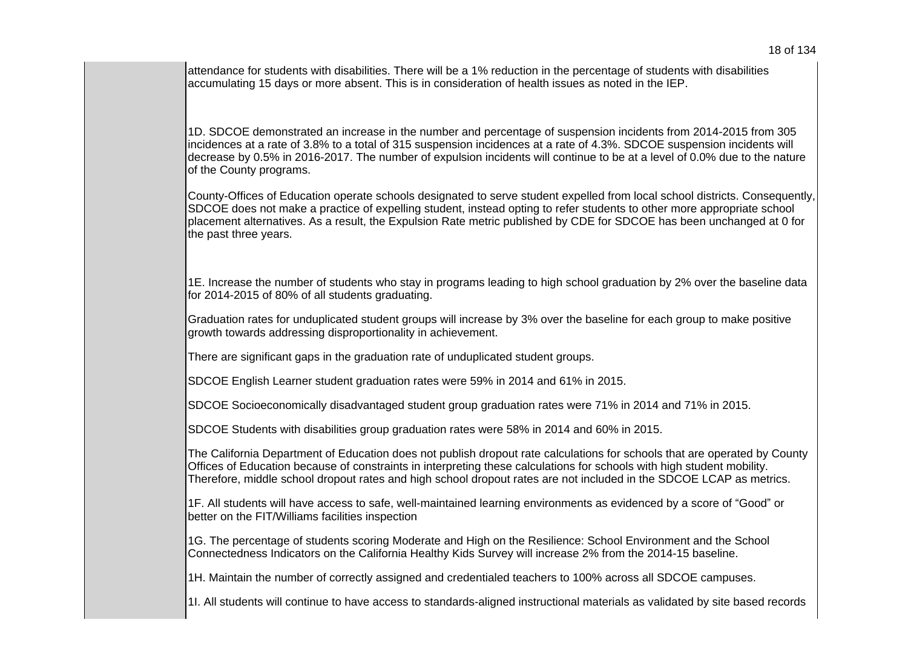attendance for students with disabilities. There will be a 1% reduction in the percentage of students with disabilities accumulating 15 days or more absent. This is in consideration of health issues as noted in the IEP.

1D. SDCOE demonstrated an increase in the number and percentage of suspension incidents from 2014-2015 from 305 incidences at a rate of 3.8% to a total of 315 suspension incidences at a rate of 4.3%. SDCOE suspension incidents will decrease by 0.5% in 2016-2017. The number of expulsion incidents will continue to be at a level of 0.0% due to the nature of the County programs.

County-Offices of Education operate schools designated to serve student expelled from local school districts. Consequently, SDCOE does not make a practice of expelling student, instead opting to refer students to other more appropriate school placement alternatives. As a result, the Expulsion Rate metric published by CDE for SDCOE has been unchanged at 0 for the past three years.

1E. Increase the number of students who stay in programs leading to high school graduation by 2% over the baseline data for 2014-2015 of 80% of all students graduating.

Graduation rates for unduplicated student groups will increase by 3% over the baseline for each group to make positive growth towards addressing disproportionality in achievement.

There are significant gaps in the graduation rate of unduplicated student groups.

SDCOE English Learner student graduation rates were 59% in 2014 and 61% in 2015.

SDCOE Socioeconomically disadvantaged student group graduation rates were 71% in 2014 and 71% in 2015.

SDCOE Students with disabilities group graduation rates were 58% in 2014 and 60% in 2015.

The California Department of Education does not publish dropout rate calculations for schools that are operated by County Offices of Education because of constraints in interpreting these calculations for schools with high student mobility. Therefore, middle school dropout rates and high school dropout rates are not included in the SDCOE LCAP as metrics.

1F. All students will have access to safe, well-maintained learning environments as evidenced by a score of "Good" or better on the FIT/Williams facilities inspection

1G. The percentage of students scoring Moderate and High on the Resilience: School Environment and the School Connectedness Indicators on the California Healthy Kids Survey will increase 2% from the 2014-15 baseline.

1H. Maintain the number of correctly assigned and credentialed teachers to 100% across all SDCOE campuses.

1I. All students will continue to have access to standards-aligned instructional materials as validated by site based records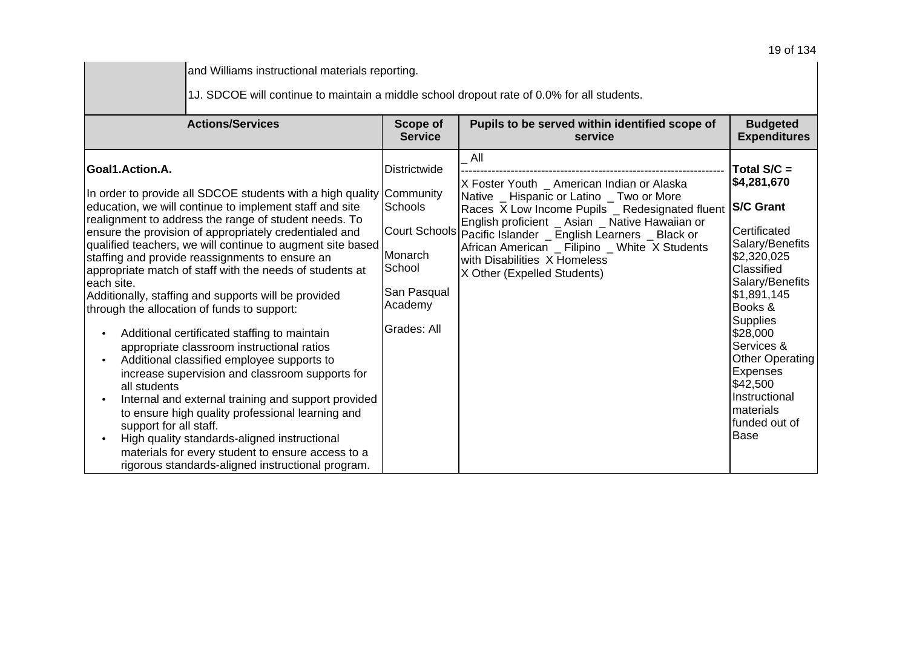| and Williams instructional materials reporting.                                                                                                                                                                                                                                                                                                                                                                                                                                                                                                                                                                                                                                                                                                                                                                                                                                                                                                                                                                                                                                        |                                                                                                               |                                                                                                                                                                                                                                                                                                                                                                         |                                                                                                                                                                                                                                                                                                             |  |
|----------------------------------------------------------------------------------------------------------------------------------------------------------------------------------------------------------------------------------------------------------------------------------------------------------------------------------------------------------------------------------------------------------------------------------------------------------------------------------------------------------------------------------------------------------------------------------------------------------------------------------------------------------------------------------------------------------------------------------------------------------------------------------------------------------------------------------------------------------------------------------------------------------------------------------------------------------------------------------------------------------------------------------------------------------------------------------------|---------------------------------------------------------------------------------------------------------------|-------------------------------------------------------------------------------------------------------------------------------------------------------------------------------------------------------------------------------------------------------------------------------------------------------------------------------------------------------------------------|-------------------------------------------------------------------------------------------------------------------------------------------------------------------------------------------------------------------------------------------------------------------------------------------------------------|--|
| 1J. SDCOE will continue to maintain a middle school dropout rate of 0.0% for all students.                                                                                                                                                                                                                                                                                                                                                                                                                                                                                                                                                                                                                                                                                                                                                                                                                                                                                                                                                                                             |                                                                                                               |                                                                                                                                                                                                                                                                                                                                                                         |                                                                                                                                                                                                                                                                                                             |  |
| <b>Actions/Services</b>                                                                                                                                                                                                                                                                                                                                                                                                                                                                                                                                                                                                                                                                                                                                                                                                                                                                                                                                                                                                                                                                | Scope of<br><b>Service</b>                                                                                    | Pupils to be served within identified scope of<br>service                                                                                                                                                                                                                                                                                                               | <b>Budgeted</b><br><b>Expenditures</b>                                                                                                                                                                                                                                                                      |  |
| Goal1.Action.A.<br>In order to provide all SDCOE students with a high quality Community<br>education, we will continue to implement staff and site<br>realignment to address the range of student needs. To<br>ensure the provision of appropriately credentialed and<br>qualified teachers, we will continue to augment site based<br>staffing and provide reassignments to ensure an<br>appropriate match of staff with the needs of students at<br>leach site.<br>Additionally, staffing and supports will be provided<br>through the allocation of funds to support:<br>Additional certificated staffing to maintain<br>appropriate classroom instructional ratios<br>Additional classified employee supports to<br>increase supervision and classroom supports for<br>all students<br>Internal and external training and support provided<br>to ensure high quality professional learning and<br>support for all staff.<br>High quality standards-aligned instructional<br>materials for every student to ensure access to a<br>rigorous standards-aligned instructional program. | <b>Districtwide</b><br>Schools<br>Court Schools<br>Monarch<br>School<br>San Pasqual<br>Academy<br>Grades: All | All<br>X Foster Youth _ American Indian or Alaska<br>Native _ Hispanic or Latino _ Two or More<br>Races X Low Income Pupils _ Redesignated fluent<br>English proficient _ Asian _ Native Hawaiian or<br>Pacific Islander _ English Learners _ Black or<br>African American _ Filipino _ White X Students<br>with Disabilities X Homeless<br>X Other (Expelled Students) | Total S/C =<br>\$4,281,670<br><b>S/C Grant</b><br>Certificated<br>Salary/Benefits<br>\$2,320,025<br>Classified<br>Salary/Benefits<br>\$1,891,145<br>Books &<br>Supplies<br>\$28,000<br>Services &<br><b>Other Operating</b><br>Expenses<br>\$42,500<br>Instructional<br>materials<br>funded out of<br>lBase |  |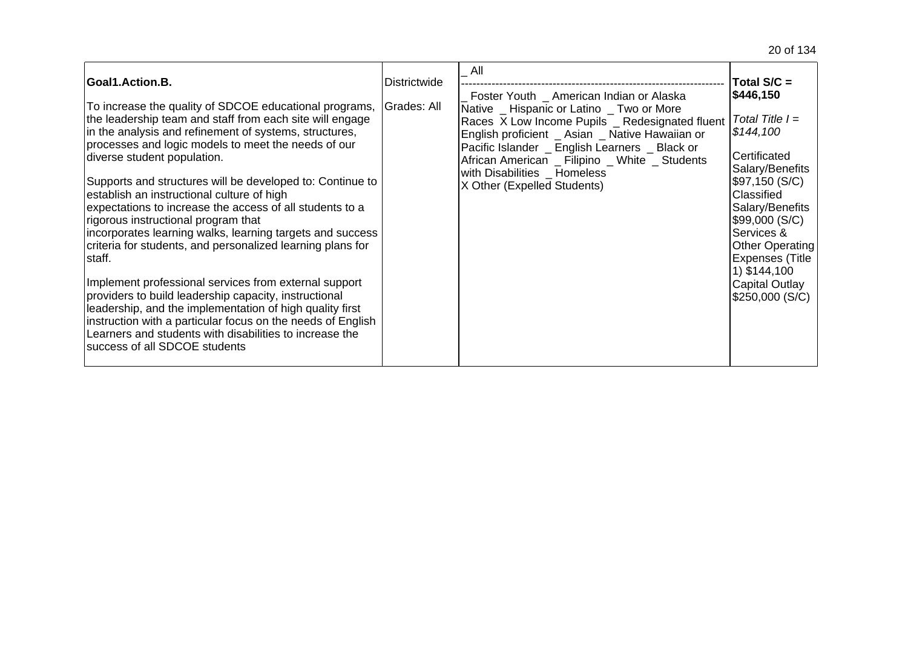| Goal1.Action.B.                                                                                                                                                                                                                                                                                                                                                                                                                                                                                                                                                                                                                                                                                                                                                                                                                                                                                                                                                 | <b>Districtwide</b> | All<br>Foster Youth _ American Indian or Alaska                                                                                                                                                                                                                                                                    | Total $S/C =$<br>\$446,150                                                                                                                                                                                                                                                         |
|-----------------------------------------------------------------------------------------------------------------------------------------------------------------------------------------------------------------------------------------------------------------------------------------------------------------------------------------------------------------------------------------------------------------------------------------------------------------------------------------------------------------------------------------------------------------------------------------------------------------------------------------------------------------------------------------------------------------------------------------------------------------------------------------------------------------------------------------------------------------------------------------------------------------------------------------------------------------|---------------------|--------------------------------------------------------------------------------------------------------------------------------------------------------------------------------------------------------------------------------------------------------------------------------------------------------------------|------------------------------------------------------------------------------------------------------------------------------------------------------------------------------------------------------------------------------------------------------------------------------------|
| To increase the quality of SDCOE educational programs,<br>the leadership team and staff from each site will engage<br>in the analysis and refinement of systems, structures,<br>processes and logic models to meet the needs of our<br>diverse student population.<br>Supports and structures will be developed to: Continue to<br>establish an instructional culture of high<br>expectations to increase the access of all students to a<br>rigorous instructional program that<br>incorporates learning walks, learning targets and success<br>criteria for students, and personalized learning plans for<br>lstaff.<br>Implement professional services from external support<br>providers to build leadership capacity, instructional<br>leadership, and the implementation of high quality first<br>instruction with a particular focus on the needs of English<br>Learners and students with disabilities to increase the<br>success of all SDCOE students | Grades: All         | Native _ Hispanic or Latino _ Two or More<br>Races X Low Income Pupils _ Redesignated fluent<br>English proficient _ Asian _ Native Hawaiian or<br>Pacific Islander _ English Learners _ Black or<br>African American _ Filipino _ White _ Students<br>with Disabilities _ Homeless<br>X Other (Expelled Students) | $\vert$ Total Title $\vert = \vert$<br>\$144,100<br>Certificated<br>Salary/Benefits<br>\$97,150 (S/C)<br>Classified<br>Salary/Benefits<br> \$99,000 (S/C)  <br>Services &<br><b>Other Operating</b><br><b>Expenses (Title</b><br>1) \$144,100<br>Capital Outlay<br>\$250,000 (S/C) |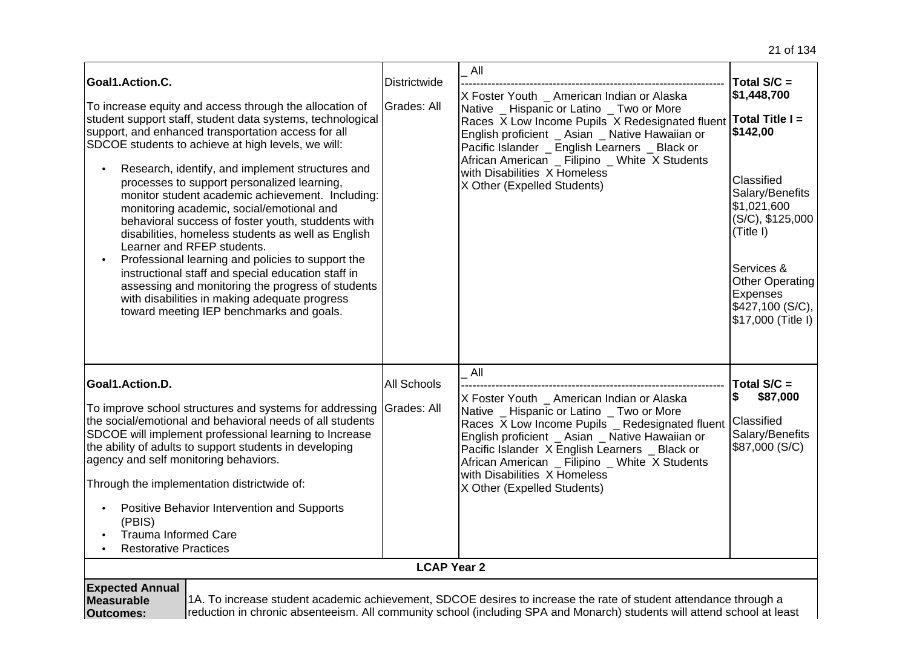| Goal1.Action.C.<br>To increase equity and access through the allocation of<br>student support staff, student data systems, technological<br>support, and enhanced transportation access for all<br>SDCOE students to achieve at high levels, we will:<br>Research, identify, and implement structures and<br>processes to support personalized learning,<br>monitor student academic achievement. Including:<br>monitoring academic, social/emotional and<br>behavioral success of foster youth, studdents with<br>disabilities, homeless students as well as English<br>Learner and RFEP students.<br>Professional learning and policies to support the<br>$\bullet$<br>instructional staff and special education staff in<br>assessing and monitoring the progress of students<br>with disabilities in making adequate progress<br>toward meeting IEP benchmarks and goals. | Districtwide<br>Grades: All       | All<br>X Foster Youth _ American Indian or Alaska<br>Native _ Hispanic or Latino _ Two or More<br>Races X Low Income Pupils X Redesignated fluent<br>English proficient _ Asian _ Native Hawaiian or<br>Pacific Islander _ English Learners _ Black or<br>African American _ Filipino _ White X Students<br>with Disabilities X Homeless<br>X Other (Expelled Students) | Total $S/C =$<br>\$1,448,700<br>Total Title I =<br>\$142,00<br>Classified<br>Salary/Benefits<br>\$1,021,600<br>(S/C), \$125,000<br>(Title I)<br>Services &<br><b>Other Operating</b><br>Expenses<br>\$427,100 (S/C),<br>\$17,000 (Title I) |
|-------------------------------------------------------------------------------------------------------------------------------------------------------------------------------------------------------------------------------------------------------------------------------------------------------------------------------------------------------------------------------------------------------------------------------------------------------------------------------------------------------------------------------------------------------------------------------------------------------------------------------------------------------------------------------------------------------------------------------------------------------------------------------------------------------------------------------------------------------------------------------|-----------------------------------|-------------------------------------------------------------------------------------------------------------------------------------------------------------------------------------------------------------------------------------------------------------------------------------------------------------------------------------------------------------------------|--------------------------------------------------------------------------------------------------------------------------------------------------------------------------------------------------------------------------------------------|
| Goal1.Action.D.<br>To improve school structures and systems for addressing<br>the social/emotional and behavioral needs of all students<br>SDCOE will implement professional learning to Increase<br>the ability of adults to support students in developing<br>agency and self monitoring behaviors.<br>Through the implementation districtwide of:<br>Positive Behavior Intervention and Supports<br>(PBIS)<br><b>Trauma Informed Care</b><br><b>Restorative Practices</b>                                                                                                                                                                                                                                                                                                                                                                                                  | <b>All Schools</b><br>Grades: All | All<br>X Foster Youth _ American Indian or Alaska<br>Native _ Hispanic or Latino _ Two or More<br>Races X Low Income Pupils _ Redesignated fluent<br>English proficient _ Asian _ Native Hawaiian or<br>Pacific Islander X English Learners _ Black or<br>African American _ Filipino _ White X Students<br>with Disabilities X Homeless<br>X Other (Expelled Students) | Total $S/C =$<br>\$87,000<br>\$<br>Classified<br>Salary/Benefits<br>\$87,000 (S/C)                                                                                                                                                         |
|                                                                                                                                                                                                                                                                                                                                                                                                                                                                                                                                                                                                                                                                                                                                                                                                                                                                               | <b>LCAP Year 2</b>                |                                                                                                                                                                                                                                                                                                                                                                         |                                                                                                                                                                                                                                            |
| <b>Expected Annual</b><br>1A. To increase student academic achievement, SDCOE desires to increase the rate of student attendance through a<br>Measurable<br>reduction in chronic absenteeism. All community school (including SPA and Monarch) students will attend school at least<br><b>Outcomes:</b>                                                                                                                                                                                                                                                                                                                                                                                                                                                                                                                                                                       |                                   |                                                                                                                                                                                                                                                                                                                                                                         |                                                                                                                                                                                                                                            |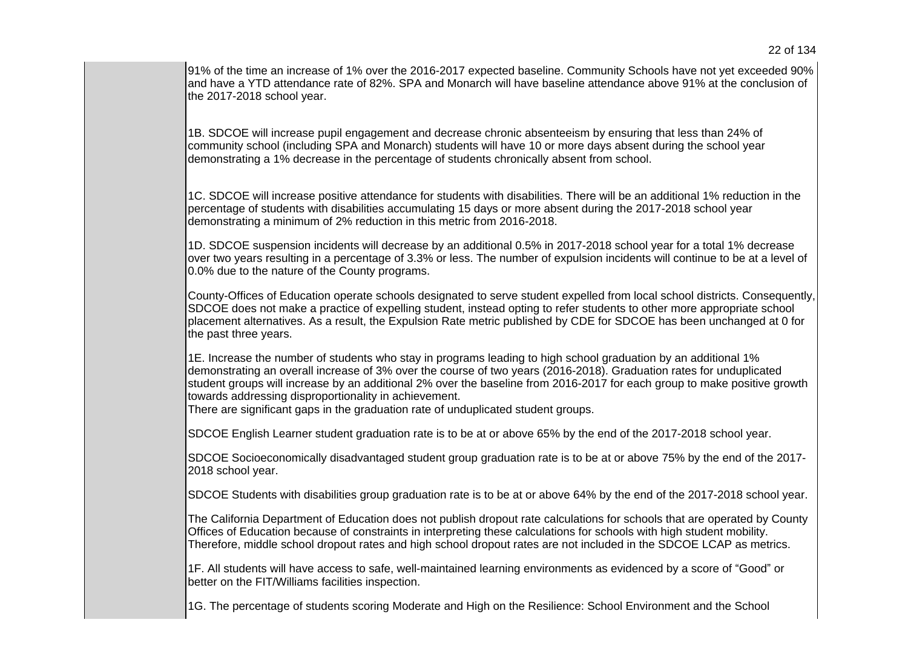91% of the time an increase of 1% over the 2016-2017 expected baseline. Community Schools have not yet exceeded 90% and have a YTD attendance rate of 82%. SPA and Monarch will have baseline attendance above 91% at the conclusion of the 2017-2018 school year.

1B. SDCOE will increase pupil engagement and decrease chronic absenteeism by ensuring that less than 24% of community school (including SPA and Monarch) students will have 10 or more days absent during the school year demonstrating a 1% decrease in the percentage of students chronically absent from school.

1C. SDCOE will increase positive attendance for students with disabilities. There will be an additional 1% reduction in the percentage of students with disabilities accumulating 15 days or more absent during the 2017-2018 school year demonstrating a minimum of 2% reduction in this metric from 2016-2018.

1D. SDCOE suspension incidents will decrease by an additional 0.5% in 2017-2018 school year for a total 1% decrease over two years resulting in a percentage of 3.3% or less. The number of expulsion incidents will continue to be at a level of 0.0% due to the nature of the County programs.

County-Offices of Education operate schools designated to serve student expelled from local school districts. Consequently, SDCOE does not make a practice of expelling student, instead opting to refer students to other more appropriate school placement alternatives. As a result, the Expulsion Rate metric published by CDE for SDCOE has been unchanged at 0 for the past three years.

1E. Increase the number of students who stay in programs leading to high school graduation by an additional 1% demonstrating an overall increase of 3% over the course of two years (2016-2018). Graduation rates for unduplicated student groups will increase by an additional 2% over the baseline from 2016-2017 for each group to make positive growth towards addressing disproportionality in achievement.

There are significant gaps in the graduation rate of unduplicated student groups.

SDCOE English Learner student graduation rate is to be at or above 65% by the end of the 2017-2018 school year.

SDCOE Socioeconomically disadvantaged student group graduation rate is to be at or above 75% by the end of the 2017- 2018 school year.

SDCOE Students with disabilities group graduation rate is to be at or above 64% by the end of the 2017-2018 school year.

The California Department of Education does not publish dropout rate calculations for schools that are operated by County Offices of Education because of constraints in interpreting these calculations for schools with high student mobility. Therefore, middle school dropout rates and high school dropout rates are not included in the SDCOE LCAP as metrics.

1F. All students will have access to safe, well-maintained learning environments as evidenced by a score of "Good" or better on the FIT/Williams facilities inspection.

1G. The percentage of students scoring Moderate and High on the Resilience: School Environment and the School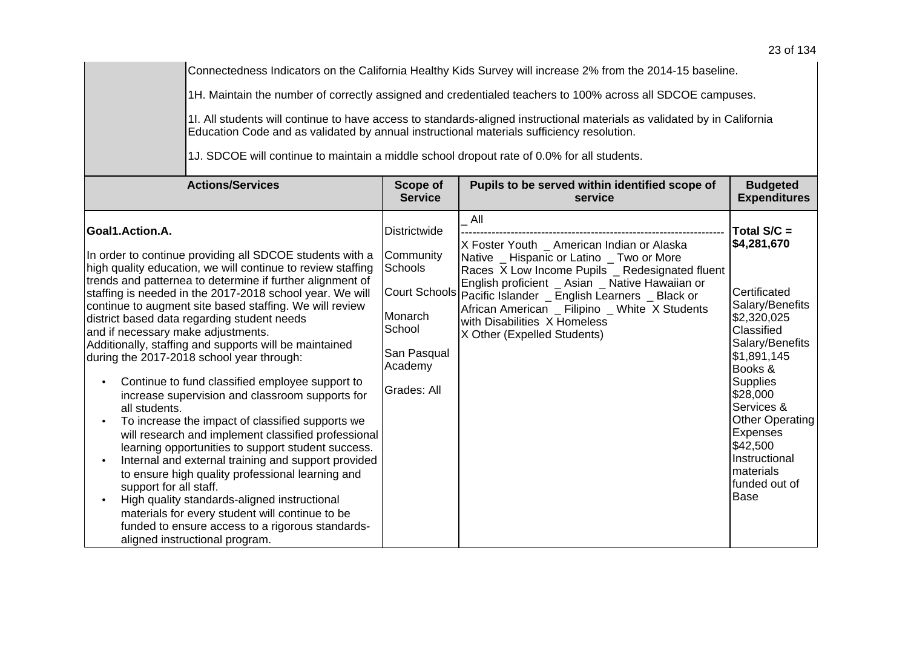Connectedness Indicators on the California Healthy Kids Survey will increase 2% from the 2014-15 baseline.

1H. Maintain the number of correctly assigned and credentialed teachers to 100% across all SDCOE campuses.

1I. All students will continue to have access to standards-aligned instructional materials as validated by in California Education Code and as validated by annual instructional materials sufficiency resolution.

1J. SDCOE will continue to maintain a middle school dropout rate of 0.0% for all students.

| <b>Actions/Services</b>                                                                                                                                                                                                                                                                                                                                                                                                                                                                                                                                                                                                                                                                                                                                                                                                                                                                                                                                                                                                                                                                                                                          | Scope of                                                                                                  | Pupils to be served within identified scope of                                                                                                                                                                                                                                                                                                                                        | <b>Budgeted</b>                                                                                                                                                                                                                                                                                         |
|--------------------------------------------------------------------------------------------------------------------------------------------------------------------------------------------------------------------------------------------------------------------------------------------------------------------------------------------------------------------------------------------------------------------------------------------------------------------------------------------------------------------------------------------------------------------------------------------------------------------------------------------------------------------------------------------------------------------------------------------------------------------------------------------------------------------------------------------------------------------------------------------------------------------------------------------------------------------------------------------------------------------------------------------------------------------------------------------------------------------------------------------------|-----------------------------------------------------------------------------------------------------------|---------------------------------------------------------------------------------------------------------------------------------------------------------------------------------------------------------------------------------------------------------------------------------------------------------------------------------------------------------------------------------------|---------------------------------------------------------------------------------------------------------------------------------------------------------------------------------------------------------------------------------------------------------------------------------------------------------|
|                                                                                                                                                                                                                                                                                                                                                                                                                                                                                                                                                                                                                                                                                                                                                                                                                                                                                                                                                                                                                                                                                                                                                  | <b>Service</b>                                                                                            | service                                                                                                                                                                                                                                                                                                                                                                               | <b>Expenditures</b>                                                                                                                                                                                                                                                                                     |
| Goal1.Action.A.<br>In order to continue providing all SDCOE students with a<br>high quality education, we will continue to review staffing<br>trends and patternea to determine if further alignment of<br>staffing is needed in the 2017-2018 school year. We will<br>continue to augment site based staffing. We will review<br>district based data regarding student needs<br>and if necessary make adjustments.<br>Additionally, staffing and supports will be maintained<br>during the 2017-2018 school year through:<br>Continue to fund classified employee support to<br>increase supervision and classroom supports for<br>all students.<br>To increase the impact of classified supports we<br>will research and implement classified professional<br>learning opportunities to support student success.<br>Internal and external training and support provided<br>to ensure high quality professional learning and<br>support for all staff.<br>High quality standards-aligned instructional<br>materials for every student will continue to be<br>funded to ensure access to a rigorous standards-<br>aligned instructional program. | <b>Districtwide</b><br>Community<br>Schools<br>Monarch<br>School<br>San Pasqual<br>Academy<br>Grades: All | All<br>X Foster Youth _ American Indian or Alaska<br>Native _ Hispanic or Latino _ Two or More<br>Races X Low Income Pupils _ Redesignated fluent<br>English proficient _ Asian _ Native Hawaiian or<br>Court Schools Pacific Islander _ English Learners _ Black or<br>African American _ Filipino _ White X Students<br>with Disabilities X Homeless<br>X Other (Expelled Students) | Total $S/C =$<br>\$4,281,670<br>Certificated<br>Salary/Benefits<br>\$2,320,025<br>Classified<br>Salary/Benefits<br>\$1,891,145<br>Books &<br><b>Supplies</b><br>\$28,000<br>Services &<br><b>Other Operating</b><br><b>Expenses</b><br>\$42,500<br>Instructional<br>materials<br>funded out of<br>lBase |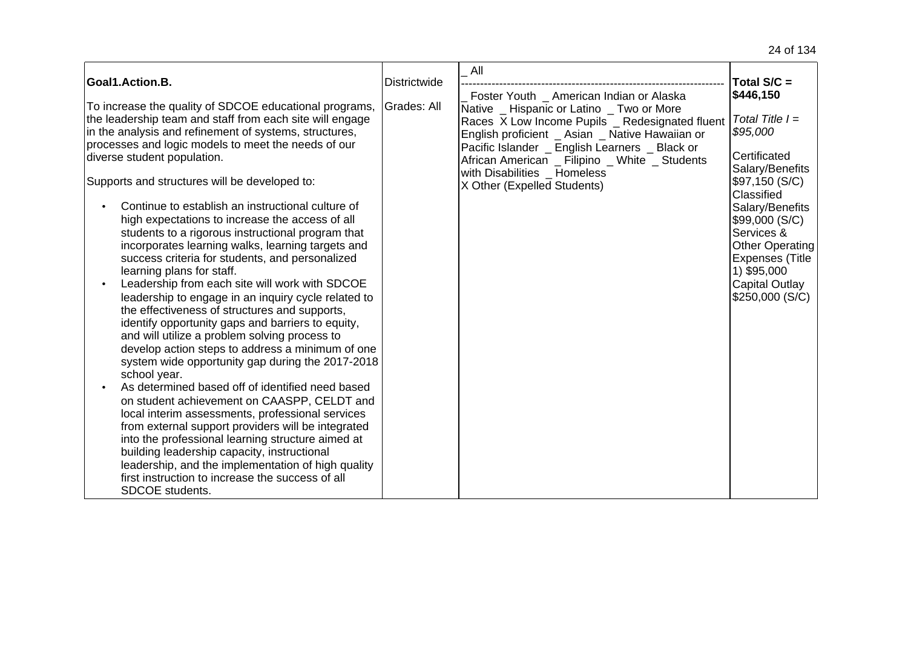|                                                                                                                                                                                                                                                                                                                                                                                                                                                                                                                                                                                                                                                                                                                                                                                                                                                                                                                                                                                                                                                                                                                                                                                                                                                                                                                                                                                                         |                                    | All                                                                                                                                                                                                                                                                                                                                                            |                                                                                                                                                                                                                                                                                           |
|---------------------------------------------------------------------------------------------------------------------------------------------------------------------------------------------------------------------------------------------------------------------------------------------------------------------------------------------------------------------------------------------------------------------------------------------------------------------------------------------------------------------------------------------------------------------------------------------------------------------------------------------------------------------------------------------------------------------------------------------------------------------------------------------------------------------------------------------------------------------------------------------------------------------------------------------------------------------------------------------------------------------------------------------------------------------------------------------------------------------------------------------------------------------------------------------------------------------------------------------------------------------------------------------------------------------------------------------------------------------------------------------------------|------------------------------------|----------------------------------------------------------------------------------------------------------------------------------------------------------------------------------------------------------------------------------------------------------------------------------------------------------------------------------------------------------------|-------------------------------------------------------------------------------------------------------------------------------------------------------------------------------------------------------------------------------------------------------------------------------------------|
| Goal1.Action.B.<br>To increase the quality of SDCOE educational programs,<br>the leadership team and staff from each site will engage<br>in the analysis and refinement of systems, structures,<br>processes and logic models to meet the needs of our<br>diverse student population.<br>Supports and structures will be developed to:<br>Continue to establish an instructional culture of<br>high expectations to increase the access of all<br>students to a rigorous instructional program that<br>incorporates learning walks, learning targets and<br>success criteria for students, and personalized<br>learning plans for staff.<br>Leadership from each site will work with SDCOE<br>leadership to engage in an inquiry cycle related to<br>the effectiveness of structures and supports,<br>identify opportunity gaps and barriers to equity,<br>and will utilize a problem solving process to<br>develop action steps to address a minimum of one<br>system wide opportunity gap during the 2017-2018<br>school year.<br>As determined based off of identified need based<br>on student achievement on CAASPP, CELDT and<br>local interim assessments, professional services<br>from external support providers will be integrated<br>into the professional learning structure aimed at<br>building leadership capacity, instructional<br>leadership, and the implementation of high quality | <b>Districtwide</b><br>Grades: All | Foster Youth _ American Indian or Alaska<br>Native _ Hispanic or Latino _ Two or More<br>Races X Low Income Pupils _ Redesignated fluent<br>English proficient _ Asian _ Native Hawaiian or<br>Pacific Islander _ English Learners _ Black or<br>African American _ Filipino _ White _ Students<br>with Disabilities _ Homeless<br>X Other (Expelled Students) | Total $S/C =$<br>\$446,150<br>Total Title $I =$<br>\$95,000<br>Certificated<br>Salary/Benefits<br>\$97,150 (S/C)<br>Classified<br>Salary/Benefits<br>\$99,000 (S/C)<br>Services &<br><b>Other Operating</b><br><b>Expenses (Title</b><br>1) \$95,000<br>Capital Outlay<br>\$250,000 (S/C) |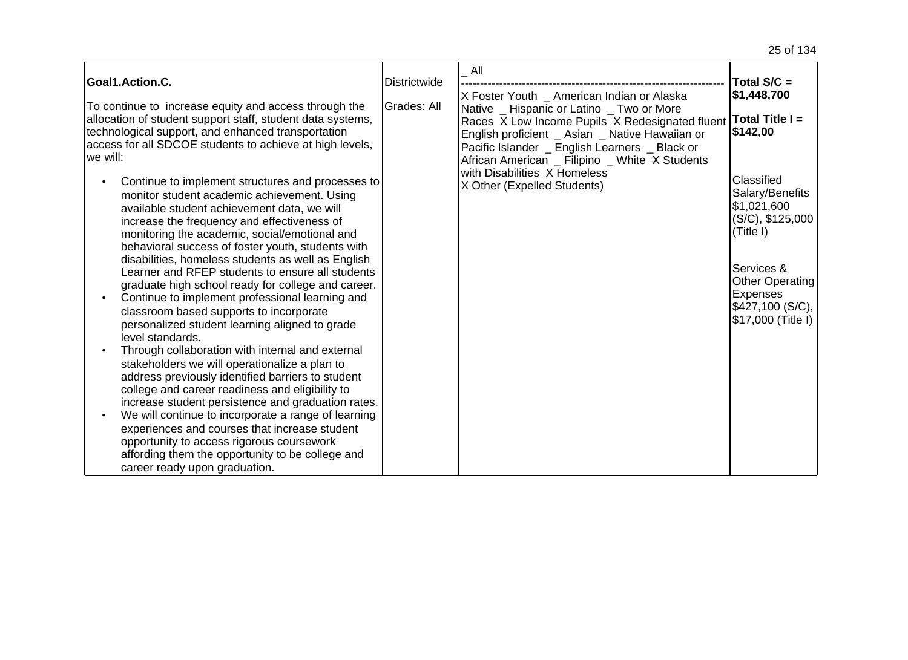| Goal1.Action.C.                                                                                                                                                                                                                                                                                      | <b>Districtwide</b> | All                                                                                                                                                                                                                                                 | Total S/C =                                                                     |
|------------------------------------------------------------------------------------------------------------------------------------------------------------------------------------------------------------------------------------------------------------------------------------------------------|---------------------|-----------------------------------------------------------------------------------------------------------------------------------------------------------------------------------------------------------------------------------------------------|---------------------------------------------------------------------------------|
|                                                                                                                                                                                                                                                                                                      |                     | X Foster Youth _ American Indian or Alaska                                                                                                                                                                                                          | \$1,448,700                                                                     |
| To continue to increase equity and access through the<br>allocation of student support staff, student data systems,<br>technological support, and enhanced transportation<br>access for all SDCOE students to achieve at high levels,<br>lwe will:                                                   | Grades: All         | Native _ Hispanic or Latino _ Two or More<br>Races X Low Income Pupils X Redesignated fluent<br>English proficient _ Asian _ Native Hawaiian or<br>Pacific Islander _ English Learners _ Black or<br>African American _ Filipino _ White X Students | Total Title $I =$<br>\$142,00                                                   |
| Continue to implement structures and processes to<br>monitor student academic achievement. Using<br>available student achievement data, we will<br>increase the frequency and effectiveness of<br>monitoring the academic, social/emotional and<br>behavioral success of foster youth, students with |                     | with Disabilities X Homeless<br>X Other (Expelled Students)                                                                                                                                                                                         | Classified<br>Salary/Benefits<br>\$1,021,600<br>$(S/C),$ \$125,000<br>(Title I) |
| disabilities, homeless students as well as English<br>Learner and RFEP students to ensure all students<br>graduate high school ready for college and career.                                                                                                                                         |                     |                                                                                                                                                                                                                                                     | Services &<br><b>Other Operating</b>                                            |
| Continue to implement professional learning and<br>classroom based supports to incorporate<br>personalized student learning aligned to grade<br>level standards.                                                                                                                                     |                     |                                                                                                                                                                                                                                                     | Expenses<br>\$427,100 (S/C),<br>\$17,000 (Title I)                              |
| Through collaboration with internal and external<br>stakeholders we will operationalize a plan to<br>address previously identified barriers to student<br>college and career readiness and eligibility to<br>increase student persistence and graduation rates.                                      |                     |                                                                                                                                                                                                                                                     |                                                                                 |
| We will continue to incorporate a range of learning<br>experiences and courses that increase student<br>opportunity to access rigorous coursework<br>affording them the opportunity to be college and<br>career ready upon graduation.                                                               |                     |                                                                                                                                                                                                                                                     |                                                                                 |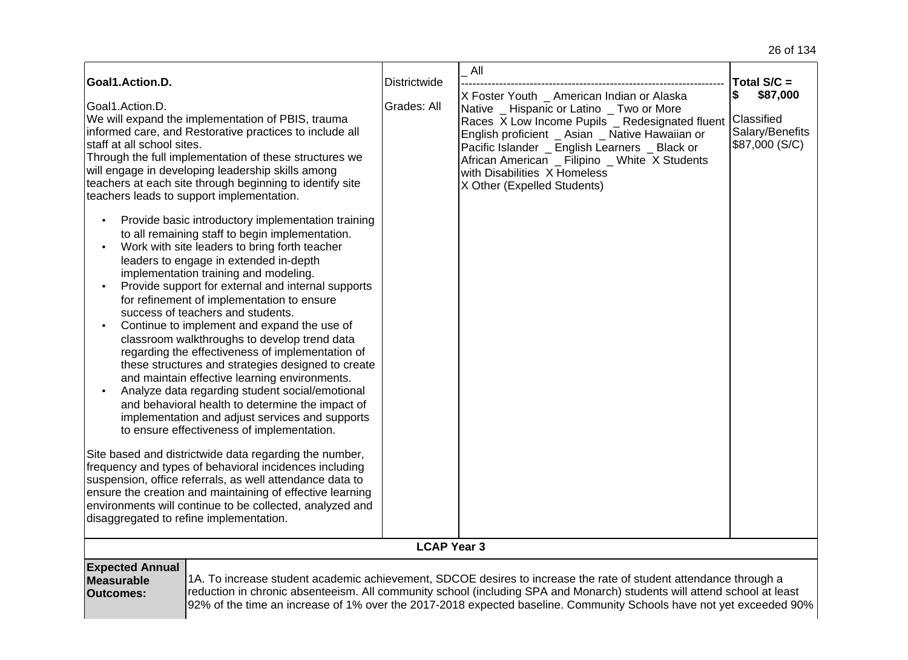| Goal1.Action.D.<br>Goal1.Action.D.<br>We will expand the implementation of PBIS, trauma<br>informed care, and Restorative practices to include all<br>staff at all school sites.<br>Through the full implementation of these structures we<br>will engage in developing leadership skills among<br>teachers at each site through beginning to identify site<br>teachers leads to support implementation.<br>Provide basic introductory implementation training<br>to all remaining staff to begin implementation.<br>Work with site leaders to bring forth teacher<br>leaders to engage in extended in-depth<br>implementation training and modeling.<br>Provide support for external and internal supports<br>for refinement of implementation to ensure<br>success of teachers and students.<br>Continue to implement and expand the use of<br>classroom walkthroughs to develop trend data<br>regarding the effectiveness of implementation of<br>these structures and strategies designed to create<br>and maintain effective learning environments.<br>Analyze data regarding student social/emotional<br>and behavioral health to determine the impact of<br>implementation and adjust services and supports<br>to ensure effectiveness of implementation.<br>Site based and districtwide data regarding the number,<br>frequency and types of behavioral incidences including<br>suspension, office referrals, as well attendance data to | <b>Districtwide</b><br>Grades: All | All<br>X Foster Youth _ American Indian or Alaska<br>Native _ Hispanic or Latino _ Two or More<br>Races X Low Income Pupils _ Redesignated fluent<br>English proficient _ Asian _ Native Hawaiian or<br>Pacific Islander _ English Learners _ Black or<br>African American _ Filipino _ White X Students<br>with Disabilities X Homeless<br>X Other (Expelled Students) | Total $S/C =$<br>\$87,000<br>\$<br>Classified<br>Salary/Benefits<br>\$87,000 (S/C) |
|--------------------------------------------------------------------------------------------------------------------------------------------------------------------------------------------------------------------------------------------------------------------------------------------------------------------------------------------------------------------------------------------------------------------------------------------------------------------------------------------------------------------------------------------------------------------------------------------------------------------------------------------------------------------------------------------------------------------------------------------------------------------------------------------------------------------------------------------------------------------------------------------------------------------------------------------------------------------------------------------------------------------------------------------------------------------------------------------------------------------------------------------------------------------------------------------------------------------------------------------------------------------------------------------------------------------------------------------------------------------------------------------------------------------------------------------------|------------------------------------|-------------------------------------------------------------------------------------------------------------------------------------------------------------------------------------------------------------------------------------------------------------------------------------------------------------------------------------------------------------------------|------------------------------------------------------------------------------------|
| ensure the creation and maintaining of effective learning<br>environments will continue to be collected, analyzed and<br>disaggregated to refine implementation.                                                                                                                                                                                                                                                                                                                                                                                                                                                                                                                                                                                                                                                                                                                                                                                                                                                                                                                                                                                                                                                                                                                                                                                                                                                                                 |                                    |                                                                                                                                                                                                                                                                                                                                                                         |                                                                                    |
|                                                                                                                                                                                                                                                                                                                                                                                                                                                                                                                                                                                                                                                                                                                                                                                                                                                                                                                                                                                                                                                                                                                                                                                                                                                                                                                                                                                                                                                  | <b>LCAP Year 3</b>                 |                                                                                                                                                                                                                                                                                                                                                                         |                                                                                    |
| <b>Expected Annual</b><br><b>Measurable</b><br><b>Outcomes:</b>                                                                                                                                                                                                                                                                                                                                                                                                                                                                                                                                                                                                                                                                                                                                                                                                                                                                                                                                                                                                                                                                                                                                                                                                                                                                                                                                                                                  |                                    | 1A. To increase student academic achievement, SDCOE desires to increase the rate of student attendance through a<br>reduction in chronic absenteeism. All community school (including SPA and Monarch) students will attend school at least<br>92% of the time an increase of 1% over the 2017-2018 expected baseline. Community Schools have not yet exceeded 90%      |                                                                                    |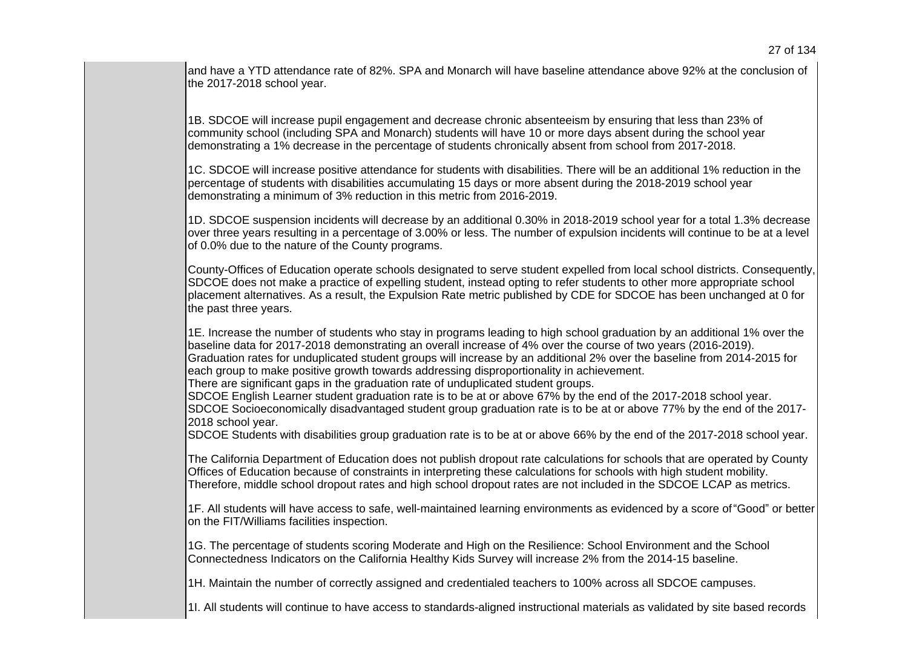and have a YTD attendance rate of 82%. SPA and Monarch will have baseline attendance above 92% at the conclusion of the 2017-2018 school year.

1B. SDCOE will increase pupil engagement and decrease chronic absenteeism by ensuring that less than 23% of community school (including SPA and Monarch) students will have 10 or more days absent during the school year demonstrating a 1% decrease in the percentage of students chronically absent from school from 2017-2018.

1C. SDCOE will increase positive attendance for students with disabilities. There will be an additional 1% reduction in the percentage of students with disabilities accumulating 15 days or more absent during the 2018-2019 school year demonstrating a minimum of 3% reduction in this metric from 2016-2019.

1D. SDCOE suspension incidents will decrease by an additional 0.30% in 2018-2019 school year for a total 1.3% decrease over three years resulting in a percentage of 3.00% or less. The number of expulsion incidents will continue to be at a level of 0.0% due to the nature of the County programs.

County-Offices of Education operate schools designated to serve student expelled from local school districts. Consequently, SDCOE does not make a practice of expelling student, instead opting to refer students to other more appropriate school placement alternatives. As a result, the Expulsion Rate metric published by CDE for SDCOE has been unchanged at 0 for the past three years.

1E. Increase the number of students who stay in programs leading to high school graduation by an additional 1% over the baseline data for 2017-2018 demonstrating an overall increase of 4% over the course of two years (2016-2019). Graduation rates for unduplicated student groups will increase by an additional 2% over the baseline from 2014-2015 for each group to make positive growth towards addressing disproportionality in achievement.

There are significant gaps in the graduation rate of unduplicated student groups.

SDCOE English Learner student graduation rate is to be at or above 67% by the end of the 2017-2018 school year. SDCOE Socioeconomically disadvantaged student group graduation rate is to be at or above 77% by the end of the 2017- 2018 school year.

SDCOE Students with disabilities group graduation rate is to be at or above 66% by the end of the 2017-2018 school year.

The California Department of Education does not publish dropout rate calculations for schools that are operated by County Offices of Education because of constraints in interpreting these calculations for schools with high student mobility. Therefore, middle school dropout rates and high school dropout rates are not included in the SDCOE LCAP as metrics.

1F. All students will have access to safe, well-maintained learning environments as evidenced by a score of "Good" or better on the FIT/Williams facilities inspection.

1G. The percentage of students scoring Moderate and High on the Resilience: School Environment and the School Connectedness Indicators on the California Healthy Kids Survey will increase 2% from the 2014-15 baseline.

1H. Maintain the number of correctly assigned and credentialed teachers to 100% across all SDCOE campuses.

1I. All students will continue to have access to standards-aligned instructional materials as validated by site based records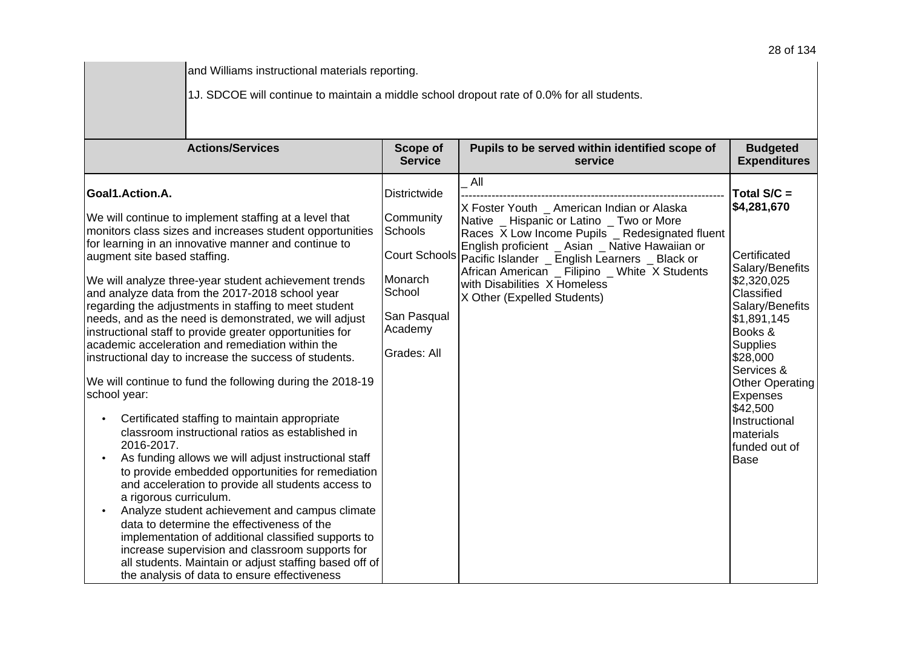| and Williams instructional materials reporting.<br>1J. SDCOE will continue to maintain a middle school dropout rate of 0.0% for all students.                                                                                                                                                                                                                                                                                                                                                                                                                                                                                                                                                                                                                                                                                                                                                                                                                                                                                                                                                                                                                                                                                                                                                                                                                                                  |                                                                                                    |                                                                                                                                                                                                                                                                                                                                                                                       |                                                                                                                                                                                                                                                                                               |  |  |  |  |
|------------------------------------------------------------------------------------------------------------------------------------------------------------------------------------------------------------------------------------------------------------------------------------------------------------------------------------------------------------------------------------------------------------------------------------------------------------------------------------------------------------------------------------------------------------------------------------------------------------------------------------------------------------------------------------------------------------------------------------------------------------------------------------------------------------------------------------------------------------------------------------------------------------------------------------------------------------------------------------------------------------------------------------------------------------------------------------------------------------------------------------------------------------------------------------------------------------------------------------------------------------------------------------------------------------------------------------------------------------------------------------------------|----------------------------------------------------------------------------------------------------|---------------------------------------------------------------------------------------------------------------------------------------------------------------------------------------------------------------------------------------------------------------------------------------------------------------------------------------------------------------------------------------|-----------------------------------------------------------------------------------------------------------------------------------------------------------------------------------------------------------------------------------------------------------------------------------------------|--|--|--|--|
| <b>Actions/Services</b>                                                                                                                                                                                                                                                                                                                                                                                                                                                                                                                                                                                                                                                                                                                                                                                                                                                                                                                                                                                                                                                                                                                                                                                                                                                                                                                                                                        | Scope of<br><b>Service</b>                                                                         | Pupils to be served within identified scope of<br>service                                                                                                                                                                                                                                                                                                                             | <b>Budgeted</b><br><b>Expenditures</b>                                                                                                                                                                                                                                                        |  |  |  |  |
| Goal1.Action.A.<br>We will continue to implement staffing at a level that<br>monitors class sizes and increases student opportunities<br>for learning in an innovative manner and continue to<br>augment site based staffing.<br>We will analyze three-year student achievement trends<br>and analyze data from the 2017-2018 school year<br>regarding the adjustments in staffing to meet student<br>needs, and as the need is demonstrated, we will adjust<br>instructional staff to provide greater opportunities for<br>academic acceleration and remediation within the<br>instructional day to increase the success of students.<br>We will continue to fund the following during the 2018-19<br>school year:<br>Certificated staffing to maintain appropriate<br>$\bullet$<br>classroom instructional ratios as established in<br>2016-2017.<br>As funding allows we will adjust instructional staff<br>$\bullet$<br>to provide embedded opportunities for remediation<br>and acceleration to provide all students access to<br>a rigorous curriculum.<br>Analyze student achievement and campus climate<br>$\bullet$<br>data to determine the effectiveness of the<br>implementation of additional classified supports to<br>increase supervision and classroom supports for<br>all students. Maintain or adjust staffing based off of<br>the analysis of data to ensure effectiveness | Districtwide<br>Community<br>Schools<br>Monarch<br>School<br>San Pasqual<br>Academy<br>Grades: All | All<br>X Foster Youth _ American Indian or Alaska<br>Native _ Hispanic or Latino _ Two or More<br>Races X Low Income Pupils _ Redesignated fluent<br>English proficient _ Asian _ Native Hawaiian or<br>Court Schools Pacific Islander _ English Learners _ Black or<br>African American _ Filipino _ White X Students<br>with Disabilities X Homeless<br>X Other (Expelled Students) | Total S/C =<br>\$4,281,670<br>Certificated<br>Salary/Benefits<br>\$2,320,025<br>Classified<br>Salary/Benefits<br>\$1,891,145<br>Books &<br><b>Supplies</b><br>\$28,000<br>Services &<br><b>Other Operating</b><br>Expenses<br>\$42,500<br>Instructional<br>materials<br>funded out of<br>Base |  |  |  |  |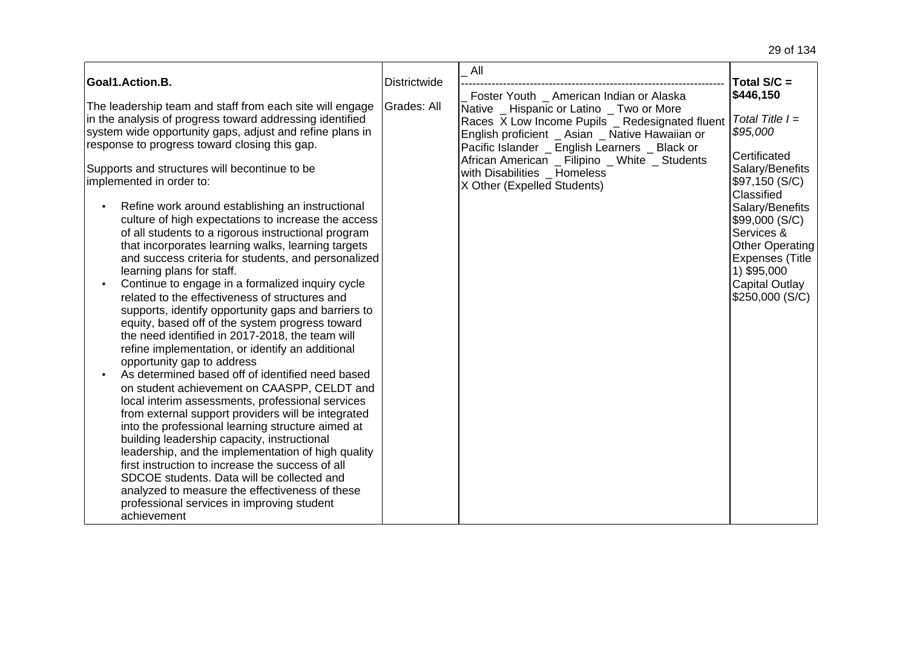|                                                                                                           |                     | All                                                                                              |                                                  |
|-----------------------------------------------------------------------------------------------------------|---------------------|--------------------------------------------------------------------------------------------------|--------------------------------------------------|
| Goal1.Action.B.                                                                                           | <b>Districtwide</b> | Foster Youth American Indian or Alaska                                                           | Total $S/C =$<br>\$446,150                       |
| The leadership team and staff from each site will engage                                                  | Grades: All         | Native _ Hispanic or Latino _ Two or More                                                        |                                                  |
| in the analysis of progress toward addressing identified                                                  |                     | Races X Low Income Pupils _ Redesignated fluent                                                  | Total Title $I =$                                |
| system wide opportunity gaps, adjust and refine plans in<br>response to progress toward closing this gap. |                     | English proficient _ Asian _ Native Hawaiian or                                                  | \$95,000                                         |
|                                                                                                           |                     | Pacific Islander _ English Learners _ Black or<br>African American _ Filipino _ White _ Students | Certificated                                     |
| Supports and structures will becontinue to be                                                             |                     | with Disabilities _ Homeless                                                                     | Salary/Benefits                                  |
| implemented in order to:                                                                                  |                     | X Other (Expelled Students)                                                                      | \$97,150 (S/C)<br>Classified                     |
| Refine work around establishing an instructional                                                          |                     |                                                                                                  | Salary/Benefits                                  |
| culture of high expectations to increase the access                                                       |                     |                                                                                                  | \$99,000 (S/C)                                   |
| of all students to a rigorous instructional program                                                       |                     |                                                                                                  | Services &                                       |
| that incorporates learning walks, learning targets<br>and success criteria for students, and personalized |                     |                                                                                                  | <b>Other Operating</b><br><b>Expenses (Title</b> |
| learning plans for staff.                                                                                 |                     |                                                                                                  | 1) \$95,000                                      |
| Continue to engage in a formalized inquiry cycle                                                          |                     |                                                                                                  | Capital Outlay                                   |
| related to the effectiveness of structures and                                                            |                     |                                                                                                  | \$250,000 (S/C)                                  |
| supports, identify opportunity gaps and barriers to<br>equity, based off of the system progress toward    |                     |                                                                                                  |                                                  |
| the need identified in 2017-2018, the team will                                                           |                     |                                                                                                  |                                                  |
| refine implementation, or identify an additional                                                          |                     |                                                                                                  |                                                  |
| opportunity gap to address                                                                                |                     |                                                                                                  |                                                  |
| As determined based off of identified need based                                                          |                     |                                                                                                  |                                                  |
| on student achievement on CAASPP, CELDT and<br>local interim assessments, professional services           |                     |                                                                                                  |                                                  |
| from external support providers will be integrated                                                        |                     |                                                                                                  |                                                  |
| into the professional learning structure aimed at                                                         |                     |                                                                                                  |                                                  |
| building leadership capacity, instructional                                                               |                     |                                                                                                  |                                                  |
| leadership, and the implementation of high quality<br>first instruction to increase the success of all    |                     |                                                                                                  |                                                  |
| SDCOE students. Data will be collected and                                                                |                     |                                                                                                  |                                                  |
| analyzed to measure the effectiveness of these                                                            |                     |                                                                                                  |                                                  |
| professional services in improving student                                                                |                     |                                                                                                  |                                                  |
| achievement                                                                                               |                     |                                                                                                  |                                                  |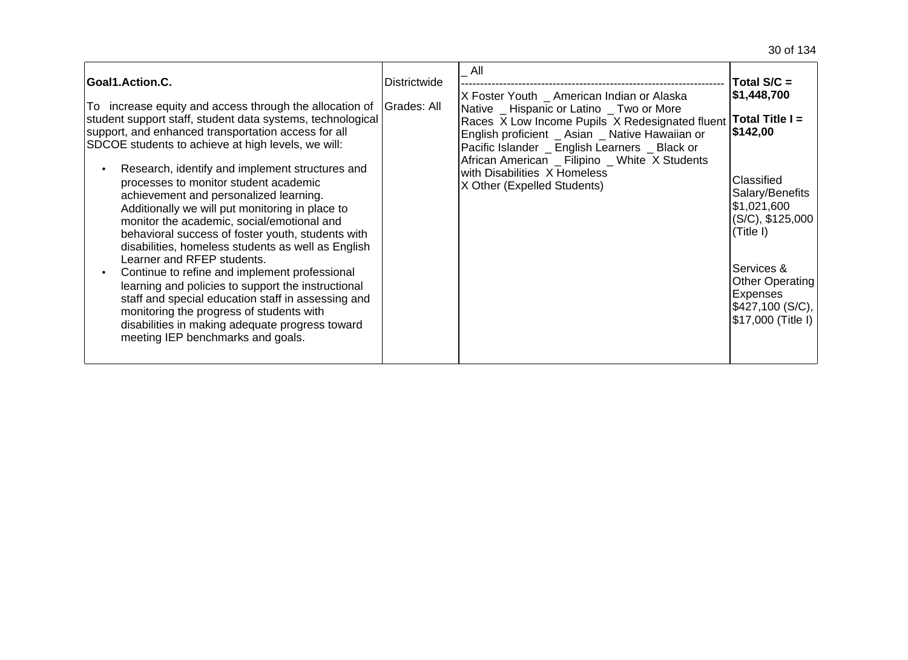| Goal1.Action.C.<br>To increase equity and access through the allocation of                                                                                                                                                                                                                                                                                                                                                                                                                                                                                                                                                                                                                                                                                       | <b>Districtwide</b><br>Grades: All | All<br>X Foster Youth _ American Indian or Alaska<br>Native Hispanic or Latino Two or More                                                                                                                                                                            | Total $S/C =$<br>\$1,448,700                                                                                                                                                 |
|------------------------------------------------------------------------------------------------------------------------------------------------------------------------------------------------------------------------------------------------------------------------------------------------------------------------------------------------------------------------------------------------------------------------------------------------------------------------------------------------------------------------------------------------------------------------------------------------------------------------------------------------------------------------------------------------------------------------------------------------------------------|------------------------------------|-----------------------------------------------------------------------------------------------------------------------------------------------------------------------------------------------------------------------------------------------------------------------|------------------------------------------------------------------------------------------------------------------------------------------------------------------------------|
| student support staff, student data systems, technological<br>support, and enhanced transportation access for all<br>SDCOE students to achieve at high levels, we will:<br>Research, identify and implement structures and<br>processes to monitor student academic<br>achievement and personalized learning.<br>Additionally we will put monitoring in place to<br>monitor the academic, social/emotional and<br>behavioral success of foster youth, students with<br>disabilities, homeless students as well as English<br>Learner and RFEP students.<br>Continue to refine and implement professional<br>learning and policies to support the instructional<br>staff and special education staff in assessing and<br>monitoring the progress of students with |                                    | Races X Low Income Pupils X Redesignated fluent<br>English proficient _ Asian _ Native Hawaiian or<br>Pacific Islander _ English Learners _ Black or<br>African American _ Filipino _ White X Students<br>with Disabilities X Homeless<br>X Other (Expelled Students) | Total Title I =<br>\$142,00<br>Classified<br>Salary/Benefits<br>\$1,021,600<br>(S/C), \$125,000<br>(Title I)<br>Services &<br>Other Operating<br>Expenses<br>\$427,100(S/C), |
| disabilities in making adequate progress toward<br>meeting IEP benchmarks and goals.                                                                                                                                                                                                                                                                                                                                                                                                                                                                                                                                                                                                                                                                             |                                    |                                                                                                                                                                                                                                                                       | \$17,000 (Title I)                                                                                                                                                           |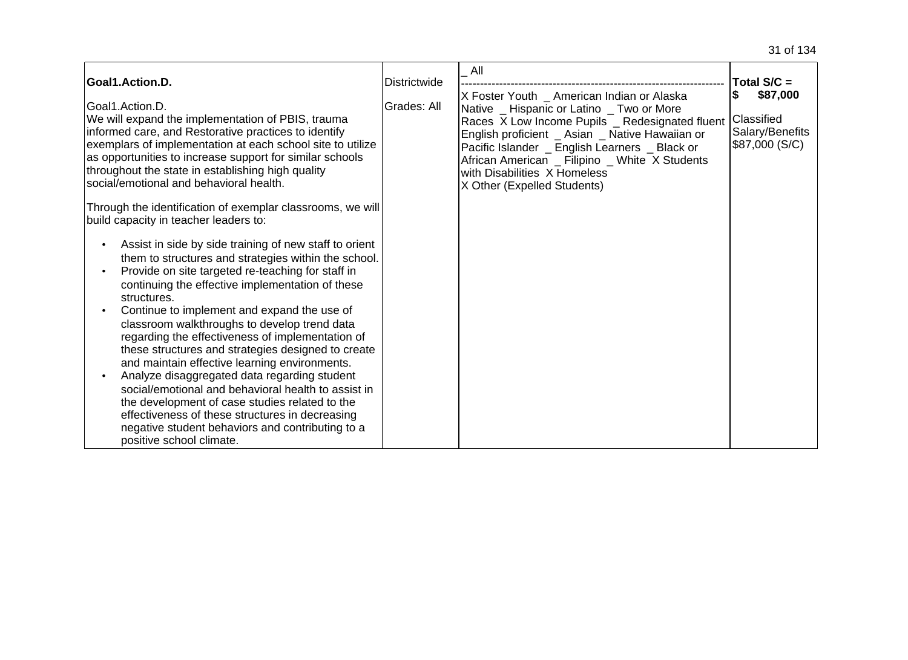| Goal1.Action.D.                                                                                                                                                                                                                                                                                                                                                                                                                                                                                                                                                                                                                                                                                                                                                                              | Districtwide | All                                                                                                                                                                                                                                                                                                                                                              | Total $S/C =$                                               |
|----------------------------------------------------------------------------------------------------------------------------------------------------------------------------------------------------------------------------------------------------------------------------------------------------------------------------------------------------------------------------------------------------------------------------------------------------------------------------------------------------------------------------------------------------------------------------------------------------------------------------------------------------------------------------------------------------------------------------------------------------------------------------------------------|--------------|------------------------------------------------------------------------------------------------------------------------------------------------------------------------------------------------------------------------------------------------------------------------------------------------------------------------------------------------------------------|-------------------------------------------------------------|
| Goal1.Action.D.<br>We will expand the implementation of PBIS, trauma<br>informed care, and Restorative practices to identify<br>exemplars of implementation at each school site to utilize<br>as opportunities to increase support for similar schools<br>throughout the state in establishing high quality<br>social/emotional and behavioral health.                                                                                                                                                                                                                                                                                                                                                                                                                                       | Grades: All  | X Foster Youth _ American Indian or Alaska<br>Native _ Hispanic or Latino _ Two or More<br>Races X Low Income Pupils _ Redesignated fluent<br>English proficient _ Asian _ Native Hawaiian or<br>Pacific Islander _ English Learners _ Black or<br>African American _ Filipino _ White X Students<br>with Disabilities X Homeless<br>X Other (Expelled Students) | \$87,000<br>Classified<br>Salary/Benefits<br>\$87,000 (S/C) |
| Through the identification of exemplar classrooms, we will<br>build capacity in teacher leaders to:                                                                                                                                                                                                                                                                                                                                                                                                                                                                                                                                                                                                                                                                                          |              |                                                                                                                                                                                                                                                                                                                                                                  |                                                             |
| Assist in side by side training of new staff to orient<br>them to structures and strategies within the school.<br>Provide on site targeted re-teaching for staff in<br>continuing the effective implementation of these<br>structures.<br>Continue to implement and expand the use of<br>classroom walkthroughs to develop trend data<br>regarding the effectiveness of implementation of<br>these structures and strategies designed to create<br>and maintain effective learning environments.<br>Analyze disaggregated data regarding student<br>social/emotional and behavioral health to assist in<br>the development of case studies related to the<br>effectiveness of these structures in decreasing<br>negative student behaviors and contributing to a<br>positive school climate. |              |                                                                                                                                                                                                                                                                                                                                                                  |                                                             |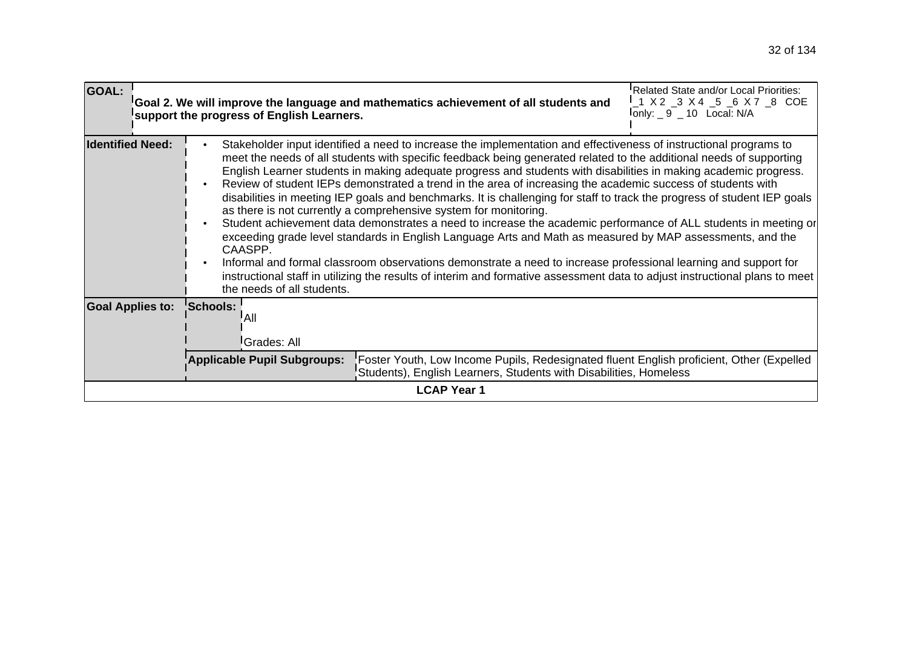| <b>GOAL:</b>                                                                                                                                                                                                                                                                                                                                                                                                                                                                                                                                                                                                                                                                                                                                                                                                                                                                                                                                                                                                                                                                                                                                                                                                                                                                          |                                                                                                                                                                                              |                 | support the progress of English Learners. | Goal 2. We will improve the language and mathematics achievement of all students and | Related State and/or Local Priorities:<br>'_1 X 2 _3 X 4 _5 _6 X 7 _8 COE<br>$I_{\text{only}: -9 - 10}$ Local: N/A |  |  |  |
|---------------------------------------------------------------------------------------------------------------------------------------------------------------------------------------------------------------------------------------------------------------------------------------------------------------------------------------------------------------------------------------------------------------------------------------------------------------------------------------------------------------------------------------------------------------------------------------------------------------------------------------------------------------------------------------------------------------------------------------------------------------------------------------------------------------------------------------------------------------------------------------------------------------------------------------------------------------------------------------------------------------------------------------------------------------------------------------------------------------------------------------------------------------------------------------------------------------------------------------------------------------------------------------|----------------------------------------------------------------------------------------------------------------------------------------------------------------------------------------------|-----------------|-------------------------------------------|--------------------------------------------------------------------------------------|--------------------------------------------------------------------------------------------------------------------|--|--|--|
| <b>Identified Need:</b><br>Stakeholder input identified a need to increase the implementation and effectiveness of instructional programs to<br>$\bullet$<br>meet the needs of all students with specific feedback being generated related to the additional needs of supporting<br>English Learner students in making adequate progress and students with disabilities in making academic progress.<br>Review of student IEPs demonstrated a trend in the area of increasing the academic success of students with<br>$\bullet$<br>disabilities in meeting IEP goals and benchmarks. It is challenging for staff to track the progress of student IEP goals<br>as there is not currently a comprehensive system for monitoring.<br>Student achievement data demonstrates a need to increase the academic performance of ALL students in meeting or<br>$\bullet$<br>exceeding grade level standards in English Language Arts and Math as measured by MAP assessments, and the<br>CAASPP.<br>Informal and formal classroom observations demonstrate a need to increase professional learning and support for<br>$\bullet$<br>instructional staff in utilizing the results of interim and formative assessment data to adjust instructional plans to meet<br>the needs of all students. |                                                                                                                                                                                              |                 |                                           |                                                                                      |                                                                                                                    |  |  |  |
| <b>Goal Applies to:</b>                                                                                                                                                                                                                                                                                                                                                                                                                                                                                                                                                                                                                                                                                                                                                                                                                                                                                                                                                                                                                                                                                                                                                                                                                                                               |                                                                                                                                                                                              | <b>Schools:</b> | All<br>Grades: All                        |                                                                                      |                                                                                                                    |  |  |  |
|                                                                                                                                                                                                                                                                                                                                                                                                                                                                                                                                                                                                                                                                                                                                                                                                                                                                                                                                                                                                                                                                                                                                                                                                                                                                                       | Applicable Pupil Subgroups:<br>Foster Youth, Low Income Pupils, Redesignated fluent English proficient, Other (Expelled<br>Students), English Learners, Students with Disabilities, Homeless |                 |                                           |                                                                                      |                                                                                                                    |  |  |  |
|                                                                                                                                                                                                                                                                                                                                                                                                                                                                                                                                                                                                                                                                                                                                                                                                                                                                                                                                                                                                                                                                                                                                                                                                                                                                                       | <b>LCAP Year 1</b>                                                                                                                                                                           |                 |                                           |                                                                                      |                                                                                                                    |  |  |  |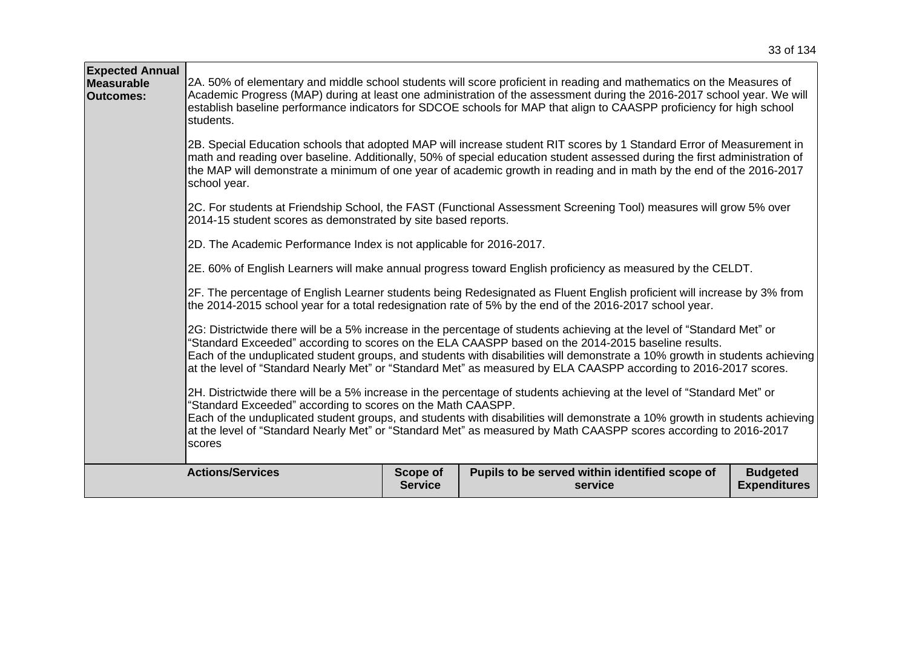| <b>Expected Annual</b><br><b>Measurable</b><br><b>Outcomes:</b> | students.<br>school year.<br>2014-15 student scores as demonstrated by site based reports.<br>2D. The Academic Performance Index is not applicable for 2016-2017. |                            | 2A. 50% of elementary and middle school students will score proficient in reading and mathematics on the Measures of<br>Academic Progress (MAP) during at least one administration of the assessment during the 2016-2017 school year. We will<br>establish baseline performance indicators for SDCOE schools for MAP that align to CAASPP proficiency for high school<br>2B. Special Education schools that adopted MAP will increase student RIT scores by 1 Standard Error of Measurement in<br>math and reading over baseline. Additionally, 50% of special education student assessed during the first administration of<br>the MAP will demonstrate a minimum of one year of academic growth in reading and in math by the end of the 2016-2017<br>2C. For students at Friendship School, the FAST (Functional Assessment Screening Tool) measures will grow 5% over<br>2E. 60% of English Learners will make annual progress toward English proficiency as measured by the CELDT.<br>2F. The percentage of English Learner students being Redesignated as Fluent English proficient will increase by 3% from<br>the 2014-2015 school year for a total redesignation rate of 5% by the end of the 2016-2017 school year. |                                        |
|-----------------------------------------------------------------|-------------------------------------------------------------------------------------------------------------------------------------------------------------------|----------------------------|--------------------------------------------------------------------------------------------------------------------------------------------------------------------------------------------------------------------------------------------------------------------------------------------------------------------------------------------------------------------------------------------------------------------------------------------------------------------------------------------------------------------------------------------------------------------------------------------------------------------------------------------------------------------------------------------------------------------------------------------------------------------------------------------------------------------------------------------------------------------------------------------------------------------------------------------------------------------------------------------------------------------------------------------------------------------------------------------------------------------------------------------------------------------------------------------------------------------------------|----------------------------------------|
|                                                                 | "Standard Exceeded" according to scores on the Math CAASPP.<br>scores                                                                                             |                            | 2G: Districtwide there will be a 5% increase in the percentage of students achieving at the level of "Standard Met" or<br>'Standard Exceeded" according to scores on the ELA CAASPP based on the 2014-2015 baseline results.<br>Each of the unduplicated student groups, and students with disabilities will demonstrate a 10% growth in students achieving<br>at the level of "Standard Nearly Met" or "Standard Met" as measured by ELA CAASPP according to 2016-2017 scores.<br>2H. Districtwide there will be a 5% increase in the percentage of students achieving at the level of "Standard Met" or<br>Each of the unduplicated student groups, and students with disabilities will demonstrate a 10% growth in students achieving<br>at the level of "Standard Nearly Met" or "Standard Met" as measured by Math CAASPP scores according to 2016-2017                                                                                                                                                                                                                                                                                                                                                                   |                                        |
|                                                                 | <b>Actions/Services</b>                                                                                                                                           | Scope of<br><b>Service</b> | Pupils to be served within identified scope of<br>service                                                                                                                                                                                                                                                                                                                                                                                                                                                                                                                                                                                                                                                                                                                                                                                                                                                                                                                                                                                                                                                                                                                                                                      | <b>Budgeted</b><br><b>Expenditures</b> |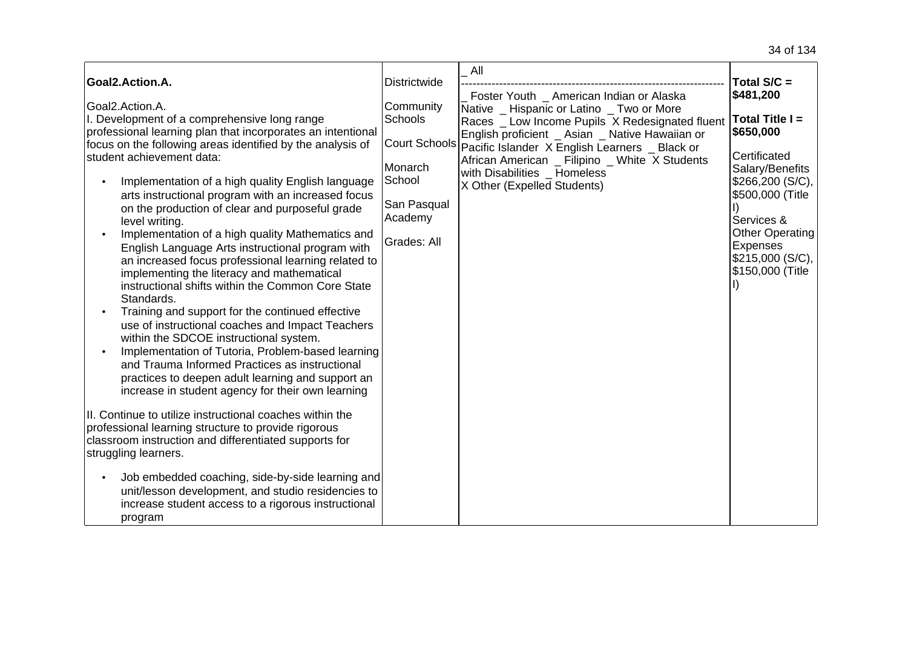|                                                                                                                                                                                                                                                                                                                                                                                                                                                                                                                                                                                                                                                                                                                                                                                                                                                                                                                                                                                                                                                                                                                                                                                                                                                                                                                                                                                                                                                                                             |                                                                                                                                   | All                                                                                                                                                                                                                                                                                                                                                        |                                                                                                                                                                                                                                      |
|---------------------------------------------------------------------------------------------------------------------------------------------------------------------------------------------------------------------------------------------------------------------------------------------------------------------------------------------------------------------------------------------------------------------------------------------------------------------------------------------------------------------------------------------------------------------------------------------------------------------------------------------------------------------------------------------------------------------------------------------------------------------------------------------------------------------------------------------------------------------------------------------------------------------------------------------------------------------------------------------------------------------------------------------------------------------------------------------------------------------------------------------------------------------------------------------------------------------------------------------------------------------------------------------------------------------------------------------------------------------------------------------------------------------------------------------------------------------------------------------|-----------------------------------------------------------------------------------------------------------------------------------|------------------------------------------------------------------------------------------------------------------------------------------------------------------------------------------------------------------------------------------------------------------------------------------------------------------------------------------------------------|--------------------------------------------------------------------------------------------------------------------------------------------------------------------------------------------------------------------------------------|
|                                                                                                                                                                                                                                                                                                                                                                                                                                                                                                                                                                                                                                                                                                                                                                                                                                                                                                                                                                                                                                                                                                                                                                                                                                                                                                                                                                                                                                                                                             |                                                                                                                                   |                                                                                                                                                                                                                                                                                                                                                            |                                                                                                                                                                                                                                      |
| Goal2.Action.A.<br>Goal2.Action.A.<br>I. Development of a comprehensive long range<br>professional learning plan that incorporates an intentional<br>focus on the following areas identified by the analysis of<br>student achievement data:<br>Implementation of a high quality English language<br>$\bullet$<br>arts instructional program with an increased focus<br>on the production of clear and purposeful grade<br>level writing.<br>Implementation of a high quality Mathematics and<br>English Language Arts instructional program with<br>an increased focus professional learning related to<br>implementing the literacy and mathematical<br>instructional shifts within the Common Core State<br>Standards.<br>Training and support for the continued effective<br>$\bullet$<br>use of instructional coaches and Impact Teachers<br>within the SDCOE instructional system.<br>Implementation of Tutoria, Problem-based learning<br>and Trauma Informed Practices as instructional<br>practices to deepen adult learning and support an<br>increase in student agency for their own learning<br>II. Continue to utilize instructional coaches within the<br>professional learning structure to provide rigorous<br>classroom instruction and differentiated supports for<br>struggling learners.<br>Job embedded coaching, side-by-side learning and<br>$\bullet$<br>unit/lesson development, and studio residencies to<br>increase student access to a rigorous instructional | Districtwide<br>Community<br><b>Schools</b><br><b>Court Schools</b><br>Monarch<br>School<br>San Pasqual<br>Academy<br>Grades: All | Foster Youth _ American Indian or Alaska<br>Native Hispanic or Latino Two or More<br>Races _ Low Income Pupils X Redesignated fluent<br>English proficient _ Asian _ Native Hawaiian or<br>Pacific Islander X English Learners _ Black or<br>African American _ Filipino _ White X Students<br>with Disabilities _ Homeless<br>X Other (Expelled Students) | Total $S/C =$<br>\$481,200<br>Total Title I =<br>\$650,000<br>Certificated<br>Salary/Benefits<br>\$266,200 (S/C),<br>\$500,000 (Title<br>Services &<br><b>Other Operating</b><br>Expenses<br> \$215,000 (S/C), ∣<br>\$150,000 (Title |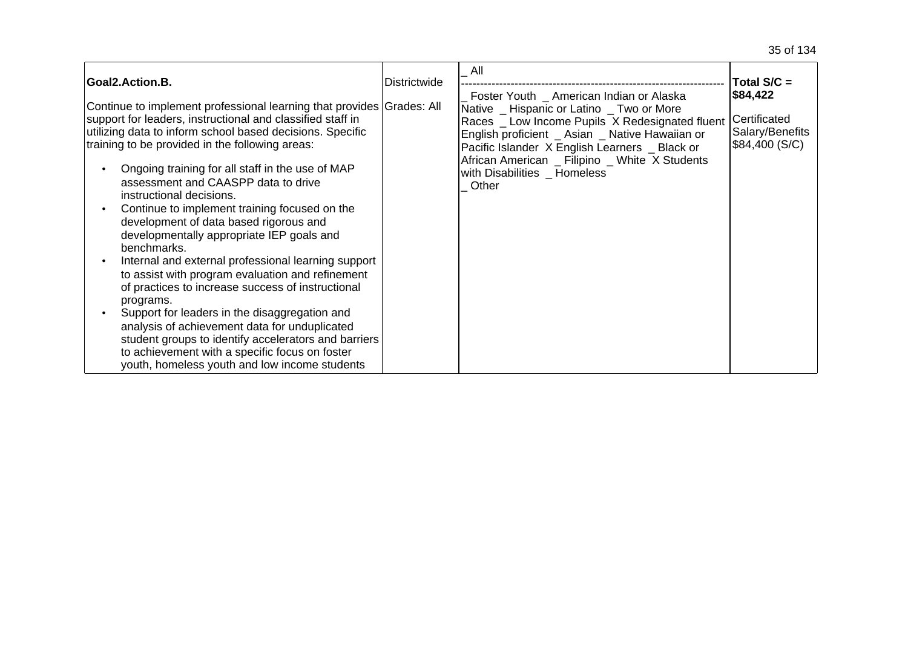| Goal2.Action.B.                                                                                                                                                                                                                                                                                                                                                                                                                                                                                                                                                                                                                                                                                                                                                                                                                                                                                                                                                             | <b>Districtwide</b> | All                                                                                                                                                                                                                                                                                                                                      | Total $S/C =$                                                 |
|-----------------------------------------------------------------------------------------------------------------------------------------------------------------------------------------------------------------------------------------------------------------------------------------------------------------------------------------------------------------------------------------------------------------------------------------------------------------------------------------------------------------------------------------------------------------------------------------------------------------------------------------------------------------------------------------------------------------------------------------------------------------------------------------------------------------------------------------------------------------------------------------------------------------------------------------------------------------------------|---------------------|------------------------------------------------------------------------------------------------------------------------------------------------------------------------------------------------------------------------------------------------------------------------------------------------------------------------------------------|---------------------------------------------------------------|
| Continue to implement professional learning that provides Grades: All<br>support for leaders, instructional and classified staff in<br>utilizing data to inform school based decisions. Specific<br>training to be provided in the following areas:<br>Ongoing training for all staff in the use of MAP<br>assessment and CAASPP data to drive<br>instructional decisions.<br>Continue to implement training focused on the<br>development of data based rigorous and<br>developmentally appropriate IEP goals and<br>benchmarks.<br>Internal and external professional learning support<br>to assist with program evaluation and refinement<br>of practices to increase success of instructional<br>programs.<br>Support for leaders in the disaggregation and<br>analysis of achievement data for unduplicated<br>student groups to identify accelerators and barriers<br>to achievement with a specific focus on foster<br>youth, homeless youth and low income students |                     | Foster Youth _ American Indian or Alaska<br>Native _ Hispanic or Latino _ Two or More<br>Races _ Low Income Pupils X Redesignated fluent<br>English proficient _ Asian _ Native Hawaiian or<br>Pacific Islander X English Learners _ Black or<br>African American _ Filipino _ White X Students<br>with Disabilities _ Homeless<br>Other | \$84,422<br>Certificated<br>Salary/Benefits<br>\$84,400 (S/C) |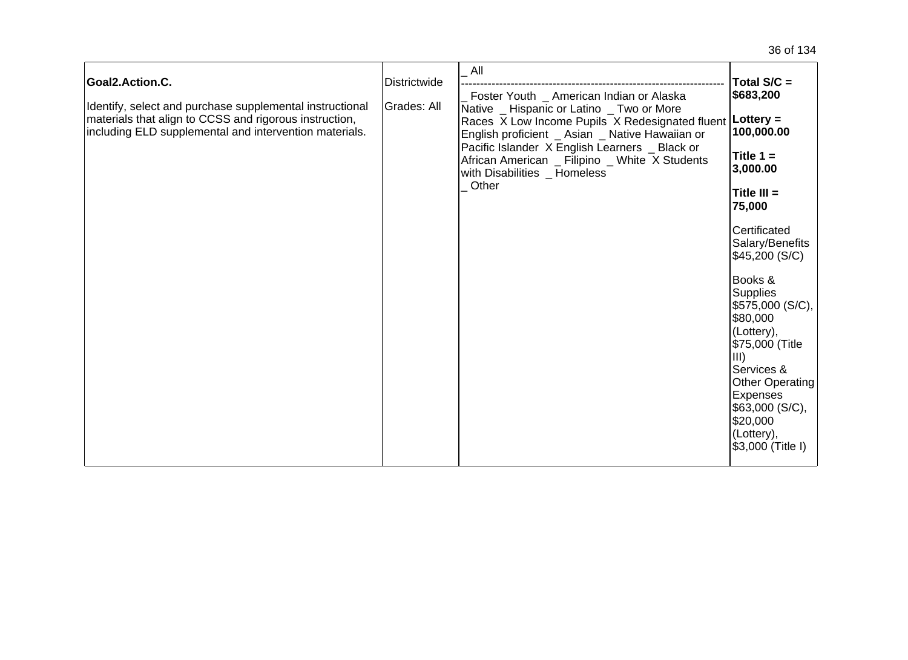| Goal2.Action.C.<br>Identify, select and purchase supplemental instructional<br>materials that align to CCSS and rigorous instruction,<br>including ELD supplemental and intervention materials. | <b>Districtwide</b><br><b>Grades: All</b> | All<br>Foster Youth _ American Indian or Alaska<br>Native _ Hispanic or Latino _ Two or More<br>Races X Low Income Pupils X Redesignated fluent   Lottery =<br>English proficient _ Asian _ Native Hawaiian or<br>Pacific Islander X English Learners _ Black or<br>African American _ Filipino _ White X Students<br>with Disabilities _ Homeless<br>Other | Total S/C =<br>\$683,200<br>100,000.00<br>Title $1 =$<br>3,000.00<br>Title $III =$<br>75,000<br>Certificated<br>Salary/Benefits<br>\$45,200 (S/C)<br>Books &<br><b>Supplies</b><br>\$575,000 (S/C),<br>\$80,000<br>(Lottery),<br>\$75,000 (Title<br>$\vert$ III)<br>Services &<br><b>Other Operating</b><br>Expenses<br>\$63,000 (S/C),<br>\$20,000<br>(Lottery),<br>\$3,000 (Title I) |
|-------------------------------------------------------------------------------------------------------------------------------------------------------------------------------------------------|-------------------------------------------|-------------------------------------------------------------------------------------------------------------------------------------------------------------------------------------------------------------------------------------------------------------------------------------------------------------------------------------------------------------|----------------------------------------------------------------------------------------------------------------------------------------------------------------------------------------------------------------------------------------------------------------------------------------------------------------------------------------------------------------------------------------|
|-------------------------------------------------------------------------------------------------------------------------------------------------------------------------------------------------|-------------------------------------------|-------------------------------------------------------------------------------------------------------------------------------------------------------------------------------------------------------------------------------------------------------------------------------------------------------------------------------------------------------------|----------------------------------------------------------------------------------------------------------------------------------------------------------------------------------------------------------------------------------------------------------------------------------------------------------------------------------------------------------------------------------------|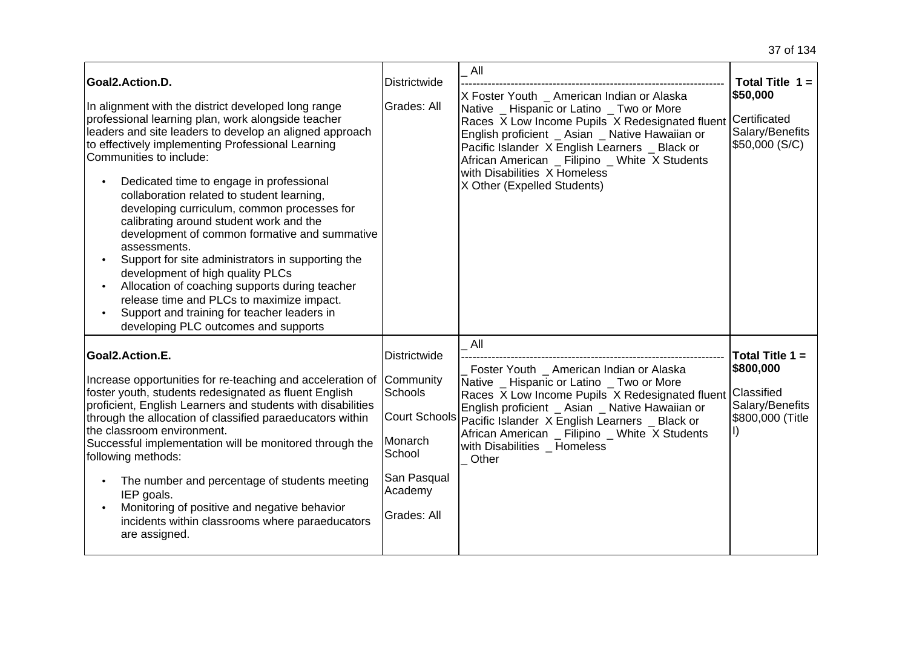| Goal2.Action.D.<br>In alignment with the district developed long range<br>professional learning plan, work alongside teacher<br>leaders and site leaders to develop an aligned approach<br>to effectively implementing Professional Learning<br>Communities to include:<br>Dedicated time to engage in professional<br>collaboration related to student learning,<br>developing curriculum, common processes for<br>calibrating around student work and the<br>development of common formative and summative<br>assessments.<br>Support for site administrators in supporting the<br>development of high quality PLCs<br>Allocation of coaching supports during teacher<br>release time and PLCs to maximize impact.<br>Support and training for teacher leaders in<br>developing PLC outcomes and supports | Districtwide<br>Grades: All                                                           | All<br>X Foster Youth _ American Indian or Alaska<br>Native _ Hispanic or Latino _ Two or More<br>Races X Low Income Pupils X Redesignated fluent<br>English proficient _ Asian _ Native Hawaiian or<br>Pacific Islander X English Learners _ Black or<br>African American _ Filipino _ White X Students<br>with Disabilities X Homeless<br>X Other (Expelled Students) | Total Title $1 =$<br>\$50,000<br>Certificated<br>Salary/Benefits<br>\$50,000 (S/C) |
|-------------------------------------------------------------------------------------------------------------------------------------------------------------------------------------------------------------------------------------------------------------------------------------------------------------------------------------------------------------------------------------------------------------------------------------------------------------------------------------------------------------------------------------------------------------------------------------------------------------------------------------------------------------------------------------------------------------------------------------------------------------------------------------------------------------|---------------------------------------------------------------------------------------|-------------------------------------------------------------------------------------------------------------------------------------------------------------------------------------------------------------------------------------------------------------------------------------------------------------------------------------------------------------------------|------------------------------------------------------------------------------------|
| Goal2.Action.E.<br>Increase opportunities for re-teaching and acceleration of Community<br>foster youth, students redesignated as fluent English<br>proficient, English Learners and students with disabilities<br>through the allocation of classified paraeducators within<br>the classroom environment.<br>Successful implementation will be monitored through the<br>following methods:<br>The number and percentage of students meeting<br>IEP goals.<br>Monitoring of positive and negative behavior<br>incidents within classrooms where paraeducators<br>are assigned.                                                                                                                                                                                                                              | Districtwide<br>Schools<br>Monarch<br>School<br>San Pasqual<br>Academy<br>Grades: All | All<br>Foster Youth _ American Indian or Alaska<br>Native _ Hispanic or Latino _ Two or More<br>Races X Low Income Pupils X Redesignated fluent<br>English proficient _ Asian _ Native Hawaiian or<br>Court Schools Pacific Islander X English Learners _ Black or<br>African American _ Filipino _ White X Students<br>with Disabilities _ Homeless<br>Other           | Total Title 1 =<br>\$800,000<br>Classified<br>Salary/Benefits<br>\$800,000 (Title  |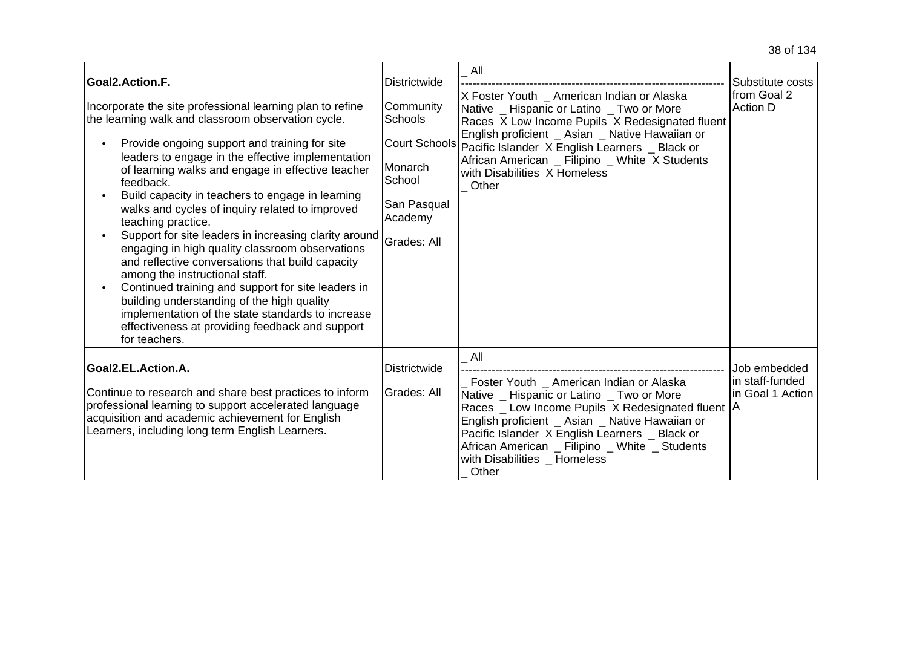| Goal2.Action.F.<br>Incorporate the site professional learning plan to refine<br>the learning walk and classroom observation cycle.<br>Provide ongoing support and training for site<br>leaders to engage in the effective implementation<br>of learning walks and engage in effective teacher<br>feedback.<br>Build capacity in teachers to engage in learning<br>walks and cycles of inquiry related to improved<br>teaching practice.<br>Support for site leaders in increasing clarity around<br>engaging in high quality classroom observations<br>and reflective conversations that build capacity<br>among the instructional staff.<br>Continued training and support for site leaders in<br>building understanding of the high quality<br>implementation of the state standards to increase<br>effectiveness at providing feedback and support<br>for teachers. | Districtwide<br>Community<br><b>Schools</b><br>Monarch<br>School<br>San Pasqual<br>Academy<br><b>Grades: All</b> | All<br>X Foster Youth _ American Indian or Alaska<br>Native _ Hispanic or Latino _ Two or More<br>Races X Low Income Pupils X Redesignated fluent<br>English proficient _ Asian _ Native Hawaiian or<br>Court Schools Pacific Islander X English Learners _ Black or<br>African American _ Filipino _ White X Students<br>with Disabilities X Homeless<br>Other | Substitute costs<br>from Goal 2<br>Action D         |
|------------------------------------------------------------------------------------------------------------------------------------------------------------------------------------------------------------------------------------------------------------------------------------------------------------------------------------------------------------------------------------------------------------------------------------------------------------------------------------------------------------------------------------------------------------------------------------------------------------------------------------------------------------------------------------------------------------------------------------------------------------------------------------------------------------------------------------------------------------------------|------------------------------------------------------------------------------------------------------------------|-----------------------------------------------------------------------------------------------------------------------------------------------------------------------------------------------------------------------------------------------------------------------------------------------------------------------------------------------------------------|-----------------------------------------------------|
| Goal2.EL.Action.A.<br>Continue to research and share best practices to inform<br>professional learning to support accelerated language<br>acquisition and academic achievement for English<br>Learners, including long term English Learners.                                                                                                                                                                                                                                                                                                                                                                                                                                                                                                                                                                                                                          | Districtwide<br>Grades: All                                                                                      | All<br>Foster Youth _ American Indian or Alaska<br>Native _ Hispanic or Latino _ Two or More<br>Races _ Low Income Pupils X Redesignated fluent   A<br>English proficient _ Asian _ Native Hawaiian or<br>Pacific Islander X English Learners _ Black or<br>African American _ Filipino _ White _ Students<br>with Disabilities Homeless<br>Other               | Job embedded<br>in staff-funded<br>in Goal 1 Action |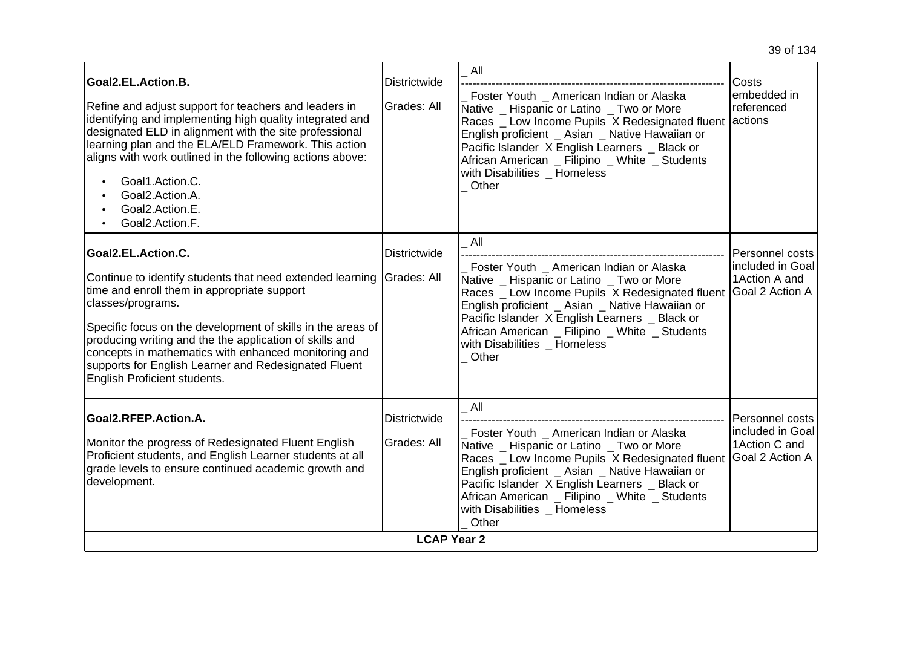| identifying and implementing high quality integrated and<br>designated ELD in alignment with the site professional<br>learning plan and the ELA/ELD Framework. This action<br>aligns with work outlined in the following actions above:<br>Goal1.Action.C.<br>Goal2.Action.A.<br>Goal2.Action.E.<br>Goal2.Action.F.                                                                                                           |                                                   | English proficient _ Asian _ Native Hawaiian or<br>Pacific Islander X English Learners _ Black or<br>African American _ Filipino _ White _ Students<br>with Disabilities Homeless<br>Other                                                                                                                                                      | Races _ Low Income Pupils X Redesignated fluent actions                         |
|-------------------------------------------------------------------------------------------------------------------------------------------------------------------------------------------------------------------------------------------------------------------------------------------------------------------------------------------------------------------------------------------------------------------------------|---------------------------------------------------|-------------------------------------------------------------------------------------------------------------------------------------------------------------------------------------------------------------------------------------------------------------------------------------------------------------------------------------------------|---------------------------------------------------------------------------------|
| Goal2.EL.Action.C.<br>Continue to identify students that need extended learning<br>time and enroll them in appropriate support<br>classes/programs.<br>Specific focus on the development of skills in the areas of<br>producing writing and the the application of skills and<br>concepts in mathematics with enhanced monitoring and<br>supports for English Learner and Redesignated Fluent<br>English Proficient students. | <b>Districtwide</b><br>Grades: All                | All<br>Foster Youth _ American Indian or Alaska<br>Native _ Hispanic or Latino _ Two or More<br>Races _ Low Income Pupils X Redesignated fluent<br>English proficient _ Asian _ Native Hawaiian or<br>Pacific Islander X English Learners _ Black or<br>African American _ Filipino _ White _ Students<br>with Disabilities Homeless<br>Other   | Personnel costs<br>included in Goal<br>1 Action A and<br><b>Goal 2 Action A</b> |
| Goal2.RFEP.Action.A.<br>Monitor the progress of Redesignated Fluent English<br>Proficient students, and English Learner students at all<br>grade levels to ensure continued academic growth and<br>development.                                                                                                                                                                                                               | Districtwide<br>Grades: All<br><b>LCAP Year 2</b> | All<br>Foster Youth _ American Indian or Alaska<br>Native _ Hispanic or Latino _ Two or More<br>Races _ Low Income Pupils X Redesignated fluent<br>English proficient _ Asian _ Native Hawaiian or<br>Pacific Islander X English Learners _ Black or<br>African American _ Filipino _ White _ Students<br>with Disabilities _ Homeless<br>Other | Personnel costs<br>included in Goal<br>1 Action C and<br>Goal 2 Action A        |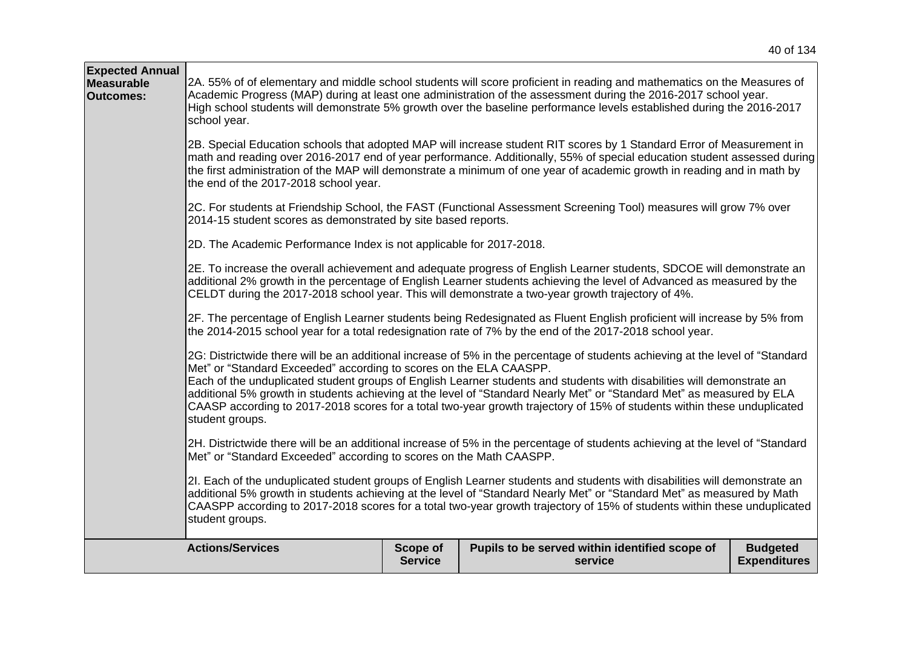| <b>Expected Annual</b><br>Measurable<br><b>Outcomes:</b> | school year.                                                                          |                            | 2A. 55% of of elementary and middle school students will score proficient in reading and mathematics on the Measures of<br>Academic Progress (MAP) during at least one administration of the assessment during the 2016-2017 school year.<br>High school students will demonstrate 5% growth over the baseline performance levels established during the 2016-2017                                                                                                                                          |                                        |
|----------------------------------------------------------|---------------------------------------------------------------------------------------|----------------------------|-------------------------------------------------------------------------------------------------------------------------------------------------------------------------------------------------------------------------------------------------------------------------------------------------------------------------------------------------------------------------------------------------------------------------------------------------------------------------------------------------------------|----------------------------------------|
|                                                          | the end of the 2017-2018 school year.                                                 |                            | 2B. Special Education schools that adopted MAP will increase student RIT scores by 1 Standard Error of Measurement in<br>math and reading over 2016-2017 end of year performance. Additionally, 55% of special education student assessed during<br>the first administration of the MAP will demonstrate a minimum of one year of academic growth in reading and in math by                                                                                                                                 |                                        |
|                                                          | 2014-15 student scores as demonstrated by site based reports.                         |                            | 2C. For students at Friendship School, the FAST (Functional Assessment Screening Tool) measures will grow 7% over                                                                                                                                                                                                                                                                                                                                                                                           |                                        |
|                                                          | 2D. The Academic Performance Index is not applicable for 2017-2018.                   |                            |                                                                                                                                                                                                                                                                                                                                                                                                                                                                                                             |                                        |
|                                                          |                                                                                       |                            | 2E. To increase the overall achievement and adequate progress of English Learner students, SDCOE will demonstrate an<br>additional 2% growth in the percentage of English Learner students achieving the level of Advanced as measured by the<br>CELDT during the 2017-2018 school year. This will demonstrate a two-year growth trajectory of 4%.                                                                                                                                                          |                                        |
|                                                          |                                                                                       |                            | 2F. The percentage of English Learner students being Redesignated as Fluent English proficient will increase by 5% from<br>the 2014-2015 school year for a total redesignation rate of 7% by the end of the 2017-2018 school year.                                                                                                                                                                                                                                                                          |                                        |
|                                                          | Met" or "Standard Exceeded" according to scores on the ELA CAASPP.<br>student groups. |                            | 2G: Districtwide there will be an additional increase of 5% in the percentage of students achieving at the level of "Standard<br>Each of the unduplicated student groups of English Learner students and students with disabilities will demonstrate an<br>additional 5% growth in students achieving at the level of "Standard Nearly Met" or "Standard Met" as measured by ELA<br>CAASP according to 2017-2018 scores for a total two-year growth trajectory of 15% of students within these unduplicated |                                        |
|                                                          | Met" or "Standard Exceeded" according to scores on the Math CAASPP.                   |                            | 2H. Districtwide there will be an additional increase of 5% in the percentage of students achieving at the level of "Standard                                                                                                                                                                                                                                                                                                                                                                               |                                        |
|                                                          | student groups.                                                                       |                            | 2I. Each of the unduplicated student groups of English Learner students and students with disabilities will demonstrate an<br>additional 5% growth in students achieving at the level of "Standard Nearly Met" or "Standard Met" as measured by Math<br>CAASPP according to 2017-2018 scores for a total two-year growth trajectory of 15% of students within these unduplicated                                                                                                                            |                                        |
|                                                          | <b>Actions/Services</b>                                                               | Scope of<br><b>Service</b> | Pupils to be served within identified scope of<br>service                                                                                                                                                                                                                                                                                                                                                                                                                                                   | <b>Budgeted</b><br><b>Expenditures</b> |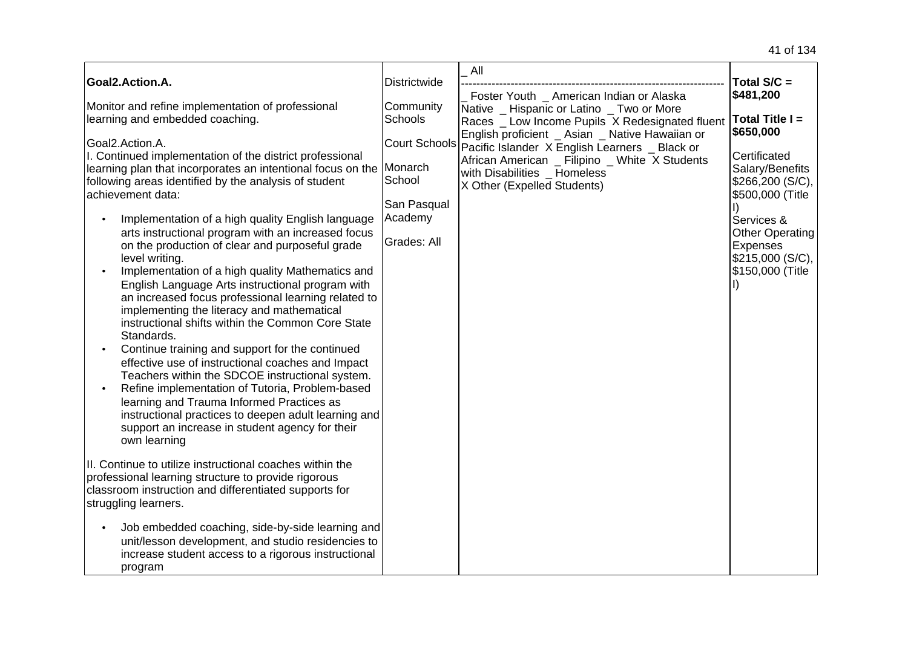| Goal2.Action.A.                                                                                                                                                                                                                                                                                                                                                                                                                                                                                                                                                                                                                                                                                                                                                                                                                                                                                                                                                                                                                                                                                                                                                                                                                          | <b>Districtwide</b>                                                                | All<br>Foster Youth _ American Indian or Alaska                                                                                                                                                                    | Total $S/C =$<br>\$481,200                                                                                                                                                |
|------------------------------------------------------------------------------------------------------------------------------------------------------------------------------------------------------------------------------------------------------------------------------------------------------------------------------------------------------------------------------------------------------------------------------------------------------------------------------------------------------------------------------------------------------------------------------------------------------------------------------------------------------------------------------------------------------------------------------------------------------------------------------------------------------------------------------------------------------------------------------------------------------------------------------------------------------------------------------------------------------------------------------------------------------------------------------------------------------------------------------------------------------------------------------------------------------------------------------------------|------------------------------------------------------------------------------------|--------------------------------------------------------------------------------------------------------------------------------------------------------------------------------------------------------------------|---------------------------------------------------------------------------------------------------------------------------------------------------------------------------|
| Monitor and refine implementation of professional<br>learning and embedded coaching.                                                                                                                                                                                                                                                                                                                                                                                                                                                                                                                                                                                                                                                                                                                                                                                                                                                                                                                                                                                                                                                                                                                                                     | Community<br><b>Schools</b>                                                        | Native _ Hispanic or Latino _ Two or More<br>Races _ Low Income Pupils X Redesignated fluent                                                                                                                       | Total Title $I =$                                                                                                                                                         |
| Goal2.Action.A.<br>I. Continued implementation of the district professional<br>learning plan that incorporates an intentional focus on the<br>following areas identified by the analysis of student<br>achievement data:<br>Implementation of a high quality English language<br>arts instructional program with an increased focus<br>on the production of clear and purposeful grade<br>level writing.<br>Implementation of a high quality Mathematics and<br>$\bullet$<br>English Language Arts instructional program with<br>an increased focus professional learning related to<br>implementing the literacy and mathematical<br>instructional shifts within the Common Core State<br>Standards.<br>Continue training and support for the continued<br>$\bullet$<br>effective use of instructional coaches and Impact<br>Teachers within the SDCOE instructional system.<br>Refine implementation of Tutoria, Problem-based<br>$\bullet$<br>learning and Trauma Informed Practices as<br>instructional practices to deepen adult learning and<br>support an increase in student agency for their<br>own learning<br>II. Continue to utilize instructional coaches within the<br>professional learning structure to provide rigorous | <b>Court Schools</b><br>Monarch<br>School<br>San Pasqual<br>Academy<br>Grades: All | English proficient _ Asian _ Native Hawaiian or<br>Pacific Islander X English Learners _ Black or<br>African American _ Filipino _ White X Students<br>with Disabilities _ Homeless<br>X Other (Expelled Students) | \$650,000<br>Certificated<br>Salary/Benefits<br>\$266,200 (S/C),<br>\$500,000 (Title<br>Services &<br>Other Operating<br>Expenses<br>\$215,000 (S/C),<br>\$150,000 (Title |
| classroom instruction and differentiated supports for<br>struggling learners.<br>Job embedded coaching, side-by-side learning and<br>unit/lesson development, and studio residencies to<br>increase student access to a rigorous instructional<br>program                                                                                                                                                                                                                                                                                                                                                                                                                                                                                                                                                                                                                                                                                                                                                                                                                                                                                                                                                                                |                                                                                    |                                                                                                                                                                                                                    |                                                                                                                                                                           |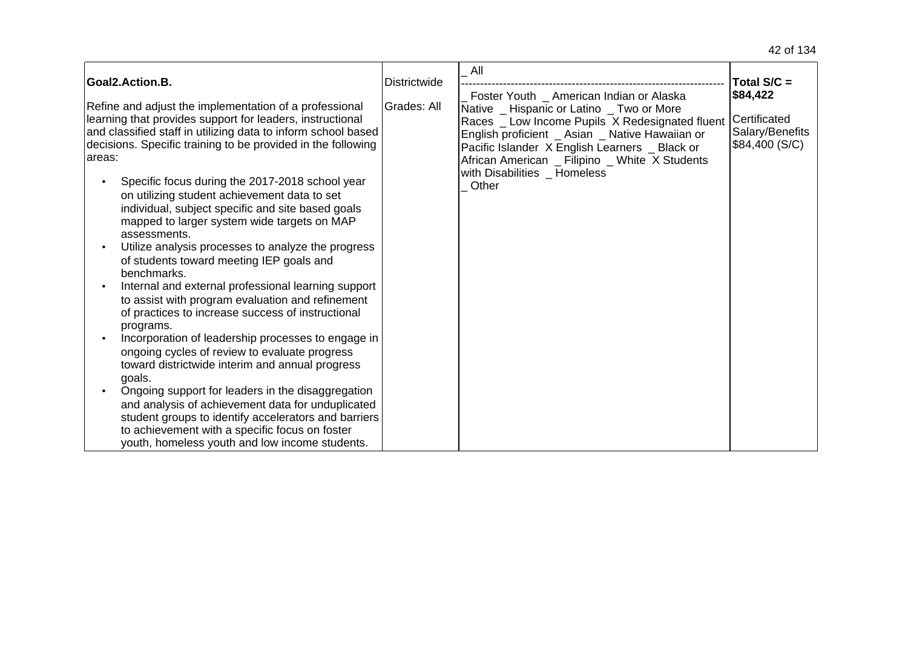|                                                                                                                                                                                                                                                                                                                                                                                                                                                                                                                                                                                                                                                                                                                                                                                                                                                                                                                                                                                                                                                                                                                                                                                                                               |                     | All                                                                                                                                                                                                                                                                                                                                      |                                                               |
|-------------------------------------------------------------------------------------------------------------------------------------------------------------------------------------------------------------------------------------------------------------------------------------------------------------------------------------------------------------------------------------------------------------------------------------------------------------------------------------------------------------------------------------------------------------------------------------------------------------------------------------------------------------------------------------------------------------------------------------------------------------------------------------------------------------------------------------------------------------------------------------------------------------------------------------------------------------------------------------------------------------------------------------------------------------------------------------------------------------------------------------------------------------------------------------------------------------------------------|---------------------|------------------------------------------------------------------------------------------------------------------------------------------------------------------------------------------------------------------------------------------------------------------------------------------------------------------------------------------|---------------------------------------------------------------|
| Goal2.Action.B.                                                                                                                                                                                                                                                                                                                                                                                                                                                                                                                                                                                                                                                                                                                                                                                                                                                                                                                                                                                                                                                                                                                                                                                                               | <b>Districtwide</b> |                                                                                                                                                                                                                                                                                                                                          | Total $S/C =$                                                 |
| Refine and adjust the implementation of a professional<br>learning that provides support for leaders, instructional<br>and classified staff in utilizing data to inform school based<br>decisions. Specific training to be provided in the following<br>areas:<br>Specific focus during the 2017-2018 school year<br>on utilizing student achievement data to set<br>individual, subject specific and site based goals<br>mapped to larger system wide targets on MAP<br>assessments.<br>Utilize analysis processes to analyze the progress<br>of students toward meeting IEP goals and<br>benchmarks.<br>Internal and external professional learning support<br>to assist with program evaluation and refinement<br>of practices to increase success of instructional<br>programs.<br>Incorporation of leadership processes to engage in<br>ongoing cycles of review to evaluate progress<br>toward districtwide interim and annual progress<br>goals.<br>Ongoing support for leaders in the disaggregation<br>and analysis of achievement data for unduplicated<br>student groups to identify accelerators and barriers<br>to achievement with a specific focus on foster<br>youth, homeless youth and low income students. | Grades: All         | Foster Youth _ American Indian or Alaska<br>Native _ Hispanic or Latino _ Two or More<br>Races _ Low Income Pupils X Redesignated fluent<br>English proficient _ Asian _ Native Hawaiian or<br>Pacific Islander X English Learners _ Black or<br>African American _ Filipino _ White X Students<br>with Disabilities _ Homeless<br>Other | \$84,422<br>Certificated<br>Salary/Benefits<br>\$84,400 (S/C) |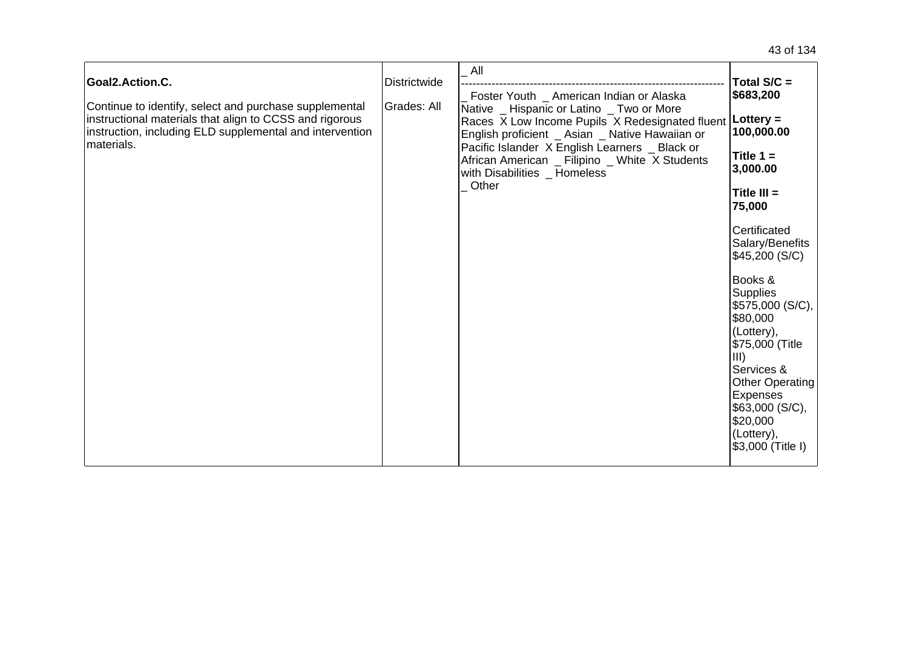| Goal2.Action.C.<br>Continue to identify, select and purchase supplemental<br>instructional materials that align to CCSS and rigorous<br>instruction, including ELD supplemental and intervention<br>materials. | <b>Districtwide</b><br>Grades: All | All<br>Foster Youth _ American Indian or Alaska<br>Native _ Hispanic or Latino _ Two or More<br>Races X Low Income Pupils X Redesignated fluent   Lottery =<br>English proficient _ Asian _ Native Hawaiian or<br>Pacific Islander X English Learners _ Black or<br>African American _ Filipino _ White X Students<br>with Disabilities _ Homeless<br>Other | Total S/C =<br>\$683,200<br>100,000.00<br>Title $1 =$<br>3,000.00<br>Title $III =$<br>75,000<br>Certificated<br>Salary/Benefits<br>\$45,200 (S/C)<br>Books &<br><b>Supplies</b><br>\$575,000 (S/C),<br>\$80,000<br>(Lottery),<br>\$75,000 (Title<br>$\vert$ III)<br>Services &<br>Other Operating<br>Expenses<br>\$63,000 (S/C),<br>\$20,000<br>(Lottery),<br>\$3,000 (Title I) |
|----------------------------------------------------------------------------------------------------------------------------------------------------------------------------------------------------------------|------------------------------------|-------------------------------------------------------------------------------------------------------------------------------------------------------------------------------------------------------------------------------------------------------------------------------------------------------------------------------------------------------------|---------------------------------------------------------------------------------------------------------------------------------------------------------------------------------------------------------------------------------------------------------------------------------------------------------------------------------------------------------------------------------|
|----------------------------------------------------------------------------------------------------------------------------------------------------------------------------------------------------------------|------------------------------------|-------------------------------------------------------------------------------------------------------------------------------------------------------------------------------------------------------------------------------------------------------------------------------------------------------------------------------------------------------------|---------------------------------------------------------------------------------------------------------------------------------------------------------------------------------------------------------------------------------------------------------------------------------------------------------------------------------------------------------------------------------|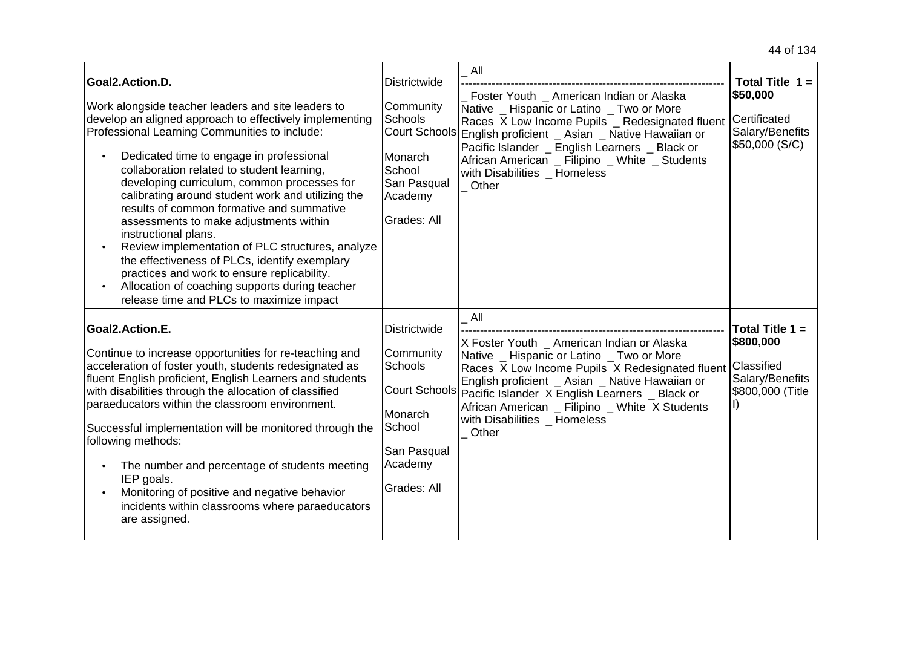| Goal2.Action.D.<br>Work alongside teacher leaders and site leaders to<br>develop an aligned approach to effectively implementing<br>Professional Learning Communities to include:<br>Dedicated time to engage in professional<br>collaboration related to student learning,<br>developing curriculum, common processes for<br>calibrating around student work and utilizing the<br>results of common formative and summative<br>assessments to make adjustments within<br>instructional plans.<br>Review implementation of PLC structures, analyze<br>the effectiveness of PLCs, identify exemplary<br>practices and work to ensure replicability.<br>Allocation of coaching supports during teacher<br>release time and PLCs to maximize impact | Districtwide<br>Community<br><b>Schools</b><br><b>Court Schools</b><br>Monarch<br>School<br>San Pasqual<br>Academy<br>Grades: All | All<br>Foster Youth American Indian or Alaska<br>Native _ Hispanic or Latino _ Two or More<br>Races X Low Income Pupils _ Redesignated fluent<br>English proficient _ Asian _ Native Hawaiian or<br>Pacific Islander English Learners Black or<br>African American _ Filipino _ White _ Students<br>with Disabilities _ Homeless<br>Other       | Total Title $1 =$<br>\$50,000<br><b>Certificated</b><br>Salary/Benefits<br>\$50,000 (S/C) |
|--------------------------------------------------------------------------------------------------------------------------------------------------------------------------------------------------------------------------------------------------------------------------------------------------------------------------------------------------------------------------------------------------------------------------------------------------------------------------------------------------------------------------------------------------------------------------------------------------------------------------------------------------------------------------------------------------------------------------------------------------|-----------------------------------------------------------------------------------------------------------------------------------|-------------------------------------------------------------------------------------------------------------------------------------------------------------------------------------------------------------------------------------------------------------------------------------------------------------------------------------------------|-------------------------------------------------------------------------------------------|
| Goal2.Action.E.<br>Continue to increase opportunities for re-teaching and<br>acceleration of foster youth, students redesignated as<br>fluent English proficient, English Learners and students<br>with disabilities through the allocation of classified<br>paraeducators within the classroom environment.<br>Successful implementation will be monitored through the<br>following methods:<br>The number and percentage of students meeting<br>IEP goals.<br>Monitoring of positive and negative behavior<br>incidents within classrooms where paraeducators<br>are assigned.                                                                                                                                                                 | <b>Districtwide</b><br>Community<br>Schools<br><b>Court Schools</b><br>Monarch<br>School<br>San Pasqual<br>Academy<br>Grades: All | All<br>X Foster Youth _ American Indian or Alaska<br>Native _ Hispanic or Latino _ Two or More<br>Races X Low Income Pupils X Redesignated fluent<br>English proficient _ Asian _ Native Hawaiian or<br>Pacific Islander X English Learners _ Black or<br>African American _ Filipino _ White X Students<br>with Disabilities Homeless<br>Other | Total Title $1 =$<br>\$800,000<br>Classified<br>Salary/Benefits<br>\$800,000 (Title       |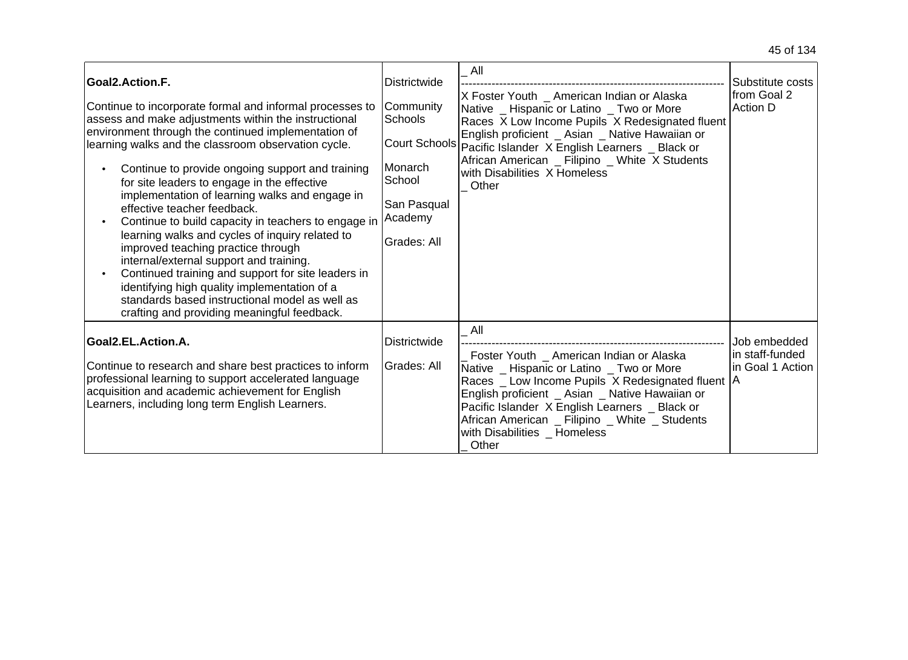| Goal2.Action.F.<br>Continue to incorporate formal and informal processes to<br>assess and make adjustments within the instructional<br>environment through the continued implementation of<br>learning walks and the classroom observation cycle.<br>Continue to provide ongoing support and training<br>for site leaders to engage in the effective<br>implementation of learning walks and engage in<br>effective teacher feedback.<br>Continue to build capacity in teachers to engage in<br>learning walks and cycles of inquiry related to<br>improved teaching practice through<br>internal/external support and training.<br>Continued training and support for site leaders in<br>identifying high quality implementation of a<br>standards based instructional model as well as<br>crafting and providing meaningful feedback. | <b>Districtwide</b><br>Community<br>Schools<br>Monarch<br>School<br>San Pasqual<br>Academy<br>Grades: All | All<br>X Foster Youth _ American Indian or Alaska<br>Native _ Hispanic or Latino _ Two or More<br>Races X Low Income Pupils X Redesignated fluent<br>English proficient _ Asian _ Native Hawaiian or<br>Court Schools Pacific Islander X English Learners _ Black or<br>African American _ Filipino _ White X Students<br>with Disabilities X Homeless<br>Other | Substitute costs<br>from Goal 2<br><b>Action D</b>  |
|-----------------------------------------------------------------------------------------------------------------------------------------------------------------------------------------------------------------------------------------------------------------------------------------------------------------------------------------------------------------------------------------------------------------------------------------------------------------------------------------------------------------------------------------------------------------------------------------------------------------------------------------------------------------------------------------------------------------------------------------------------------------------------------------------------------------------------------------|-----------------------------------------------------------------------------------------------------------|-----------------------------------------------------------------------------------------------------------------------------------------------------------------------------------------------------------------------------------------------------------------------------------------------------------------------------------------------------------------|-----------------------------------------------------|
| Goal2.EL.Action.A.<br>Continue to research and share best practices to inform<br>professional learning to support accelerated language<br>acquisition and academic achievement for English<br>Learners, including long term English Learners.                                                                                                                                                                                                                                                                                                                                                                                                                                                                                                                                                                                           | Districtwide<br>Grades: All                                                                               | All<br>Foster Youth _ American Indian or Alaska<br>Native _ Hispanic or Latino _ Two or More<br>Races _ Low Income Pupils X Redesignated fluent   A<br>English proficient _ Asian _ Native Hawaiian or<br>Pacific Islander X English Learners _ Black or<br>African American _ Filipino _ White _ Students<br>with Disabilities Homeless<br>Other               | Job embedded<br>in staff-funded<br>in Goal 1 Action |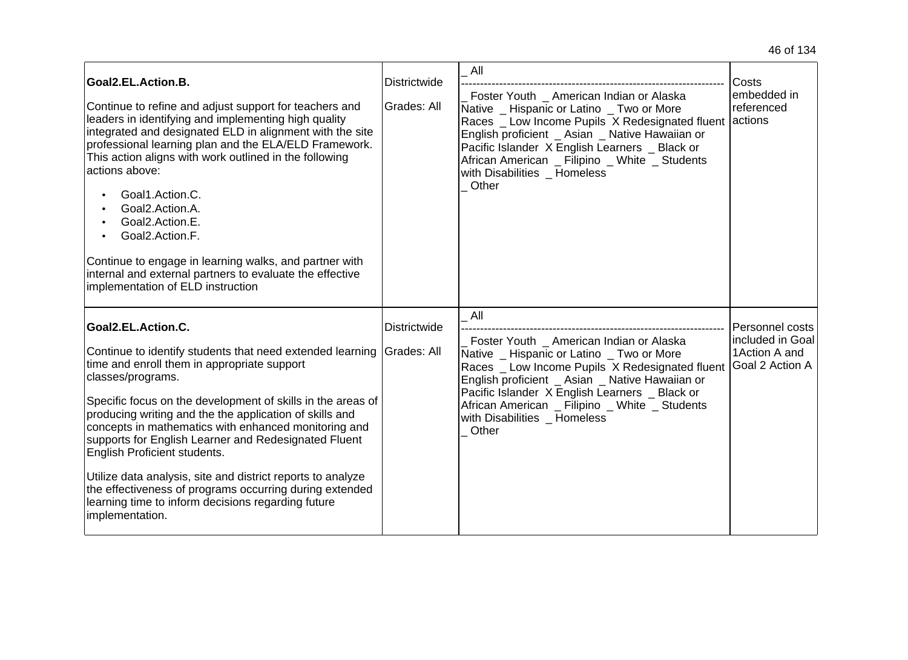| Goal2.EL.Action.B.<br>Continue to refine and adjust support for teachers and<br>leaders in identifying and implementing high quality<br>integrated and designated ELD in alignment with the site<br>professional learning plan and the ELA/ELD Framework.<br>This action aligns with work outlined in the following<br>actions above:<br>Goal1.Action.C.<br>Goal2.Action.A.<br>Goal2.Action.E.<br>Goal2.Action.F.<br>Continue to engage in learning walks, and partner with<br>internal and external partners to evaluate the effective<br>implementation of ELD instruction                                                     | <b>Districtwide</b><br>Grades: All | All<br>Foster Youth American Indian or Alaska<br>Native _ Hispanic or Latino _ Two or More<br>Races _ Low Income Pupils X Redesignated fluent<br>English proficient _ Asian _ Native Hawaiian or<br>Pacific Islander X English Learners _ Black or<br>African American _ Filipino _ White _ Students<br>with Disabilities Homeless<br>Other | Costs<br>embedded in<br>referenced<br>lactions                                  |
|----------------------------------------------------------------------------------------------------------------------------------------------------------------------------------------------------------------------------------------------------------------------------------------------------------------------------------------------------------------------------------------------------------------------------------------------------------------------------------------------------------------------------------------------------------------------------------------------------------------------------------|------------------------------------|---------------------------------------------------------------------------------------------------------------------------------------------------------------------------------------------------------------------------------------------------------------------------------------------------------------------------------------------|---------------------------------------------------------------------------------|
| Goal2.EL.Action.C.<br>Continue to identify students that need extended learning<br>time and enroll them in appropriate support<br>classes/programs.<br>Specific focus on the development of skills in the areas of<br>producing writing and the the application of skills and<br>concepts in mathematics with enhanced monitoring and<br>supports for English Learner and Redesignated Fluent<br>English Proficient students.<br>Utilize data analysis, site and district reports to analyze<br>the effectiveness of programs occurring during extended<br>learning time to inform decisions regarding future<br>implementation. | Districtwide<br>Grades: All        | All<br>Foster Youth _ American Indian or Alaska<br>Native _ Hispanic or Latino _ Two or More<br>Races _ Low Income Pupils X Redesignated fluent<br>English proficient _ Asian _ Native Hawaiian or<br>Pacific Islander X English Learners Black or<br>African American _ Filipino _ White _ Students<br>with Disabilities Homeless<br>Other | Personnel costs<br>included in Goal<br>1 Action A and<br><b>Goal 2 Action A</b> |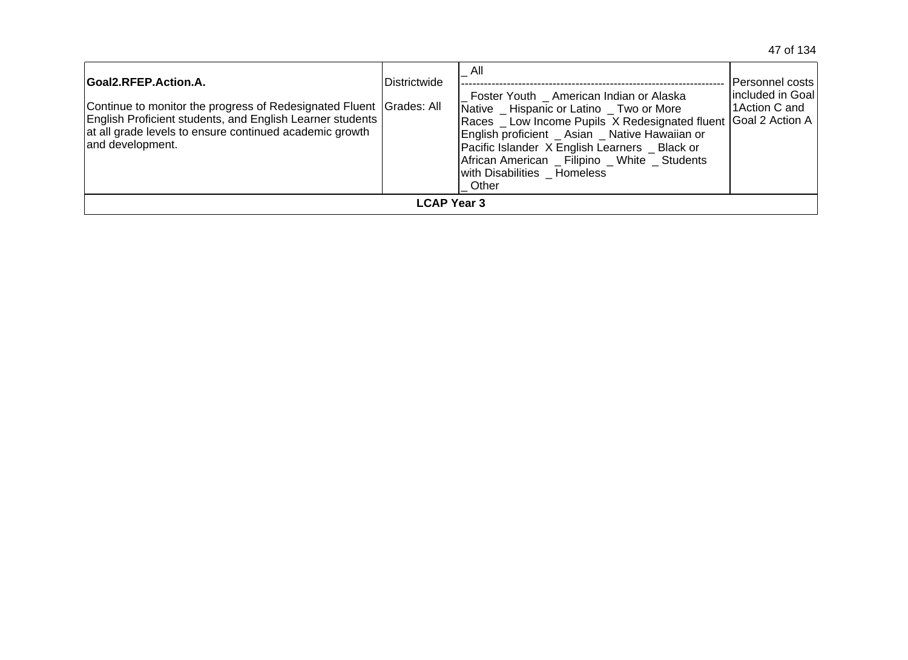| Goal2.RFEP.Action.A.<br>Continue to monitor the progress of Redesignated Fluent Grades: All<br>English Proficient students, and English Learner students<br>at all grade levels to ensure continued academic growth<br>land development. | <b>Districtwide</b> | All<br>Foster Youth American Indian or Alaska<br>Native _ Hispanic or Latino _ Two or More<br>Races _ Low Income Pupils X Redesignated fluent Goal 2 Action A<br>English proficient _ Asian _ Native Hawaiian or<br>Pacific Islander X English Learners _ Black or<br>African American Filipino White Students<br>with Disabilities Homeless<br>Other | IPersonnel costs l<br>lincluded in Goal<br>1Action C and |
|------------------------------------------------------------------------------------------------------------------------------------------------------------------------------------------------------------------------------------------|---------------------|-------------------------------------------------------------------------------------------------------------------------------------------------------------------------------------------------------------------------------------------------------------------------------------------------------------------------------------------------------|----------------------------------------------------------|
|                                                                                                                                                                                                                                          | <b>LCAP Year 3</b>  |                                                                                                                                                                                                                                                                                                                                                       |                                                          |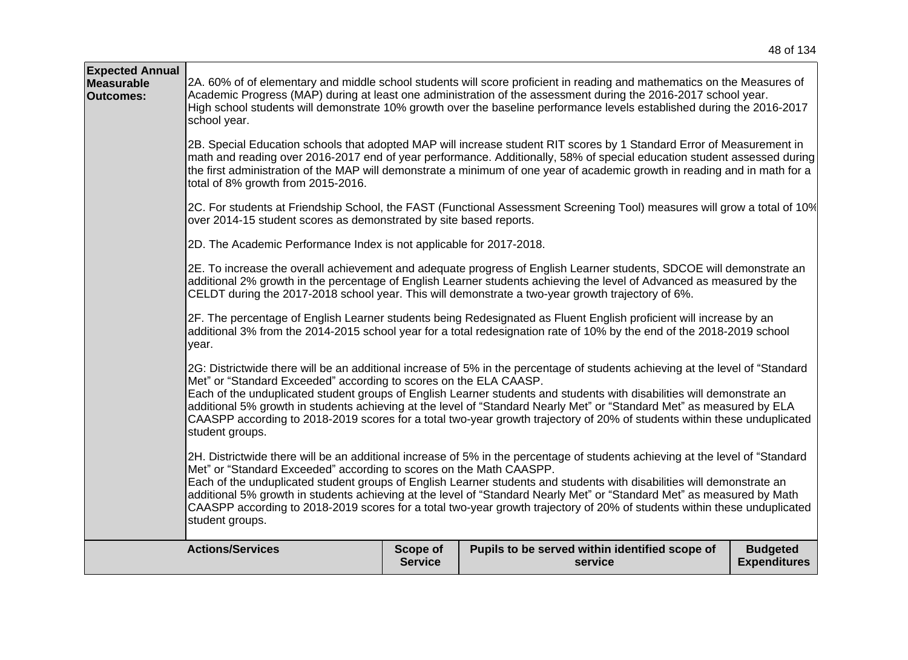|                                                                                                                                                                                                                                                                                                                                                                                                                      | 48 of 134 |
|----------------------------------------------------------------------------------------------------------------------------------------------------------------------------------------------------------------------------------------------------------------------------------------------------------------------------------------------------------------------------------------------------------------------|-----------|
| [2A. 60% of of elementary and middle school students will score proficient in reading and mathematics on the Measures of<br>Academic Progress (MAP) during at least one administration of the assessment during the 2016-2017 school year.<br>High school students will demonstrate 10% growth over the baseline performance levels established during the 2016-2017<br>school year.                                 |           |
| 2B. Special Education schools that adopted MAP will increase student RIT scores by 1 Standard Error of Measurement in<br>math and reading over 2016-2017 end of year performance. Additionally, 58% of special education student assessed during<br>the first administration of the MAP will demonstrate a minimum of one year of academic growth in reading and in math for a<br>total of 8% growth from 2015-2016. |           |
| <u>IQC</u> Ear students of Friendebin Sebool, the EAST (Functional Assessment Sersening Teal) measures will grow a total of 100/                                                                                                                                                                                                                                                                                     |           |

2C. For students at Friendship School, the FAST (Functional Assessment Screening Tool) measures will grow a total of 10% over 2014-15 student scores as demonstrated by site based reports.

2D. The Academic Performance Index is not applicable for 2017-2018.

**Expected Annual Measurable Outcomes:**

2E. To increase the overall achievement and adequate progress of English Learner students, SDCOE will demonstrate an additional 2% growth in the percentage of English Learner students achieving the level of Advanced as measured by the CELDT during the 2017-2018 school year. This will demonstrate a two-year growth trajectory of 6%.

2F. The percentage of English Learner students being Redesignated as Fluent English proficient will increase by an additional 3% from the 2014-2015 school year for a total redesignation rate of 10% by the end of the 2018-2019 school year.

[2G: Districtwide there will be an additional increase of 5% in the percentage of students achieving at the level of "Standard" Met" or "Standard Exceeded" according to scores on the ELA CAASP.

Each of the unduplicated student groups of English Learner students and students with disabilities will demonstrate an additional 5% growth in students achieving at the level of "Standard Nearly Met" or "Standard Met" as measured by ELA CAASPP according to 2018-2019 scores for a total two-year growth trajectory of 20% of students within these unduplicated student groups.

2H. Districtwide there will be an additional increase of 5% in the percentage of students achieving at the level of "Standard" Met" or "Standard Exceeded" according to scores on the Math CAASPP.

Each of the unduplicated student groups of English Learner students and students with disabilities will demonstrate an additional 5% growth in students achieving at the level of "Standard Nearly Met" or "Standard Met" as measured by Math CAASPP according to 2018-2019 scores for a total two-year growth trajectory of 20% of students within these unduplicated student groups.

| <b>Actions/Services</b> | Scope of       | Pupils to be served within identified scope of | <b>Budgeted</b>     |
|-------------------------|----------------|------------------------------------------------|---------------------|
|                         | <b>Service</b> | service                                        | <b>Expenditures</b> |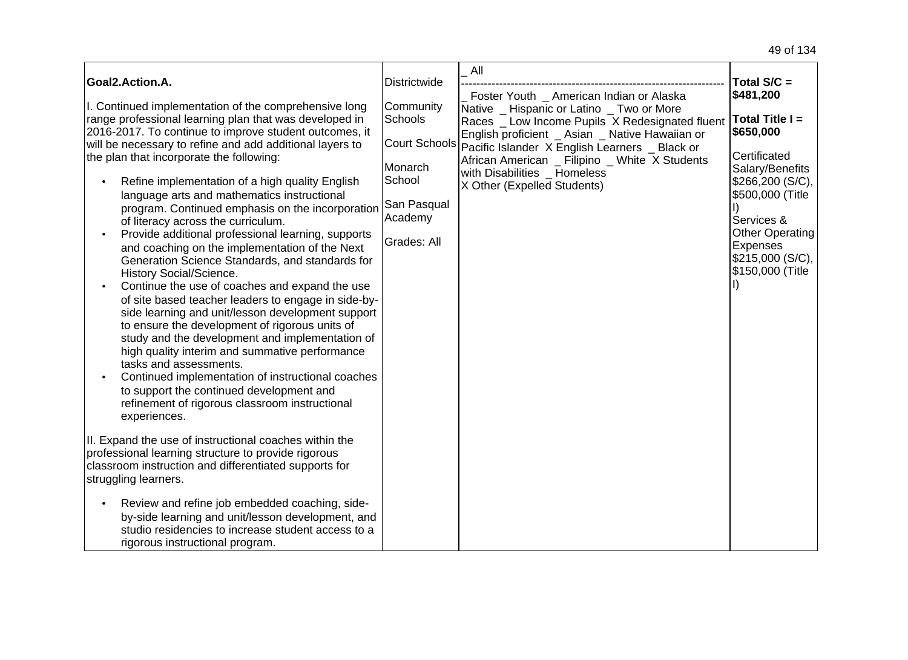| Goal2.Action.A.                                                                                                                                                                                                                                                                                                                                                                                                                                                                                                                                                                                                                                                                                                                                                                                                                                                                                                                                                                                                                                                                                                                                                                                                 | <b>Districtwide</b>                                                                                 | All                                                                                                                                                                                                                                                                                                                                                          | Total $S/C =$                                                                                                                                                                                             |
|-----------------------------------------------------------------------------------------------------------------------------------------------------------------------------------------------------------------------------------------------------------------------------------------------------------------------------------------------------------------------------------------------------------------------------------------------------------------------------------------------------------------------------------------------------------------------------------------------------------------------------------------------------------------------------------------------------------------------------------------------------------------------------------------------------------------------------------------------------------------------------------------------------------------------------------------------------------------------------------------------------------------------------------------------------------------------------------------------------------------------------------------------------------------------------------------------------------------|-----------------------------------------------------------------------------------------------------|--------------------------------------------------------------------------------------------------------------------------------------------------------------------------------------------------------------------------------------------------------------------------------------------------------------------------------------------------------------|-----------------------------------------------------------------------------------------------------------------------------------------------------------------------------------------------------------|
| I. Continued implementation of the comprehensive long<br>range professional learning plan that was developed in<br>2016-2017. To continue to improve student outcomes, it<br>will be necessary to refine and add additional layers to<br>the plan that incorporate the following:<br>Refine implementation of a high quality English<br>language arts and mathematics instructional<br>program. Continued emphasis on the incorporation<br>of literacy across the curriculum.<br>Provide additional professional learning, supports<br>$\bullet$<br>and coaching on the implementation of the Next<br>Generation Science Standards, and standards for<br>History Social/Science.<br>Continue the use of coaches and expand the use<br>$\bullet$<br>of site based teacher leaders to engage in side-by-<br>side learning and unit/lesson development support<br>to ensure the development of rigorous units of<br>study and the development and implementation of<br>high quality interim and summative performance<br>tasks and assessments.<br>Continued implementation of instructional coaches<br>to support the continued development and<br>refinement of rigorous classroom instructional<br>experiences. | Community<br>Schools<br>Court Schools<br>Monarch<br>School<br>San Pasqual<br>Academy<br>Grades: All | Foster Youth _ American Indian or Alaska<br>Native _ Hispanic or Latino _ Two or More<br>Races _ Low Income Pupils X Redesignated fluent<br>English proficient _ Asian _ Native Hawaiian or<br>Pacific Islander X English Learners _ Black or<br>African American _ Filipino _ White X Students<br>with Disabilities Homeless<br>X Other (Expelled Students) | \$481,200<br>Total Title I =<br>\$650,000<br>Certificated<br>Salary/Benefits<br>\$266,200 (S/C),<br>\$500,000 (Title<br>Services &<br>Other Operating<br>Expenses<br> \$215,000(S/C),<br>\$150,000 (Title |
| II. Expand the use of instructional coaches within the<br>professional learning structure to provide rigorous<br>classroom instruction and differentiated supports for<br>struggling learners.<br>Review and refine job embedded coaching, side-<br>$\bullet$<br>by-side learning and unit/lesson development, and                                                                                                                                                                                                                                                                                                                                                                                                                                                                                                                                                                                                                                                                                                                                                                                                                                                                                              |                                                                                                     |                                                                                                                                                                                                                                                                                                                                                              |                                                                                                                                                                                                           |
| studio residencies to increase student access to a<br>rigorous instructional program.                                                                                                                                                                                                                                                                                                                                                                                                                                                                                                                                                                                                                                                                                                                                                                                                                                                                                                                                                                                                                                                                                                                           |                                                                                                     |                                                                                                                                                                                                                                                                                                                                                              |                                                                                                                                                                                                           |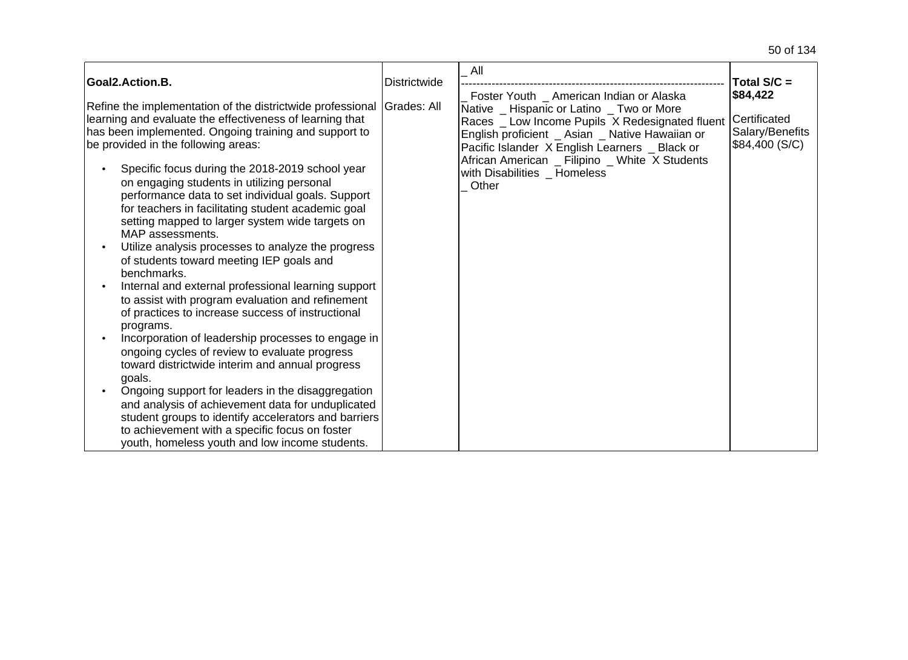| Goal2.Action.B.                                                                                                                                                                                                                                                                                                                                                                                                                                                                                                                                                                                                                                                                                                                         | <b>Districtwide</b> | All                                                                                                                                                                                               | Total $S/C =$                                     |
|-----------------------------------------------------------------------------------------------------------------------------------------------------------------------------------------------------------------------------------------------------------------------------------------------------------------------------------------------------------------------------------------------------------------------------------------------------------------------------------------------------------------------------------------------------------------------------------------------------------------------------------------------------------------------------------------------------------------------------------------|---------------------|---------------------------------------------------------------------------------------------------------------------------------------------------------------------------------------------------|---------------------------------------------------|
|                                                                                                                                                                                                                                                                                                                                                                                                                                                                                                                                                                                                                                                                                                                                         |                     | Foster Youth _ American Indian or Alaska                                                                                                                                                          | \$84,422                                          |
| Refine the implementation of the districtwide professional<br>learning and evaluate the effectiveness of learning that<br>has been implemented. Ongoing training and support to<br>be provided in the following areas:                                                                                                                                                                                                                                                                                                                                                                                                                                                                                                                  | <b>Grades: All</b>  | Native _ Hispanic or Latino _ Two or More<br>Races _ Low Income Pupils X Redesignated fluent<br>English proficient _ Asian _ Native Hawaiian or<br>Pacific Islander X English Learners _ Black or | Certificated<br>Salary/Benefits<br>\$84,400 (S/C) |
| Specific focus during the 2018-2019 school year<br>on engaging students in utilizing personal<br>performance data to set individual goals. Support<br>for teachers in facilitating student academic goal<br>setting mapped to larger system wide targets on<br>MAP assessments.<br>Utilize analysis processes to analyze the progress<br>of students toward meeting IEP goals and<br>benchmarks.<br>Internal and external professional learning support<br>to assist with program evaluation and refinement<br>of practices to increase success of instructional<br>programs.<br>Incorporation of leadership processes to engage in<br>ongoing cycles of review to evaluate progress<br>toward districtwide interim and annual progress |                     | African American _ Filipino _ White X Students<br>with Disabilities _ Homeless<br>Other                                                                                                           |                                                   |
| goals.<br>Ongoing support for leaders in the disaggregation                                                                                                                                                                                                                                                                                                                                                                                                                                                                                                                                                                                                                                                                             |                     |                                                                                                                                                                                                   |                                                   |
| and analysis of achievement data for unduplicated<br>student groups to identify accelerators and barriers                                                                                                                                                                                                                                                                                                                                                                                                                                                                                                                                                                                                                               |                     |                                                                                                                                                                                                   |                                                   |
| to achievement with a specific focus on foster                                                                                                                                                                                                                                                                                                                                                                                                                                                                                                                                                                                                                                                                                          |                     |                                                                                                                                                                                                   |                                                   |
| youth, homeless youth and low income students.                                                                                                                                                                                                                                                                                                                                                                                                                                                                                                                                                                                                                                                                                          |                     |                                                                                                                                                                                                   |                                                   |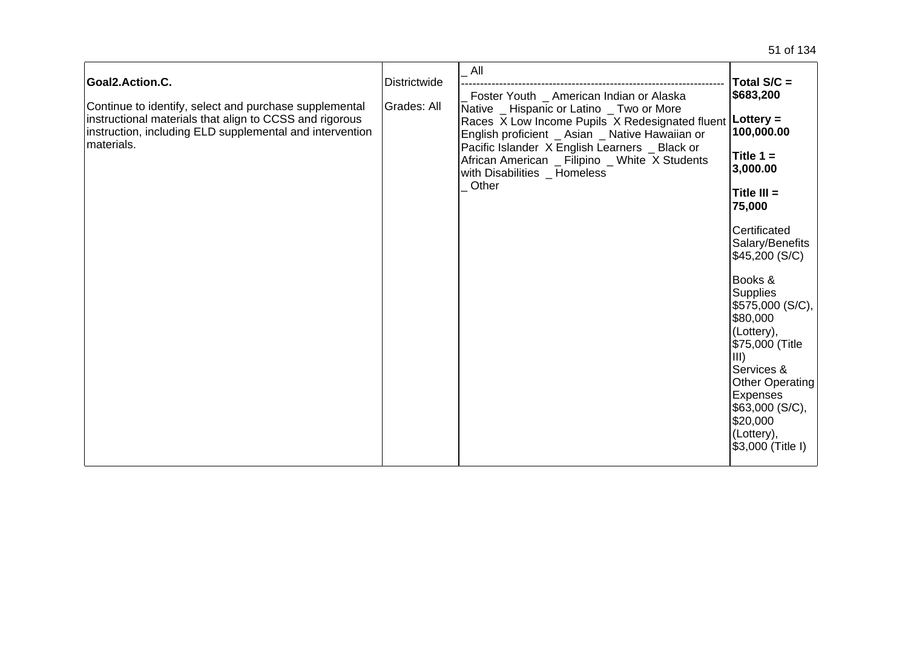| Goal2.Action.C.<br>Continue to identify, select and purchase supplemental<br>instructional materials that align to CCSS and rigorous<br>instruction, including ELD supplemental and intervention<br>materials. | Districtwide<br>Grades: All | All<br>Foster Youth _ American Indian or Alaska<br>Native _ Hispanic or Latino _ Two or More<br>Races X Low Income Pupils X Redesignated fluent   Lottery =<br>English proficient _ Asian _ Native Hawaiian or<br>Pacific Islander X English Learners _ Black or<br>African American _ Filipino _ White X Students<br>with Disabilities _ Homeless<br>Other | Total S/C =<br>\$683,200<br>100,000.00<br>Title $1 =$<br>3,000.00<br>Title $III =$<br>75,000<br>Certificated<br>Salary/Benefits<br>\$45,200 (S/C)<br>Books &<br><b>Supplies</b><br>\$575,000 (S/C),<br>\$80,000<br>(Lottery),<br>\$75,000 (Title<br>III)<br>Services &<br>Other Operating<br>Expenses<br>\$63,000 (S/C),<br>\$20,000<br>(Lottery),<br>\$3,000 (Title I) |
|----------------------------------------------------------------------------------------------------------------------------------------------------------------------------------------------------------------|-----------------------------|-------------------------------------------------------------------------------------------------------------------------------------------------------------------------------------------------------------------------------------------------------------------------------------------------------------------------------------------------------------|-------------------------------------------------------------------------------------------------------------------------------------------------------------------------------------------------------------------------------------------------------------------------------------------------------------------------------------------------------------------------|
|----------------------------------------------------------------------------------------------------------------------------------------------------------------------------------------------------------------|-----------------------------|-------------------------------------------------------------------------------------------------------------------------------------------------------------------------------------------------------------------------------------------------------------------------------------------------------------------------------------------------------------|-------------------------------------------------------------------------------------------------------------------------------------------------------------------------------------------------------------------------------------------------------------------------------------------------------------------------------------------------------------------------|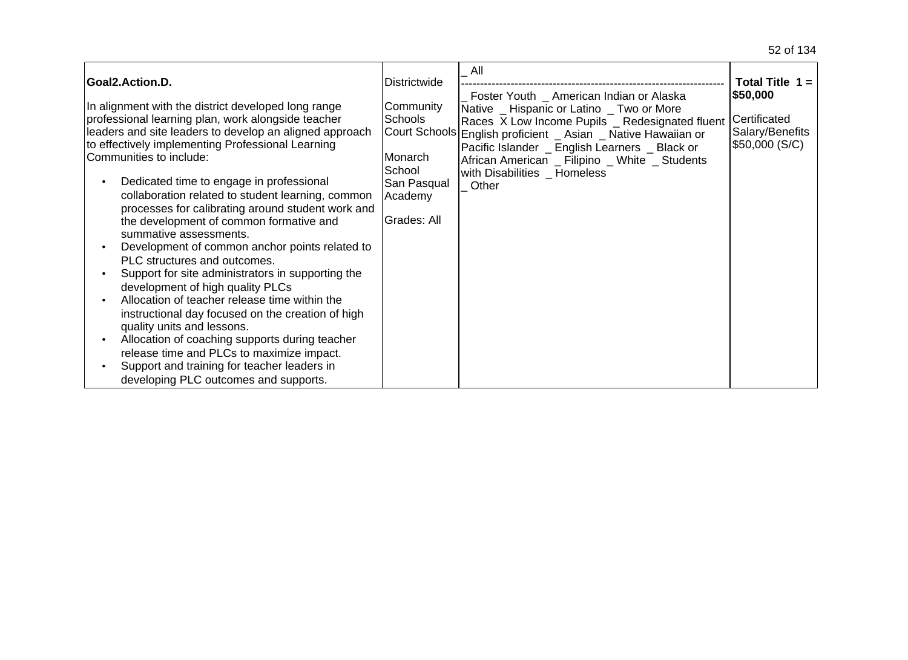| Goal2.Action.D.<br>In alignment with the district developed long range<br>professional learning plan, work alongside teacher<br>leaders and site leaders to develop an aligned approach<br>to effectively implementing Professional Learning<br>Communities to include:<br>Dedicated time to engage in professional<br>collaboration related to student learning, common<br>processes for calibrating around student work and<br>the development of common formative and                                                     | <b>Districtwide</b><br>Community<br><b>Schools</b><br>Monarch<br>School<br>San Pasqual<br>Academy<br>Grades: All | All<br>Foster Youth _ American Indian or Alaska<br>Native Hispanic or Latino Two or More<br>Races X Low Income Pupils _ Redesignated fluent<br>Court Schools English proficient _ Asian _ Native Hawaiian or<br>Pacific Islander _ English Learners _ Black or<br>African American _ Filipino _ White _ Students<br>with Disabilities _ Homeless<br>Other | Total Title $1 =$<br> \$50,000<br>Certificated<br>Salary/Benefits<br>\$50,000 (S/C) |
|------------------------------------------------------------------------------------------------------------------------------------------------------------------------------------------------------------------------------------------------------------------------------------------------------------------------------------------------------------------------------------------------------------------------------------------------------------------------------------------------------------------------------|------------------------------------------------------------------------------------------------------------------|-----------------------------------------------------------------------------------------------------------------------------------------------------------------------------------------------------------------------------------------------------------------------------------------------------------------------------------------------------------|-------------------------------------------------------------------------------------|
| summative assessments.<br>Development of common anchor points related to<br>PLC structures and outcomes.<br>Support for site administrators in supporting the<br>development of high quality PLCs<br>Allocation of teacher release time within the<br>instructional day focused on the creation of high<br>quality units and lessons.<br>Allocation of coaching supports during teacher<br>release time and PLCs to maximize impact.<br>Support and training for teacher leaders in<br>developing PLC outcomes and supports. |                                                                                                                  |                                                                                                                                                                                                                                                                                                                                                           |                                                                                     |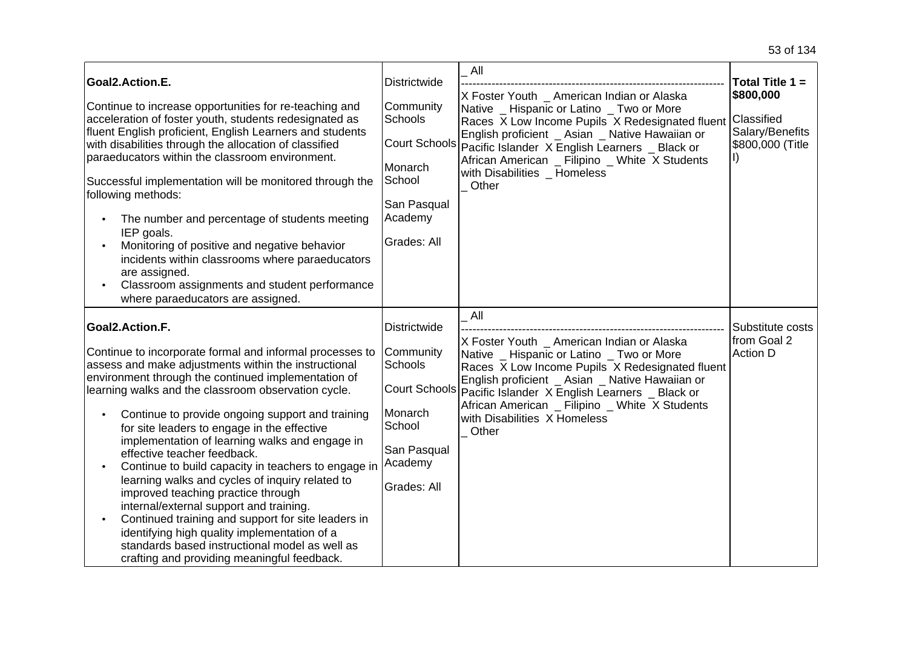| Goal2.Action.E.<br>Continue to increase opportunities for re-teaching and<br>acceleration of foster youth, students redesignated as<br>fluent English proficient, English Learners and students<br>with disabilities through the allocation of classified<br>paraeducators within the classroom environment.<br>Successful implementation will be monitored through the<br>following methods:<br>The number and percentage of students meeting<br>IEP goals.<br>Monitoring of positive and negative behavior<br>incidents within classrooms where paraeducators<br>are assigned.<br>Classroom assignments and student performance<br>where paraeducators are assigned.                                                                                                                                                                  | <b>Districtwide</b><br>Community<br><b>Schools</b><br>Monarch<br>School<br>San Pasqual<br>Academy<br>Grades: All                  | All<br>X Foster Youth _ American Indian or Alaska<br>Native _ Hispanic or Latino _ Two or More<br>Races X Low Income Pupils X Redesignated fluent<br>English proficient _ Asian _ Native Hawaiian or<br>Court Schools Pacific Islander X English Learners _ Black or<br>African American _ Filipino _ White X Students<br>with Disabilities _ Homeless<br>Other<br>All | Total Title 1 =<br>\$800,000<br>Classified<br>Salary/Benefits<br>\$800,000 (Title |
|-----------------------------------------------------------------------------------------------------------------------------------------------------------------------------------------------------------------------------------------------------------------------------------------------------------------------------------------------------------------------------------------------------------------------------------------------------------------------------------------------------------------------------------------------------------------------------------------------------------------------------------------------------------------------------------------------------------------------------------------------------------------------------------------------------------------------------------------|-----------------------------------------------------------------------------------------------------------------------------------|------------------------------------------------------------------------------------------------------------------------------------------------------------------------------------------------------------------------------------------------------------------------------------------------------------------------------------------------------------------------|-----------------------------------------------------------------------------------|
| Goal2.Action.F.<br>Continue to incorporate formal and informal processes to<br>assess and make adjustments within the instructional<br>environment through the continued implementation of<br>learning walks and the classroom observation cycle.<br>Continue to provide ongoing support and training<br>for site leaders to engage in the effective<br>implementation of learning walks and engage in<br>effective teacher feedback.<br>Continue to build capacity in teachers to engage in<br>learning walks and cycles of inquiry related to<br>improved teaching practice through<br>internal/external support and training.<br>Continued training and support for site leaders in<br>identifying high quality implementation of a<br>standards based instructional model as well as<br>crafting and providing meaningful feedback. | Districtwide<br>Community<br><b>Schools</b><br><b>Court Schools</b><br>Monarch<br>School<br>San Pasqual<br>Academy<br>Grades: All | X Foster Youth _ American Indian or Alaska<br>Native _ Hispanic or Latino _ Two or More<br>Races X Low Income Pupils X Redesignated fluent<br>English proficient _ Asian _ Native Hawaiian or<br>Pacific Islander X English Learners _ Black or<br>African American _ Filipino _ White X Students<br>with Disabilities X Homeless<br>Other                             | Substitute costs<br>from Goal 2<br><b>Action D</b>                                |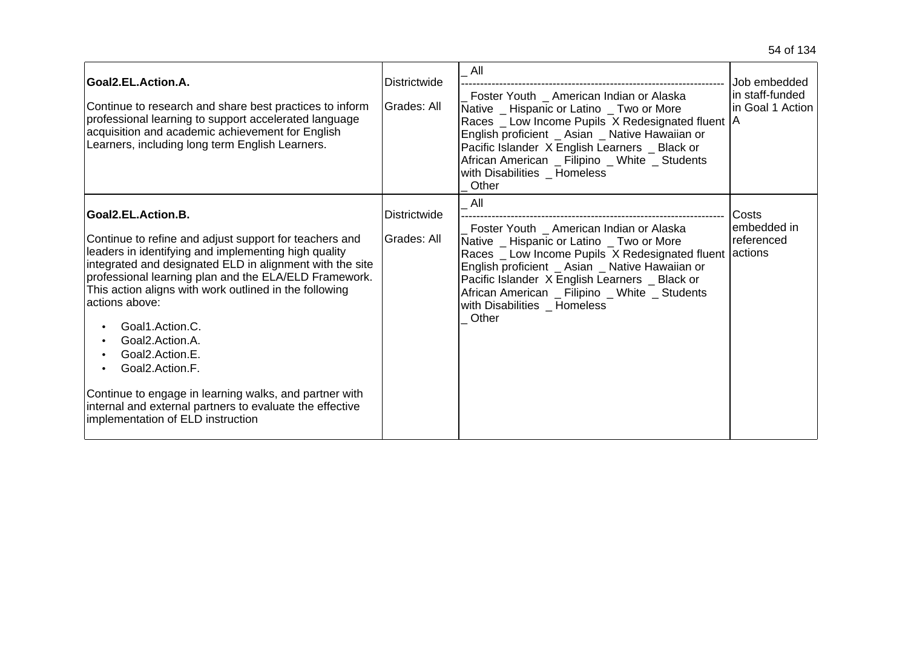| Goal2.EL.Action.A.<br>Continue to research and share best practices to inform<br>professional learning to support accelerated language<br>acquisition and academic achievement for English<br>Learners, including long term English Learners.                                                                                                                                                                                                                                                                                                                                                                      | Districtwide<br>Grades: All | All<br>Foster Youth _ American Indian or Alaska<br>Native _ Hispanic or Latino _ Two or More<br>Races _ Low Income Pupils X Redesignated fluent   A<br>English proficient _ Asian _ Native Hawaiian or<br>Pacific Islander X English Learners _ Black or<br>African American _ Filipino _ White _ Students<br>with Disabilities Homeless<br>Other | Job embedded<br>in staff-funded<br>in Goal 1 Action |
|--------------------------------------------------------------------------------------------------------------------------------------------------------------------------------------------------------------------------------------------------------------------------------------------------------------------------------------------------------------------------------------------------------------------------------------------------------------------------------------------------------------------------------------------------------------------------------------------------------------------|-----------------------------|---------------------------------------------------------------------------------------------------------------------------------------------------------------------------------------------------------------------------------------------------------------------------------------------------------------------------------------------------|-----------------------------------------------------|
| Goal2.EL.Action.B.<br>Continue to refine and adjust support for teachers and<br>leaders in identifying and implementing high quality<br>integrated and designated ELD in alignment with the site<br>professional learning plan and the ELA/ELD Framework.<br>This action aligns with work outlined in the following<br>actions above:<br>Goal1.Action.C.<br>Goal2.Action.A.<br>Goal <sub>2</sub> .Action.E.<br>Goal <sub>2</sub> .Action <sub>.F.</sub><br>Continue to engage in learning walks, and partner with<br>internal and external partners to evaluate the effective<br>implementation of ELD instruction | Districtwide<br>Grades: All | All<br>Foster Youth _ American Indian or Alaska<br>Native _ Hispanic or Latino _ Two or More<br>Races _ Low Income Pupils X Redesignated fluent<br>English proficient _ Asian _ Native Hawaiian or<br>Pacific Islander X English Learners _ Black or<br>African American _ Filipino _ White _ Students<br>with Disabilities Homeless<br>Other     | Costs<br>lembedded in<br>referenced<br>lactions     |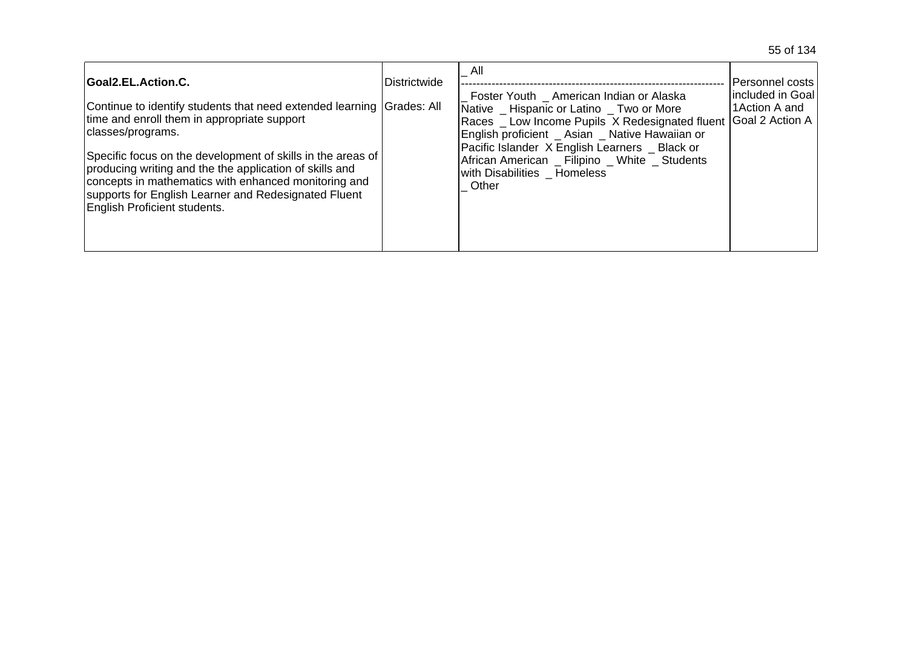| Goal2.EL.Action.C.                                                                                                                                                                                                                                                                                                                                                                                                  | <b>Districtwide</b> | All                                                                                                                                                                                                                                                                                                                          | IPersonnel costs                                               |
|---------------------------------------------------------------------------------------------------------------------------------------------------------------------------------------------------------------------------------------------------------------------------------------------------------------------------------------------------------------------------------------------------------------------|---------------------|------------------------------------------------------------------------------------------------------------------------------------------------------------------------------------------------------------------------------------------------------------------------------------------------------------------------------|----------------------------------------------------------------|
| Continue to identify students that need extended learning Grades: All<br>time and enroll them in appropriate support<br>classes/programs.<br>Specific focus on the development of skills in the areas of<br>producing writing and the the application of skills and<br>concepts in mathematics with enhanced monitoring and<br>supports for English Learner and Redesignated Fluent<br>English Proficient students. |                     | Foster Youth American Indian or Alaska<br>Native Hispanic or Latino Two or More<br>Races Low Income Pupils X Redesignated fluent<br>English proficient _ Asian _ Native Hawaiian or<br>Pacific Islander X English Learners Black or<br>African American _ Filipino _ White _ Students<br>with Disabilities Homeless<br>Other | Iincluded in Goal<br>1 Action A and<br><b>IGoal 2 Action A</b> |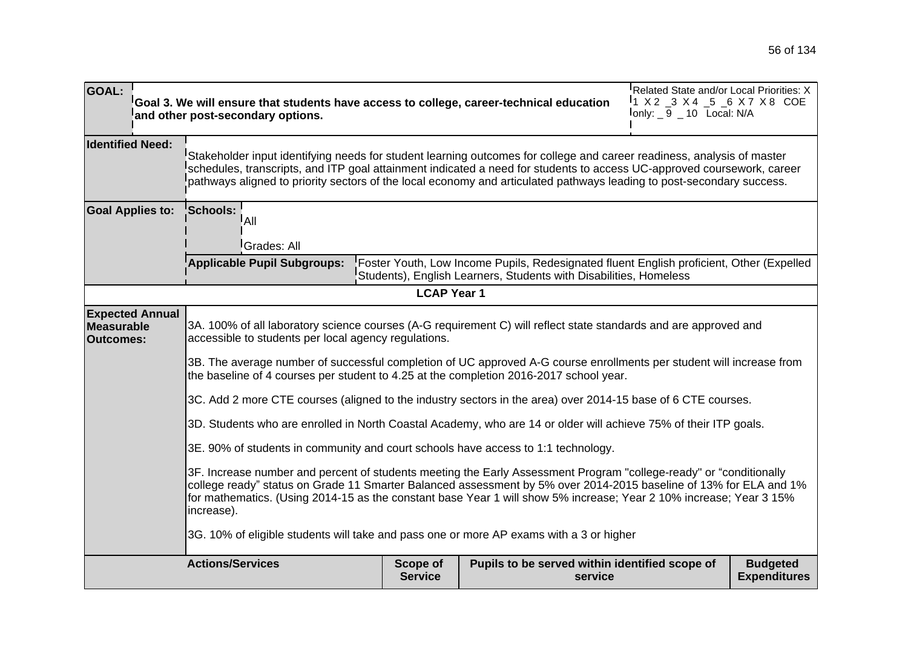| <b>GOAL:</b>                                                                                                                                                                                                                                                                                                                                                                | Goal 3. We will ensure that students have access to college, career-technical education<br>and other post-secondary options.                                                                                                                                                                                                                                              |                            |                                                                                                                                                               | Related State and/or Local Priorities: X<br>$11 \times 2$ $-3 \times 4$ $-5$ $-6 \times 7 \times 8$ COE<br>$I$ only: $\_9$ $\_10$ Local: N/A |                                        |
|-----------------------------------------------------------------------------------------------------------------------------------------------------------------------------------------------------------------------------------------------------------------------------------------------------------------------------------------------------------------------------|---------------------------------------------------------------------------------------------------------------------------------------------------------------------------------------------------------------------------------------------------------------------------------------------------------------------------------------------------------------------------|----------------------------|---------------------------------------------------------------------------------------------------------------------------------------------------------------|----------------------------------------------------------------------------------------------------------------------------------------------|----------------------------------------|
| <b>Identified Need:</b>                                                                                                                                                                                                                                                                                                                                                     | Stakeholder input identifying needs for student learning outcomes for college and career readiness, analysis of master<br>schedules, transcripts, and ITP goal attainment indicated a need for students to access UC-approved coursework, career<br>pathways aligned to priority sectors of the local economy and articulated pathways leading to post-secondary success. |                            |                                                                                                                                                               |                                                                                                                                              |                                        |
| <b>Goal Applies to:</b>                                                                                                                                                                                                                                                                                                                                                     | <b>Schools:</b><br>!A⊪<br>Grades: All                                                                                                                                                                                                                                                                                                                                     |                            |                                                                                                                                                               |                                                                                                                                              |                                        |
|                                                                                                                                                                                                                                                                                                                                                                             | <b>Applicable Pupil Subgroups:</b>                                                                                                                                                                                                                                                                                                                                        |                            | Foster Youth, Low Income Pupils, Redesignated fluent English proficient, Other (Expelled<br>Students), English Learners, Students with Disabilities, Homeless |                                                                                                                                              |                                        |
|                                                                                                                                                                                                                                                                                                                                                                             |                                                                                                                                                                                                                                                                                                                                                                           | <b>LCAP Year 1</b>         |                                                                                                                                                               |                                                                                                                                              |                                        |
| <b>Expected Annual</b><br><b>Measurable</b><br><b>Outcomes:</b>                                                                                                                                                                                                                                                                                                             | 3A. 100% of all laboratory science courses (A-G requirement C) will reflect state standards and are approved and<br>accessible to students per local agency regulations.                                                                                                                                                                                                  |                            |                                                                                                                                                               |                                                                                                                                              |                                        |
|                                                                                                                                                                                                                                                                                                                                                                             | 3B. The average number of successful completion of UC approved A-G course enrollments per student will increase from<br>the baseline of 4 courses per student to 4.25 at the completion 2016-2017 school year.                                                                                                                                                            |                            |                                                                                                                                                               |                                                                                                                                              |                                        |
|                                                                                                                                                                                                                                                                                                                                                                             | 3C. Add 2 more CTE courses (aligned to the industry sectors in the area) over 2014-15 base of 6 CTE courses.                                                                                                                                                                                                                                                              |                            |                                                                                                                                                               |                                                                                                                                              |                                        |
|                                                                                                                                                                                                                                                                                                                                                                             | 3D. Students who are enrolled in North Coastal Academy, who are 14 or older will achieve 75% of their ITP goals.                                                                                                                                                                                                                                                          |                            |                                                                                                                                                               |                                                                                                                                              |                                        |
|                                                                                                                                                                                                                                                                                                                                                                             | 3E. 90% of students in community and court schools have access to 1:1 technology.                                                                                                                                                                                                                                                                                         |                            |                                                                                                                                                               |                                                                                                                                              |                                        |
| 3F. Increase number and percent of students meeting the Early Assessment Program "college-ready" or "conditionally<br>college ready" status on Grade 11 Smarter Balanced assessment by 5% over 2014-2015 baseline of 13% for ELA and 1%<br>for mathematics. (Using 2014-15 as the constant base Year 1 will show 5% increase; Year 2 10% increase; Year 3 15%<br>increase). |                                                                                                                                                                                                                                                                                                                                                                           |                            |                                                                                                                                                               |                                                                                                                                              |                                        |
|                                                                                                                                                                                                                                                                                                                                                                             | 3G. 10% of eligible students will take and pass one or more AP exams with a 3 or higher                                                                                                                                                                                                                                                                                   |                            |                                                                                                                                                               |                                                                                                                                              |                                        |
|                                                                                                                                                                                                                                                                                                                                                                             | <b>Actions/Services</b>                                                                                                                                                                                                                                                                                                                                                   | Scope of<br><b>Service</b> | Pupils to be served within identified scope of<br>service                                                                                                     |                                                                                                                                              | <b>Budgeted</b><br><b>Expenditures</b> |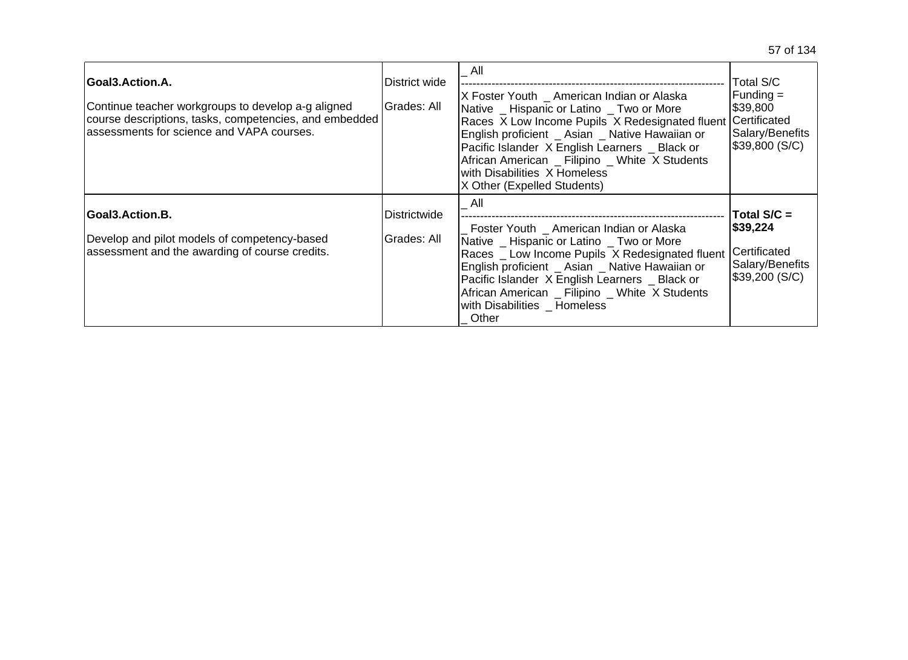| Goal3.Action.A.<br>Continue teacher workgroups to develop a-g aligned<br>course descriptions, tasks, competencies, and embedded<br>assessments for science and VAPA courses. | <b>District wide</b><br>Grades: All | All<br>X Foster Youth American Indian or Alaska<br>Native Hispanic or Latino Two or More<br>Races X Low Income Pupils X Redesignated fluent Certificated<br>English proficient _ Asian _ Native Hawaiian or<br>Pacific Islander X English Learners _ Black or<br>African American _ Filipino _ White X Students<br>with Disabilities X Homeless<br>X Other (Expelled Students) | Total S/C<br>Funding $=$<br>\$39,800<br>Salary/Benefits<br>\$39,800 (S/C)       |
|------------------------------------------------------------------------------------------------------------------------------------------------------------------------------|-------------------------------------|--------------------------------------------------------------------------------------------------------------------------------------------------------------------------------------------------------------------------------------------------------------------------------------------------------------------------------------------------------------------------------|---------------------------------------------------------------------------------|
| Goal3.Action.B.<br>Develop and pilot models of competency-based<br>assessment and the awarding of course credits.                                                            | Districtwide<br>Grades: All         | All<br>Foster Youth _ American Indian or Alaska<br>Native Hispanic or Latino Two or More<br>Races Low Income Pupils X Redesignated fluent<br>English proficient _ Asian _ Native Hawaiian or<br>Pacific Islander X English Learners _ Black or<br>African American _ Filipino _ White X Students<br>with Disabilities _ Homeless<br>Other                                      | Total $S/C =$<br> \$39,224<br>Certificated<br>Salary/Benefits<br>\$39,200 (S/C) |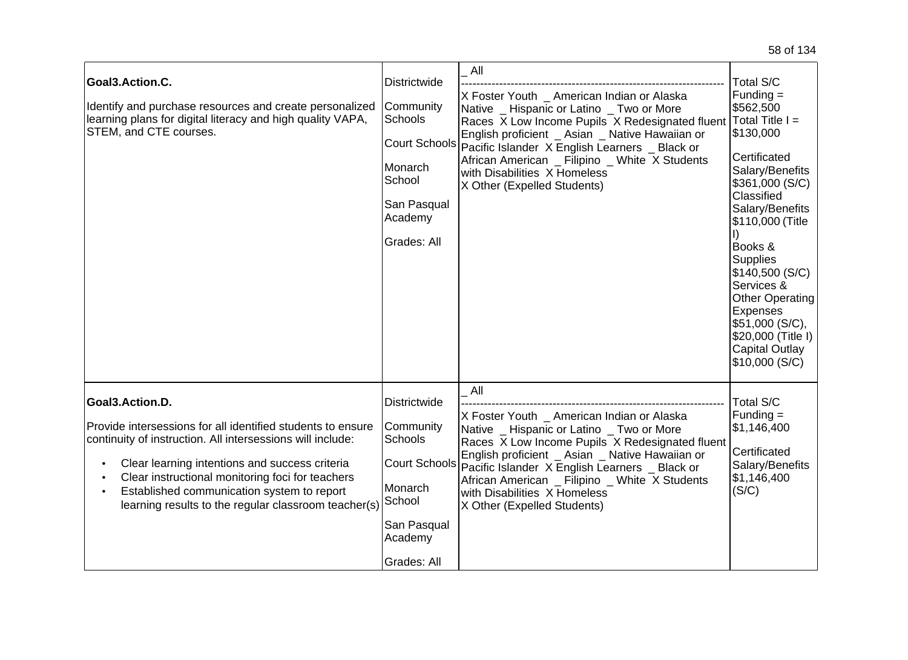| Goal3.Action.C.<br>Identify and purchase resources and create personalized<br>learning plans for digital literacy and high quality VAPA,<br>STEM, and CTE courses.                                                                                                                                                                                       | <b>Districtwide</b><br>Community<br>Schools<br>Monarch<br>School<br>San Pasqual<br>Academy<br>Grades: All                         | All<br>X Foster Youth _ American Indian or Alaska<br>Native _ Hispanic or Latino _ Two or More<br>Races X Low Income Pupils X Redesignated fluent Total Title I =<br>English proficient _ Asian _ Native Hawaiian or<br>Court Schools Pacific Islander X English Learners _ Black or<br>African American _ Filipino _ White X Students<br>with Disabilities X Homeless<br>X Other (Expelled Students) | Total S/C<br>$Funding =$<br>\$562,500<br>\$130,000<br>Certificated<br>Salary/Benefits<br>\$361,000 (S/C)<br>Classified<br>Salary/Benefits<br>\$110,000 (Title<br>Books &<br><b>Supplies</b><br>\$140,500 (S/C)<br>Services &<br><b>Other Operating</b><br>Expenses<br>\$51,000 (S/C),<br>\$20,000 (Title I)<br><b>Capital Outlay</b><br>\$10,000(S/C) |
|----------------------------------------------------------------------------------------------------------------------------------------------------------------------------------------------------------------------------------------------------------------------------------------------------------------------------------------------------------|-----------------------------------------------------------------------------------------------------------------------------------|-------------------------------------------------------------------------------------------------------------------------------------------------------------------------------------------------------------------------------------------------------------------------------------------------------------------------------------------------------------------------------------------------------|-------------------------------------------------------------------------------------------------------------------------------------------------------------------------------------------------------------------------------------------------------------------------------------------------------------------------------------------------------|
| Goal3.Action.D.<br>Provide intersessions for all identified students to ensure<br>continuity of instruction. All intersessions will include:<br>Clear learning intentions and success criteria<br>Clear instructional monitoring foci for teachers<br>Established communication system to report<br>learning results to the regular classroom teacher(s) | <b>Districtwide</b><br>Community<br><b>Schools</b><br>Court Schools<br>Monarch<br>School<br>San Pasqual<br>Academy<br>Grades: All | All<br>X Foster Youth _ American Indian or Alaska<br>Native _ Hispanic or Latino _ Two or More<br>Races X Low Income Pupils X Redesignated fluent<br>English proficient _ Asian _ Native Hawaiian or<br>Pacific Islander X English Learners _ Black or<br>African American _ Filipino _ White X Students<br>with Disabilities X Homeless<br>X Other (Expelled Students)                               | Total S/C<br>$Funding =$<br>\$1,146,400<br>Certificated<br>Salary/Benefits<br>\$1,146,400<br>(S/C)                                                                                                                                                                                                                                                    |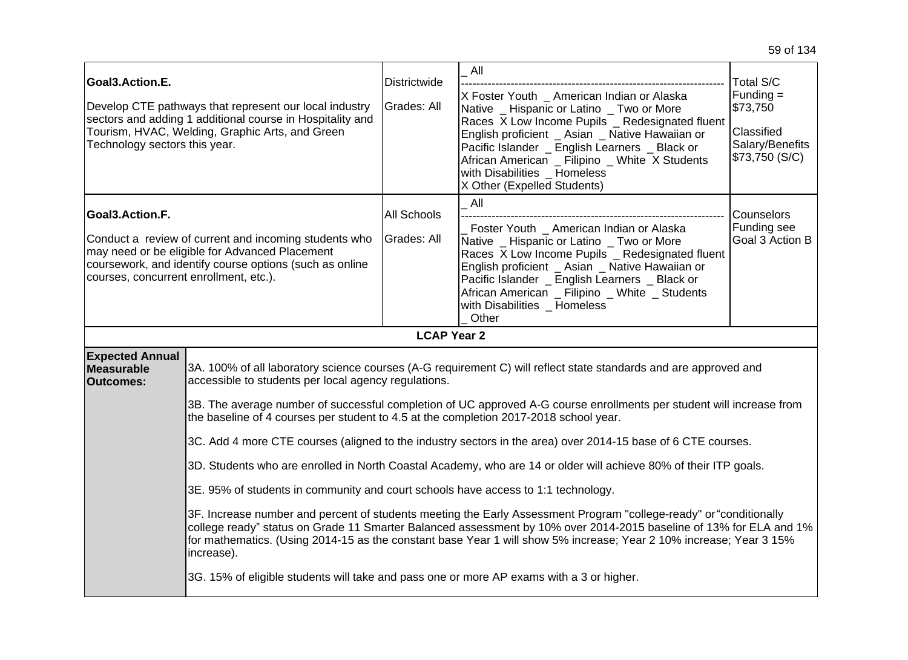| Goal3.Action.E.<br>Technology sectors this year.          | Develop CTE pathways that represent our local industry<br>sectors and adding 1 additional course in Hospitality and<br>Tourism, HVAC, Welding, Graphic Arts, and Green                                                                                                                                                                                                                                                                                                                                                                                                                                                                                                                                                                                                                                                                                                                                                                                                                                                                                                                                                                                                                         | Districtwide<br>Grades: All | All<br>X Foster Youth _ American Indian or Alaska<br>Native _ Hispanic or Latino _ Two or More<br>Races X Low Income Pupils _ Redesignated fluent<br>English proficient _ Asian _ Native Hawaiian or<br>Pacific Islander _ English Learners _ Black or<br>African American _ Filipino _ White X Students<br>with Disabilities _ Homeless<br>X Other (Expelled Students) | Total S/C<br>$Funding =$<br>\$73,750<br>Classified<br>Salary/Benefits<br>\$73,750 (S/C) |  |  |
|-----------------------------------------------------------|------------------------------------------------------------------------------------------------------------------------------------------------------------------------------------------------------------------------------------------------------------------------------------------------------------------------------------------------------------------------------------------------------------------------------------------------------------------------------------------------------------------------------------------------------------------------------------------------------------------------------------------------------------------------------------------------------------------------------------------------------------------------------------------------------------------------------------------------------------------------------------------------------------------------------------------------------------------------------------------------------------------------------------------------------------------------------------------------------------------------------------------------------------------------------------------------|-----------------------------|-------------------------------------------------------------------------------------------------------------------------------------------------------------------------------------------------------------------------------------------------------------------------------------------------------------------------------------------------------------------------|-----------------------------------------------------------------------------------------|--|--|
| Goal3.Action.F.<br>courses, concurrent enrollment, etc.). | Conduct a review of current and incoming students who<br>may need or be eligible for Advanced Placement<br>coursework, and identify course options (such as online                                                                                                                                                                                                                                                                                                                                                                                                                                                                                                                                                                                                                                                                                                                                                                                                                                                                                                                                                                                                                             | All Schools<br>Grades: All  | All<br>Foster Youth _ American Indian or Alaska<br>Native _ Hispanic or Latino _ Two or More<br>Races X Low Income Pupils _ Redesignated fluent<br>English proficient Asian Native Hawaiian or<br>Pacific Islander _ English Learners _ Black or<br>African American _ Filipino _ White _ Students<br>with Disabilities _ Homeless<br>Other                             | Counselors<br>Funding see<br>Goal 3 Action B                                            |  |  |
|                                                           |                                                                                                                                                                                                                                                                                                                                                                                                                                                                                                                                                                                                                                                                                                                                                                                                                                                                                                                                                                                                                                                                                                                                                                                                | <b>LCAP Year 2</b>          |                                                                                                                                                                                                                                                                                                                                                                         |                                                                                         |  |  |
| <b>Expected Annual</b><br>Measurable<br><b>Outcomes:</b>  | 3A. 100% of all laboratory science courses (A-G requirement C) will reflect state standards and are approved and<br>accessible to students per local agency regulations.<br>3B. The average number of successful completion of UC approved A-G course enrollments per student will increase from<br>the baseline of 4 courses per student to 4.5 at the completion 2017-2018 school year.<br>3C. Add 4 more CTE courses (aligned to the industry sectors in the area) over 2014-15 base of 6 CTE courses.<br>3D. Students who are enrolled in North Coastal Academy, who are 14 or older will achieve 80% of their ITP goals.<br>3E. 95% of students in community and court schools have access to 1:1 technology.<br>3F. Increase number and percent of students meeting the Early Assessment Program "college-ready" or "conditionally<br>college ready" status on Grade 11 Smarter Balanced assessment by 10% over 2014-2015 baseline of 13% for ELA and 1%<br>for mathematics. (Using 2014-15 as the constant base Year 1 will show 5% increase; Year 2 10% increase; Year 3 15%<br>increase).<br>3G. 15% of eligible students will take and pass one or more AP exams with a 3 or higher. |                             |                                                                                                                                                                                                                                                                                                                                                                         |                                                                                         |  |  |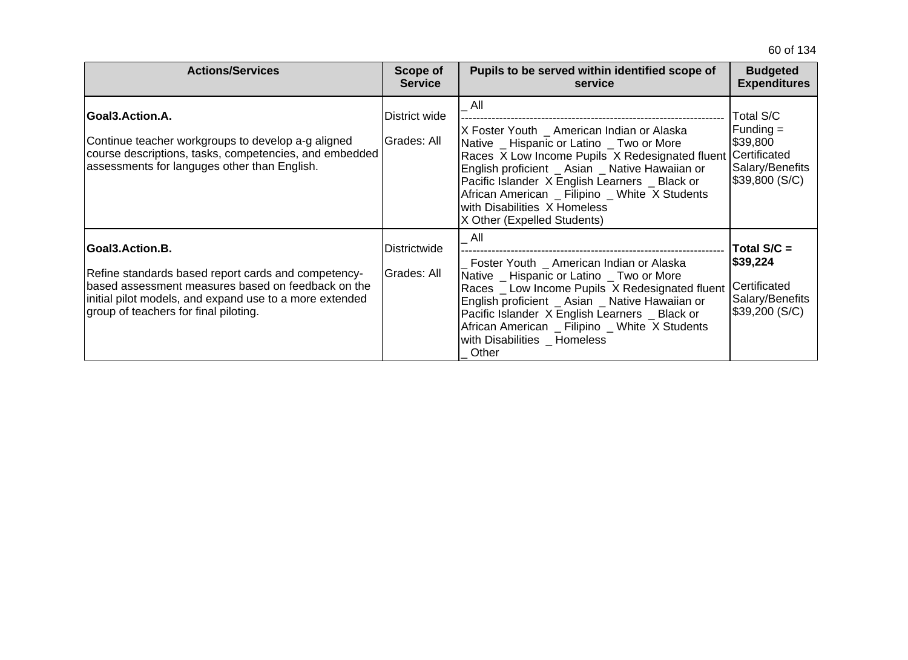| <b>Actions/Services</b>                                                                                                                                                                                                          | Scope of<br><b>Service</b>   | Pupils to be served within identified scope of<br>service                                                                                                                                                                                                                                                                                                               | <b>Budgeted</b><br><b>Expenditures</b>                                                           |
|----------------------------------------------------------------------------------------------------------------------------------------------------------------------------------------------------------------------------------|------------------------------|-------------------------------------------------------------------------------------------------------------------------------------------------------------------------------------------------------------------------------------------------------------------------------------------------------------------------------------------------------------------------|--------------------------------------------------------------------------------------------------|
| Goal3.Action.A.<br>Continue teacher workgroups to develop a-g aligned<br>course descriptions, tasks, competencies, and embedded<br>assessments for languges other than English.                                                  | District wide<br>Grades: All | All<br>X Foster Youth _ American Indian or Alaska<br>Native _ Hispanic or Latino _ Two or More<br>Races X Low Income Pupils X Redesignated fluent<br>English proficient _ Asian _ Native Hawaiian or<br>Pacific Islander X English Learners _ Black or<br>African American _ Filipino _ White X Students<br>with Disabilities X Homeless<br>X Other (Expelled Students) | Total S/C<br>$Funding =$<br>\$39,800<br><b>Certificated</b><br>Salary/Benefits<br>\$39,800 (S/C) |
| Goal3.Action.B.<br>Refine standards based report cards and competency-<br>based assessment measures based on feedback on the<br>initial pilot models, and expand use to a more extended<br>group of teachers for final piloting. | Districtwide<br>Grades: All  | All<br>Foster Youth _ American Indian or Alaska<br>Native _ Hispanic or Latino _ Two or More<br>Races Low Income Pupils X Redesignated fluent<br>English proficient _ Asian _ Native Hawaiian or<br>Pacific Islander X English Learners _ Black or<br>African American _ Filipino _ White X Students<br>with Disabilities _ Homeless<br>Other                           | Total $S/C =$<br>\$39,224<br>Certificated<br>Salary/Benefits<br>\$39,200 (S/C)                   |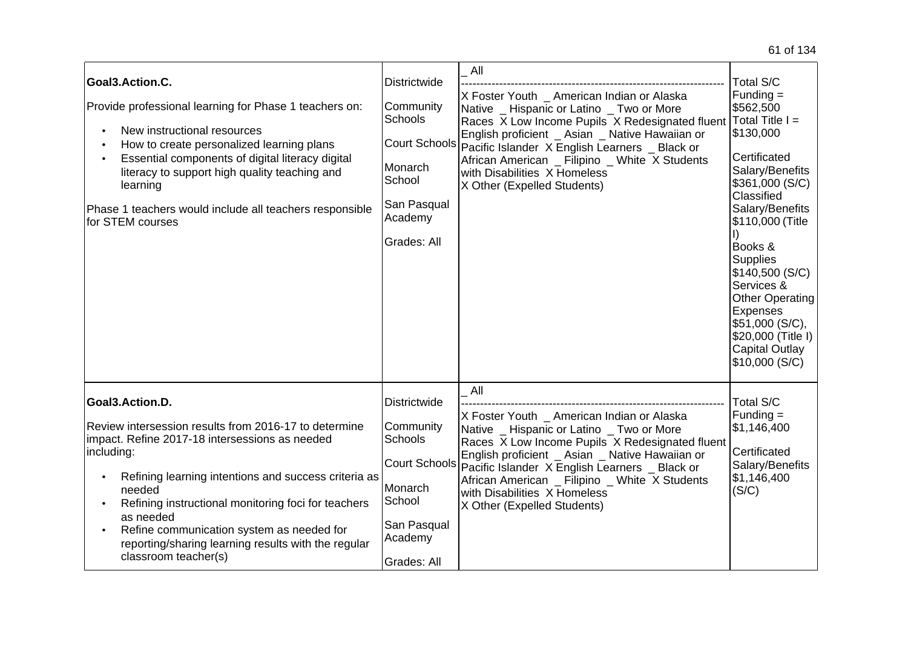| Goal3.Action.C.<br>Provide professional learning for Phase 1 teachers on:<br>New instructional resources<br>How to create personalized learning plans<br>Essential components of digital literacy digital<br>literacy to support high quality teaching and<br>learning<br>Phase 1 teachers would include all teachers responsible<br>for STEM courses                                                      | <b>Districtwide</b><br>Community<br>Schools<br>Monarch<br>School<br>San Pasqual<br>Academy<br>Grades: All                  | All<br>X Foster Youth _ American Indian or Alaska<br>Native _ Hispanic or Latino _ Two or More<br>Races X Low Income Pupils X Redesignated fluent<br>English proficient _ Asian _ Native Hawaiian or<br>Court Schools Pacific Islander X English Learners _ Black or<br>African American _ Filipino _ White X Students<br>with Disabilities X Homeless<br>X Other (Expelled Students) | Total S/C<br>$Funding =$<br>\$562,500<br>$Total Title I =$<br>\$130,000<br>Certificated<br>Salary/Benefits<br>\$361,000 (S/C)<br>Classified<br>Salary/Benefits<br>\$110,000 (Title<br>Books &<br><b>Supplies</b><br>\$140,500 (S/C)<br>Services &<br><b>Other Operating</b><br>Expenses<br>\$51,000 (S/C),<br>\$20,000 (Title I)<br><b>Capital Outlay</b><br>\$10,000 (S/C) |
|------------------------------------------------------------------------------------------------------------------------------------------------------------------------------------------------------------------------------------------------------------------------------------------------------------------------------------------------------------------------------------------------------------|----------------------------------------------------------------------------------------------------------------------------|---------------------------------------------------------------------------------------------------------------------------------------------------------------------------------------------------------------------------------------------------------------------------------------------------------------------------------------------------------------------------------------|-----------------------------------------------------------------------------------------------------------------------------------------------------------------------------------------------------------------------------------------------------------------------------------------------------------------------------------------------------------------------------|
| Goal3.Action.D.<br>Review intersession results from 2016-17 to determine<br>impact. Refine 2017-18 intersessions as needed<br>including:<br>Refining learning intentions and success criteria as<br>needed<br>Refining instructional monitoring foci for teachers<br>as needed<br>Refine communication system as needed for<br>reporting/sharing learning results with the regular<br>classroom teacher(s) | <b>Districtwide</b><br>Community<br>Schools<br>Court Schools<br>Monarch<br>School<br>San Pasqual<br>Academy<br>Grades: All | All<br>X Foster Youth _ American Indian or Alaska<br>Native _ Hispanic or Latino _ Two or More<br>Races X Low Income Pupils X Redesignated fluent<br>English proficient _ Asian _ Native Hawaiian or<br>Pacific Islander X English Learners _ Black or<br>African American _ Filipino _ White X Students<br>with Disabilities X Homeless<br>X Other (Expelled Students)               | <b>Total S/C</b><br>$Funding =$<br>\$1,146,400<br>Certificated<br>Salary/Benefits<br>\$1,146,400<br>(S/C)                                                                                                                                                                                                                                                                   |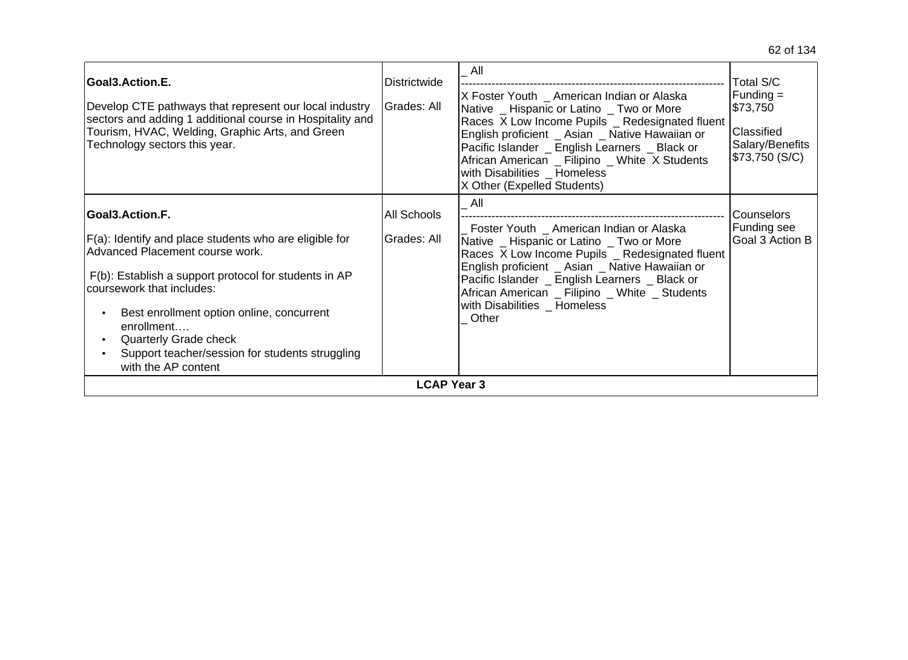| Goal3.Action.E.<br>Develop CTE pathways that represent our local industry<br>sectors and adding 1 additional course in Hospitality and<br>Tourism, HVAC, Welding, Graphic Arts, and Green<br>Technology sectors this year.                                                                                                                                              | Districtwide<br>Grades: All | All<br>X Foster Youth _ American Indian or Alaska<br>Native _ Hispanic or Latino _ Two or More<br>Races X Low Income Pupils _ Redesignated fluent<br>English proficient _ Asian _ Native Hawaiian or<br>Pacific Islander _ English Learners _ Black or<br>African American _ Filipino _ White X Students<br>with Disabilities _ Homeless<br>X Other (Expelled Students) | Total S/C<br>Funding $=$<br>\$73,750<br>Classified<br>Salary/Benefits<br>\$73,750 (S/C) |  |
|-------------------------------------------------------------------------------------------------------------------------------------------------------------------------------------------------------------------------------------------------------------------------------------------------------------------------------------------------------------------------|-----------------------------|-------------------------------------------------------------------------------------------------------------------------------------------------------------------------------------------------------------------------------------------------------------------------------------------------------------------------------------------------------------------------|-----------------------------------------------------------------------------------------|--|
| <b>Goal3.Action.F.</b><br>F(a): Identify and place students who are eligible for<br>Advanced Placement course work.<br>F(b): Establish a support protocol for students in AP<br>coursework that includes:<br>Best enrollment option online, concurrent<br>enrollment<br>Quarterly Grade check<br>Support teacher/session for students struggling<br>with the AP content | All Schools<br>Grades: All  | All<br>Foster Youth _ American Indian or Alaska<br>Native _ Hispanic or Latino _ Two or More<br>Races X Low Income Pupils _ Redesignated fluent<br>English proficient _ Asian _ Native Hawaiian or<br>Pacific Islander _ English Learners _ Black or<br>African American _ Filipino _ White _ Students<br>with Disabilities _ Homeless<br>Other                         | <b>Counselors</b><br>Funding see<br>Goal 3 Action B                                     |  |
| <b>LCAP Year 3</b>                                                                                                                                                                                                                                                                                                                                                      |                             |                                                                                                                                                                                                                                                                                                                                                                         |                                                                                         |  |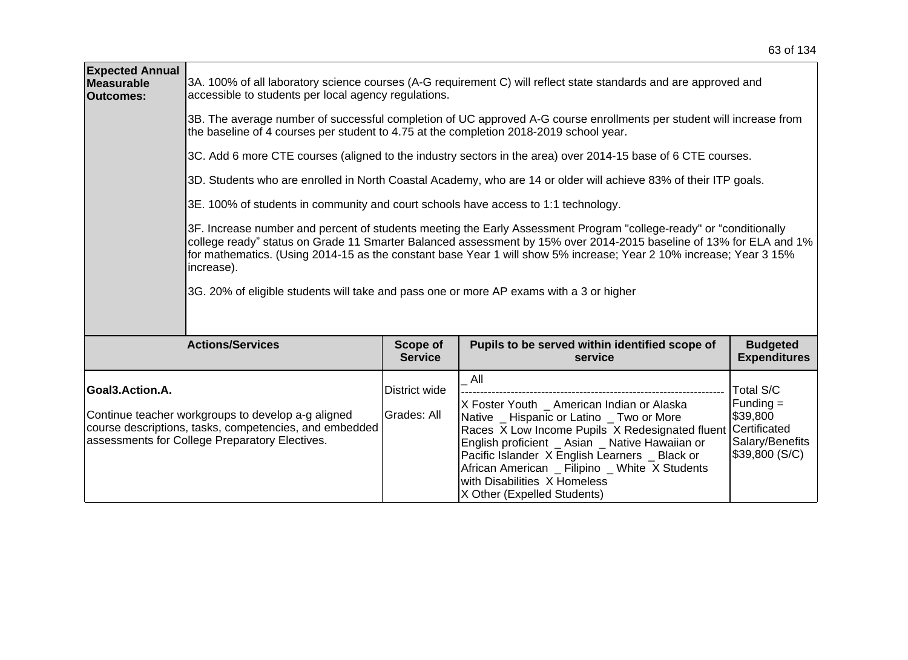| <b>Expected Annual</b><br><b>Measurable</b><br><b>Outcomes:</b> | 3A. 100% of all laboratory science courses (A-G requirement C) will reflect state standards and are approved and<br>accessible to students per local agency regulations.                                                                                                                                                                                                                                                                                                |                              |                                                                                                                                                                                                                                                                                                                                                                         |                                                                                                 |  |  |
|-----------------------------------------------------------------|-------------------------------------------------------------------------------------------------------------------------------------------------------------------------------------------------------------------------------------------------------------------------------------------------------------------------------------------------------------------------------------------------------------------------------------------------------------------------|------------------------------|-------------------------------------------------------------------------------------------------------------------------------------------------------------------------------------------------------------------------------------------------------------------------------------------------------------------------------------------------------------------------|-------------------------------------------------------------------------------------------------|--|--|
|                                                                 | 3B. The average number of successful completion of UC approved A-G course enrollments per student will increase from<br>the baseline of 4 courses per student to 4.75 at the completion 2018-2019 school year.                                                                                                                                                                                                                                                          |                              |                                                                                                                                                                                                                                                                                                                                                                         |                                                                                                 |  |  |
|                                                                 |                                                                                                                                                                                                                                                                                                                                                                                                                                                                         |                              | 3C. Add 6 more CTE courses (aligned to the industry sectors in the area) over 2014-15 base of 6 CTE courses.                                                                                                                                                                                                                                                            |                                                                                                 |  |  |
|                                                                 |                                                                                                                                                                                                                                                                                                                                                                                                                                                                         |                              | 3D. Students who are enrolled in North Coastal Academy, who are 14 or older will achieve 83% of their ITP goals.                                                                                                                                                                                                                                                        |                                                                                                 |  |  |
|                                                                 | 3E. 100% of students in community and court schools have access to 1:1 technology.                                                                                                                                                                                                                                                                                                                                                                                      |                              |                                                                                                                                                                                                                                                                                                                                                                         |                                                                                                 |  |  |
|                                                                 | 3F. Increase number and percent of students meeting the Early Assessment Program "college-ready" or "conditionally<br>college ready" status on Grade 11 Smarter Balanced assessment by 15% over 2014-2015 baseline of 13% for ELA and 1%<br>for mathematics. (Using 2014-15 as the constant base Year 1 will show 5% increase; Year 2 10% increase; Year 3 15%<br>increase).<br>3G. 20% of eligible students will take and pass one or more AP exams with a 3 or higher |                              |                                                                                                                                                                                                                                                                                                                                                                         |                                                                                                 |  |  |
|                                                                 |                                                                                                                                                                                                                                                                                                                                                                                                                                                                         |                              |                                                                                                                                                                                                                                                                                                                                                                         |                                                                                                 |  |  |
|                                                                 | <b>Actions/Services</b>                                                                                                                                                                                                                                                                                                                                                                                                                                                 | Scope of<br><b>Service</b>   | Pupils to be served within identified scope of<br>service                                                                                                                                                                                                                                                                                                               | <b>Budgeted</b><br><b>Expenditures</b>                                                          |  |  |
| Goal3.Action.A.                                                 | Continue teacher workgroups to develop a-g aligned<br>course descriptions, tasks, competencies, and embedded<br>assessments for College Preparatory Electives.                                                                                                                                                                                                                                                                                                          | District wide<br>Grades: All | All<br>X Foster Youth _ American Indian or Alaska<br>Native _ Hispanic or Latino _ Two or More<br>Races X Low Income Pupils X Redesignated fluent<br>English proficient _ Asian _ Native Hawaiian or<br>Pacific Islander X English Learners _ Black or<br>African American _ Filipino _ White X Students<br>with Disabilities X Homeless<br>X Other (Expelled Students) | Total S/C<br>$Funding =$<br>\$39,800<br><b>Certificated</b><br>Salary/Benefits<br>\$39,800(S/C) |  |  |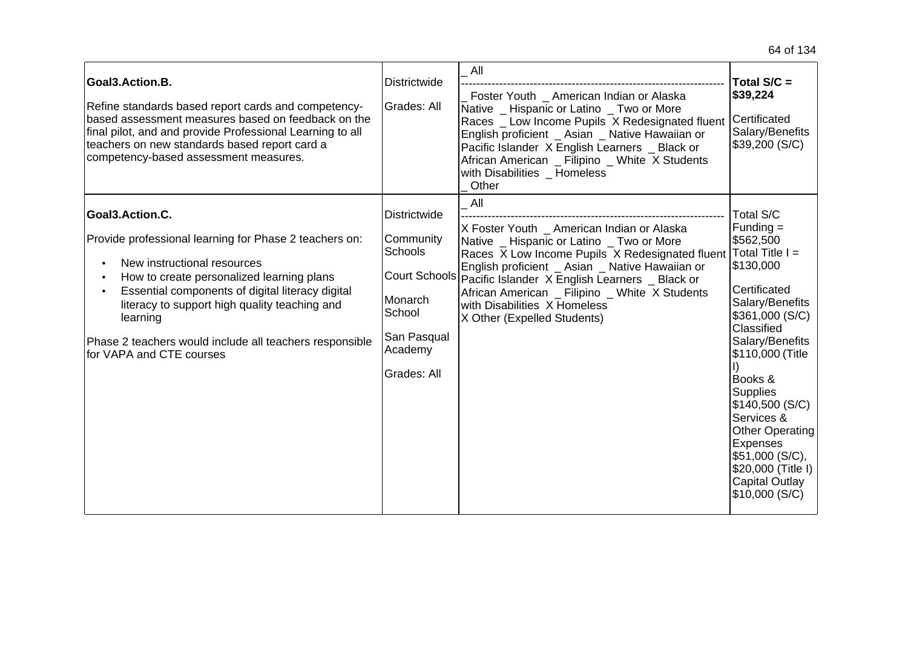| Goal3.Action.B.<br>Refine standards based report cards and competency-<br>based assessment measures based on feedback on the<br>final pilot, and and provide Professional Learning to all<br>teachers on new standards based report card a<br>competency-based assessment measures.                                                                           | <b>Districtwide</b><br>Grades: All                                                                               | All<br>Foster Youth American Indian or Alaska<br>Native Hispanic or Latino Two or More<br>Races _ Low Income Pupils X Redesignated fluent<br>English proficient _ Asian _ Native Hawaiian or<br>Pacific Islander X English Learners _ Black or<br>African American _ Filipino _ White X Students<br>with Disabilities Homeless<br>Other                                                             | Total $S/C =$<br>\$39,224<br>Certificated<br>Salary/Benefits<br>\$39,200 (S/C)                                                                                                                                                                                                                                                           |
|---------------------------------------------------------------------------------------------------------------------------------------------------------------------------------------------------------------------------------------------------------------------------------------------------------------------------------------------------------------|------------------------------------------------------------------------------------------------------------------|-----------------------------------------------------------------------------------------------------------------------------------------------------------------------------------------------------------------------------------------------------------------------------------------------------------------------------------------------------------------------------------------------------|------------------------------------------------------------------------------------------------------------------------------------------------------------------------------------------------------------------------------------------------------------------------------------------------------------------------------------------|
| Goal3.Action.C.<br>Provide professional learning for Phase 2 teachers on:<br>New instructional resources<br>How to create personalized learning plans<br>Essential components of digital literacy digital<br>literacy to support high quality teaching and<br>learning<br>Phase 2 teachers would include all teachers responsible<br>for VAPA and CTE courses | <b>Districtwide</b><br>Community<br><b>Schools</b><br>Monarch<br>School<br>San Pasqual<br>Academy<br>Grades: All | All<br>X Foster Youth American Indian or Alaska<br>Native _ Hispanic or Latino _ Two or More<br>Races X Low Income Pupils X Redesignated fluent Total Title I =<br>English proficient _ Asian _ Native Hawaiian or<br>Court Schools Pacific Islander X English Learners _ Black or<br>African American _ Filipino _ White X Students<br>with Disabilities X Homeless<br>X Other (Expelled Students) | Total S/C<br>$Funding =$<br>\$562,500<br>\$130,000<br>Certificated<br>Salary/Benefits<br>\$361,000 (S/C)<br>Classified<br>Salary/Benefits<br>\$110,000 (Title<br>Books &<br><b>Supplies</b><br>\$140,500 (S/C)<br>Services &<br>Other Operating<br>Expenses<br>\$51,000 (S/C),<br>\$20,000 (Title I)<br>Capital Outlay<br>\$10,000 (S/C) |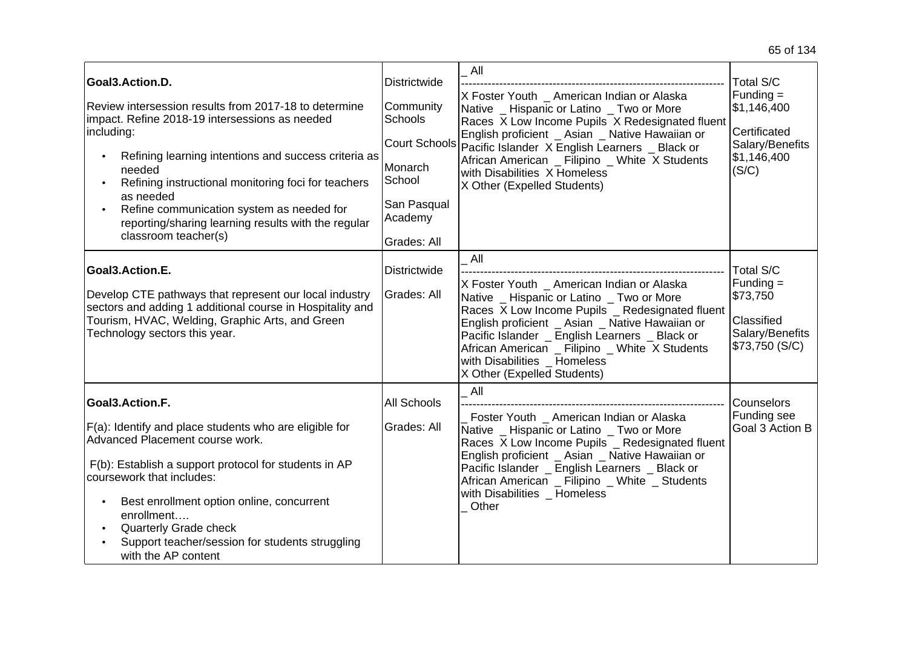| Goal3.Action.D.<br>Review intersession results from 2017-18 to determine<br>impact. Refine 2018-19 intersessions as needed<br>including:<br>Refining learning intentions and success criteria as<br>needed<br>Refining instructional monitoring foci for teachers<br>as needed<br>Refine communication system as needed for<br>reporting/sharing learning results with the regular<br>classroom teacher(s) | Districtwide<br>Community<br>Schools<br>Monarch<br>School<br>San Pasqual<br>Academy<br>Grades: All | All<br>X Foster Youth _ American Indian or Alaska<br>Native _ Hispanic or Latino _ Two or More<br>Races X Low Income Pupils X Redesignated fluent<br>English proficient _ Asian _ Native Hawaiian or<br>Court Schools Pacific Islander X English Learners _ Black or<br>African American Filipino White X Students<br>with Disabilities X Homeless<br>X Other (Expelled Students) | Total S/C<br>$Funding =$<br>\$1,146,400<br>Certificated<br>Salary/Benefits<br>\$1,146,400<br>(S/C) |
|------------------------------------------------------------------------------------------------------------------------------------------------------------------------------------------------------------------------------------------------------------------------------------------------------------------------------------------------------------------------------------------------------------|----------------------------------------------------------------------------------------------------|-----------------------------------------------------------------------------------------------------------------------------------------------------------------------------------------------------------------------------------------------------------------------------------------------------------------------------------------------------------------------------------|----------------------------------------------------------------------------------------------------|
| Goal3.Action.E.<br>Develop CTE pathways that represent our local industry<br>sectors and adding 1 additional course in Hospitality and<br>Tourism, HVAC, Welding, Graphic Arts, and Green<br>Technology sectors this year.                                                                                                                                                                                 | Districtwide<br>Grades: All                                                                        | All<br>X Foster Youth _ American Indian or Alaska<br>Native _ Hispanic or Latino _ Two or More<br>Races X Low Income Pupils _ Redesignated fluent<br>English proficient _ Asian _ Native Hawaiian or<br>Pacific Islander _ English Learners _ Black or<br>African American _ Filipino _ White X Students<br>with Disabilities Homeless<br>X Other (Expelled Students)             | Total S/C<br>$Funding =$<br>\$73,750<br>Classified<br>Salary/Benefits<br>\$73,750 (S/C)            |
| Goal3.Action.F.<br>F(a): Identify and place students who are eligible for<br>Advanced Placement course work.<br>F(b): Establish a support protocol for students in AP<br>coursework that includes:<br>Best enrollment option online, concurrent<br>$\bullet$<br>enrollment<br>Quarterly Grade check<br>Support teacher/session for students struggling<br>with the AP content                              | <b>All Schools</b><br>Grades: All                                                                  | All<br>Foster Youth _ American Indian or Alaska<br>Native _ Hispanic or Latino _ Two or More<br>Races X Low Income Pupils _ Redesignated fluent<br>English proficient _ Asian _ Native Hawaiian or<br>Pacific Islander _ English Learners _ Black or<br>African American _ Filipino _ White _ Students<br>with Disabilities Homeless<br>Other                                     | Counselors<br>Funding see<br>Goal 3 Action B                                                       |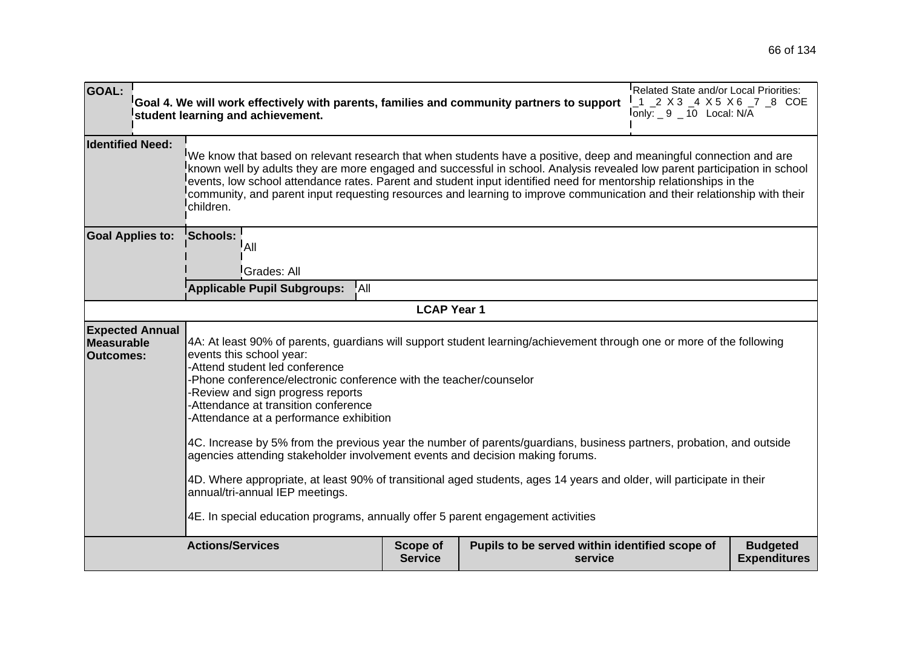| <b>GOAL:</b>                                                    | Goal 4. We will work effectively with parents, families and community partners to support<br>student learning and achievement.                                                                                                                                                                                                                                                                                                                                                                                                                                                                                                                                                                                                                                                                                                             |                            |                                                           | Related State and/or Local Priorities:<br><sup>I</sup> _1 _2 X 3 _4 X 5 X 6 _7 _8 COE<br>$I_{\text{only}:}$ _ 9 _ 10 Local: N/A |                                        |  |  |
|-----------------------------------------------------------------|--------------------------------------------------------------------------------------------------------------------------------------------------------------------------------------------------------------------------------------------------------------------------------------------------------------------------------------------------------------------------------------------------------------------------------------------------------------------------------------------------------------------------------------------------------------------------------------------------------------------------------------------------------------------------------------------------------------------------------------------------------------------------------------------------------------------------------------------|----------------------------|-----------------------------------------------------------|---------------------------------------------------------------------------------------------------------------------------------|----------------------------------------|--|--|
| <b>Identified Need:</b>                                         | We know that based on relevant research that when students have a positive, deep and meaningful connection and are<br>known well by adults they are more engaged and successful in school. Analysis revealed low parent participation in school<br>events, low school attendance rates. Parent and student input identified need for mentorship relationships in the<br>community, and parent input requesting resources and learning to improve communication and their relationship with their<br>children.                                                                                                                                                                                                                                                                                                                              |                            |                                                           |                                                                                                                                 |                                        |  |  |
| <b>Goal Applies to:</b>                                         | Schools:<br>'All<br>Grades: All<br>Applicable Pupil Subgroups:<br>!All                                                                                                                                                                                                                                                                                                                                                                                                                                                                                                                                                                                                                                                                                                                                                                     |                            |                                                           |                                                                                                                                 |                                        |  |  |
|                                                                 |                                                                                                                                                                                                                                                                                                                                                                                                                                                                                                                                                                                                                                                                                                                                                                                                                                            | <b>LCAP Year 1</b>         |                                                           |                                                                                                                                 |                                        |  |  |
| <b>Expected Annual</b><br><b>Measurable</b><br><b>Outcomes:</b> | 4A: At least 90% of parents, guardians will support student learning/achievement through one or more of the following<br>events this school year:<br>-Attend student led conference<br>-Phone conference/electronic conference with the teacher/counselor<br>-Review and sign progress reports<br>-Attendance at transition conference<br>-Attendance at a performance exhibition<br>4C. Increase by 5% from the previous year the number of parents/guardians, business partners, probation, and outside<br>agencies attending stakeholder involvement events and decision making forums.<br>4D. Where appropriate, at least 90% of transitional aged students, ages 14 years and older, will participate in their<br>annual/tri-annual IEP meetings.<br>4E. In special education programs, annually offer 5 parent engagement activities |                            |                                                           |                                                                                                                                 |                                        |  |  |
|                                                                 | <b>Actions/Services</b>                                                                                                                                                                                                                                                                                                                                                                                                                                                                                                                                                                                                                                                                                                                                                                                                                    | Scope of<br><b>Service</b> | Pupils to be served within identified scope of<br>service |                                                                                                                                 | <b>Budgeted</b><br><b>Expenditures</b> |  |  |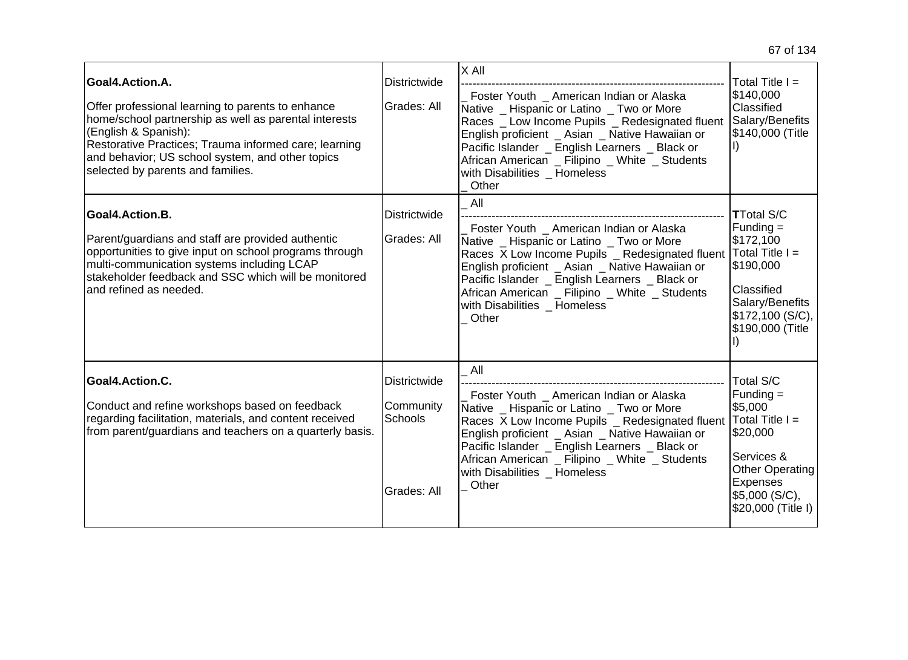| Goal4.Action.A.<br>Offer professional learning to parents to enhance<br>home/school partnership as well as parental interests<br>(English & Spanish):<br>Restorative Practices; Trauma informed care; learning<br>and behavior; US school system, and other topics<br>selected by parents and families. | <b>Districtwide</b><br>Grades: All                         | X All<br>Foster Youth _ American Indian or Alaska<br>Native _ Hispanic or Latino _ Two or More<br>Races _ Low Income Pupils _ Redesignated fluent<br>English proficient _ Asian _ Native Hawaiian or<br>Pacific Islander _ English Learners _ Black or<br>African American _ Filipino _ White _ Students<br>with Disabilities _ Homeless<br>Other | Total Title $I =$<br>\$140,000<br>Classified<br>Salary/Benefits<br>\$140,000 (Title                                                                       |
|---------------------------------------------------------------------------------------------------------------------------------------------------------------------------------------------------------------------------------------------------------------------------------------------------------|------------------------------------------------------------|---------------------------------------------------------------------------------------------------------------------------------------------------------------------------------------------------------------------------------------------------------------------------------------------------------------------------------------------------|-----------------------------------------------------------------------------------------------------------------------------------------------------------|
| Goal4.Action.B.<br>Parent/guardians and staff are provided authentic<br>opportunities to give input on school programs through<br>multi-communication systems including LCAP<br>stakeholder feedback and SSC which will be monitored<br>and refined as needed.                                          | <b>Districtwide</b><br>Grades: All                         | All<br>Foster Youth American Indian or Alaska<br>Native _ Hispanic or Latino _ Two or More<br>Races X Low Income Pupils _ Redesignated fluent<br>English proficient _ Asian _ Native Hawaiian or<br>Pacific Islander _ English Learners _ Black or<br>African American _ Filipino _ White _ Students<br>with Disabilities Homeless<br>Other       | <b>TTotal S/C</b><br>Funding =<br>\$172,100<br>$Total Title I =$<br>\$190,000<br>Classified<br>Salary/Benefits<br>\$172,100(S/C),<br>\$190,000 (Title     |
| Goal4.Action.C.<br>Conduct and refine workshops based on feedback<br>regarding facilitation, materials, and content received<br>from parent/guardians and teachers on a quarterly basis.                                                                                                                | <b>Districtwide</b><br>Community<br>Schools<br>Grades: All | All<br>Foster Youth _ American Indian or Alaska<br>Native _ Hispanic or Latino _ Two or More<br>Races X Low Income Pupils _ Redesignated fluent<br>English proficient _ Asian _ Native Hawaiian or<br>Pacific Islander _ English Learners _ Black or<br>African American _ Filipino _ White _ Students<br>with Disabilities Homeless<br>Other     | Total S/C<br>$Funding =$<br>\$5,000<br>$Total Title I =$<br>\$20,000<br>Services &<br>Other Operating<br>Expenses<br>\$5,000 (S/C),<br>\$20,000 (Title I) |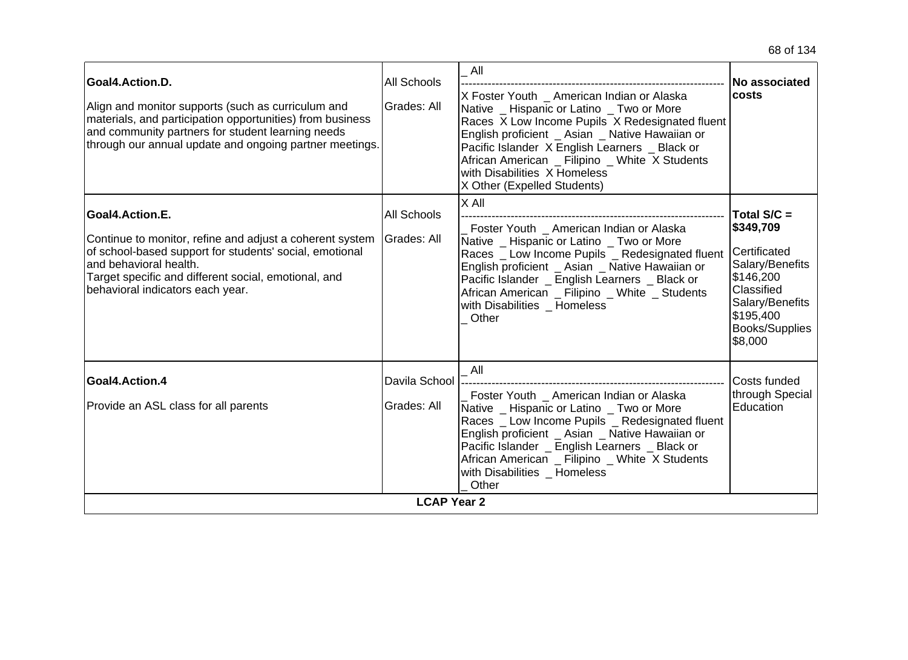| Goal4.Action.D.<br>Align and monitor supports (such as curriculum and<br>materials, and participation opportunities) from business<br>and community partners for student learning needs<br>through our annual update and ongoing partner meetings.           | All Schools<br>Grades: All   | All<br>X Foster Youth American Indian or Alaska<br>Native _ Hispanic or Latino _ Two or More<br>Races X Low Income Pupils X Redesignated fluent<br>English proficient _ Asian _ Native Hawaiian or<br>Pacific Islander X English Learners _ Black or<br>African American _ Filipino _ White X Students<br>with Disabilities X Homeless<br>X Other (Expelled Students) | No associated<br><b>costs</b>                                                                                                                              |  |
|--------------------------------------------------------------------------------------------------------------------------------------------------------------------------------------------------------------------------------------------------------------|------------------------------|-----------------------------------------------------------------------------------------------------------------------------------------------------------------------------------------------------------------------------------------------------------------------------------------------------------------------------------------------------------------------|------------------------------------------------------------------------------------------------------------------------------------------------------------|--|
| Goal4.Action.E.<br>Continue to monitor, refine and adjust a coherent system<br>of school-based support for students' social, emotional<br>and behavioral health.<br>Target specific and different social, emotional, and<br>behavioral indicators each year. | All Schools<br>Grades: All   | $X$ All<br>Foster Youth _ American Indian or Alaska<br>Native _ Hispanic or Latino _ Two or More<br>Races _ Low Income Pupils _ Redesignated fluent<br>English proficient _ Asian _ Native Hawaiian or<br>Pacific Islander _ English Learners _ Black or<br>African American _ Filipino _ White _ Students<br>with Disabilities Homeless<br>Other                     | Total S/C =<br>\$349,709<br>Certificated<br>Salary/Benefits<br>\$146,200<br>Classified<br>Salary/Benefits<br>\$195,400<br><b>Books/Supplies</b><br>\$8,000 |  |
| Goal4.Action.4<br>Provide an ASL class for all parents                                                                                                                                                                                                       | Davila School<br>Grades: All | All<br>Foster Youth _ American Indian or Alaska<br>Native _ Hispanic or Latino _ Two or More<br>Races _ Low Income Pupils _ Redesignated fluent<br>English proficient _ Asian _ Native Hawaiian or<br>Pacific Islander _ English Learners _ Black or<br>African American _ Filipino _ White X Students<br>with Disabilities Homeless<br>Other                         | Costs funded<br>through Special<br><b>Education</b>                                                                                                        |  |
| <b>LCAP Year 2</b>                                                                                                                                                                                                                                           |                              |                                                                                                                                                                                                                                                                                                                                                                       |                                                                                                                                                            |  |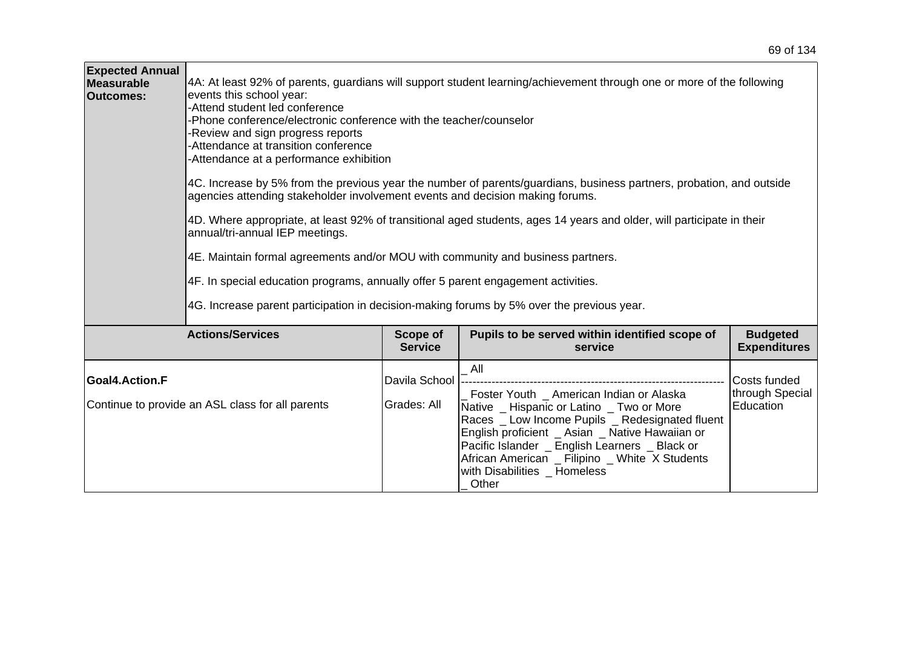| <b>Expected Annual</b><br>Measurable<br><b>Outcomes:</b> | 4A: At least 92% of parents, guardians will support student learning/achievement through one or more of the following<br>events this school year:<br>-Attend student led conference<br>-Phone conference/electronic conference with the teacher/counselor<br>Review and sign progress reports<br>-Attendance at transition conference<br>Attendance at a performance exhibition<br>4C. Increase by 5% from the previous year the number of parents/guardians, business partners, probation, and outside<br>agencies attending stakeholder involvement events and decision making forums.<br>4D. Where appropriate, at least 92% of transitional aged students, ages 14 years and older, will participate in their<br>annual/tri-annual IEP meetings.<br>4E. Maintain formal agreements and/or MOU with community and business partners.<br>4F. In special education programs, annually offer 5 parent engagement activities.<br>4G. Increase parent participation in decision-making forums by 5% over the previous year. |                                   |                                                                                                                                                                                                                                                                                                                                               |                                              |  |  |
|----------------------------------------------------------|---------------------------------------------------------------------------------------------------------------------------------------------------------------------------------------------------------------------------------------------------------------------------------------------------------------------------------------------------------------------------------------------------------------------------------------------------------------------------------------------------------------------------------------------------------------------------------------------------------------------------------------------------------------------------------------------------------------------------------------------------------------------------------------------------------------------------------------------------------------------------------------------------------------------------------------------------------------------------------------------------------------------------|-----------------------------------|-----------------------------------------------------------------------------------------------------------------------------------------------------------------------------------------------------------------------------------------------------------------------------------------------------------------------------------------------|----------------------------------------------|--|--|
|                                                          | <b>Actions/Services</b>                                                                                                                                                                                                                                                                                                                                                                                                                                                                                                                                                                                                                                                                                                                                                                                                                                                                                                                                                                                                   | <b>Scope of</b><br><b>Service</b> | Pupils to be served within identified scope of<br>service                                                                                                                                                                                                                                                                                     | <b>Budgeted</b><br><b>Expenditures</b>       |  |  |
| Goal4.Action.F                                           | Continue to provide an ASL class for all parents                                                                                                                                                                                                                                                                                                                                                                                                                                                                                                                                                                                                                                                                                                                                                                                                                                                                                                                                                                          | Davila School<br>Grades: All      | All<br>Foster Youth American Indian or Alaska<br>Native _ Hispanic or Latino _ Two or More<br>Races _ Low Income Pupils _ Redesignated fluent<br>English proficient _ Asian _ Native Hawaiian or<br>Pacific Islander _ English Learners _ Black or<br>African American _ Filipino _ White X Students<br>with Disabilities Homeless<br>_ Other | Costs funded<br>through Special<br>Education |  |  |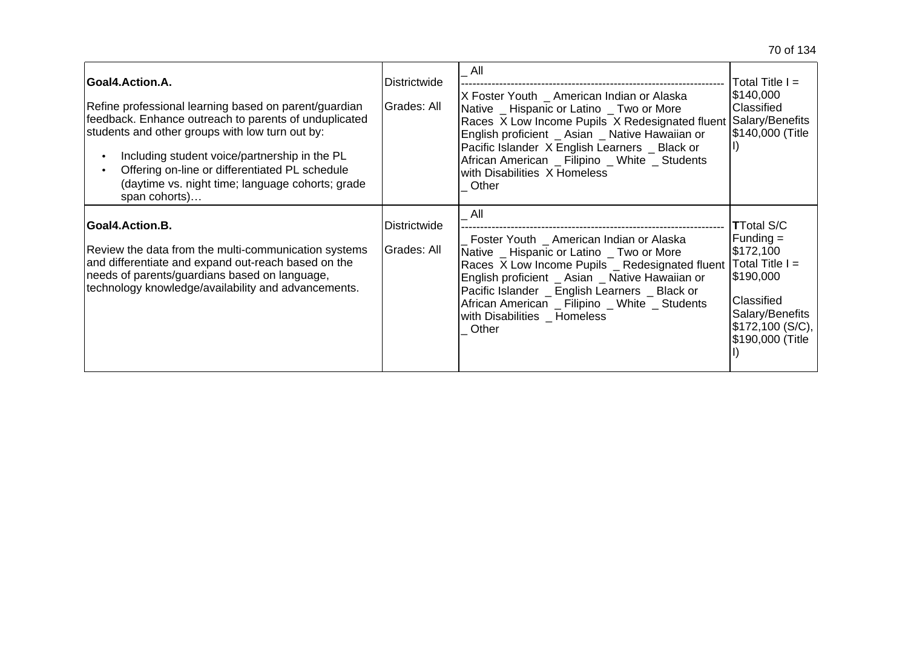| Goal4.Action.A.<br>Refine professional learning based on parent/guardian<br>feedback. Enhance outreach to parents of unduplicated<br>students and other groups with low turn out by:<br>Including student voice/partnership in the PL<br>Offering on-line or differentiated PL schedule<br>(daytime vs. night time; language cohorts; grade<br>span cohorts) | <b>Districtwide</b><br>Grades: All | _ All<br>X Foster Youth _ American Indian or Alaska<br>Native _ Hispanic or Latino _ Two or More<br>Races X Low Income Pupils X Redesignated fluent<br>English proficient _ Asian _ Native Hawaiian or<br>Pacific Islander X English Learners _ Black or<br>African American _ Filipino _ White _ Students<br>with Disabilities X Homeless<br>Other | Total Title $I =$<br>\$140,000<br>Classified<br>Salary/Benefits<br><b>\$140,000 (Title</b>                                                              |
|--------------------------------------------------------------------------------------------------------------------------------------------------------------------------------------------------------------------------------------------------------------------------------------------------------------------------------------------------------------|------------------------------------|-----------------------------------------------------------------------------------------------------------------------------------------------------------------------------------------------------------------------------------------------------------------------------------------------------------------------------------------------------|---------------------------------------------------------------------------------------------------------------------------------------------------------|
| Goal4.Action.B.<br>Review the data from the multi-communication systems<br>and differentiate and expand out-reach based on the<br>needs of parents/guardians based on language,<br>technology knowledge/availability and advancements.                                                                                                                       | Districtwide<br>Grades: All        | All<br>Foster Youth _ American Indian or Alaska<br>Native _ Hispanic or Latino _ Two or More<br>Races X Low Income Pupils _ Redesignated fluent<br>English proficient _ Asian _ Native Hawaiian or<br>Pacific Islander _ English Learners _ Black or<br>African American _ Filipino _ White _ Students<br>with Disabilities _ Homeless<br>Other     | <b>TTotal S/C</b><br>$Funding =$<br> \$172,100<br>$Total Title =$<br>\$190,000<br>Classified<br>Salary/Benefits<br>\$172,100 (S/C),<br>\$190,000 (Title |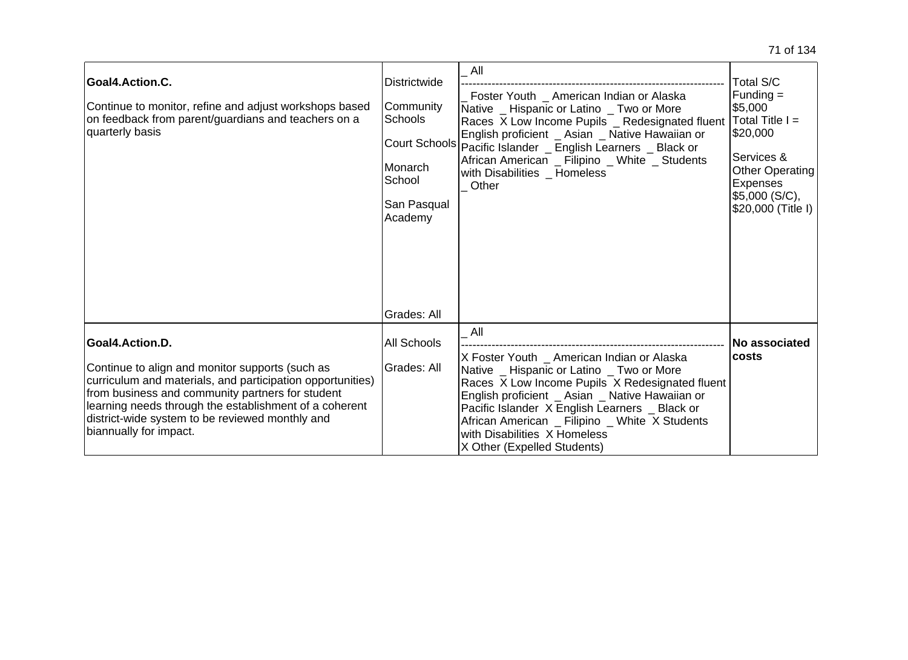| Goal4.Action.C.<br>Continue to monitor, refine and adjust workshops based<br>on feedback from parent/guardians and teachers on a<br>quarterly basis                                                                                                                                                                         | <b>Districtwide</b><br>Community<br>Schools<br>Monarch<br>School<br>San Pasqual<br>Academy | All<br>Foster Youth _ American Indian or Alaska<br>Native _ Hispanic or Latino _ Two or More<br>Races X Low Income Pupils _ Redesignated fluent<br>English proficient _ Asian _ Native Hawaiian or<br>Court Schools Pacific Islander _ English Learners _ Black or<br>African American _ Filipino _ White _ Students<br>with Disabilities _ Homeless<br>Other           | Total S/C<br>$Funding =$<br>\$5,000<br>Total Title I =<br>\$20,000<br>Services &<br>Other Operating<br>Expenses<br>\$5,000 (S/C),<br>\$20,000 (Title I) |
|-----------------------------------------------------------------------------------------------------------------------------------------------------------------------------------------------------------------------------------------------------------------------------------------------------------------------------|--------------------------------------------------------------------------------------------|-------------------------------------------------------------------------------------------------------------------------------------------------------------------------------------------------------------------------------------------------------------------------------------------------------------------------------------------------------------------------|---------------------------------------------------------------------------------------------------------------------------------------------------------|
|                                                                                                                                                                                                                                                                                                                             | Grades: All                                                                                |                                                                                                                                                                                                                                                                                                                                                                         |                                                                                                                                                         |
| Goal4.Action.D.<br>Continue to align and monitor supports (such as<br>curriculum and materials, and participation opportunities)<br>from business and community partners for student<br>learning needs through the establishment of a coherent<br>district-wide system to be reviewed monthly and<br>biannually for impact. | <b>All Schools</b><br>Grades: All                                                          | All<br>X Foster Youth _ American Indian or Alaska<br>Native _ Hispanic or Latino _ Two or More<br>Races X Low Income Pupils X Redesignated fluent<br>English proficient _ Asian _ Native Hawaiian or<br>Pacific Islander X English Learners _ Black or<br>African American _ Filipino _ White X Students<br>with Disabilities X Homeless<br>X Other (Expelled Students) | <b>No associated</b><br><b>costs</b>                                                                                                                    |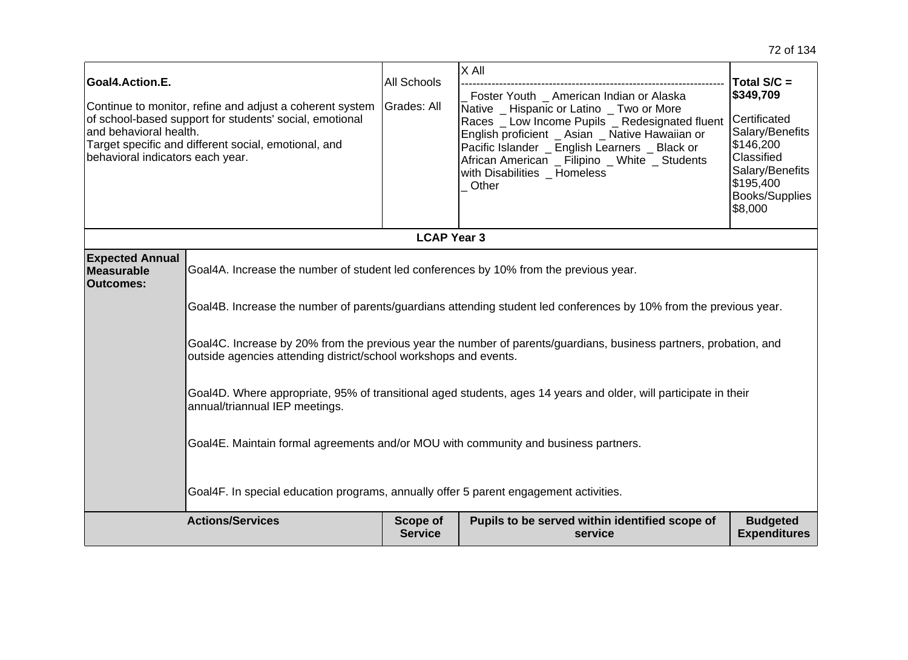| Goal4.Action.E.<br>Continue to monitor, refine and adjust a coherent system<br>of school-based support for students' social, emotional<br>land behavioral health.<br>Target specific and different social, emotional, and<br>behavioral indicators each year. |                                                                                                                                                                                                                                                                                                                                                                                                                                                                                                                                                                                                                                                                                                                                           | <b>All Schools</b><br>Grades: All<br><b>LCAP Year 3</b> | $ X$ All<br>Foster Youth _ American Indian or Alaska<br>Native _ Hispanic or Latino _ Two or More<br>Races _ Low Income Pupils _ Redesignated fluent<br>English proficient _ Asian _ Native Hawaiian or<br>Pacific Islander _ English Learners _ Black or<br>African American _ Filipino _ White _ Students<br>with Disabilities _ Homeless<br>Other | Total $S/C =$<br>\$349,709<br>Certificated<br>Salary/Benefits<br>\$146,200<br>Classified<br>Salary/Benefits<br>\$195,400<br><b>Books/Supplies</b><br>\$8,000 |
|---------------------------------------------------------------------------------------------------------------------------------------------------------------------------------------------------------------------------------------------------------------|-------------------------------------------------------------------------------------------------------------------------------------------------------------------------------------------------------------------------------------------------------------------------------------------------------------------------------------------------------------------------------------------------------------------------------------------------------------------------------------------------------------------------------------------------------------------------------------------------------------------------------------------------------------------------------------------------------------------------------------------|---------------------------------------------------------|------------------------------------------------------------------------------------------------------------------------------------------------------------------------------------------------------------------------------------------------------------------------------------------------------------------------------------------------------|--------------------------------------------------------------------------------------------------------------------------------------------------------------|
|                                                                                                                                                                                                                                                               |                                                                                                                                                                                                                                                                                                                                                                                                                                                                                                                                                                                                                                                                                                                                           |                                                         |                                                                                                                                                                                                                                                                                                                                                      |                                                                                                                                                              |
| <b>Expected Annual</b><br><b>Measurable</b><br><b>Outcomes:</b>                                                                                                                                                                                               | Goal4A. Increase the number of student led conferences by 10% from the previous year.<br>Goal4B. Increase the number of parents/guardians attending student led conferences by 10% from the previous year.<br>Goal4C. Increase by 20% from the previous year the number of parents/guardians, business partners, probation, and<br>outside agencies attending district/school workshops and events.<br>Goal4D. Where appropriate, 95% of transitional aged students, ages 14 years and older, will participate in their<br>annual/triannual IEP meetings.<br>Goal4E. Maintain formal agreements and/or MOU with community and business partners.<br>Goal4F. In special education programs, annually offer 5 parent engagement activities. |                                                         |                                                                                                                                                                                                                                                                                                                                                      |                                                                                                                                                              |
|                                                                                                                                                                                                                                                               | <b>Actions/Services</b>                                                                                                                                                                                                                                                                                                                                                                                                                                                                                                                                                                                                                                                                                                                   | Scope of<br><b>Service</b>                              | Pupils to be served within identified scope of<br>service                                                                                                                                                                                                                                                                                            | <b>Budgeted</b><br><b>Expenditures</b>                                                                                                                       |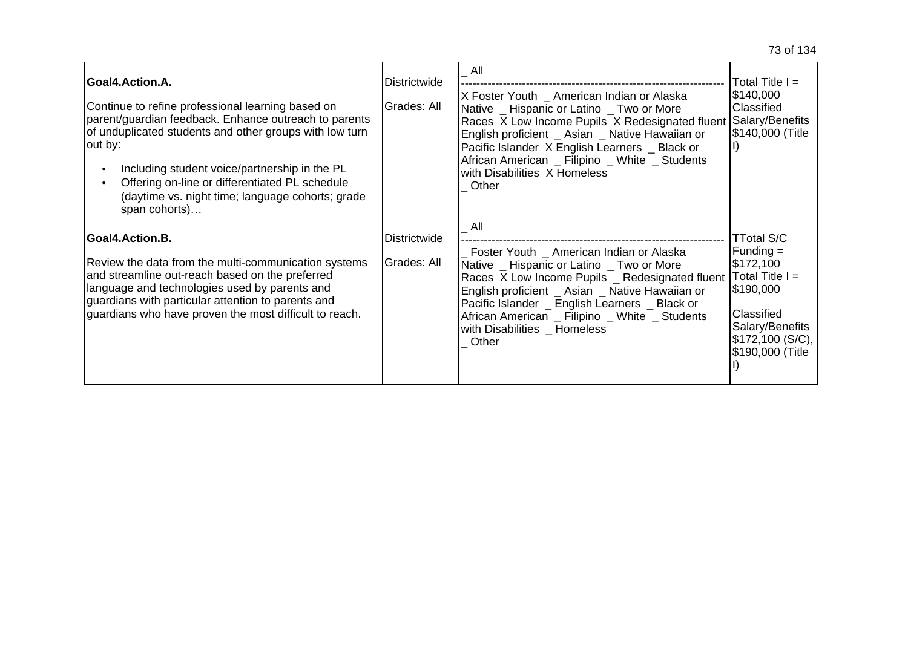| <b>Goal4.Action.A.</b><br>Continue to refine professional learning based on<br>parent/guardian feedback. Enhance outreach to parents<br>of unduplicated students and other groups with low turn<br>out by:<br>Including student voice/partnership in the PL<br>Offering on-line or differentiated PL schedule<br>(daytime vs. night time; language cohorts; grade<br>span cohorts) | Districtwide<br>Grades: All | $\_$ All<br>X Foster Youth _ American Indian or Alaska<br>Native _ Hispanic or Latino _ Two or More<br>Races X Low Income Pupils X Redesignated fluent<br>English proficient _ Asian _ Native Hawaiian or<br>Pacific Islander X English Learners _ Black or<br>African American _ Filipino _ White _ Students<br>with Disabilities X Homeless<br>Other | Total Title $I =$<br>\$140,000<br>Classified<br>Salary/Benefits<br>\$140,000 (Title                                                                       |
|------------------------------------------------------------------------------------------------------------------------------------------------------------------------------------------------------------------------------------------------------------------------------------------------------------------------------------------------------------------------------------|-----------------------------|--------------------------------------------------------------------------------------------------------------------------------------------------------------------------------------------------------------------------------------------------------------------------------------------------------------------------------------------------------|-----------------------------------------------------------------------------------------------------------------------------------------------------------|
| Goal4.Action.B.<br>Review the data from the multi-communication systems<br>and streamline out-reach based on the preferred<br>language and technologies used by parents and<br>guardians with particular attention to parents and<br>guardians who have proven the most difficult to reach.                                                                                        | Districtwide<br>Grades: All | All<br>Foster Youth _ American Indian or Alaska<br>Native _ Hispanic or Latino _ Two or More<br>Races X Low Income Pupils _ Redesignated fluent<br>English proficient _ Asian _ Native Hawaiian or<br>Pacific Islander _ English Learners _ Black or<br>African American _ Filipino _ White _ Students<br>with Disabilities Homeless<br>Other          | <b>TTotal S/C</b><br>$Funding =$<br>\$172,100<br>$Total Title I =$<br>1\$190,000<br>Classified<br>Salary/Benefits<br>\$172,100 (S/C),<br>\$190,000 (Title |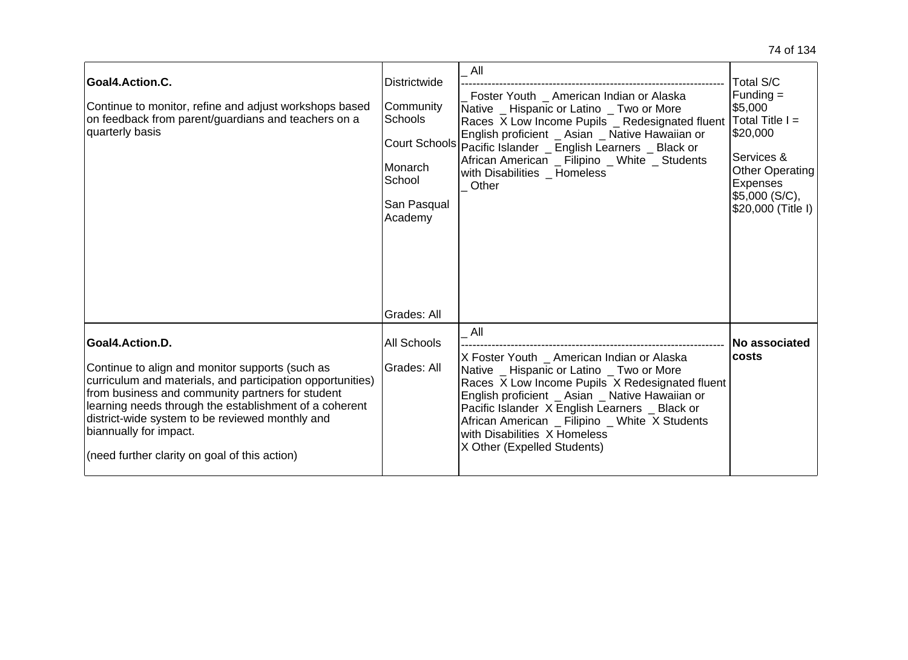| Goal4.Action.C.<br>Continue to monitor, refine and adjust workshops based<br>on feedback from parent/guardians and teachers on a<br>quarterly basis                                                                                                                                                                                                                          | <b>Districtwide</b><br>Community<br><b>Schools</b><br>lMonarch.<br>School<br>San Pasqual<br>Academy<br>Grades: All | All<br>Foster Youth _ American Indian or Alaska<br>Native _ Hispanic or Latino _ Two or More<br>Races X Low Income Pupils _ Redesignated fluent<br>English proficient _ Asian _ Native Hawaiian or<br>Court Schools Pacific Islander _ English Learners _ Black or<br>African American _ Filipino _ White _ Students<br>with Disabilities Homeless<br>Other             | <b>Total S/C</b><br>$Funding =$<br> \$5,000<br>$\sf{Total}$ Title $\sf{I}$ =<br>\$20,000<br>Services &<br><b>Other Operating</b><br>Expenses<br>\$5,000 (S/C),<br>\$20,000 (Title I) |
|------------------------------------------------------------------------------------------------------------------------------------------------------------------------------------------------------------------------------------------------------------------------------------------------------------------------------------------------------------------------------|--------------------------------------------------------------------------------------------------------------------|-------------------------------------------------------------------------------------------------------------------------------------------------------------------------------------------------------------------------------------------------------------------------------------------------------------------------------------------------------------------------|--------------------------------------------------------------------------------------------------------------------------------------------------------------------------------------|
| Goal4.Action.D.<br>Continue to align and monitor supports (such as<br>curriculum and materials, and participation opportunities)<br>from business and community partners for student<br>learning needs through the establishment of a coherent<br>district-wide system to be reviewed monthly and<br>biannually for impact.<br>(need further clarity on goal of this action) | All Schools<br>Grades: All                                                                                         | All<br>X Foster Youth _ American Indian or Alaska<br>Native _ Hispanic or Latino _ Two or More<br>Races X Low Income Pupils X Redesignated fluent<br>English proficient _ Asian _ Native Hawaiian or<br>Pacific Islander X English Learners _ Black or<br>African American _ Filipino _ White X Students<br>with Disabilities X Homeless<br>X Other (Expelled Students) | No associated<br><b>costs</b>                                                                                                                                                        |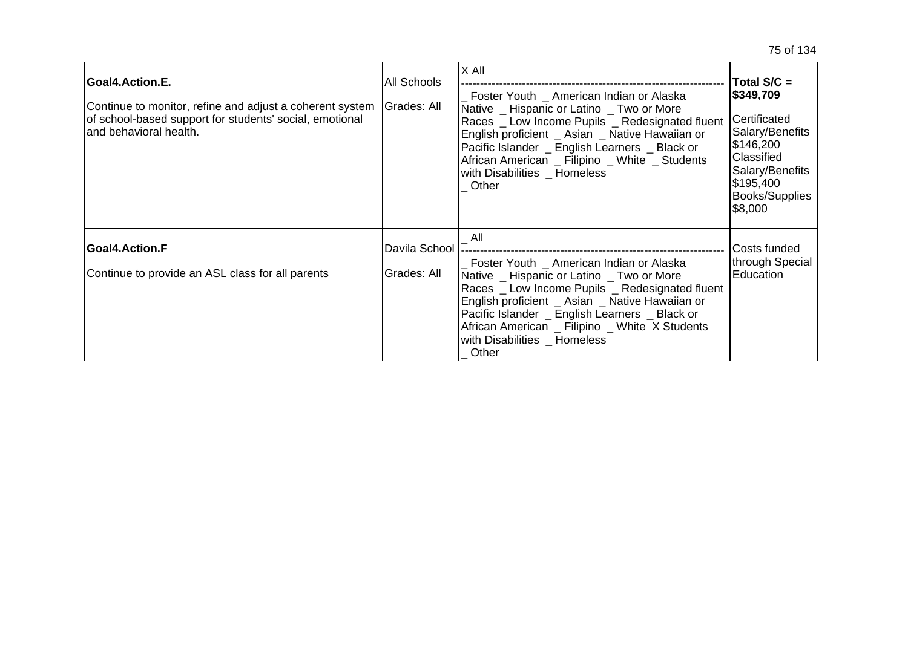| Goal4.Action.E.<br>Continue to monitor, refine and adjust a coherent system<br>of school-based support for students' social, emotional<br>and behavioral health. | All Schools<br>Grades: All   | IX All<br>Foster Youth _ American Indian or Alaska<br>Native Hispanic or Latino Two or More<br>Races _ Low Income Pupils _ Redesignated fluent<br>English proficient _ Asian _ Native Hawaiian or<br>Pacific Islander _ English Learners _ Black or<br>African American _ Filipino _ White _ Students<br>with Disabilities _ Homeless<br>Other  | Total $S/C =$<br> \$349,709<br><b>Certificated</b><br>Salary/Benefits<br>\$146,200<br>Classified<br>Salary/Benefits<br>\$195,400<br>Books/Supplies<br> \$8,000 |
|------------------------------------------------------------------------------------------------------------------------------------------------------------------|------------------------------|-------------------------------------------------------------------------------------------------------------------------------------------------------------------------------------------------------------------------------------------------------------------------------------------------------------------------------------------------|----------------------------------------------------------------------------------------------------------------------------------------------------------------|
| Goal4.Action.F<br>Continue to provide an ASL class for all parents                                                                                               | Davila School<br>Grades: All | All<br>Foster Youth _ American Indian or Alaska<br>Native _ Hispanic or Latino _ Two or More<br>Races _ Low Income Pupils _ Redesignated fluent<br>English proficient _ Asian _ Native Hawaiian or<br>Pacific Islander _ English Learners _ Black or<br>African American _ Filipino _ White X Students<br>with Disabilities _ Homeless<br>Other | lCosts funded<br>through Special<br>Education                                                                                                                  |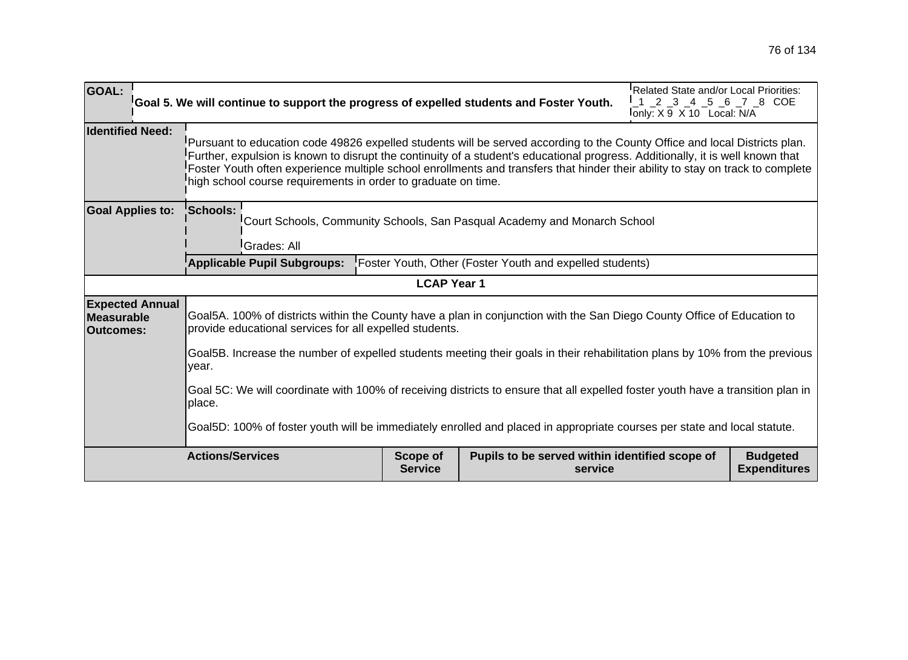| <b>GOAL:</b>                                                                                                                              | Goal 5. We will continue to support the progress of expelled students and Foster Youth.                                                                                                                                                                                                                                                                                                                                                                         | Related State and/or Local Priorities:<br>1 2 3 4 5 6 7 8 COE<br>lonly: X 9 X 10 Local: N/A |                                                           |  |                                        |  |
|-------------------------------------------------------------------------------------------------------------------------------------------|-----------------------------------------------------------------------------------------------------------------------------------------------------------------------------------------------------------------------------------------------------------------------------------------------------------------------------------------------------------------------------------------------------------------------------------------------------------------|---------------------------------------------------------------------------------------------|-----------------------------------------------------------|--|----------------------------------------|--|
| <b>Identified Need:</b>                                                                                                                   | Pursuant to education code 49826 expelled students will be served according to the County Office and local Districts plan.<br>Further, expulsion is known to disrupt the continuity of a student's educational progress. Additionally, it is well known that<br>Foster Youth often experience multiple school enrollments and transfers that hinder their ability to stay on track to complete<br>high school course requirements in order to graduate on time. |                                                                                             |                                                           |  |                                        |  |
| <b>Goal Applies to:</b>                                                                                                                   | <b>Schools:</b><br>Court Schools, Community Schools, San Pasqual Academy and Monarch School<br><sup>I</sup> Grades: All                                                                                                                                                                                                                                                                                                                                         |                                                                                             |                                                           |  |                                        |  |
|                                                                                                                                           | <b>Applicable Pupil Subgroups:</b>                                                                                                                                                                                                                                                                                                                                                                                                                              |                                                                                             | Foster Youth, Other (Foster Youth and expelled students)  |  |                                        |  |
|                                                                                                                                           |                                                                                                                                                                                                                                                                                                                                                                                                                                                                 | <b>LCAP Year 1</b>                                                                          |                                                           |  |                                        |  |
| <b>Expected Annual</b><br>Measurable<br><b>Outcomes:</b>                                                                                  | Goal5A. 100% of districts within the County have a plan in conjunction with the San Diego County Office of Education to<br>provide educational services for all expelled students.                                                                                                                                                                                                                                                                              |                                                                                             |                                                           |  |                                        |  |
|                                                                                                                                           | Goal5B. Increase the number of expelled students meeting their goals in their rehabilitation plans by 10% from the previous<br>year.                                                                                                                                                                                                                                                                                                                            |                                                                                             |                                                           |  |                                        |  |
| Goal 5C: We will coordinate with 100% of receiving districts to ensure that all expelled foster youth have a transition plan in<br>place. |                                                                                                                                                                                                                                                                                                                                                                                                                                                                 |                                                                                             |                                                           |  |                                        |  |
| Goal5D: 100% of foster youth will be immediately enrolled and placed in appropriate courses per state and local statute.                  |                                                                                                                                                                                                                                                                                                                                                                                                                                                                 |                                                                                             |                                                           |  |                                        |  |
|                                                                                                                                           | <b>Actions/Services</b>                                                                                                                                                                                                                                                                                                                                                                                                                                         | <b>Scope of</b><br><b>Service</b>                                                           | Pupils to be served within identified scope of<br>service |  | <b>Budgeted</b><br><b>Expenditures</b> |  |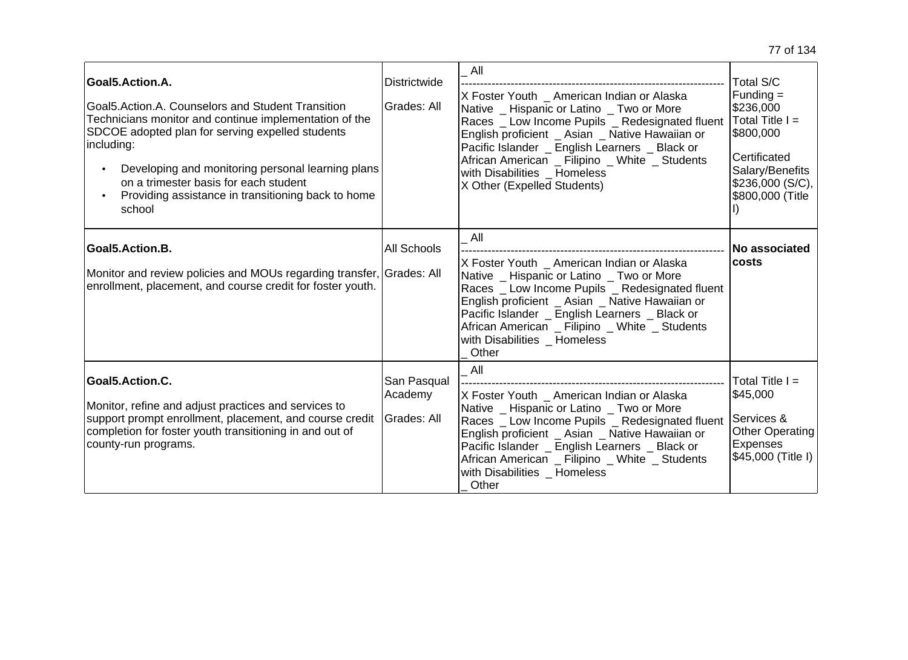| Goal5.Action.A.<br>Goal5.Action.A. Counselors and Student Transition<br>Technicians monitor and continue implementation of the<br>SDCOE adopted plan for serving expelled students<br>including:<br>Developing and monitoring personal learning plans<br>on a trimester basis for each student<br>Providing assistance in transitioning back to home<br>school | Districtwide<br>Grades: All           | All<br>X Foster Youth American Indian or Alaska<br>Native _ Hispanic or Latino _ Two or More<br>Races _ Low Income Pupils _ Redesignated fluent<br>English proficient _ Asian _ Native Hawaiian or<br>Pacific Islander _ English Learners _ Black or<br>African American _ Filipino _ White _ Students<br>with Disabilities _ Homeless<br>X Other (Expelled Students) | Total S/C<br>$Funding =$<br>\$236,000<br>Total Title $I =$<br>\$800,000<br>Certificated<br>Salary/Benefits<br>\$236,000(S/C),<br>\$800,000 (Title |
|----------------------------------------------------------------------------------------------------------------------------------------------------------------------------------------------------------------------------------------------------------------------------------------------------------------------------------------------------------------|---------------------------------------|-----------------------------------------------------------------------------------------------------------------------------------------------------------------------------------------------------------------------------------------------------------------------------------------------------------------------------------------------------------------------|---------------------------------------------------------------------------------------------------------------------------------------------------|
| Goal5.Action.B.<br>Monitor and review policies and MOUs regarding transfer, Grades: All<br>enrollment, placement, and course credit for foster youth.                                                                                                                                                                                                          | <b>All Schools</b>                    | All<br>X Foster Youth American Indian or Alaska<br>Native _ Hispanic or Latino _ Two or More<br>Races _ Low Income Pupils _ Redesignated fluent<br>English proficient _ Asian _ Native Hawaiian or<br>Pacific Islander _ English Learners _ Black or<br>African American _ Filipino _ White _ Students<br>with Disabilities Homeless<br>Other                         | No associated<br><b>costs</b>                                                                                                                     |
| Goal5.Action.C.<br>Monitor, refine and adjust practices and services to<br>support prompt enrollment, placement, and course credit<br>completion for foster youth transitioning in and out of<br>county-run programs.                                                                                                                                          | San Pasqual<br>Academy<br>Grades: All | All<br>X Foster Youth American Indian or Alaska<br>Native _ Hispanic or Latino _ Two or More<br>Races _ Low Income Pupils _ Redesignated fluent<br>English proficient _ Asian _ Native Hawaiian or<br>Pacific Islander _ English Learners _ Black or<br>African American _ Filipino _ White _ Students<br>with Disabilities _ Homeless<br>Other                       | Total Title I =<br>\$45,000<br>Services &<br><b>Other Operating</b><br>Expenses<br>\$45,000 (Title I)                                             |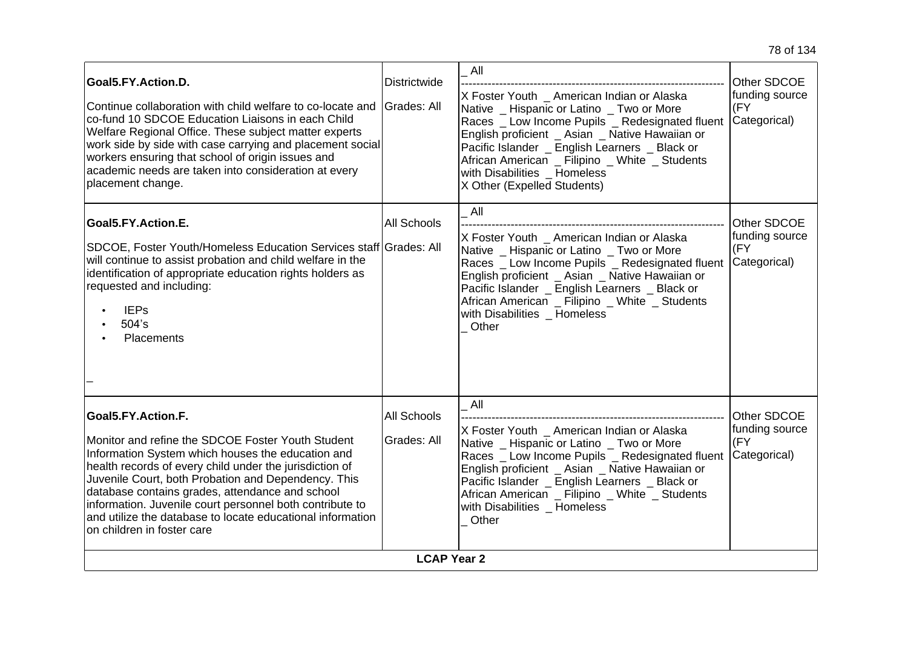| Goal5.FY.Action.D.<br>Continue collaboration with child welfare to co-locate and<br>co-fund 10 SDCOE Education Liaisons in each Child<br>Welfare Regional Office. These subject matter experts<br>work side by side with case carrying and placement social<br>workers ensuring that school of origin issues and<br>academic needs are taken into consideration at every<br>placement change.                                                             | <b>Districtwide</b><br><b>I</b> Grades: All | All<br>X Foster Youth _ American Indian or Alaska<br>Native _ Hispanic or Latino _ Two or More<br>Races _ Low Income Pupils _ Redesignated fluent<br>English proficient _ Asian _ Native Hawaiian or<br>Pacific Islander _ English Learners _ Black or<br>African American _ Filipino _ White _ Students<br>with Disabilities _ Homeless<br>X Other (Expelled Students) | Other SDCOE<br>funding source<br>(FY<br>Categorical) |
|-----------------------------------------------------------------------------------------------------------------------------------------------------------------------------------------------------------------------------------------------------------------------------------------------------------------------------------------------------------------------------------------------------------------------------------------------------------|---------------------------------------------|-------------------------------------------------------------------------------------------------------------------------------------------------------------------------------------------------------------------------------------------------------------------------------------------------------------------------------------------------------------------------|------------------------------------------------------|
| Goal5.FY.Action.E.<br>SDCOE, Foster Youth/Homeless Education Services staff Grades: All<br>will continue to assist probation and child welfare in the<br>identification of appropriate education rights holders as<br>requested and including:<br><b>IEPs</b><br>504's<br>Placements                                                                                                                                                                      | All Schools                                 | All<br>X Foster Youth _ American Indian or Alaska<br>Native Hispanic or Latino Two or More<br>Races _ Low Income Pupils _ Redesignated fluent<br>English proficient _ Asian _ Native Hawaiian or<br>Pacific Islander _ English Learners _ Black or<br>African American _ Filipino _ White _ Students<br>with Disabilities _ Homeless<br>Other                           | Other SDCOE<br>funding source<br>(FY<br>Categorical) |
| Goal5.FY.Action.F.<br>Monitor and refine the SDCOE Foster Youth Student<br>Information System which houses the education and<br>health records of every child under the jurisdiction of<br>Juvenile Court, both Probation and Dependency. This<br>database contains grades, attendance and school<br>information. Juvenile court personnel both contribute to<br>and utilize the database to locate educational information<br>on children in foster care | <b>All Schools</b><br>Grades: All           | All<br>X Foster Youth _ American Indian or Alaska<br>Native _ Hispanic or Latino _ Two or More<br>Races _ Low Income Pupils _ Redesignated fluent<br>English proficient _ Asian _ Native Hawaiian or<br>Pacific Islander _ English Learners _ Black or<br>African American _ Filipino _ White _ Students<br>with Disabilities Homeless<br>Other                         | Other SDCOE<br>funding source<br>(FY<br>Categorical) |
|                                                                                                                                                                                                                                                                                                                                                                                                                                                           | <b>LCAP Year 2</b>                          |                                                                                                                                                                                                                                                                                                                                                                         |                                                      |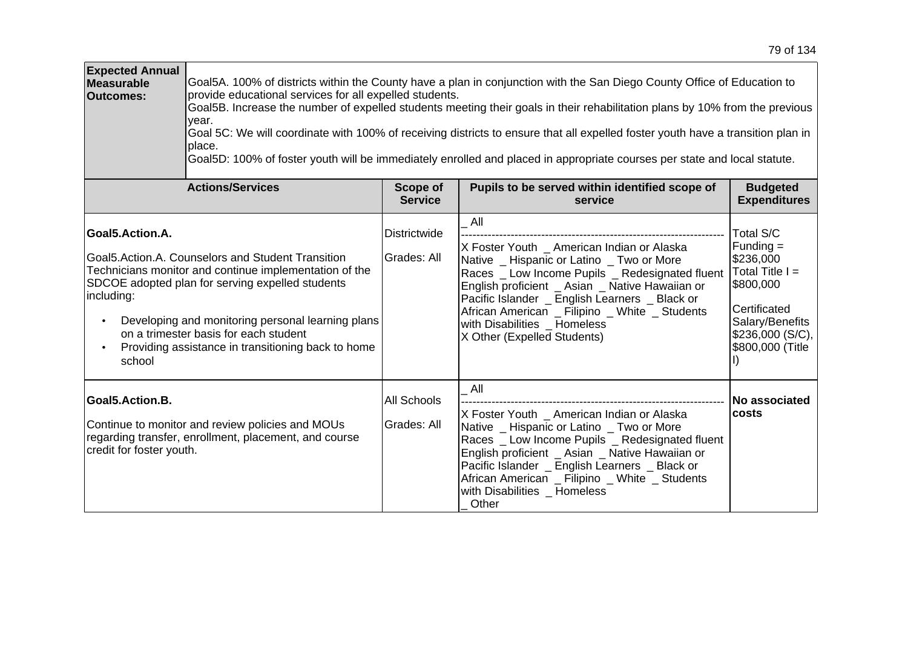| <b>Expected Annual</b><br>Measurable<br><b>Outcomes:</b> | Goal5A. 100% of districts within the County have a plan in conjunction with the San Diego County Office of Education to<br>provide educational services for all expelled students.<br>Goal5B. Increase the number of expelled students meeting their goals in their rehabilitation plans by 10% from the previous<br>vear.<br>Goal 5C: We will coordinate with 100% of receiving districts to ensure that all expelled foster youth have a transition plan in<br>place.<br>Goal5D: 100% of foster youth will be immediately enrolled and placed in appropriate courses per state and local statute. |                                    |                                                                                                                                                                                                                                                                                                                                                                         |                                                                                                                                                           |  |  |
|----------------------------------------------------------|-----------------------------------------------------------------------------------------------------------------------------------------------------------------------------------------------------------------------------------------------------------------------------------------------------------------------------------------------------------------------------------------------------------------------------------------------------------------------------------------------------------------------------------------------------------------------------------------------------|------------------------------------|-------------------------------------------------------------------------------------------------------------------------------------------------------------------------------------------------------------------------------------------------------------------------------------------------------------------------------------------------------------------------|-----------------------------------------------------------------------------------------------------------------------------------------------------------|--|--|
|                                                          | <b>Actions/Services</b>                                                                                                                                                                                                                                                                                                                                                                                                                                                                                                                                                                             | <b>Scope of</b><br><b>Service</b>  | Pupils to be served within identified scope of<br>service                                                                                                                                                                                                                                                                                                               | <b>Budgeted</b><br><b>Expenditures</b>                                                                                                                    |  |  |
| Goal5.Action.A.<br>including:<br>school                  | Goal 5. Action. A. Counselors and Student Transition<br>Technicians monitor and continue implementation of the<br>SDCOE adopted plan for serving expelled students<br>Developing and monitoring personal learning plans<br>on a trimester basis for each student<br>Providing assistance in transitioning back to home                                                                                                                                                                                                                                                                              | <b>Districtwide</b><br>Grades: All | All<br>X Foster Youth _ American Indian or Alaska<br>Native _ Hispanic or Latino _ Two or More<br>Races _ Low Income Pupils _ Redesignated fluent<br>English proficient _ Asian _ Native Hawaiian or<br>Pacific Islander _ English Learners _ Black or<br>African American _ Filipino _ White _ Students<br>with Disabilities _ Homeless<br>X Other (Expelled Students) | <b>Total S/C</b><br>$Funding =$<br>\$236,000<br>Total Title $I =$<br>\$800,000<br>Certificated<br>Salary/Benefits<br>\$236,000 (S/C),<br>\$800,000 (Title |  |  |
| Goal5.Action.B.<br>credit for foster youth.              | Continue to monitor and review policies and MOUs<br>regarding transfer, enrollment, placement, and course                                                                                                                                                                                                                                                                                                                                                                                                                                                                                           | All Schools<br>Grades: All         | All<br>X Foster Youth American Indian or Alaska<br>Native _ Hispanic or Latino _ Two or More<br>Races _ Low Income Pupils _ Redesignated fluent<br>English proficient _ Asian _ Native Hawaiian or<br>Pacific Islander _ English Learners _ Black or<br>African American _ Filipino _ White _ Students<br>with Disabilities Homeless<br>Other                           | No associated<br>costs                                                                                                                                    |  |  |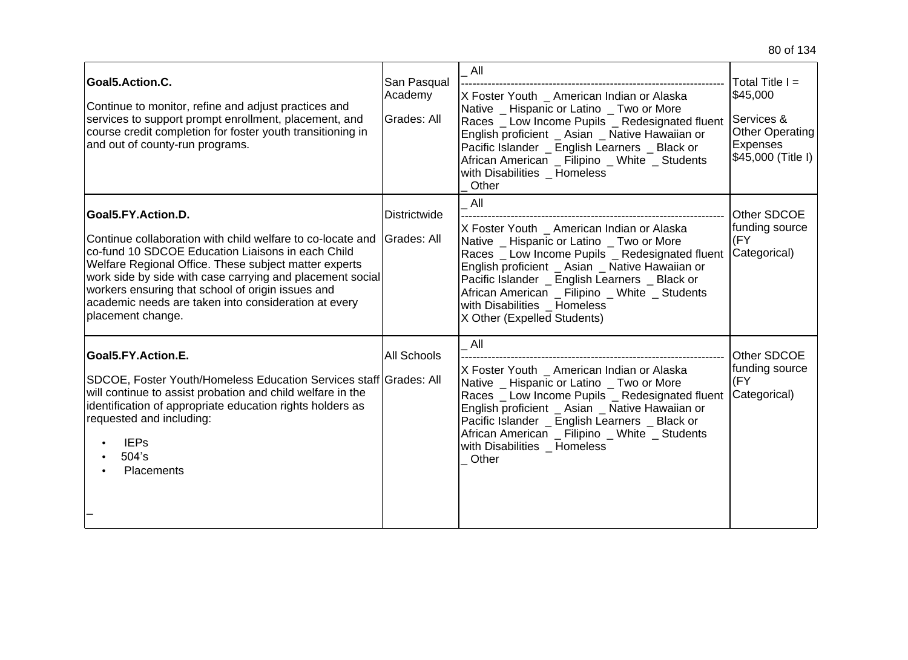| Goal5.Action.C.<br>Continue to monitor, refine and adjust practices and<br>services to support prompt enrollment, placement, and<br>course credit completion for foster youth transitioning in<br>and out of county-run programs.                                                                                                                                                             | San Pasqual<br>Academy<br><b>Grades: All</b> | All<br>X Foster Youth _ American Indian or Alaska<br>Native _ Hispanic or Latino _ Two or More<br>Races _ Low Income Pupils _ Redesignated fluent<br>English proficient _ Asian _ Native Hawaiian or<br>Pacific Islander _ English Learners _ Black or<br>African American _ Filipino _ White _ Students<br>with Disabilities Homeless<br>Other                   | Total Title $I =$<br>\$45,000<br>Services &<br><b>Other Operating</b><br><b>Expenses</b><br>\$45,000 (Title I) |
|-----------------------------------------------------------------------------------------------------------------------------------------------------------------------------------------------------------------------------------------------------------------------------------------------------------------------------------------------------------------------------------------------|----------------------------------------------|-------------------------------------------------------------------------------------------------------------------------------------------------------------------------------------------------------------------------------------------------------------------------------------------------------------------------------------------------------------------|----------------------------------------------------------------------------------------------------------------|
| Goal5.FY.Action.D.<br>Continue collaboration with child welfare to co-locate and<br>co-fund 10 SDCOE Education Liaisons in each Child<br>Welfare Regional Office. These subject matter experts<br>work side by side with case carrying and placement social<br>workers ensuring that school of origin issues and<br>academic needs are taken into consideration at every<br>placement change. | Districtwide<br><b>Grades: All</b>           | All<br>X Foster Youth _ American Indian or Alaska<br>Native _ Hispanic or Latino _ Two or More<br>Races _ Low Income Pupils _ Redesignated fluent<br>English proficient Asian Native Hawaiian or<br>Pacific Islander _ English Learners _ Black or<br>African American _ Filipino _ White _ Students<br>with Disabilities Homeless<br>X Other (Expelled Students) | Other SDCOE<br>funding source<br>(FY<br>Categorical)                                                           |
| Goal5.FY.Action.E.<br>SDCOE, Foster Youth/Homeless Education Services staff Grades: All<br>will continue to assist probation and child welfare in the<br>identification of appropriate education rights holders as<br>requested and including:<br><b>IEPs</b><br>$504$ 's<br><b>Placements</b>                                                                                                | <b>All Schools</b>                           | All<br>X Foster Youth _ American Indian or Alaska<br>Native _ Hispanic or Latino _ Two or More<br>Races _ Low Income Pupils _ Redesignated fluent<br>English proficient _ Asian _ Native Hawaiian or<br>Pacific Islander _ English Learners _ Black or<br>African American _ Filipino _ White _ Students<br>with Disabilities Homeless<br>Other                   | Other SDCOE<br>funding source<br>(FY<br>Categorical)                                                           |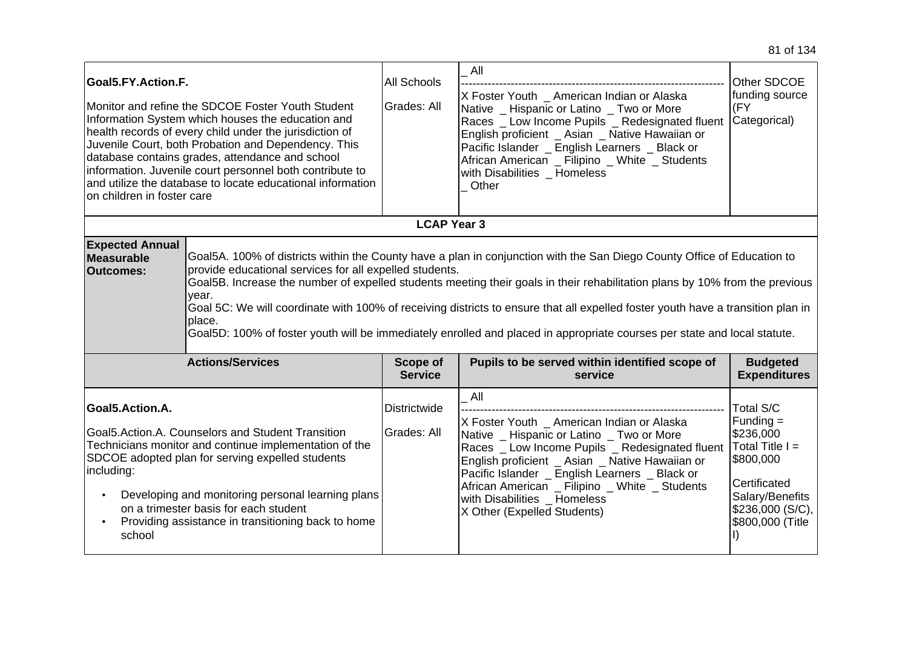| Goal5.FY.Action.F.<br>on children in foster care         | Monitor and refine the SDCOE Foster Youth Student<br>Information System which houses the education and<br>health records of every child under the jurisdiction of<br>Juvenile Court, both Probation and Dependency. This<br>database contains grades, attendance and school<br>information. Juvenile court personnel both contribute to<br>and utilize the database to locate educational information                                                                                                                                                                                               | All Schools<br>Grades: All  | All<br>X Foster Youth _ American Indian or Alaska<br>Native _ Hispanic or Latino _ Two or More<br>Races _ Low Income Pupils _ Redesignated fluent<br>English proficient _ Asian _ Native Hawaiian or<br>Pacific Islander _ English Learners _ Black or<br>African American _ Filipino _ White _ Students<br>with Disabilities Homeless<br>Other                     | Other SDCOE<br>funding source<br>(FY<br>Categorical)                                                                                              |
|----------------------------------------------------------|-----------------------------------------------------------------------------------------------------------------------------------------------------------------------------------------------------------------------------------------------------------------------------------------------------------------------------------------------------------------------------------------------------------------------------------------------------------------------------------------------------------------------------------------------------------------------------------------------------|-----------------------------|---------------------------------------------------------------------------------------------------------------------------------------------------------------------------------------------------------------------------------------------------------------------------------------------------------------------------------------------------------------------|---------------------------------------------------------------------------------------------------------------------------------------------------|
|                                                          |                                                                                                                                                                                                                                                                                                                                                                                                                                                                                                                                                                                                     | <b>LCAP Year 3</b>          |                                                                                                                                                                                                                                                                                                                                                                     |                                                                                                                                                   |
| <b>Expected Annual</b><br>Measurable<br><b>Outcomes:</b> | Goal5A. 100% of districts within the County have a plan in conjunction with the San Diego County Office of Education to<br>provide educational services for all expelled students.<br>Goal5B. Increase the number of expelled students meeting their goals in their rehabilitation plans by 10% from the previous<br>vear.<br>Goal 5C: We will coordinate with 100% of receiving districts to ensure that all expelled foster youth have a transition plan in<br>place.<br>Goal5D: 100% of foster youth will be immediately enrolled and placed in appropriate courses per state and local statute. |                             |                                                                                                                                                                                                                                                                                                                                                                     |                                                                                                                                                   |
|                                                          | <b>Actions/Services</b>                                                                                                                                                                                                                                                                                                                                                                                                                                                                                                                                                                             | Scope of<br><b>Service</b>  | Pupils to be served within identified scope of<br>service                                                                                                                                                                                                                                                                                                           | <b>Budgeted</b><br><b>Expenditures</b>                                                                                                            |
| Goal5.Action.A.<br>including:<br>school                  | Goal5.Action.A. Counselors and Student Transition<br>Technicians monitor and continue implementation of the<br>SDCOE adopted plan for serving expelled students<br>Developing and monitoring personal learning plans<br>on a trimester basis for each student<br>Providing assistance in transitioning back to home                                                                                                                                                                                                                                                                                 | Districtwide<br>Grades: All | All<br>X Foster Youth American Indian or Alaska<br>Native _ Hispanic or Latino _ Two or More<br>Races _ Low Income Pupils _ Redesignated fluent<br>English proficient _ Asian _ Native Hawaiian or<br>Pacific Islander _ English Learners _ Black or<br>African American _ Filipino _ White _ Students<br>with Disabilities Homeless<br>X Other (Expelled Students) | Total S/C<br>Funding $=$<br>\$236,000<br>Total Title $I =$<br>\$800,000<br>Certificated<br>Salary/Benefits<br>\$236,000(S/C),<br>\$800,000 (Title |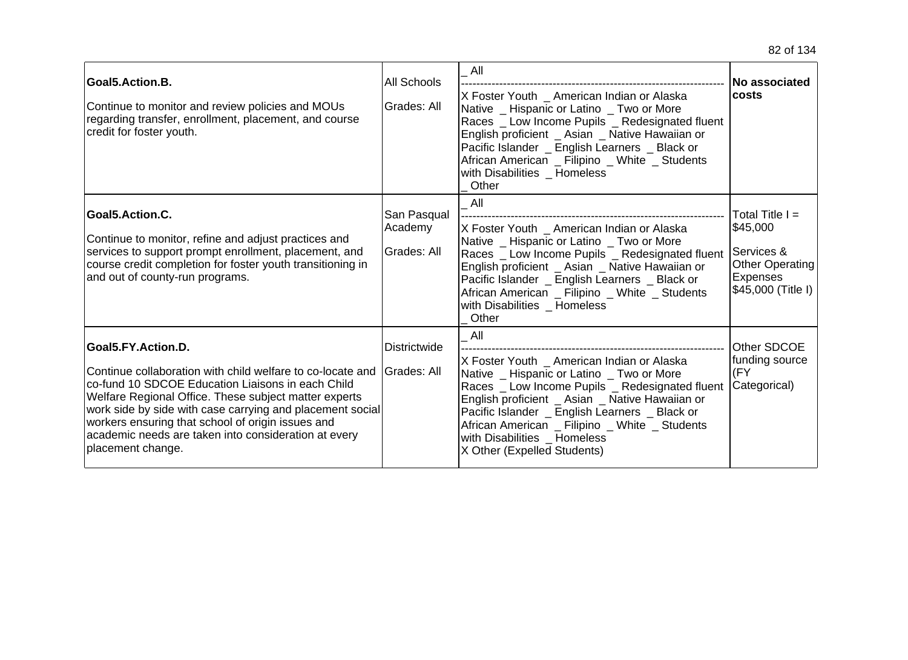| Goal5.Action.B.<br>Continue to monitor and review policies and MOUs<br>regarding transfer, enrollment, placement, and course<br>credit for foster youth.                                                                                                                                                                                                                                      | <b>All Schools</b><br>Grades: All     | All<br>X Foster Youth _ American Indian or Alaska<br>Native _ Hispanic or Latino _ Two or More<br>Races _ Low Income Pupils _ Redesignated fluent<br>English proficient _ Asian _ Native Hawaiian or<br>Pacific Islander _ English Learners _ Black or<br>African American _ Filipino _ White _ Students<br>with Disabilities Homeless<br>Other                     | <b>No associated</b><br>lcosts                                                                          |
|-----------------------------------------------------------------------------------------------------------------------------------------------------------------------------------------------------------------------------------------------------------------------------------------------------------------------------------------------------------------------------------------------|---------------------------------------|---------------------------------------------------------------------------------------------------------------------------------------------------------------------------------------------------------------------------------------------------------------------------------------------------------------------------------------------------------------------|---------------------------------------------------------------------------------------------------------|
| Goal5.Action.C.<br>Continue to monitor, refine and adjust practices and<br>services to support prompt enrollment, placement, and<br>course credit completion for foster youth transitioning in<br>and out of county-run programs.                                                                                                                                                             | San Pasqual<br>Academy<br>Grades: All | All<br>X Foster Youth _ American Indian or Alaska<br>Native _ Hispanic or Latino _ Two or More<br>Races _ Low Income Pupils _ Redesignated fluent<br>English proficient _ Asian _ Native Hawaiian or<br>Pacific Islander _ English Learners _ Black or<br>African American _ Filipino _ White _ Students<br>with Disabilities Homeless<br>Other                     | Total Title $I =$<br>\$45,000<br>Services &<br><b>Other Operating</b><br>Expenses<br>\$45,000 (Title I) |
| Goal5.FY.Action.D.<br>Continue collaboration with child welfare to co-locate and<br>co-fund 10 SDCOE Education Liaisons in each Child<br>Welfare Regional Office. These subject matter experts<br>work side by side with case carrying and placement social<br>workers ensuring that school of origin issues and<br>academic needs are taken into consideration at every<br>placement change. | <b>Districtwide</b><br>lGrades: All   | All<br>X Foster Youth American Indian or Alaska<br>Native _ Hispanic or Latino _ Two or More<br>Races _ Low Income Pupils _ Redesignated fluent<br>English proficient _ Asian _ Native Hawaiian or<br>Pacific Islander _ English Learners _ Black or<br>African American _ Filipino _ White _ Students<br>with Disabilities Homeless<br>X Other (Expelled Students) | Other SDCOE<br>funding source<br>(FY<br>Categorical)                                                    |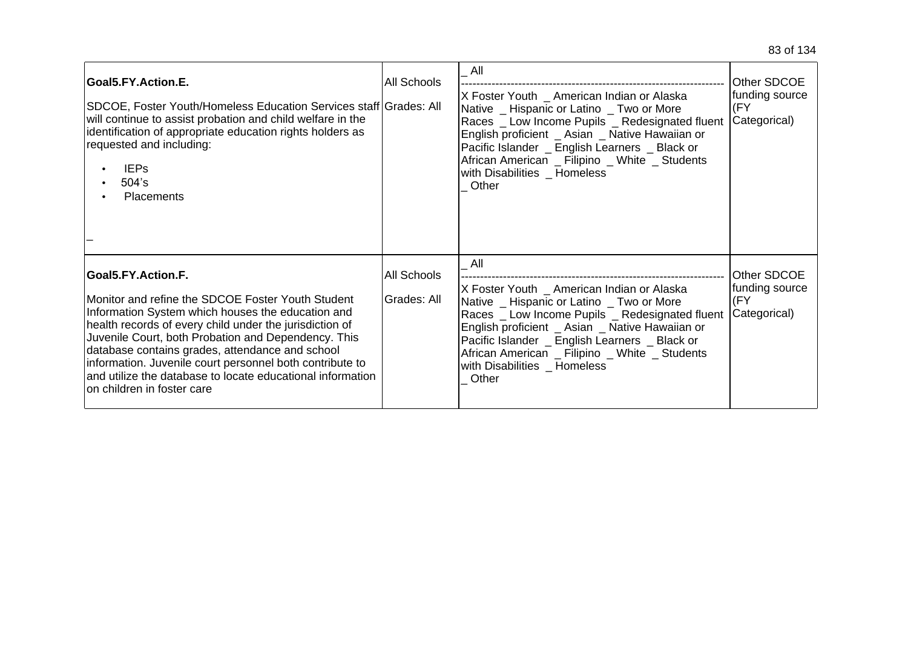| Goal5.FY.Action.E.<br>SDCOE, Foster Youth/Homeless Education Services staff Grades: All<br>will continue to assist probation and child welfare in the<br>identification of appropriate education rights holders as<br>requested and including:<br><b>IEPs</b><br>504's<br><b>Placements</b>                                                                                                                                                                | <b>All Schools</b>                | $\overline{A}$ ll<br>X Foster Youth _ American Indian or Alaska<br>Native _ Hispanic or Latino _ Two or More<br>Races _ Low Income Pupils _ Redesignated fluent<br>English proficient _ Asian _ Native Hawaiian or<br>Pacific Islander _ English Learners _ Black or<br>African American _ Filipino _ White _ Students<br>with Disabilities Homeless<br>Other | Other SDCOE<br>funding source<br>(FY<br>Categorical) |
|------------------------------------------------------------------------------------------------------------------------------------------------------------------------------------------------------------------------------------------------------------------------------------------------------------------------------------------------------------------------------------------------------------------------------------------------------------|-----------------------------------|---------------------------------------------------------------------------------------------------------------------------------------------------------------------------------------------------------------------------------------------------------------------------------------------------------------------------------------------------------------|------------------------------------------------------|
| Goal5.FY.Action.F.<br>Monitor and refine the SDCOE Foster Youth Student<br>Information System which houses the education and<br>health records of every child under the jurisdiction of<br>Juvenile Court, both Probation and Dependency. This<br>database contains grades, attendance and school<br>information. Juvenile court personnel both contribute to<br>and utilize the database to locate educational information<br>lon children in foster care | <b>All Schools</b><br>Grades: All | All<br>X Foster Youth _ American Indian or Alaska<br>Native _ Hispanic or Latino _ Two or More<br>Races _ Low Income Pupils _ Redesignated fluent<br>English proficient _ Asian _ Native Hawaiian or<br>Pacific Islander _ English Learners _ Black or<br>African American _ Filipino _ White _ Students<br>with Disabilities Homeless<br>Other               | Other SDCOE<br>funding source<br>(FY<br>Categorical) |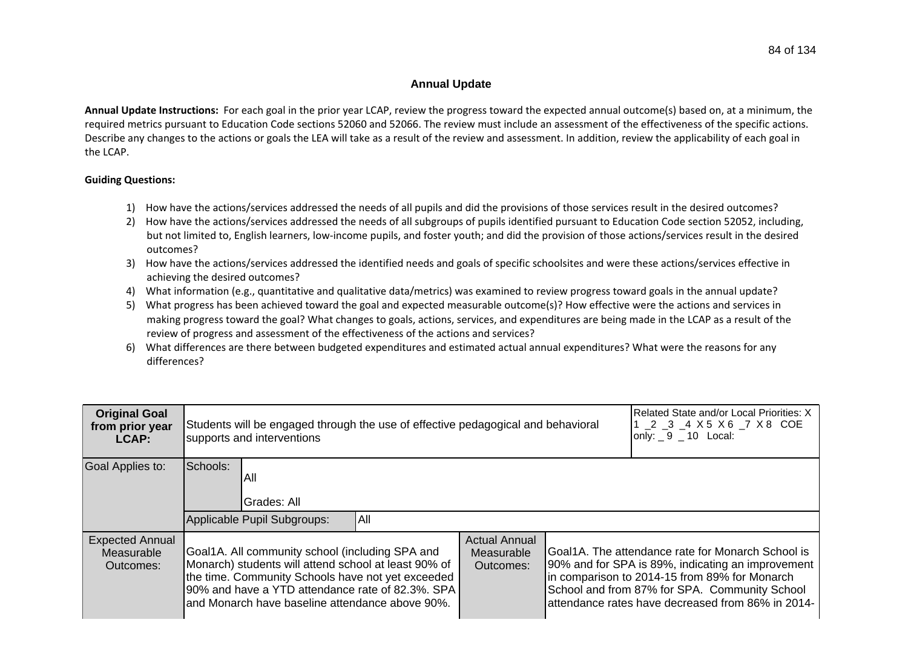## **Annual Update**

**Annual Update Instructions:** For each goal in the prior year LCAP, review the progress toward the expected annual outcome(s) based on, at a minimum, the required metrics pursuant to Education Code sections 52060 and 52066. The review must include an assessment of the effectiveness of the specific actions. Describe any changes to the actions or goals the LEA will take as a result of the review and assessment. In addition, review the applicability of each goal in the LCAP.

## **Guiding Questions:**

- 1) How have the actions/services addressed the needs of all pupils and did the provisions of those services result in the desired outcomes?
- 2) How have the actions/services addressed the needs of all subgroups of pupils identified pursuant to Education Code section 52052, including, but not limited to, English learners, low-income pupils, and foster youth; and did the provision of those actions/services result in the desired outcomes?
- 3) How have the actions/services addressed the identified needs and goals of specific schoolsites and were these actions/services effective in achieving the desired outcomes?
- 4) What information (e.g., quantitative and qualitative data/metrics) was examined to review progress toward goals in the annual update?
- 5) What progress has been achieved toward the goal and expected measurable outcome(s)? How effective were the actions and services in making progress toward the goal? What changes to goals, actions, services, and expenditures are being made in the LCAP as a result of the review of progress and assessment of the effectiveness of the actions and services?
- 6) What differences are there between budgeted expenditures and estimated actual annual expenditures? What were the reasons for any differences?

| <b>Original Goal</b><br>from prior year<br>LCAP:  | Students will be engaged through the use of effective pedagogical and behavioral<br>supports and interventions                                                                                                                                                      |     |                                                 |  | Related State and/or Local Priorities: X<br>1 2 3 4 X 5 X 6 7 X 8 COE<br>only: $9 - 10$ Local:                                                                                                                                                                |
|---------------------------------------------------|---------------------------------------------------------------------------------------------------------------------------------------------------------------------------------------------------------------------------------------------------------------------|-----|-------------------------------------------------|--|---------------------------------------------------------------------------------------------------------------------------------------------------------------------------------------------------------------------------------------------------------------|
| Goal Applies to:                                  | Schools:<br>All<br>Grades: All<br>Applicable Pupil Subgroups:                                                                                                                                                                                                       | All |                                                 |  |                                                                                                                                                                                                                                                               |
| <b>Expected Annual</b><br>Measurable<br>Outcomes: | Goal1A. All community school (including SPA and<br>Monarch) students will attend school at least 90% of<br>the time. Community Schools have not yet exceeded<br>90% and have a YTD attendance rate of 82.3%. SPA<br>and Monarch have baseline attendance above 90%. |     | <b>Actual Annual</b><br>Measurable<br>Outcomes: |  | Goal1A. The attendance rate for Monarch School is<br>90% and for SPA is 89%, indicating an improvement<br>in comparison to 2014-15 from 89% for Monarch<br>School and from 87% for SPA. Community School<br>attendance rates have decreased from 86% in 2014- |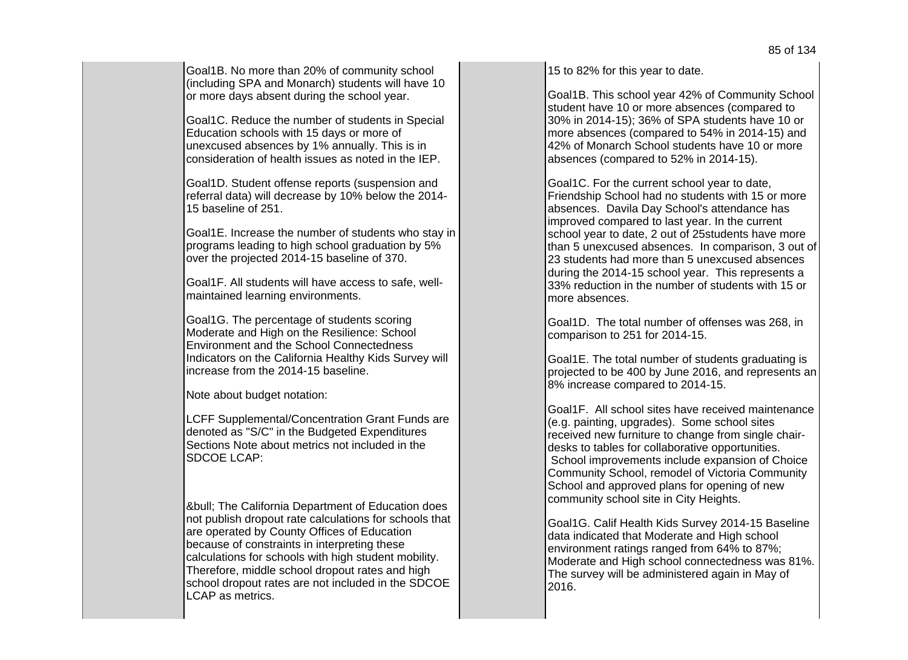Goal1B. No more than 20% of community school (including SPA and Monarch) students will have 10 or more days absent during the school year.

Goal1C. Reduce the number of students in Special Education schools with 15 days or more of unexcused absences by 1% annually. This is in consideration of health issues as noted in the IEP.

Goal1D. Student offense reports (suspension and referral data) will decrease by 10% below the 2014- 15 baseline of 251.

Goal1E. Increase the number of students who stay in programs leading to high school graduation by 5% over the projected 2014-15 baseline of 370.

Goal1F. All students will have access to safe, wellmaintained learning environments.

Goal1G. The percentage of students scoring Moderate and High on the Resilience: School Environment and the School Connectedness Indicators on the California Healthy Kids Survey will increase from the 2014-15 baseline.

Note about budget notation:

LCFF Supplemental/Concentration Grant Funds are denoted as "S/C" in the Budgeted Expenditures Sections Note about metrics not included in the SDCOE LCAP:

**&bull: The California Department of Education does** not publish dropout rate calculations for schools that are operated by County Offices of Education because of constraints in interpreting these calculations for schools with high student mobility. Therefore, middle school dropout rates and high school dropout rates are not included in the SDCOE LCAP as metrics.

15 to 82% for this year to date.

Goal1B. This school year 42% of Community School student have 10 or more absences (compared to 30% in 2014-15); 36% of SPA students have 10 or more absences (compared to 54% in 2014-15) and 42% of Monarch School students have 10 or more absences (compared to 52% in 2014-15).

Goal1C. For the current school year to date, Friendship School had no students with 15 or more absences. Davila Day School's attendance has improved compared to last year. In the current school year to date, 2 out of 25students have more than 5 unexcused absences. In comparison, 3 out of 23 students had more than 5 unexcused absences during the 2014-15 school year. This represents a 33% reduction in the number of students with 15 or more absences.

Goal1D. The total number of offenses was 268, in comparison to 251 for 2014-15.

Goal1E. The total number of students graduating is projected to be 400 by June 2016, and represents an 8% increase compared to 2014-15.

Goal1F. All school sites have received maintenance (e.g. painting, upgrades). Some school sites received new furniture to change from single chairdesks to tables for collaborative opportunities. School improvements include expansion of Choice Community School, remodel of Victoria Community School and approved plans for opening of new community school site in City Heights.

Goal1G. Calif Health Kids Survey 2014-15 Baseline data indicated that Moderate and High school environment ratings ranged from 64% to 87%; Moderate and High school connectedness was 81%. The survey will be administered again in May of 2016.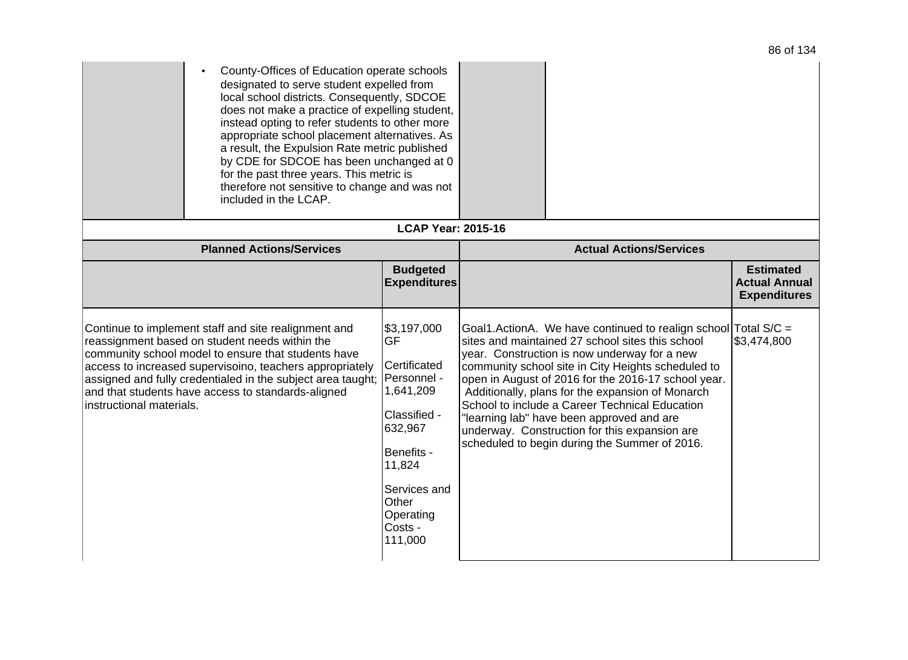| County-Offices of Education operate schools<br>designated to serve student expelled from<br>local school districts. Consequently, SDCOE<br>does not make a practice of expelling student,<br>instead opting to refer students to other more<br>appropriate school placement alternatives. As<br>a result, the Expulsion Rate metric published<br>by CDE for SDCOE has been unchanged at 0<br>for the past three years. This metric is<br>therefore not sensitive to change and was not<br>included in the LCAP. |                                                                                                                                                                              |                                                                                                                                                                                                                                                                                                                                                                                                                                                                                                                                      |                                             |
|-----------------------------------------------------------------------------------------------------------------------------------------------------------------------------------------------------------------------------------------------------------------------------------------------------------------------------------------------------------------------------------------------------------------------------------------------------------------------------------------------------------------|------------------------------------------------------------------------------------------------------------------------------------------------------------------------------|--------------------------------------------------------------------------------------------------------------------------------------------------------------------------------------------------------------------------------------------------------------------------------------------------------------------------------------------------------------------------------------------------------------------------------------------------------------------------------------------------------------------------------------|---------------------------------------------|
| <b>Planned Actions/Services</b>                                                                                                                                                                                                                                                                                                                                                                                                                                                                                 | <b>LCAP Year: 2015-16</b>                                                                                                                                                    | <b>Actual Actions/Services</b>                                                                                                                                                                                                                                                                                                                                                                                                                                                                                                       |                                             |
|                                                                                                                                                                                                                                                                                                                                                                                                                                                                                                                 | <b>Budgeted</b>                                                                                                                                                              |                                                                                                                                                                                                                                                                                                                                                                                                                                                                                                                                      | <b>Estimated</b>                            |
|                                                                                                                                                                                                                                                                                                                                                                                                                                                                                                                 | <b>Expenditures</b>                                                                                                                                                          |                                                                                                                                                                                                                                                                                                                                                                                                                                                                                                                                      | <b>Actual Annual</b><br><b>Expenditures</b> |
| Continue to implement staff and site realignment and<br>reassignment based on student needs within the<br>community school model to ensure that students have<br>access to increased supervisoino, teachers appropriately<br>assigned and fully credentialed in the subject area taught;<br>and that students have access to standards-aligned<br>instructional materials.                                                                                                                                      | \$3,197,000<br>GF<br>Certificated<br>Personnel -<br>1,641,209<br>Classified -<br>632,967<br>Benefits -<br>11,824<br>Services and<br>Other<br>Operating<br>Costs -<br>111,000 | Goal1.ActionA. We have continued to realign school Total S/C =<br>sites and maintained 27 school sites this school<br>year. Construction is now underway for a new<br>community school site in City Heights scheduled to<br>open in August of 2016 for the 2016-17 school year.<br>Additionally, plans for the expansion of Monarch<br>School to include a Career Technical Education<br>'learning lab" have been approved and are<br>underway. Construction for this expansion are<br>scheduled to begin during the Summer of 2016. | \$3,474,800                                 |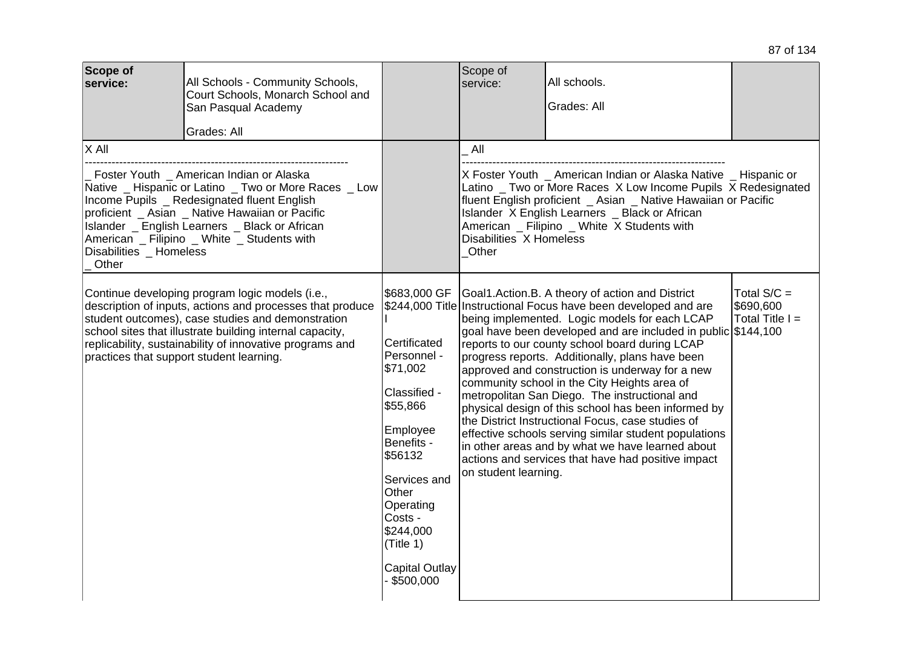| Scope of<br>service:                                                                                                                                                                                                                                             | All Schools - Community Schools,<br>Court Schools, Monarch School and<br>San Pasqual Academy<br>Grades: All                                                                                                                                                                                                                                                                                                                                                                                                                                                                                                                                   |  | Scope of<br>service:                | All schools.<br>Grades: All                                                                                                                                                                                                                                                                                                                                                                                                                                                                                                                                                                                                                                                                                                                                                  |                                                 |
|------------------------------------------------------------------------------------------------------------------------------------------------------------------------------------------------------------------------------------------------------------------|-----------------------------------------------------------------------------------------------------------------------------------------------------------------------------------------------------------------------------------------------------------------------------------------------------------------------------------------------------------------------------------------------------------------------------------------------------------------------------------------------------------------------------------------------------------------------------------------------------------------------------------------------|--|-------------------------------------|------------------------------------------------------------------------------------------------------------------------------------------------------------------------------------------------------------------------------------------------------------------------------------------------------------------------------------------------------------------------------------------------------------------------------------------------------------------------------------------------------------------------------------------------------------------------------------------------------------------------------------------------------------------------------------------------------------------------------------------------------------------------------|-------------------------------------------------|
| $X$ All<br>Foster Youth _ American Indian or Alaska<br>Native _ Hispanic or Latino _ Two or More Races _ Low<br>Income Pupils _ Redesignated fluent English<br>proficient _ Asian _ Native Hawaiian or Pacific<br>Islander _ English Learners _ Black or African |                                                                                                                                                                                                                                                                                                                                                                                                                                                                                                                                                                                                                                               |  | $\_$ All<br>Disabilities X Homeless | X Foster Youth _ American Indian or Alaska Native _ Hispanic or<br>Latino _ Two or More Races X Low Income Pupils X Redesignated<br>fluent English proficient _ Asian _ Native Hawaiian or Pacific<br>Islander X English Learners _ Black or African<br>American _ Filipino _ White X Students with                                                                                                                                                                                                                                                                                                                                                                                                                                                                          |                                                 |
| Other                                                                                                                                                                                                                                                            | American _ Filipino _ White _ Students with<br>Disabilities Homeless<br>Continue developing program logic models (i.e.,<br>\$683,000 GF<br>description of inputs, actions and processes that produce<br>student outcomes), case studies and demonstration<br>school sites that illustrate building internal capacity,<br>Certificated<br>replicability, sustainability of innovative programs and<br>Personnel -<br>practices that support student learning.<br>\$71,002<br>Classified -<br>\$55,866<br>Employee<br>Benefits -<br>\$56132<br>Services and<br>Other<br>Operating<br>Costs -<br>\$244,000<br>(Title 1)<br><b>Capital Outlay</b> |  | Other<br>on student learning.       | Goal1.Action.B. A theory of action and District<br>\$244,000 Title Instructional Focus have been developed and are<br>being implemented. Logic models for each LCAP<br>goal have been developed and are included in public \$144,100<br>reports to our county school board during LCAP<br>progress reports. Additionally, plans have been<br>approved and construction is underway for a new<br>community school in the City Heights area of<br>metropolitan San Diego. The instructional and<br>physical design of this school has been informed by<br>the District Instructional Focus, case studies of<br>effective schools serving similar student populations<br>in other areas and by what we have learned about<br>actions and services that have had positive impact | Total $S/C =$<br>\$690,600<br>$Total Title I =$ |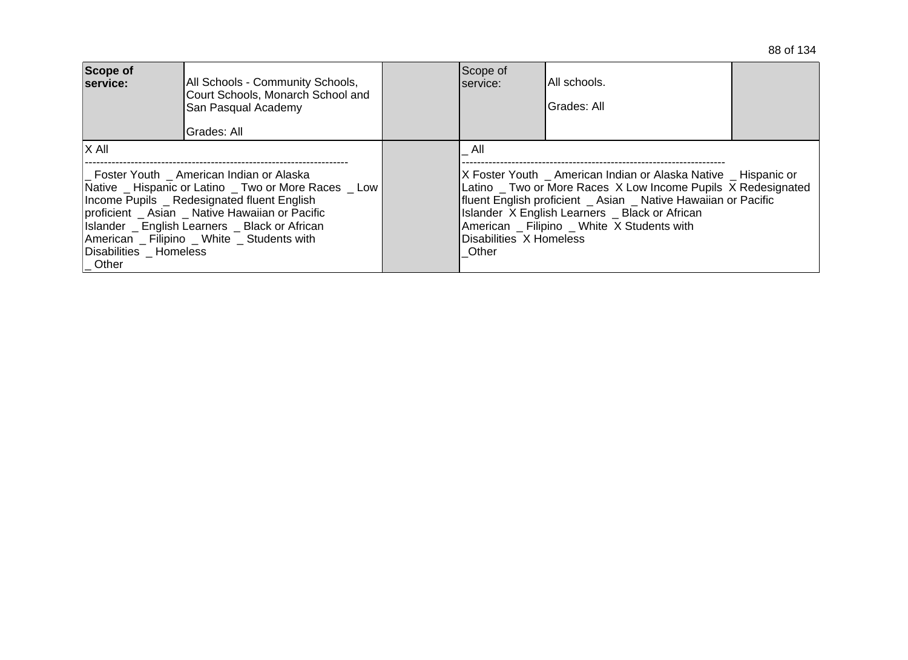|  |  | 88 of 134 |
|--|--|-----------|
|--|--|-----------|

| Scope of<br>service:                                                                                                                                                                                                                                                                                                             | All Schools - Community Schools,<br>Court Schools, Monarch School and<br>San Pasqual Academy<br>Grades: All | Scope of<br>Iservice:                                                                                                                                                                                                                                                                                                                | IAII schools.<br>Grades: All |  |
|----------------------------------------------------------------------------------------------------------------------------------------------------------------------------------------------------------------------------------------------------------------------------------------------------------------------------------|-------------------------------------------------------------------------------------------------------------|--------------------------------------------------------------------------------------------------------------------------------------------------------------------------------------------------------------------------------------------------------------------------------------------------------------------------------------|------------------------------|--|
| IX All<br>Foster Youth American Indian or Alaska<br>Native _ Hispanic or Latino _ Two or More Races _ Low<br>Income Pupils Redesignated fluent English<br>proficient Asian Native Hawaiian or Pacific<br>Islander English Learners Black or African<br>American Filipino White Students with<br>Disabilities _ Homeless<br>Other |                                                                                                             | All<br>X Foster Youth American Indian or Alaska Native Hispanic or<br>Latino Two or More Races X Low Income Pupils X Redesignated<br>fluent English proficient Asian Native Hawaiian or Pacific<br>Islander X English Learners _ Black or African<br>American _ Filipino _ White X Students with<br>Disabilities X Homeless<br>Other |                              |  |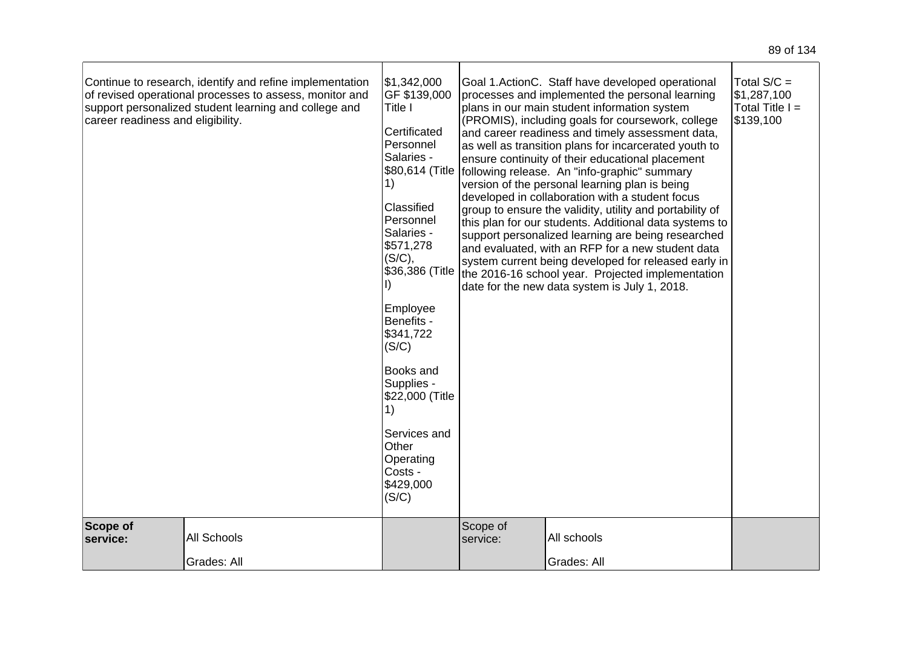| Continue to research, identify and refine implementation<br>of revised operational processes to assess, monitor and<br>support personalized student learning and college and<br>career readiness and eligibility. | \$1,342,000<br>GF \$139,000<br>Title I<br>Certificated<br>Personnel<br>Salaries -<br>\$80,614 (Title<br>1)<br>Classified<br>Personnel<br>Salaries -<br>\$571,278<br>(S/C),<br>\$36,386 (Title<br>Employee<br>Benefits -<br>\$341,722<br>(S/C)<br>Books and<br>Supplies -<br>\$22,000 (Title<br>1)<br>Services and<br>Other<br>Operating<br>Costs -<br>\$429,000<br>(S/C) |                      | Goal 1.ActionC. Staff have developed operational<br>processes and implemented the personal learning<br>plans in our main student information system<br>(PROMIS), including goals for coursework, college<br>and career readiness and timely assessment data,<br>as well as transition plans for incarcerated youth to<br>ensure continuity of their educational placement<br>following release. An "info-graphic" summary<br>version of the personal learning plan is being<br>developed in collaboration with a student focus<br>group to ensure the validity, utility and portability of<br>this plan for our students. Additional data systems to<br>support personalized learning are being researched<br>and evaluated, with an RFP for a new student data<br>system current being developed for released early in<br>the 2016-16 school year. Projected implementation<br>date for the new data system is July 1, 2018. | Total $S/C =$<br>\$1,287,100<br>Total Title $I =$<br>\$139,100 |
|-------------------------------------------------------------------------------------------------------------------------------------------------------------------------------------------------------------------|--------------------------------------------------------------------------------------------------------------------------------------------------------------------------------------------------------------------------------------------------------------------------------------------------------------------------------------------------------------------------|----------------------|-------------------------------------------------------------------------------------------------------------------------------------------------------------------------------------------------------------------------------------------------------------------------------------------------------------------------------------------------------------------------------------------------------------------------------------------------------------------------------------------------------------------------------------------------------------------------------------------------------------------------------------------------------------------------------------------------------------------------------------------------------------------------------------------------------------------------------------------------------------------------------------------------------------------------------|----------------------------------------------------------------|
| Scope of<br>All Schools<br>service:<br>Grades: All                                                                                                                                                                |                                                                                                                                                                                                                                                                                                                                                                          | Scope of<br>service: | All schools<br>Grades: All                                                                                                                                                                                                                                                                                                                                                                                                                                                                                                                                                                                                                                                                                                                                                                                                                                                                                                    |                                                                |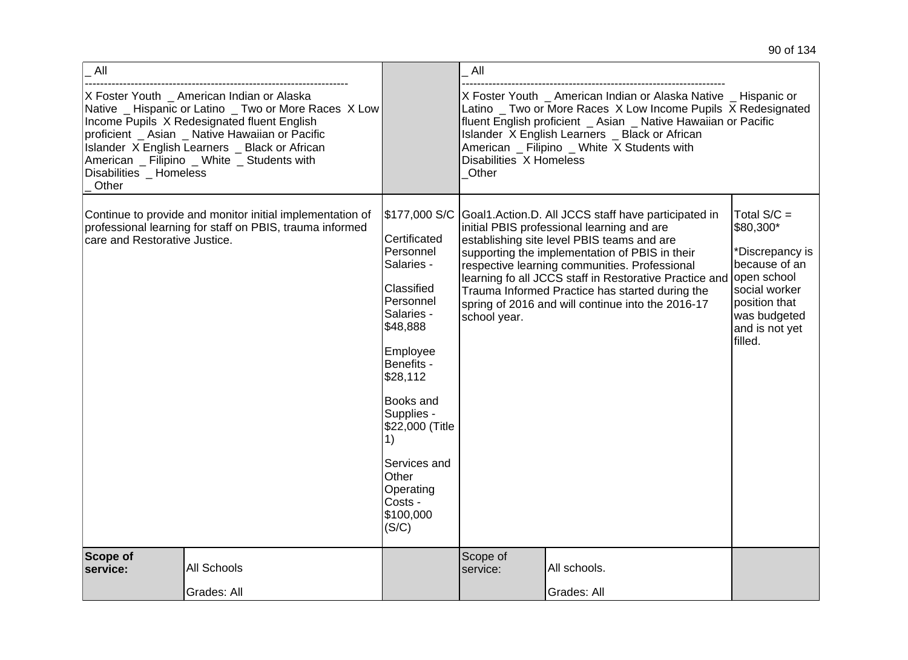| All                              |                                                                                                                                                                                                                                                                                                        |                                                                                                                                                                                                                                                                                | All                              |                                                                                                                                                                                                                                                                                                                                                                                                                                    |                                                                                                                                               |
|----------------------------------|--------------------------------------------------------------------------------------------------------------------------------------------------------------------------------------------------------------------------------------------------------------------------------------------------------|--------------------------------------------------------------------------------------------------------------------------------------------------------------------------------------------------------------------------------------------------------------------------------|----------------------------------|------------------------------------------------------------------------------------------------------------------------------------------------------------------------------------------------------------------------------------------------------------------------------------------------------------------------------------------------------------------------------------------------------------------------------------|-----------------------------------------------------------------------------------------------------------------------------------------------|
| Disabilities _ Homeless<br>Other | X Foster Youth _ American Indian or Alaska<br>Native _ Hispanic or Latino _ Two or More Races X Low<br>Income Pupils X Redesignated fluent English<br>proficient _ Asian _ Native Hawaiian or Pacific<br>Islander X English Learners _ Black or African<br>American _ Filipino _ White _ Students with |                                                                                                                                                                                                                                                                                | Disabilities X Homeless<br>Other | X Foster Youth _ American Indian or Alaska Native _ Hispanic or<br>Latino _ Two or More Races X Low Income Pupils X Redesignated<br>fluent English proficient _ Asian _ Native Hawaiian or Pacific<br>Islander X English Learners _ Black or African<br>American _ Filipino _ White X Students with                                                                                                                                |                                                                                                                                               |
| care and Restorative Justice.    | Continue to provide and monitor initial implementation of<br>professional learning for staff on PBIS, trauma informed                                                                                                                                                                                  | \$177,000 S/C<br>Certificated<br>Personnel<br>Salaries -<br>Classified<br>Personnel<br>Salaries -<br>\$48,888<br>Employee<br>Benefits -<br>\$28,112<br>Books and<br>Supplies -<br>\$22,000 (Title<br>1)<br>Services and<br>Other<br>Operating<br>Costs -<br>\$100,000<br>(S/C) | school year.                     | Goal1. Action. D. All JCCS staff have participated in<br>initial PBIS professional learning and are<br>establishing site level PBIS teams and are<br>supporting the implementation of PBIS in their<br>respective learning communities. Professional<br>learning fo all JCCS staff in Restorative Practice and open school<br>Trauma Informed Practice has started during the<br>spring of 2016 and will continue into the 2016-17 | Total $S/C =$<br>\$80,300*<br>*Discrepancy is<br>because of an<br>social worker<br>position that<br>was budgeted<br>and is not yet<br>filled. |
| Scope of<br>service:             | All Schools<br>Grades: All                                                                                                                                                                                                                                                                             |                                                                                                                                                                                                                                                                                | Scope of<br>service:             | All schools.<br>Grades: All                                                                                                                                                                                                                                                                                                                                                                                                        |                                                                                                                                               |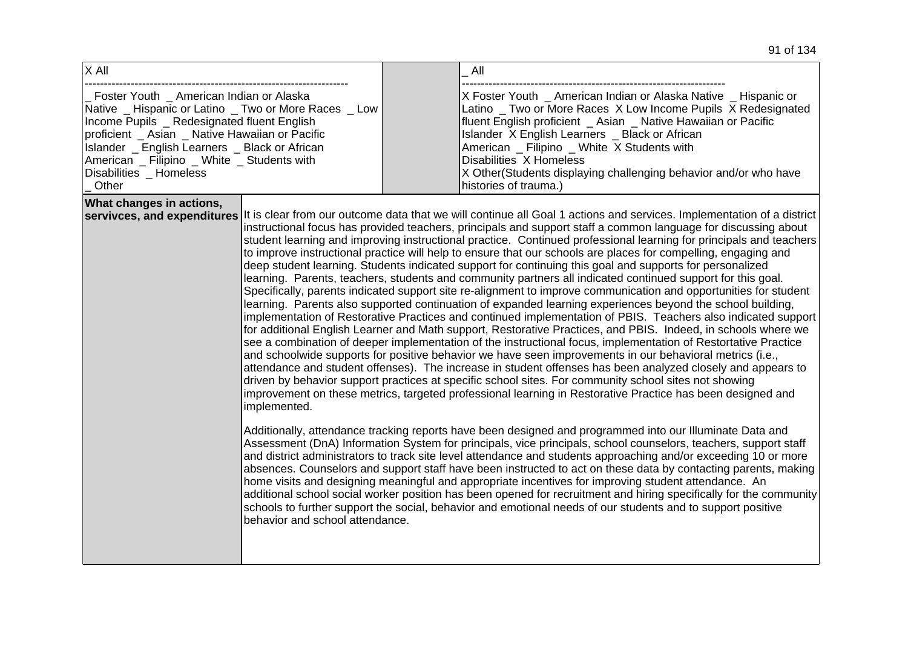| X All                                                                                                                                                                                                                                                                                                                                  | All                                                                                                                                                                                                                                                                                                                                                                                                                                                                                                                                                                                                                                                                                                                                                                                                                                                                                                                                                                                                                                                                                                                                                                                                                                                                                                                                                                                                                                                                                                                                                                                                                                                                                                                                                                                                                                                                                                                                                                                                                                                                                                                                                                                                                                                                                                                                                                                                                                                                                                                                                                 |
|----------------------------------------------------------------------------------------------------------------------------------------------------------------------------------------------------------------------------------------------------------------------------------------------------------------------------------------|---------------------------------------------------------------------------------------------------------------------------------------------------------------------------------------------------------------------------------------------------------------------------------------------------------------------------------------------------------------------------------------------------------------------------------------------------------------------------------------------------------------------------------------------------------------------------------------------------------------------------------------------------------------------------------------------------------------------------------------------------------------------------------------------------------------------------------------------------------------------------------------------------------------------------------------------------------------------------------------------------------------------------------------------------------------------------------------------------------------------------------------------------------------------------------------------------------------------------------------------------------------------------------------------------------------------------------------------------------------------------------------------------------------------------------------------------------------------------------------------------------------------------------------------------------------------------------------------------------------------------------------------------------------------------------------------------------------------------------------------------------------------------------------------------------------------------------------------------------------------------------------------------------------------------------------------------------------------------------------------------------------------------------------------------------------------------------------------------------------------------------------------------------------------------------------------------------------------------------------------------------------------------------------------------------------------------------------------------------------------------------------------------------------------------------------------------------------------------------------------------------------------------------------------------------------------|
| Foster Youth American Indian or Alaska<br>Native _ Hispanic or Latino _ Two or More Races _ Low<br>Income Pupils _ Redesignated fluent English<br>proficient _ Asian _ Native Hawaiian or Pacific<br>Islander _ English Learners _ Black or African<br>American _ Filipino _ White _ Students with<br>Disabilities _ Homeless<br>Other | X Foster Youth American Indian or Alaska Native Hispanic or<br>Latino _ Two or More Races X Low Income Pupils X Redesignated<br>fluent English proficient _ Asian _ Native Hawaiian or Pacific<br>Islander X English Learners _ Black or African<br>American _ Filipino _ White X Students with<br>Disabilities X Homeless<br>X Other (Students displaying challenging behavior and/or who have<br>histories of trauma.)                                                                                                                                                                                                                                                                                                                                                                                                                                                                                                                                                                                                                                                                                                                                                                                                                                                                                                                                                                                                                                                                                                                                                                                                                                                                                                                                                                                                                                                                                                                                                                                                                                                                                                                                                                                                                                                                                                                                                                                                                                                                                                                                            |
| What changes in actions,<br>servivces, and expenditures<br>implemented.<br>behavior and school attendance.                                                                                                                                                                                                                             | It is clear from our outcome data that we will continue all Goal 1 actions and services. Implementation of a district<br>instructional focus has provided teachers, principals and support staff a common language for discussing about<br>student learning and improving instructional practice. Continued professional learning for principals and teachers<br>to improve instructional practice will help to ensure that our schools are places for compelling, engaging and<br>deep student learning. Students indicated support for continuing this goal and supports for personalized<br>learning. Parents, teachers, students and community partners all indicated continued support for this goal.<br>Specifically, parents indicated support site re-alignment to improve communication and opportunities for student<br>learning. Parents also supported continuation of expanded learning experiences beyond the school building,<br>implementation of Restorative Practices and continued implementation of PBIS. Teachers also indicated support<br>for additional English Learner and Math support, Restorative Practices, and PBIS. Indeed, in schools where we<br>see a combination of deeper implementation of the instructional focus, implementation of Restortative Practice<br>and schoolwide supports for positive behavior we have seen improvements in our behavioral metrics (i.e.,<br>attendance and student offenses). The increase in student offenses has been analyzed closely and appears to<br>driven by behavior support practices at specific school sites. For community school sites not showing<br>improvement on these metrics, targeted professional learning in Restorative Practice has been designed and<br>Additionally, attendance tracking reports have been designed and programmed into our Illuminate Data and<br>Assessment (DnA) Information System for principals, vice principals, school counselors, teachers, support staff<br>and district administrators to track site level attendance and students approaching and/or exceeding 10 or more<br>absences. Counselors and support staff have been instructed to act on these data by contacting parents, making<br>home visits and designing meaningful and appropriate incentives for improving student attendance. An<br>additional school social worker position has been opened for recruitment and hiring specifically for the community<br>schools to further support the social, behavior and emotional needs of our students and to support positive |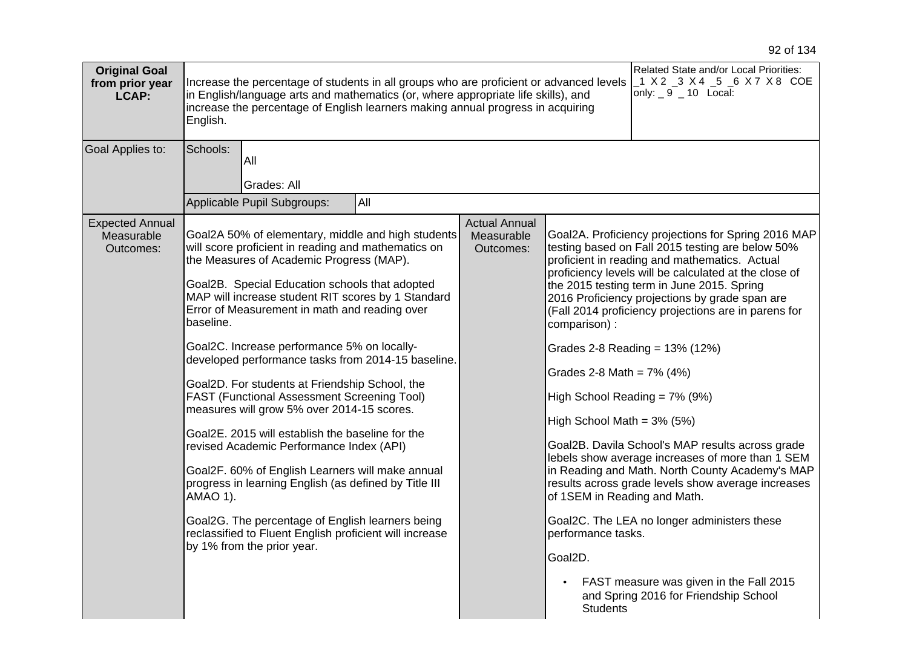| <b>Original Goal</b><br>from prior year<br>LCAP:  | Increase the percentage of students in all groups who are proficient or advanced levels<br>in English/language arts and mathematics (or, where appropriate life skills), and<br>increase the percentage of English learners making annual progress in acquiring<br>English.                                                                                                                                                                                                                                                                                                                                                                                                                                                                                                                                                                                                                                                                                  | Related State and/or Local Priorities:<br>_1 X 2 _3 X 4 _5 _6 X 7 X 8 COE<br>only: $\_9$ $\_10$ Local: |                                                                                                                                                                                                                                                                                                                                                                                                                                                                                                                                                                                                                                                                                                                                                                                                                                                                                                                                                                           |
|---------------------------------------------------|--------------------------------------------------------------------------------------------------------------------------------------------------------------------------------------------------------------------------------------------------------------------------------------------------------------------------------------------------------------------------------------------------------------------------------------------------------------------------------------------------------------------------------------------------------------------------------------------------------------------------------------------------------------------------------------------------------------------------------------------------------------------------------------------------------------------------------------------------------------------------------------------------------------------------------------------------------------|--------------------------------------------------------------------------------------------------------|---------------------------------------------------------------------------------------------------------------------------------------------------------------------------------------------------------------------------------------------------------------------------------------------------------------------------------------------------------------------------------------------------------------------------------------------------------------------------------------------------------------------------------------------------------------------------------------------------------------------------------------------------------------------------------------------------------------------------------------------------------------------------------------------------------------------------------------------------------------------------------------------------------------------------------------------------------------------------|
| Goal Applies to:                                  | Schools:<br>All<br>Grades: All<br>Applicable Pupil Subgroups:<br>All                                                                                                                                                                                                                                                                                                                                                                                                                                                                                                                                                                                                                                                                                                                                                                                                                                                                                         |                                                                                                        |                                                                                                                                                                                                                                                                                                                                                                                                                                                                                                                                                                                                                                                                                                                                                                                                                                                                                                                                                                           |
| <b>Expected Annual</b><br>Measurable<br>Outcomes: | Goal2A 50% of elementary, middle and high students<br>will score proficient in reading and mathematics on<br>the Measures of Academic Progress (MAP).<br>Goal2B. Special Education schools that adopted<br>MAP will increase student RIT scores by 1 Standard<br>Error of Measurement in math and reading over<br>baseline.<br>Goal2C. Increase performance 5% on locally-<br>developed performance tasks from 2014-15 baseline.<br>Goal2D. For students at Friendship School, the<br><b>FAST (Functional Assessment Screening Tool)</b><br>measures will grow 5% over 2014-15 scores.<br>Goal2E. 2015 will establish the baseline for the<br>revised Academic Performance Index (API)<br>Goal2F. 60% of English Learners will make annual<br>progress in learning English (as defined by Title III<br>AMAO 1).<br>Goal2G. The percentage of English learners being<br>reclassified to Fluent English proficient will increase<br>by 1% from the prior year. | <b>Actual Annual</b><br>Measurable<br>Outcomes:                                                        | Goal2A. Proficiency projections for Spring 2016 MAP<br>testing based on Fall 2015 testing are below 50%<br>proficient in reading and mathematics. Actual<br>proficiency levels will be calculated at the close of<br>the 2015 testing term in June 2015. Spring<br>2016 Proficiency projections by grade span are<br>(Fall 2014 proficiency projections are in parens for<br>comparison) :<br>Grades 2-8 Reading = 13% (12%)<br>Grades 2-8 Math = $7\%$ (4%)<br>High School Reading = $7\%$ (9%)<br>High School Math = $3\%$ (5%)<br>Goal2B. Davila School's MAP results across grade<br>lebels show average increases of more than 1 SEM<br>in Reading and Math. North County Academy's MAP<br>results across grade levels show average increases<br>of 1SEM in Reading and Math.<br>Goal2C. The LEA no longer administers these<br>performance tasks.<br>Goal2D.<br>FAST measure was given in the Fall 2015<br>and Spring 2016 for Friendship School<br><b>Students</b> |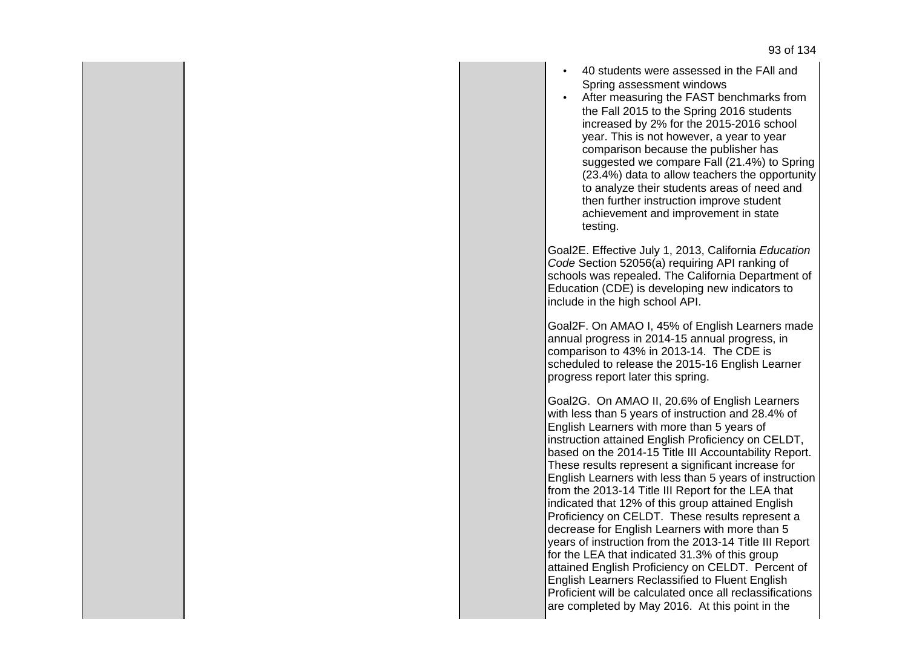- 40 students were assessed in the FAll and Spring assessment windows
- After measuring the FAST benchmarks from the Fall 2015 to the Spring 2016 students increased by 2% for the 2015-2016 school year. This is not however, a year to year comparison because the publisher has suggested we compare Fall (21.4%) to Spring (23.4%) data to allow teachers the opportunity to analyze their students areas of need and then further instruction improve student achievement and improvement in state testing.

Goal2E. Effective July 1, 2013, California Education Code Section 52056(a) requiring API ranking of schools was repealed. The California Department of Education (CDE) is developing new indicators to include in the high school API.

Goal2F. On AMAO I, 45% of English Learners made annual progress in 2014-15 annual progress, in comparison to 43% in 2013-14. The CDE is scheduled to release the 2015-16 English Learner progress report later this spring.

Goal2G. On AMAO II, 20.6% of English Learners with less than 5 years of instruction and 28.4% of English Learners with more than 5 years of instruction attained English Proficiency on CELDT, based on the 2014-15 Title III Accountability Report. These results represent a significant increase for English Learners with less than 5 years of instruction from the 2013-14 Title III Report for the LEA that indicated that 12% of this group attained English Proficiency on CELDT. These results represent a decrease for English Learners with more than 5 years of instruction from the 2013-14 Title III Report for the LEA that indicated 31.3% of this group attained English Proficiency on CELDT. Percent of English Learners Reclassified to Fluent English Proficient will be calculated once all reclassifications are completed by May 2016. At this point in the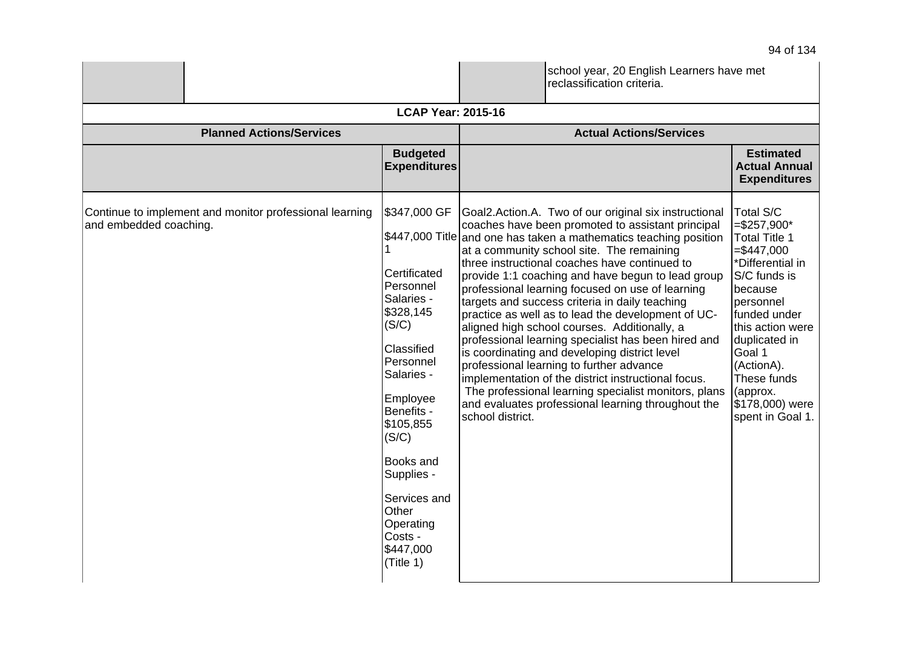|                                                                                   |                                                                                                                                                                                                                                                                                                 |                  | school year, 20 English Learners have met<br>reclassification criteria.                                                                                                                                                                                                                                                                                                                                                                                                                                                                                                                                                                                                                                                                                                                                                                                 |                                                                                                                                                                                                                                                                        |
|-----------------------------------------------------------------------------------|-------------------------------------------------------------------------------------------------------------------------------------------------------------------------------------------------------------------------------------------------------------------------------------------------|------------------|---------------------------------------------------------------------------------------------------------------------------------------------------------------------------------------------------------------------------------------------------------------------------------------------------------------------------------------------------------------------------------------------------------------------------------------------------------------------------------------------------------------------------------------------------------------------------------------------------------------------------------------------------------------------------------------------------------------------------------------------------------------------------------------------------------------------------------------------------------|------------------------------------------------------------------------------------------------------------------------------------------------------------------------------------------------------------------------------------------------------------------------|
|                                                                                   | <b>LCAP Year: 2015-16</b>                                                                                                                                                                                                                                                                       |                  |                                                                                                                                                                                                                                                                                                                                                                                                                                                                                                                                                                                                                                                                                                                                                                                                                                                         |                                                                                                                                                                                                                                                                        |
| <b>Planned Actions/Services</b>                                                   |                                                                                                                                                                                                                                                                                                 |                  | <b>Actual Actions/Services</b>                                                                                                                                                                                                                                                                                                                                                                                                                                                                                                                                                                                                                                                                                                                                                                                                                          |                                                                                                                                                                                                                                                                        |
|                                                                                   | <b>Budgeted</b><br><b>Expenditures</b>                                                                                                                                                                                                                                                          |                  |                                                                                                                                                                                                                                                                                                                                                                                                                                                                                                                                                                                                                                                                                                                                                                                                                                                         | <b>Estimated</b><br><b>Actual Annual</b><br><b>Expenditures</b>                                                                                                                                                                                                        |
| Continue to implement and monitor professional learning<br>and embedded coaching. | \$347,000 GF<br>\$447,000 Title<br>Certificated<br>Personnel<br>Salaries -<br>\$328,145<br>(S/C)<br>Classified<br>Personnel<br>Salaries -<br>Employee<br>Benefits -<br>\$105,855<br>(S/C)<br>Books and<br>Supplies -<br>Services and<br>Other<br>Operating<br>Costs -<br>\$447,000<br>(Title 1) | school district. | Goal2.Action.A. Two of our original six instructional<br>coaches have been promoted to assistant principal<br>and one has taken a mathematics teaching position<br>at a community school site. The remaining<br>three instructional coaches have continued to<br>provide 1:1 coaching and have begun to lead group<br>professional learning focused on use of learning<br>targets and success criteria in daily teaching<br>practice as well as to lead the development of UC-<br>aligned high school courses. Additionally, a<br>professional learning specialist has been hired and<br>is coordinating and developing district level<br>professional learning to further advance<br>implementation of the district instructional focus.<br>The professional learning specialist monitors, plans<br>and evaluates professional learning throughout the | Total S/C<br>$= $257,900*$<br>Total Title 1<br>$= $447,000$<br>*Differential in<br>S/C funds is<br>because<br>personnel<br>funded under<br>this action were<br>duplicated in<br>Goal 1<br>(ActionA).<br>These funds<br>(approx.<br>\$178,000) were<br>spent in Goal 1. |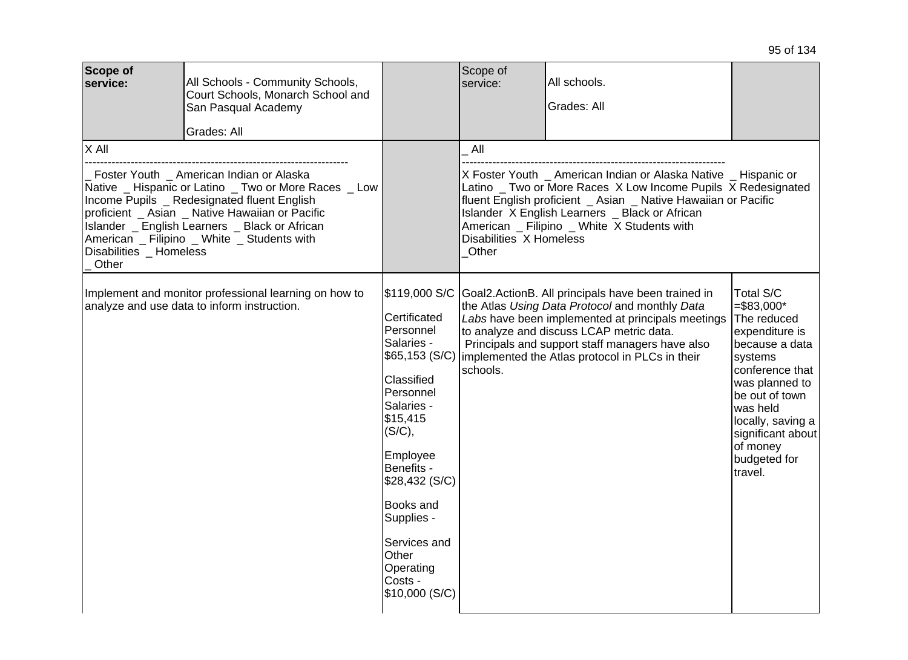| <b>Scope of</b><br>service:                                                                                                                                                                                                                                                                                                                         | All Schools - Community Schools,<br>Court Schools, Monarch School and<br>San Pasqual Academy<br>Grades: All |                                                                                                                                                                                                                                                                   | Scope of<br>service:                    | All schools.<br>Grades: All                                                                                                                                                                                                                                                                                                  |                                                                                                                                                                                                                                             |
|-----------------------------------------------------------------------------------------------------------------------------------------------------------------------------------------------------------------------------------------------------------------------------------------------------------------------------------------------------|-------------------------------------------------------------------------------------------------------------|-------------------------------------------------------------------------------------------------------------------------------------------------------------------------------------------------------------------------------------------------------------------|-----------------------------------------|------------------------------------------------------------------------------------------------------------------------------------------------------------------------------------------------------------------------------------------------------------------------------------------------------------------------------|---------------------------------------------------------------------------------------------------------------------------------------------------------------------------------------------------------------------------------------------|
| $X$ All<br>Foster Youth _ American Indian or Alaska<br>Native _ Hispanic or Latino _ Two or More Races _ Low<br>Income Pupils _ Redesignated fluent English<br>proficient _ Asian _ Native Hawaiian or Pacific<br>Islander _ English Learners _ Black or African<br>American _ Filipino _ White _ Students with<br>Disabilities _ Homeless<br>Other |                                                                                                             |                                                                                                                                                                                                                                                                   | All<br>Disabilities X Homeless<br>Other | X Foster Youth _ American Indian or Alaska Native _ Hispanic or<br>Latino _ Two or More Races X Low Income Pupils X Redesignated<br>fluent English proficient _ Asian _ Native Hawaiian or Pacific<br>Islander X English Learners _ Black or African<br>American _ Filipino _ White X Students with                          |                                                                                                                                                                                                                                             |
| Implement and monitor professional learning on how to<br>analyze and use data to inform instruction.                                                                                                                                                                                                                                                |                                                                                                             | \$119,000 S/C<br>Certificated<br>Personnel<br>Salaries -<br>Classified<br>Personnel<br>Salaries -<br>\$15,415<br>(S/C),<br>Employee<br>Benefits -<br>\$28,432 (S/C)<br>Books and<br>Supplies -<br>Services and<br>Other<br>Operating<br>Costs -<br>\$10,000 (S/C) | schools.                                | Goal2.ActionB. All principals have been trained in<br>the Atlas Using Data Protocol and monthly Data<br>Labs have been implemented at principals meetings<br>to analyze and discuss LCAP metric data.<br>Principals and support staff managers have also<br>\$65,153 (S/C)   implemented the Atlas protocol in PLCs in their | Total S/C<br>$= $83,000*$<br>The reduced<br>expenditure is<br>because a data<br>systems<br>conference that<br>was planned to<br>be out of town<br>was held<br>locally, saving a<br>significant about<br>of money<br>budgeted for<br>travel. |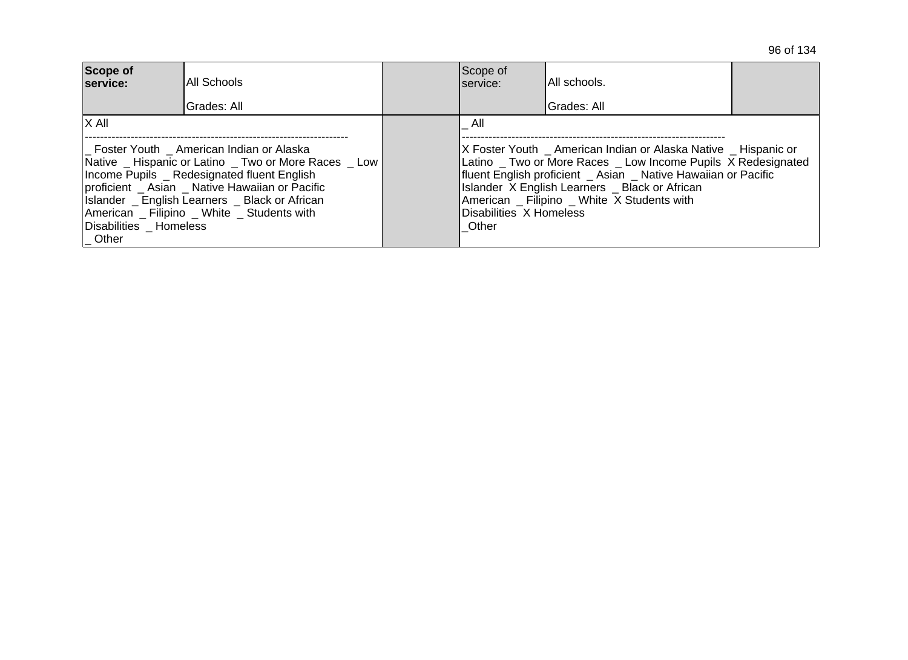| Scope of<br>service:                                                                                                                                                                                                                                                                                                                                    | IAII Schools | Scope of<br>Iservice:                   | IAII schools.<br>Grades: All                                                                                                                                                                                                                                                                        |  |
|---------------------------------------------------------------------------------------------------------------------------------------------------------------------------------------------------------------------------------------------------------------------------------------------------------------------------------------------------------|--------------|-----------------------------------------|-----------------------------------------------------------------------------------------------------------------------------------------------------------------------------------------------------------------------------------------------------------------------------------------------------|--|
| Grades: All<br>$ X \text{ All}$<br>_ Foster Youth _ American Indian or Alaska<br> Native _ Hispanic or Latino _ Two or More Races Low  <br>Income Pupils Redesignated fluent English<br>proficient Asian Native Hawaiian or Pacific<br>Islander _ English Learners _ Black or African<br>American Filipino White Students with<br>Disabilities Homeless |              | All<br>Disabilities X Homeless<br>Other | X Foster Youth _ American Indian or Alaska Native _ Hispanic or<br>Latino _ Two or More Races _ Low Income Pupils X Redesignated<br>fluent English proficient _ Asian _ Native Hawaiian or Pacific<br>Islander X English Learners _ Black or African<br>American _ Filipino _ White X Students with |  |
| Other                                                                                                                                                                                                                                                                                                                                                   |              |                                         |                                                                                                                                                                                                                                                                                                     |  |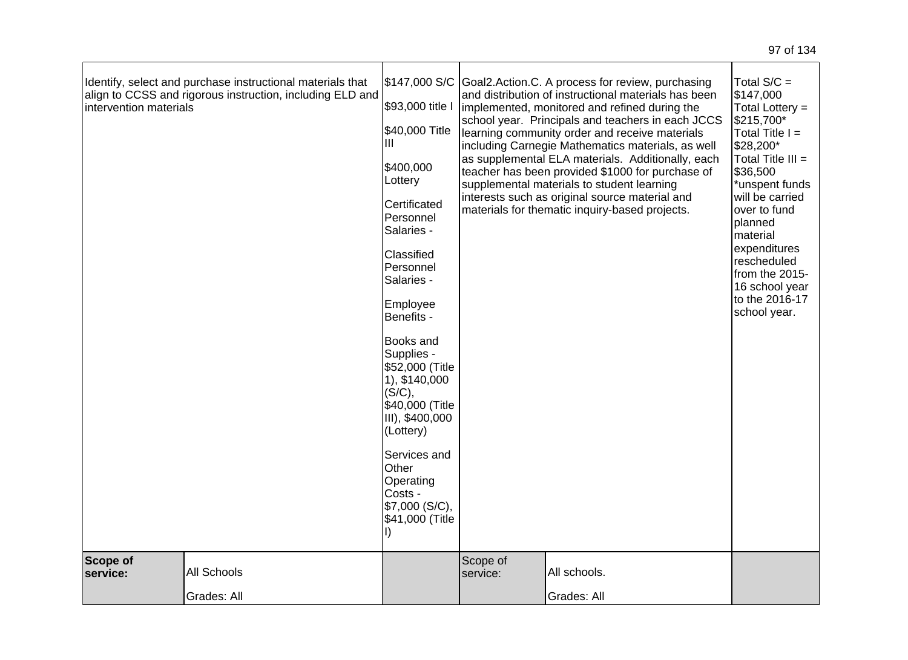|  | Scope of<br>service:   | <b>All Schools</b>                                         | Costs -<br>\$7,000 (S/C),<br>\$41,000 (Title                                                                                    | Scope of<br>service:                                                                                                                                     | All schools.                                                                                                                                              |                                                                 |
|--|------------------------|------------------------------------------------------------|---------------------------------------------------------------------------------------------------------------------------------|----------------------------------------------------------------------------------------------------------------------------------------------------------|-----------------------------------------------------------------------------------------------------------------------------------------------------------|-----------------------------------------------------------------|
|  |                        |                                                            | Services and<br>Other<br>Operating                                                                                              |                                                                                                                                                          |                                                                                                                                                           |                                                                 |
|  |                        |                                                            | <b>Books and</b><br>Supplies -<br>\$52,000 (Title<br>1), \$140,000<br>(S/C),<br>\$40,000 (Title<br>III), \$400,000<br>(Lottery) |                                                                                                                                                          |                                                                                                                                                           |                                                                 |
|  |                        |                                                            | Employee<br>Benefits -                                                                                                          |                                                                                                                                                          | to the 2016-17<br>school year.                                                                                                                            |                                                                 |
|  |                        |                                                            | Classified<br>Personnel<br>Salaries -                                                                                           |                                                                                                                                                          |                                                                                                                                                           | expenditures<br>rescheduled<br>from the 2015-<br>16 school year |
|  |                        | Certificated<br>Personnel<br>Salaries -                    |                                                                                                                                 | interests such as original source material and<br>materials for thematic inquiry-based projects.                                                         | will be carried<br>over to fund<br>planned<br>material                                                                                                    |                                                                 |
|  |                        | \$400,000<br>Lottery                                       |                                                                                                                                 | as supplemental ELA materials. Additionally, each<br>teacher has been provided \$1000 for purchase of<br>supplemental materials to student learning      | Total Title III =<br>\$36,500<br>*unspent funds                                                                                                           |                                                                 |
|  |                        | \$40,000 Title<br>Ш                                        |                                                                                                                                 | school year. Principals and teachers in each JCCS<br>learning community order and receive materials<br>including Carnegie Mathematics materials, as well | \$215,700*<br>Total Title I =<br>\$28,200*                                                                                                                |                                                                 |
|  | intervention materials | align to CCSS and rigorous instruction, including ELD and  | \$93,000 title I                                                                                                                |                                                                                                                                                          | Goal2.Action.C. A process for review, purchasing<br>and distribution of instructional materials has been<br>implemented, monitored and refined during the | \$147,000<br>Total Lottery =                                    |
|  |                        | Identify, select and purchase instructional materials that | \$147,000 S/C                                                                                                                   |                                                                                                                                                          |                                                                                                                                                           | Total $S/C =$                                                   |

Grades: All

Grades: All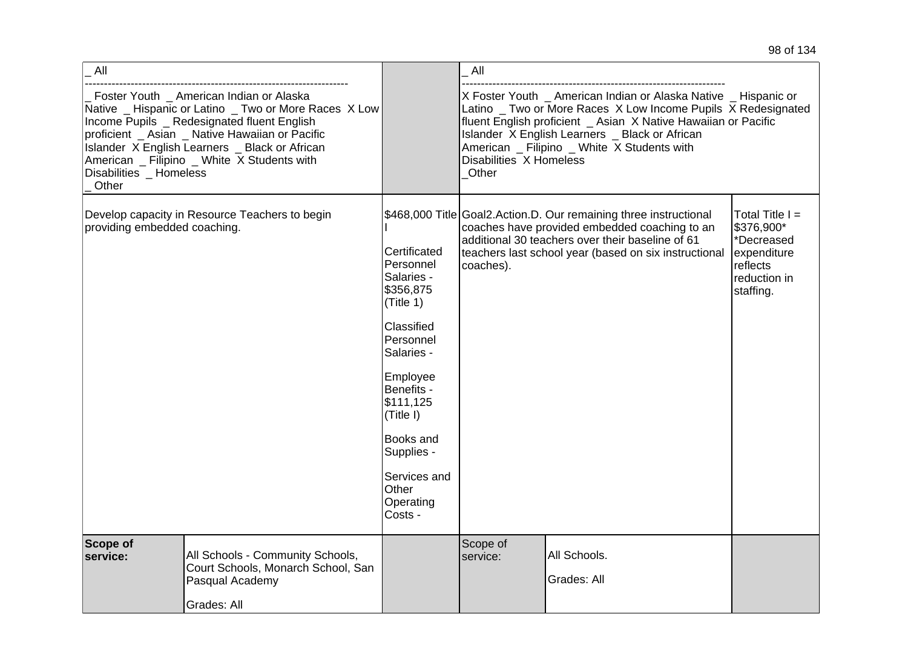|  |  | 98 of 134 |
|--|--|-----------|
|--|--|-----------|

| All                              |                                                                                                                                                                                                                                                                                                      |                                                                                                                                                                                                                                                   | All                              |                                                                                                                                                                                                                                                                                                     |                                                                                                       |
|----------------------------------|------------------------------------------------------------------------------------------------------------------------------------------------------------------------------------------------------------------------------------------------------------------------------------------------------|---------------------------------------------------------------------------------------------------------------------------------------------------------------------------------------------------------------------------------------------------|----------------------------------|-----------------------------------------------------------------------------------------------------------------------------------------------------------------------------------------------------------------------------------------------------------------------------------------------------|-------------------------------------------------------------------------------------------------------|
| Disabilities _ Homeless<br>Other | Foster Youth _ American Indian or Alaska<br>Native _ Hispanic or Latino _ Two or More Races X Low<br>Income Pupils _ Redesignated fluent English<br>proficient _ Asian _ Native Hawaiian or Pacific<br>Islander X English Learners _ Black or African<br>American _ Filipino _ White X Students with |                                                                                                                                                                                                                                                   | Disabilities X Homeless<br>Other | X Foster Youth _ American Indian or Alaska Native _ Hispanic or<br>Latino _ Two or More Races X Low Income Pupils X Redesignated<br>fluent English proficient _ Asian X Native Hawaiian or Pacific<br>Islander X English Learners _ Black or African<br>American _ Filipino _ White X Students with |                                                                                                       |
| providing embedded coaching.     | Develop capacity in Resource Teachers to begin                                                                                                                                                                                                                                                       | Certificated<br>Personnel<br>Salaries -<br>\$356,875<br>(Title 1)<br>Classified<br>Personnel<br>Salaries -<br>Employee<br>Benefits -<br>\$111,125<br>(Title I)<br><b>Books and</b><br>Supplies -<br>Services and<br>Other<br>Operating<br>Costs - | coaches).                        | \$468,000 Title Goal2. Action. D. Our remaining three instructional<br>coaches have provided embedded coaching to an<br>additional 30 teachers over their baseline of 61<br>teachers last school year (based on six instructional                                                                   | Total Title $I =$<br>\$376,900*<br>*Decreased<br>expenditure<br>reflects<br>reduction in<br>staffing. |
| Scope of<br>service:             | All Schools - Community Schools,<br>Court Schools, Monarch School, San<br>Pasqual Academy<br>Grades: All                                                                                                                                                                                             |                                                                                                                                                                                                                                                   | Scope of<br>service:             | All Schools.<br>Grades: All                                                                                                                                                                                                                                                                         |                                                                                                       |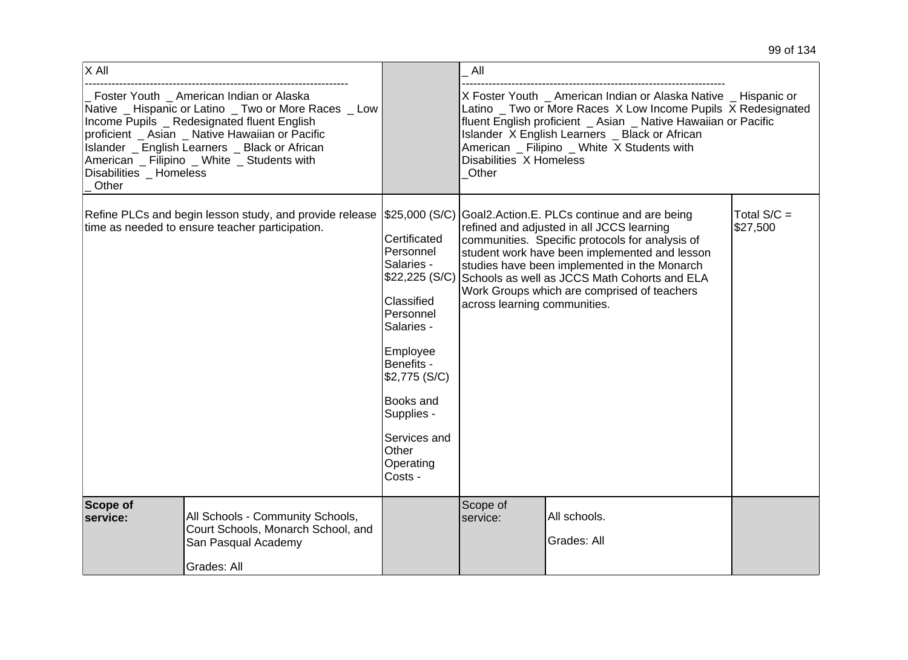| $\overline{\mathsf{x}}$ All      |                                                                                                                                                                                                                                                                                                        |                                                                                                                                                                                                                                             | All                              |                                                                                                                                                                                                                                                                                                                                             |                           |
|----------------------------------|--------------------------------------------------------------------------------------------------------------------------------------------------------------------------------------------------------------------------------------------------------------------------------------------------------|---------------------------------------------------------------------------------------------------------------------------------------------------------------------------------------------------------------------------------------------|----------------------------------|---------------------------------------------------------------------------------------------------------------------------------------------------------------------------------------------------------------------------------------------------------------------------------------------------------------------------------------------|---------------------------|
| Disabilities _ Homeless<br>Other | _ Foster Youth _ American Indian or Alaska<br>Native _ Hispanic or Latino _ Two or More Races _ Low<br>Income Pupils _ Redesignated fluent English<br>proficient _ Asian _ Native Hawaiian or Pacific<br>Islander _ English Learners _ Black or African<br>American _ Filipino _ White _ Students with |                                                                                                                                                                                                                                             | Disabilities X Homeless<br>Other | X Foster Youth _ American Indian or Alaska Native _ Hispanic or<br>Latino _ Two or More Races X Low Income Pupils X Redesignated<br>fluent English proficient _ Asian _ Native Hawaiian or Pacific<br>Islander X English Learners _ Black or African<br>American _ Filipino _ White X Students with                                         |                           |
|                                  | Refine PLCs and begin lesson study, and provide release<br>time as needed to ensure teacher participation.                                                                                                                                                                                             | \$25,000 (S/C)<br>Certificated<br>Personnel<br>Salaries -<br>\$22,225 (S/C)<br>Classified<br>Personnel<br>Salaries -<br>Employee<br>Benefits -<br>\$2,775 (S/C)<br>Books and<br>Supplies -<br>Services and<br>Other<br>Operating<br>Costs - | across learning communities.     | Goal2.Action.E. PLCs continue and are being<br>refined and adjusted in all JCCS learning<br>communities. Specific protocols for analysis of<br>student work have been implemented and lesson<br>studies have been implemented in the Monarch<br>Schools as well as JCCS Math Cohorts and ELA<br>Work Groups which are comprised of teachers | Total $S/C =$<br>\$27,500 |
| Scope of<br>service:             | All Schools - Community Schools,<br>Court Schools, Monarch School, and<br>San Pasqual Academy<br>Grades: All                                                                                                                                                                                           |                                                                                                                                                                                                                                             | Scope of<br>service:             | All schools.<br>Grades: All                                                                                                                                                                                                                                                                                                                 |                           |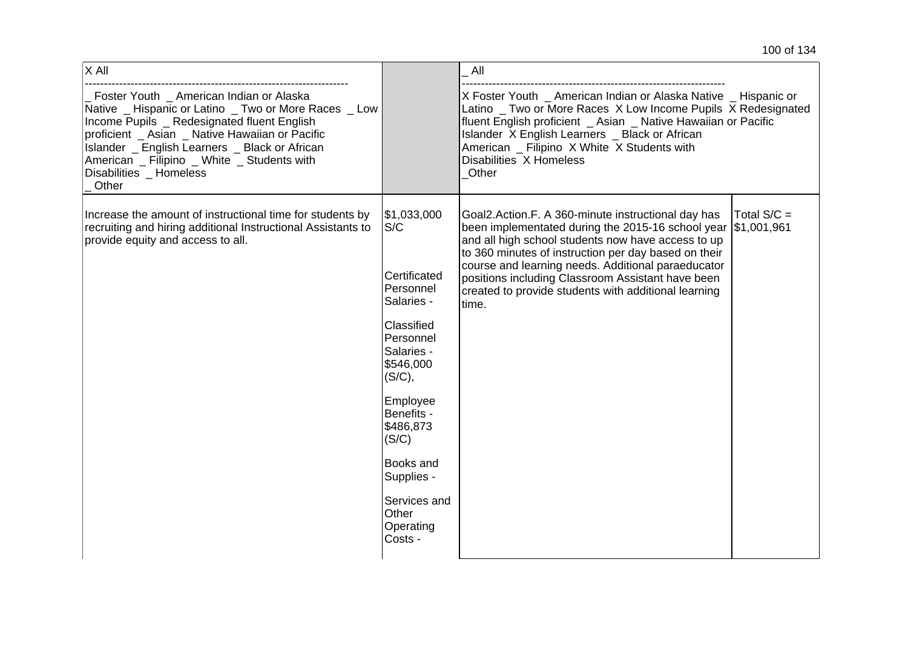| X All                                                                                                                                                                                                                                                                                                                                  |                                                                                                                               | All                                                                                                                                                                                                                                                                                                                                                                                                           |             |
|----------------------------------------------------------------------------------------------------------------------------------------------------------------------------------------------------------------------------------------------------------------------------------------------------------------------------------------|-------------------------------------------------------------------------------------------------------------------------------|---------------------------------------------------------------------------------------------------------------------------------------------------------------------------------------------------------------------------------------------------------------------------------------------------------------------------------------------------------------------------------------------------------------|-------------|
| Foster Youth _ American Indian or Alaska<br>Native _ Hispanic or Latino _ Two or More Races _ Low<br>Income Pupils _ Redesignated fluent English<br>proficient _ Asian _ Native Hawaiian or Pacific<br>Islander _ English Learners _ Black or African<br>American _ Filipino _ White _ Students with<br>Disabilities Homeless<br>Other |                                                                                                                               | X Foster Youth _ American Indian or Alaska Native _ Hispanic or<br>Latino _ Two or More Races X Low Income Pupils X Redesignated<br>fluent English proficient _ Asian _ Native Hawaiian or Pacific<br>Islander X English Learners _ Black or African<br>American _ Filipino X White X Students with<br>Disabilities X Homeless<br>Other                                                                       |             |
| Increase the amount of instructional time for students by<br>recruiting and hiring additional Instructional Assistants to<br>provide equity and access to all.                                                                                                                                                                         | \$1,033,000<br>S/C<br>Certificated<br>Personnel<br>Salaries -<br>Classified<br>Personnel<br>Salaries -<br>\$546,000<br>(S/C), | Goal2.Action.F. A 360-minute instructional day has<br>been implementated during the 2015-16 school year \$1,001,961<br>and all high school students now have access to up<br>to 360 minutes of instruction per day based on their<br>course and learning needs. Additional paraeducator<br>positions including Classroom Assistant have been<br>created to provide students with additional learning<br>time. | Total S/C = |
|                                                                                                                                                                                                                                                                                                                                        | Employee<br>Benefits -<br>\$486,873<br>(S/C)                                                                                  |                                                                                                                                                                                                                                                                                                                                                                                                               |             |
|                                                                                                                                                                                                                                                                                                                                        | Books and<br>Supplies -                                                                                                       |                                                                                                                                                                                                                                                                                                                                                                                                               |             |
|                                                                                                                                                                                                                                                                                                                                        | Services and<br>Other<br>Operating<br>Costs -                                                                                 |                                                                                                                                                                                                                                                                                                                                                                                                               |             |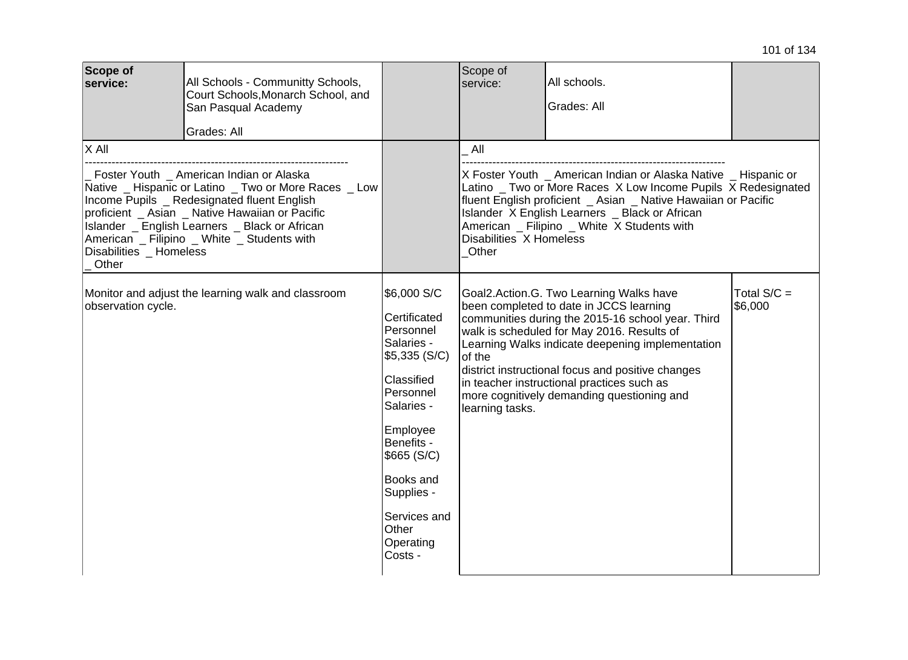| Scope of<br>service:                                                                                                                                                                                                                                                                                                                     | All Schools - Communitty Schools,<br>Court Schools, Monarch School, and<br>San Pasqual Academy<br>Grades: All |                                                                                                                                                                                                                                       | Scope of<br>service:                                                                                                                                                                                                                                                                                                                                                                                                    | All schools.<br>Grades: All |                          |
|------------------------------------------------------------------------------------------------------------------------------------------------------------------------------------------------------------------------------------------------------------------------------------------------------------------------------------------|---------------------------------------------------------------------------------------------------------------|---------------------------------------------------------------------------------------------------------------------------------------------------------------------------------------------------------------------------------------|-------------------------------------------------------------------------------------------------------------------------------------------------------------------------------------------------------------------------------------------------------------------------------------------------------------------------------------------------------------------------------------------------------------------------|-----------------------------|--------------------------|
| X All                                                                                                                                                                                                                                                                                                                                    |                                                                                                               |                                                                                                                                                                                                                                       | All                                                                                                                                                                                                                                                                                                                                                                                                                     |                             |                          |
| Foster Youth _ American Indian or Alaska<br>Native _ Hispanic or Latino _ Two or More Races _ Low<br>Income Pupils _ Redesignated fluent English<br>proficient _ Asian _ Native Hawaiian or Pacific<br>Islander _ English Learners _ Black or African<br>American _ Filipino _ White _ Students with<br>Disabilities _ Homeless<br>Other |                                                                                                               |                                                                                                                                                                                                                                       | X Foster Youth _ American Indian or Alaska Native _ Hispanic or<br>Latino _ Two or More Races X Low Income Pupils X Redesignated<br>fluent English proficient _ Asian _ Native Hawaiian or Pacific<br>Islander X English Learners _ Black or African<br>American _ Filipino _ White X Students with<br>Disabilities X Homeless<br>Other                                                                                 |                             |                          |
| Monitor and adjust the learning walk and classroom<br>observation cycle.                                                                                                                                                                                                                                                                 |                                                                                                               | \$6,000 S/C<br>Certificated<br>Personnel<br>Salaries -<br>\$5,335 (S/C)<br>Classified<br>Personnel<br>Salaries -<br>Employee<br>Benefits -<br>\$665 (S/C)<br>Books and<br>Supplies -<br>Services and<br>Other<br>Operating<br>Costs - | Goal2.Action.G. Two Learning Walks have<br>been completed to date in JCCS learning<br>communities during the 2015-16 school year. Third<br>walk is scheduled for May 2016. Results of<br>Learning Walks indicate deepening implementation<br>of the<br>district instructional focus and positive changes<br>in teacher instructional practices such as<br>more cognitively demanding questioning and<br>learning tasks. |                             | Total $S/C =$<br>\$6,000 |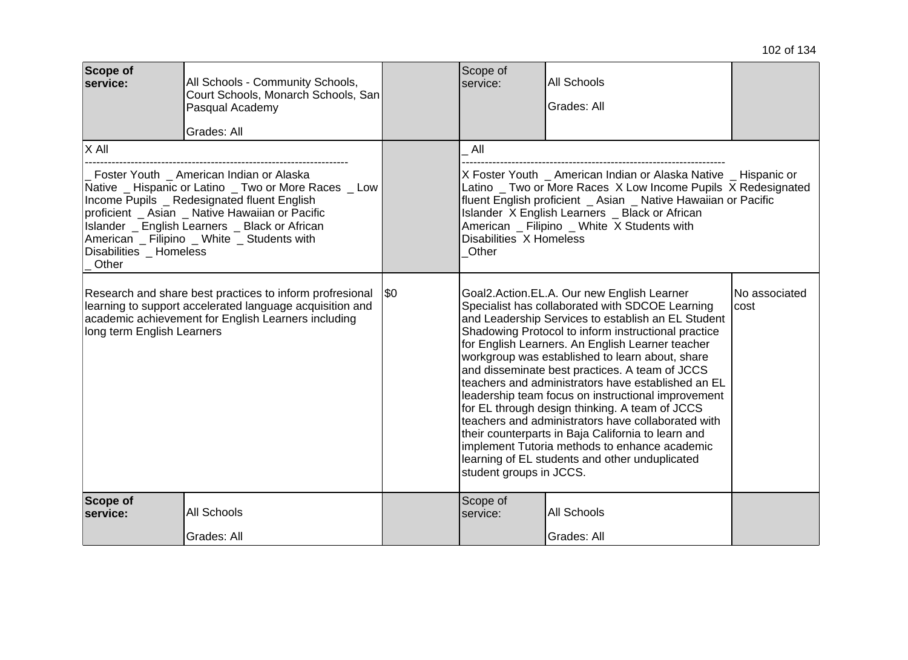| <b>Scope of</b><br>service:                                                                                                                                                                                                         | All Schools - Community Schools,<br>Court Schools, Monarch Schools, San<br>Pasqual Academy<br>Grades: All |     | Scope of<br>service:                                                                                                                                                                                                                                                                                                                                                                                                                                                                                                                                                                                                                                                                                                                                                        | <b>All Schools</b><br>Grades: All |                        |
|-------------------------------------------------------------------------------------------------------------------------------------------------------------------------------------------------------------------------------------|-----------------------------------------------------------------------------------------------------------|-----|-----------------------------------------------------------------------------------------------------------------------------------------------------------------------------------------------------------------------------------------------------------------------------------------------------------------------------------------------------------------------------------------------------------------------------------------------------------------------------------------------------------------------------------------------------------------------------------------------------------------------------------------------------------------------------------------------------------------------------------------------------------------------------|-----------------------------------|------------------------|
| X All<br>Foster Youth American Indian or Alaska<br>Native _ Hispanic or Latino _ Two or More Races _ Low                                                                                                                            |                                                                                                           |     | All<br>X Foster Youth American Indian or Alaska Native Hispanic or<br>Latino _ Two or More Races X Low Income Pupils X Redesignated<br>fluent English proficient _ Asian _ Native Hawaiian or Pacific<br>Islander X English Learners _ Black or African<br>American _ Filipino _ White X Students with<br>Disabilities X Homeless<br>Other                                                                                                                                                                                                                                                                                                                                                                                                                                  |                                   |                        |
| Income Pupils _ Redesignated fluent English<br>proficient _ Asian _ Native Hawaiian or Pacific<br>Islander _ English Learners _ Black or African<br>American _ Filipino _ White _ Students with<br>Disabilities _ Homeless<br>Other |                                                                                                           |     |                                                                                                                                                                                                                                                                                                                                                                                                                                                                                                                                                                                                                                                                                                                                                                             |                                   |                        |
| Research and share best practices to inform profresional<br>learning to support accelerated language acquisition and<br>academic achievement for English Learners including<br>long term English Learners                           |                                                                                                           | \$0 | Goal2.Action.EL.A. Our new English Learner<br>Specialist has collaborated with SDCOE Learning<br>and Leadership Services to establish an EL Student<br>Shadowing Protocol to inform instructional practice<br>for English Learners. An English Learner teacher<br>workgroup was established to learn about, share<br>and disseminate best practices. A team of JCCS<br>teachers and administrators have established an EL<br>leadership team focus on instructional improvement<br>for EL through design thinking. A team of JCCS<br>teachers and administrators have collaborated with<br>their counterparts in Baja California to learn and<br>implement Tutoria methods to enhance academic<br>learning of EL students and other unduplicated<br>student groups in JCCS. |                                   | No associated<br>lcost |
| Scope of<br>service:                                                                                                                                                                                                                | All Schools                                                                                               |     | Scope of<br>service:                                                                                                                                                                                                                                                                                                                                                                                                                                                                                                                                                                                                                                                                                                                                                        | <b>All Schools</b>                |                        |
|                                                                                                                                                                                                                                     | Grades: All                                                                                               |     |                                                                                                                                                                                                                                                                                                                                                                                                                                                                                                                                                                                                                                                                                                                                                                             | Grades: All                       |                        |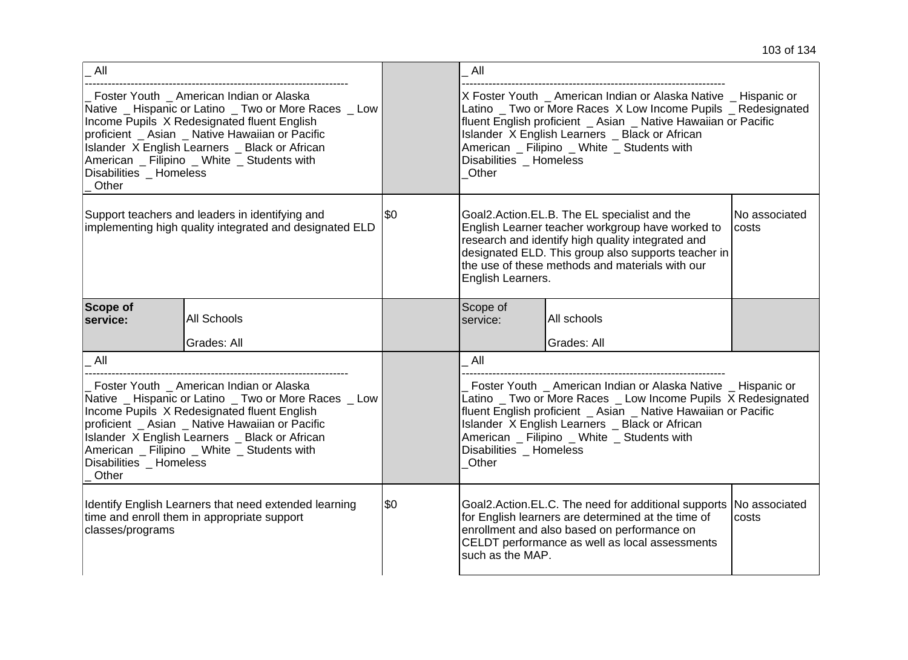| $\_$ All                                                                                                                                                                                                                                                                                                                                      |             |     | All                                                                                                                                                                                                                                                                                                                             |                                                                                                                                                                                                                                                                                                     |                        |
|-----------------------------------------------------------------------------------------------------------------------------------------------------------------------------------------------------------------------------------------------------------------------------------------------------------------------------------------------|-------------|-----|---------------------------------------------------------------------------------------------------------------------------------------------------------------------------------------------------------------------------------------------------------------------------------------------------------------------------------|-----------------------------------------------------------------------------------------------------------------------------------------------------------------------------------------------------------------------------------------------------------------------------------------------------|------------------------|
| Foster Youth _ American Indian or Alaska<br>Native _ Hispanic or Latino _ Two or More Races _ Low<br>Income Pupils X Redesignated fluent English<br>proficient _ Asian _ Native Hawaiian or Pacific<br>Islander X English Learners _ Black or African<br>American _ Filipino _ White _ Students with<br>Disabilities _ Homeless<br>$\_$ Other |             |     | Disabilities Homeless<br>Other                                                                                                                                                                                                                                                                                                  | X Foster Youth _ American Indian or Alaska Native _ Hispanic or<br>Latino _ Two or More Races X Low Income Pupils _ Redesignated<br>fluent English proficient _ Asian _ Native Hawaiian or Pacific<br>Islander X English Learners _ Black or African<br>American _ Filipino _ White _ Students with |                        |
| Support teachers and leaders in identifying and<br>implementing high quality integrated and designated ELD                                                                                                                                                                                                                                    |             | \$0 | Goal2.Action.EL.B. The EL specialist and the<br>English Learner teacher workgroup have worked to<br>costs<br>research and identify high quality integrated and<br>designated ELD. This group also supports teacher in<br>the use of these methods and materials with our<br>English Learners.                                   |                                                                                                                                                                                                                                                                                                     | No associated          |
| Scope of<br>service:                                                                                                                                                                                                                                                                                                                          | All Schools |     | Scope of<br>service:                                                                                                                                                                                                                                                                                                            | All schools                                                                                                                                                                                                                                                                                         |                        |
|                                                                                                                                                                                                                                                                                                                                               | Grades: All |     |                                                                                                                                                                                                                                                                                                                                 | Grades: All                                                                                                                                                                                                                                                                                         |                        |
| $\_$ All                                                                                                                                                                                                                                                                                                                                      |             |     | All                                                                                                                                                                                                                                                                                                                             |                                                                                                                                                                                                                                                                                                     |                        |
| Foster Youth American Indian or Alaska<br>Native _ Hispanic or Latino _ Two or More Races _ Low<br>Income Pupils X Redesignated fluent English<br>proficient _ Asian _ Native Hawaiian or Pacific<br>Islander X English Learners _ Black or African<br>American _ Filipino _ White _ Students with<br>Disabilities Homeless<br>$\_$ Other     |             |     | Foster Youth American Indian or Alaska Native Hispanic or<br>Latino _ Two or More Races _ Low Income Pupils X Redesignated<br>fluent English proficient _ Asian _ Native Hawaiian or Pacific<br>Islander X English Learners _ Black or African<br>American _ Filipino _ White _ Students with<br>Disabilities Homeless<br>Other |                                                                                                                                                                                                                                                                                                     |                        |
| Identify English Learners that need extended learning<br>time and enroll them in appropriate support<br>classes/programs                                                                                                                                                                                                                      |             | \$0 | Goal2.Action.EL.C. The need for additional supports<br>for English learners are determined at the time of<br>enrollment and also based on performance on<br>CELDT performance as well as local assessments<br>such as the MAP.                                                                                                  |                                                                                                                                                                                                                                                                                                     | No associated<br>costs |
|                                                                                                                                                                                                                                                                                                                                               |             |     |                                                                                                                                                                                                                                                                                                                                 |                                                                                                                                                                                                                                                                                                     |                        |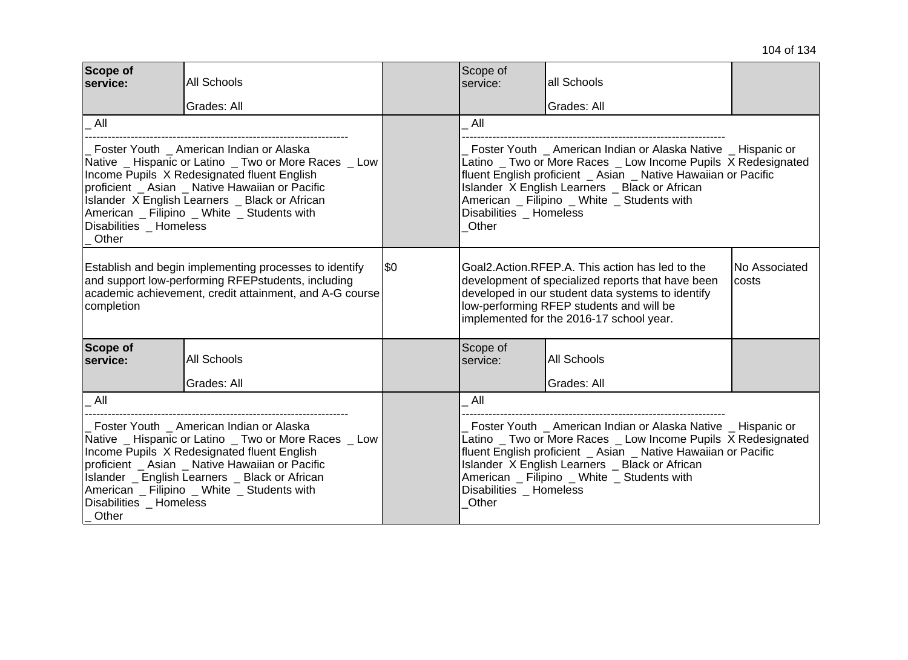| <b>Scope of</b><br>service:                                                                                                                                                                                                                                                                                                            | <b>All Schools</b><br>Grades: All |      | Scope of<br>service:                                                                                                                                                                                                                                                                                                                  | all Schools<br>Grades: All |               |
|----------------------------------------------------------------------------------------------------------------------------------------------------------------------------------------------------------------------------------------------------------------------------------------------------------------------------------------|-----------------------------------|------|---------------------------------------------------------------------------------------------------------------------------------------------------------------------------------------------------------------------------------------------------------------------------------------------------------------------------------------|----------------------------|---------------|
| All                                                                                                                                                                                                                                                                                                                                    |                                   |      | All                                                                                                                                                                                                                                                                                                                                   |                            |               |
| Foster Youth American Indian or Alaska<br>Native _ Hispanic or Latino _ Two or More Races _ Low<br>Income Pupils X Redesignated fluent English<br>proficient _ Asian _ Native Hawaiian or Pacific<br>Islander X English Learners _ Black or African<br>American _ Filipino _ White _ Students with<br>Disabilities _ Homeless<br>Other |                                   |      | Foster Youth American Indian or Alaska Native Hispanic or<br>Latino _ Two or More Races _ Low Income Pupils X Redesignated<br>fluent English proficient _ Asian _ Native Hawaiian or Pacific<br>Islander X English Learners _ Black or African<br>American _ Filipino _ White _ Students with<br>Disabilities Homeless<br>Other       |                            |               |
| Establish and begin implementing processes to identify<br>and support low-performing RFEPstudents, including<br>academic achievement, credit attainment, and A-G course<br>completion                                                                                                                                                  |                                   | 1\$0 | Goal2.Action.RFEP.A. This action has led to the<br>development of specialized reports that have been<br>costs<br>developed in our student data systems to identify<br>low-performing RFEP students and will be<br>implemented for the 2016-17 school year.                                                                            |                            | No Associated |
| Scope of<br>service:                                                                                                                                                                                                                                                                                                                   | <b>All Schools</b>                |      | Scope of<br>service:                                                                                                                                                                                                                                                                                                                  | <b>All Schools</b>         |               |
|                                                                                                                                                                                                                                                                                                                                        | Grades: All                       |      |                                                                                                                                                                                                                                                                                                                                       | Grades: All                |               |
| All                                                                                                                                                                                                                                                                                                                                    |                                   |      | All                                                                                                                                                                                                                                                                                                                                   |                            |               |
| Foster Youth _ American Indian or Alaska<br>Native _ Hispanic or Latino _ Two or More Races _ Low<br>Income Pupils X Redesignated fluent English<br>proficient Asian Native Hawaiian or Pacific<br>Islander _ English Learners _ Black or African<br>American _ Filipino _ White _ Students with<br>Disabilities _ Homeless<br>Other   |                                   |      | Foster Youth _ American Indian or Alaska Native _ Hispanic or<br>Latino _ Two or More Races _ Low Income Pupils X Redesignated<br>fluent English proficient _ Asian _ Native Hawaiian or Pacific<br>Islander X English Learners _ Black or African<br>American _ Filipino _ White _ Students with<br>Disabilities _ Homeless<br>Other |                            |               |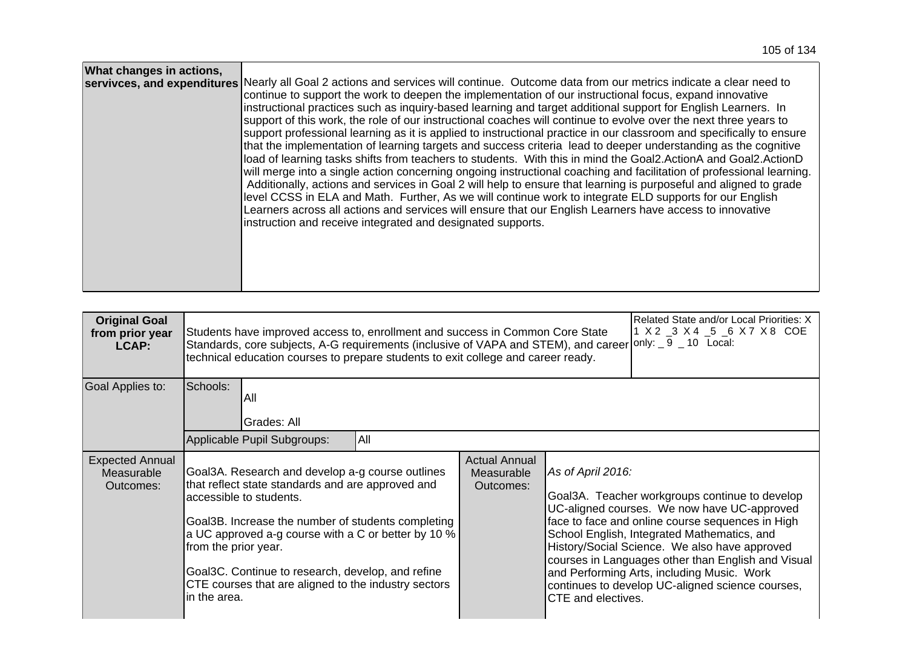| What changes in actions, | servivces, and expenditures Nearly all Goal 2 actions and services will continue. Outcome data from our metrics indicate a clear need to<br>continue to support the work to deepen the implementation of our instructional focus, expand innovative<br>instructional practices such as inquiry-based learning and target additional support for English Learners. In<br>support of this work, the role of our instructional coaches will continue to evolve over the next three years to<br>support professional learning as it is applied to instructional practice in our classroom and specifically to ensure<br>that the implementation of learning targets and success criteria lead to deeper understanding as the cognitive<br>load of learning tasks shifts from teachers to students. With this in mind the Goal2.ActionA and Goal2.ActionD<br>will merge into a single action concerning ongoing instructional coaching and facilitation of professional learning.<br>Additionally, actions and services in Goal 2 will help to ensure that learning is purposeful and aligned to grade<br>level CCSS in ELA and Math. Further, As we will continue work to integrate ELD supports for our English<br>Learners across all actions and services will ensure that our English Learners have access to innovative<br>instruction and receive integrated and designated supports. |
|--------------------------|-----------------------------------------------------------------------------------------------------------------------------------------------------------------------------------------------------------------------------------------------------------------------------------------------------------------------------------------------------------------------------------------------------------------------------------------------------------------------------------------------------------------------------------------------------------------------------------------------------------------------------------------------------------------------------------------------------------------------------------------------------------------------------------------------------------------------------------------------------------------------------------------------------------------------------------------------------------------------------------------------------------------------------------------------------------------------------------------------------------------------------------------------------------------------------------------------------------------------------------------------------------------------------------------------------------------------------------------------------------------------------------------|
|--------------------------|-----------------------------------------------------------------------------------------------------------------------------------------------------------------------------------------------------------------------------------------------------------------------------------------------------------------------------------------------------------------------------------------------------------------------------------------------------------------------------------------------------------------------------------------------------------------------------------------------------------------------------------------------------------------------------------------------------------------------------------------------------------------------------------------------------------------------------------------------------------------------------------------------------------------------------------------------------------------------------------------------------------------------------------------------------------------------------------------------------------------------------------------------------------------------------------------------------------------------------------------------------------------------------------------------------------------------------------------------------------------------------------------|

| <b>Original Goal</b><br>from prior year<br>LCAP:  | Related State and/or Local Priorities: X<br>1 X 2 _3 X 4 _5 _6 X 7 X 8 COE<br>Students have improved access to, enrollment and success in Common Core State<br>Standards, core subjects, A-G requirements (inclusive of VAPA and STEM), and career only: $\_9$ $\_$ 10 Local:<br>technical education courses to prepare students to exit college and career ready.                                  |                                                 |                                                                                                                                                                                                                                                                                                                                                                                                                                                      |  |
|---------------------------------------------------|-----------------------------------------------------------------------------------------------------------------------------------------------------------------------------------------------------------------------------------------------------------------------------------------------------------------------------------------------------------------------------------------------------|-------------------------------------------------|------------------------------------------------------------------------------------------------------------------------------------------------------------------------------------------------------------------------------------------------------------------------------------------------------------------------------------------------------------------------------------------------------------------------------------------------------|--|
| Goal Applies to:                                  | Schools:<br>All<br>Grades: All<br>All<br>Applicable Pupil Subgroups:                                                                                                                                                                                                                                                                                                                                |                                                 |                                                                                                                                                                                                                                                                                                                                                                                                                                                      |  |
| <b>Expected Annual</b><br>Measurable<br>Outcomes: | Goal3A. Research and develop a-g course outlines<br>that reflect state standards and are approved and<br>accessible to students.<br>Goal3B. Increase the number of students completing<br>a UC approved a-g course with a C or better by 10 %<br>from the prior year.<br>Goal3C. Continue to research, develop, and refine<br>CTE courses that are aligned to the industry sectors<br>lin the area. | <b>Actual Annual</b><br>Measurable<br>Outcomes: | As of April 2016:<br>Goal3A. Teacher workgroups continue to develop<br>UC-aligned courses. We now have UC-approved<br>face to face and online course sequences in High<br>School English, Integrated Mathematics, and<br>History/Social Science. We also have approved<br>courses in Languages other than English and Visual<br>and Performing Arts, including Music. Work<br>continues to develop UC-aligned science courses,<br>CTE and electives. |  |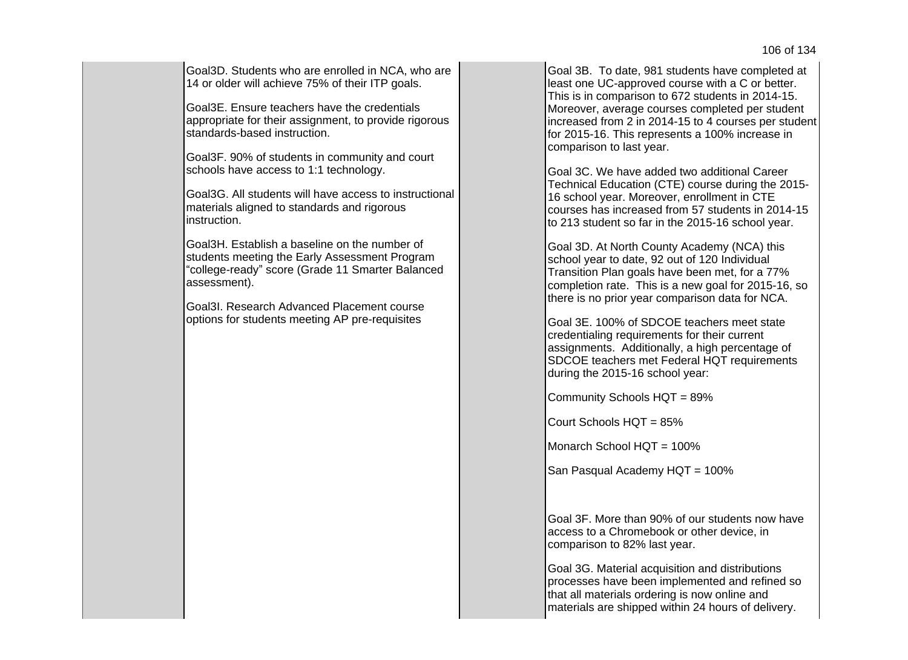Goal3D. Students who are enrolled in NCA, who are 14 or older will achieve 75% of their ITP goals.

Goal3E. Ensure teachers have the credentials appropriate for their assignment, to provide rigorous standards-based instruction.

Goal3F. 90% of students in community and court schools have access to 1:1 technology.

Goal3G. All students will have access to instructional materials aligned to standards and rigorous instruction.

Goal3H. Establish a baseline on the number of students meeting the Early Assessment Program "college-ready" score (Grade 11 Smarter Balanced assessment).

Goal3I. Research Advanced Placement course options for students meeting AP pre-requisites

Goal 3B. To date, 981 students have completed at least one UC-approved course with a C or better. This is in comparison to 672 students in 2014-15. Moreover, average courses completed per student increased from 2 in 2014-15 to 4 courses per student for 2015-16. This represents a 100% increase in comparison to last year.

Goal 3C. We have added two additional Career Technical Education (CTE) course during the 2015- 16 school year. Moreover, enrollment in CTE courses has increased from 57 students in 2014-15 to 213 student so far in the 2015-16 school year.

Goal 3D. At North County Academy (NCA) this school year to date, 92 out of 120 Individual Transition Plan goals have been met, for a 77% completion rate. This is a new goal for 2015-16, so there is no prior year comparison data for NCA.

Goal 3E. 100% of SDCOE teachers meet state credentialing requirements for their current assignments. Additionally, a high percentage of SDCOE teachers met Federal HQT requirements during the 2015-16 school year:

Community Schools HQT = 89%

Court Schools HQT = 85%

Monarch School HQT = 100%

San Pasqual Academy HQT = 100%

Goal 3F. More than 90% of our students now have access to a Chromebook or other device, in comparison to 82% last year.

Goal 3G. Material acquisition and distributions processes have been implemented and refined so that all materials ordering is now online and materials are shipped within 24 hours of delivery.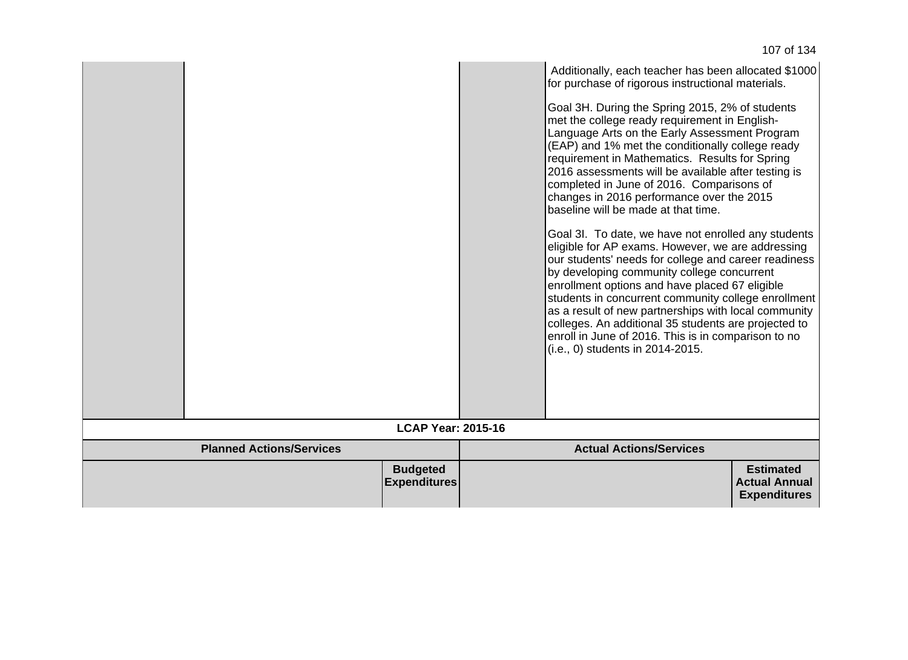|                                 |                                        | Additionally, each teacher has been allocated \$1000<br>for purchase of rigorous instructional materials.<br>Goal 3H. During the Spring 2015, 2% of students<br>met the college ready requirement in English-<br>Language Arts on the Early Assessment Program<br>(EAP) and 1% met the conditionally college ready<br>requirement in Mathematics. Results for Spring<br>2016 assessments will be available after testing is<br>completed in June of 2016. Comparisons of<br>changes in 2016 performance over the 2015<br>baseline will be made at that time.<br>Goal 3I. To date, we have not enrolled any students<br>eligible for AP exams. However, we are addressing<br>our students' needs for college and career readiness<br>by developing community college concurrent<br>enrollment options and have placed 67 eligible<br>students in concurrent community college enrollment<br>as a result of new partnerships with local community<br>colleges. An additional 35 students are projected to<br>enroll in June of 2016. This is in comparison to no<br>(i.e., 0) students in 2014-2015. |                                                                 |
|---------------------------------|----------------------------------------|----------------------------------------------------------------------------------------------------------------------------------------------------------------------------------------------------------------------------------------------------------------------------------------------------------------------------------------------------------------------------------------------------------------------------------------------------------------------------------------------------------------------------------------------------------------------------------------------------------------------------------------------------------------------------------------------------------------------------------------------------------------------------------------------------------------------------------------------------------------------------------------------------------------------------------------------------------------------------------------------------------------------------------------------------------------------------------------------------|-----------------------------------------------------------------|
|                                 | <b>LCAP Year: 2015-16</b>              |                                                                                                                                                                                                                                                                                                                                                                                                                                                                                                                                                                                                                                                                                                                                                                                                                                                                                                                                                                                                                                                                                                    |                                                                 |
| <b>Planned Actions/Services</b> |                                        | <b>Actual Actions/Services</b>                                                                                                                                                                                                                                                                                                                                                                                                                                                                                                                                                                                                                                                                                                                                                                                                                                                                                                                                                                                                                                                                     |                                                                 |
|                                 | <b>Budgeted</b><br><b>Expenditures</b> |                                                                                                                                                                                                                                                                                                                                                                                                                                                                                                                                                                                                                                                                                                                                                                                                                                                                                                                                                                                                                                                                                                    | <b>Estimated</b><br><b>Actual Annual</b><br><b>Expenditures</b> |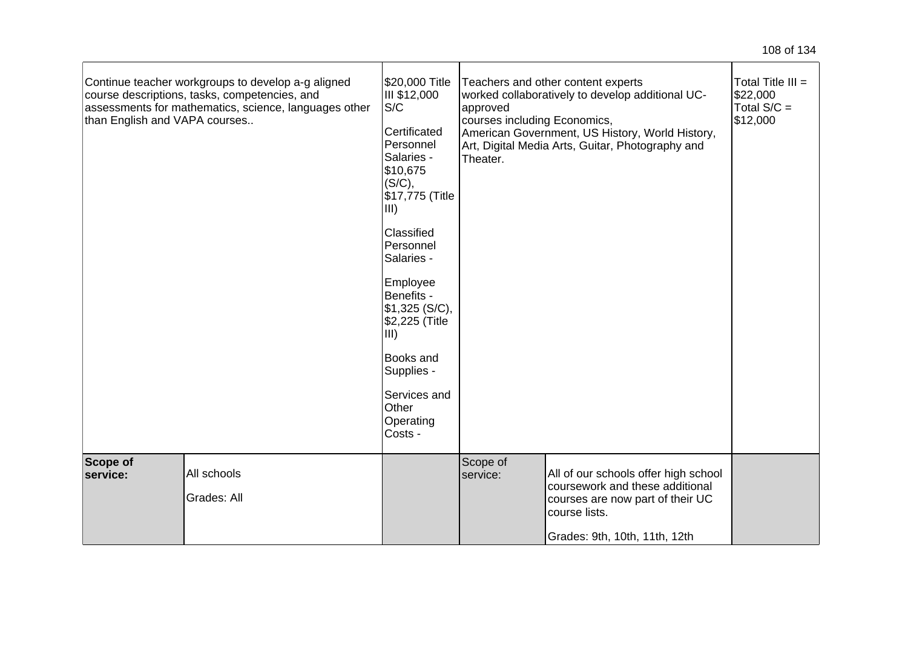| than English and VAPA courses | Continue teacher workgroups to develop a-g aligned<br>course descriptions, tasks, competencies, and<br>assessments for mathematics, science, languages other | \$20,000 Title<br>III \$12,000<br>S/C<br>Certificated<br>Personnel<br>Salaries -<br>\$10,675<br>(S/C),<br>\$17,775 (Title<br>$\vert$ III)<br>Classified<br>Personnel<br>Salaries -<br>Employee<br>Benefits -<br>\$1,325(S/C),<br>\$2,225 (Title<br>$\vert$ III)<br><b>Books and</b><br>Supplies -<br>Services and<br>Other<br>Operating<br>Costs - | approved<br>courses including Economics,<br>Theater. | Teachers and other content experts<br>worked collaboratively to develop additional UC-<br>American Government, US History, World History,<br>Art, Digital Media Arts, Guitar, Photography and | Total Title $III =$<br>\$22,000<br>Total $S/C =$<br>\$12,000 |
|-------------------------------|--------------------------------------------------------------------------------------------------------------------------------------------------------------|----------------------------------------------------------------------------------------------------------------------------------------------------------------------------------------------------------------------------------------------------------------------------------------------------------------------------------------------------|------------------------------------------------------|-----------------------------------------------------------------------------------------------------------------------------------------------------------------------------------------------|--------------------------------------------------------------|
| <b>Scope of</b><br>service:   | All schools<br>Grades: All                                                                                                                                   |                                                                                                                                                                                                                                                                                                                                                    | Scope of<br>service:                                 | All of our schools offer high school<br>coursework and these additional<br>courses are now part of their UC<br>course lists.<br>Grades: 9th, 10th, 11th, 12th                                 |                                                              |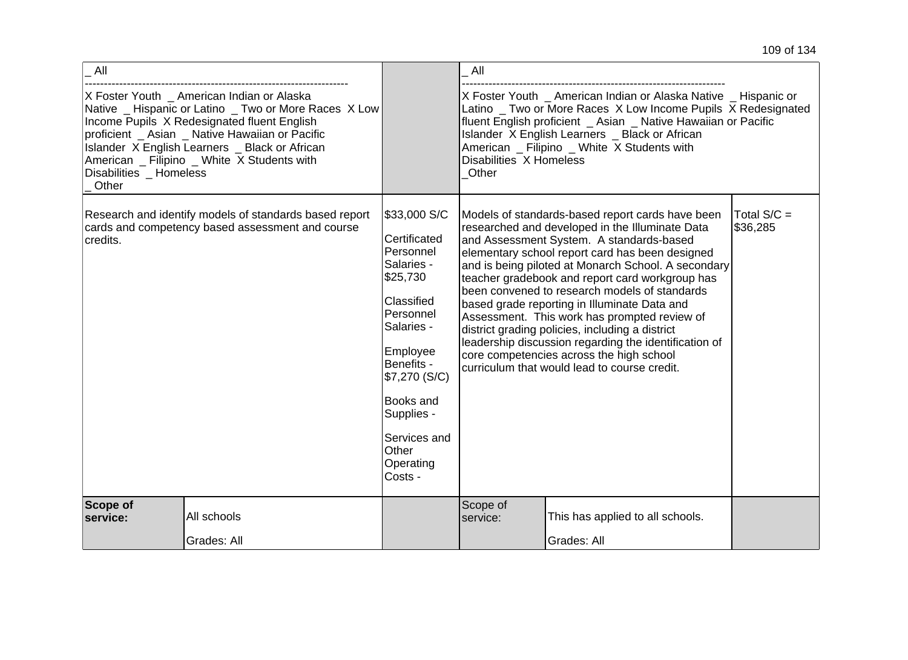| All                            |                                                                                                                                                                                                                                                                                                        |                                                                                                                                                                                                                                     | All                                                                                                                                                                                                                                                                                                                                     |                                                                                                                                                                                                                                                                                                                                                                                                                                                                                                                                                                                                                                                                       |                           |  |
|--------------------------------|--------------------------------------------------------------------------------------------------------------------------------------------------------------------------------------------------------------------------------------------------------------------------------------------------------|-------------------------------------------------------------------------------------------------------------------------------------------------------------------------------------------------------------------------------------|-----------------------------------------------------------------------------------------------------------------------------------------------------------------------------------------------------------------------------------------------------------------------------------------------------------------------------------------|-----------------------------------------------------------------------------------------------------------------------------------------------------------------------------------------------------------------------------------------------------------------------------------------------------------------------------------------------------------------------------------------------------------------------------------------------------------------------------------------------------------------------------------------------------------------------------------------------------------------------------------------------------------------------|---------------------------|--|
| Disabilities Homeless<br>Other | X Foster Youth _ American Indian or Alaska<br>Native _ Hispanic or Latino _ Two or More Races X Low<br>Income Pupils X Redesignated fluent English<br>proficient _ Asian _ Native Hawaiian or Pacific<br>Islander X English Learners _ Black or African<br>American _ Filipino _ White X Students with |                                                                                                                                                                                                                                     | X Foster Youth _ American Indian or Alaska Native _ Hispanic or<br>Latino _ Two or More Races X Low Income Pupils X Redesignated<br>fluent English proficient _ Asian _ Native Hawaiian or Pacific<br>Islander X English Learners _ Black or African<br>American _ Filipino _ White X Students with<br>Disabilities X Homeless<br>Other |                                                                                                                                                                                                                                                                                                                                                                                                                                                                                                                                                                                                                                                                       |                           |  |
| credits.                       | Research and identify models of standards based report<br>cards and competency based assessment and course                                                                                                                                                                                             | \$33,000 S/C<br>Certificated<br>Personnel<br>Salaries -<br>\$25,730<br>Classified<br>Personnel<br>Salaries -<br>Employee<br>Benefits -<br>\$7,270 (S/C)<br>Books and<br>Supplies -<br>Services and<br>Other<br>Operating<br>Costs - |                                                                                                                                                                                                                                                                                                                                         | Models of standards-based report cards have been<br>researched and developed in the Illuminate Data<br>and Assessment System. A standards-based<br>elementary school report card has been designed<br>and is being piloted at Monarch School. A secondary<br>teacher gradebook and report card workgroup has<br>been convened to research models of standards<br>based grade reporting in Illuminate Data and<br>Assessment. This work has prompted review of<br>district grading policies, including a district<br>leadership discussion regarding the identification of<br>core competencies across the high school<br>curriculum that would lead to course credit. | Total $S/C =$<br>\$36,285 |  |
| Scope of<br>service:           | All schools<br>Grades: All                                                                                                                                                                                                                                                                             |                                                                                                                                                                                                                                     | Scope of<br>service:                                                                                                                                                                                                                                                                                                                    | This has applied to all schools.<br>Grades: All                                                                                                                                                                                                                                                                                                                                                                                                                                                                                                                                                                                                                       |                           |  |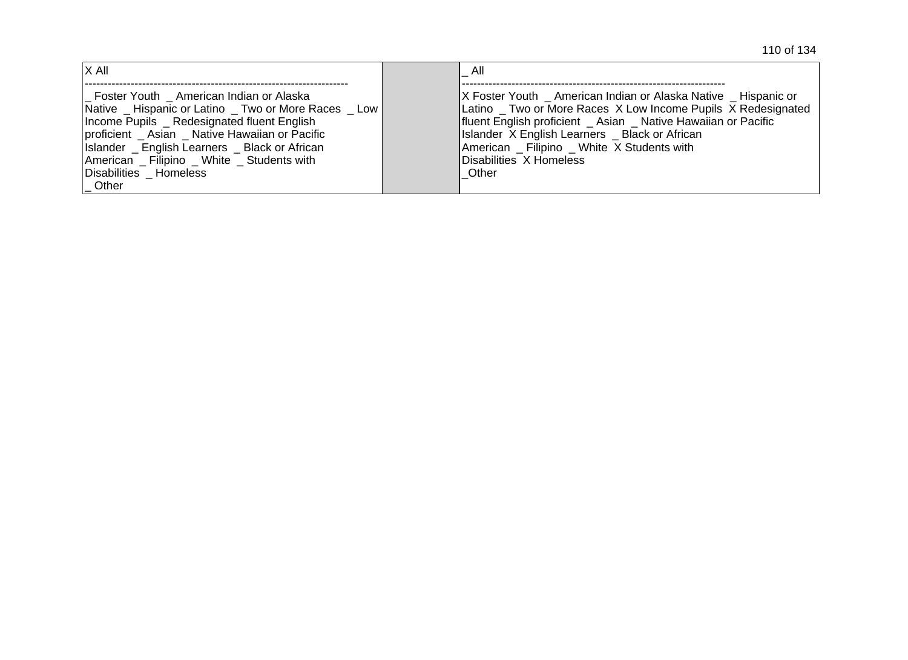110 of 134

| $ X \text{ All}$                                                                                                                                                                                                                                                                                                     | All                                                                                                                                                                                                                                                                                                                                         |
|----------------------------------------------------------------------------------------------------------------------------------------------------------------------------------------------------------------------------------------------------------------------------------------------------------------------|---------------------------------------------------------------------------------------------------------------------------------------------------------------------------------------------------------------------------------------------------------------------------------------------------------------------------------------------|
| Foster Youth American Indian or Alaska<br>Native Hispanic or Latino Two or More Races Low<br>Income Pupils Redesignated fluent English<br>proficient _ Asian _ Native Hawaiian or Pacific<br>Islander English Learners Black or African<br>American Filipino White Students with<br>Disabilities Homeless<br>  Other | X Foster Youth _ American Indian or Alaska Native _ Hispanic or<br>Latino _ Two or More Races X Low Income Pupils X Redesignated<br>fluent English proficient _ Asian _ Native Hawaiian or Pacific<br>Islander X English Learners _ Black or African<br>American Filipino White X Students with<br><b>IDisabilities X Homeless</b><br>Other |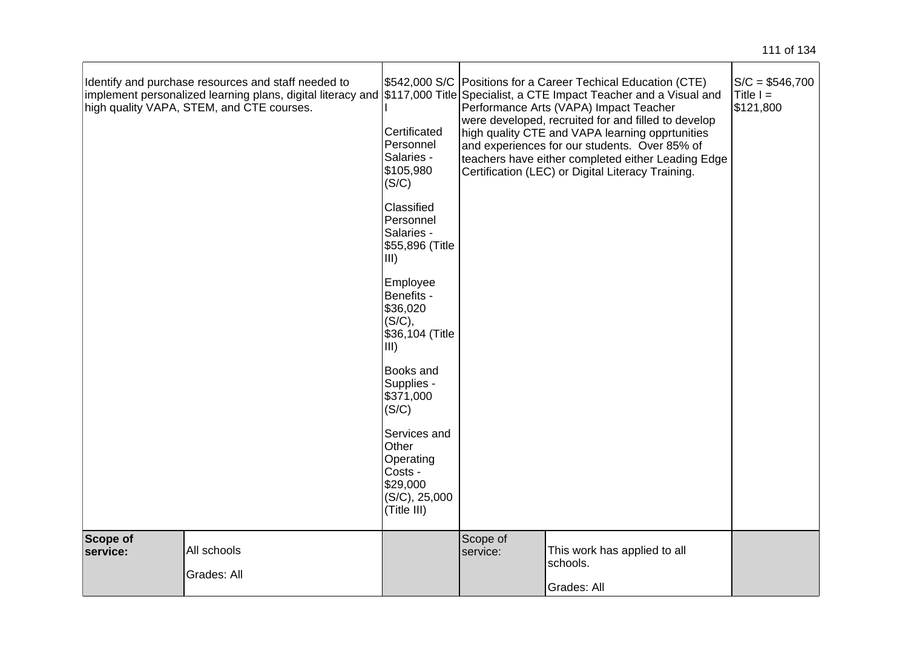|                      | Identify and purchase resources and staff needed to<br>implement personalized learning plans, digital literacy and \$117,000 Title Specialist, a CTE Impact Teacher and a Visual and<br>high quality VAPA, STEM, and CTE courses. | Certificated<br>Personnel<br>Salaries -<br>\$105,980<br>(S/C)                             |                      | \$542,000 S/C   Positions for a Career Techical Education (CTE)<br>Performance Arts (VAPA) Impact Teacher<br>were developed, recruited for and filled to develop<br>high quality CTE and VAPA learning opprtunities<br>and experiences for our students. Over 85% of<br>teachers have either completed either Leading Edge<br>Certification (LEC) or Digital Literacy Training. | $S/C = $546,700$<br>Title $I =$<br>\$121,800 |
|----------------------|-----------------------------------------------------------------------------------------------------------------------------------------------------------------------------------------------------------------------------------|-------------------------------------------------------------------------------------------|----------------------|---------------------------------------------------------------------------------------------------------------------------------------------------------------------------------------------------------------------------------------------------------------------------------------------------------------------------------------------------------------------------------|----------------------------------------------|
|                      |                                                                                                                                                                                                                                   | Classified<br>Personnel<br>Salaries -<br>\$55,896 (Title<br>III)                          |                      |                                                                                                                                                                                                                                                                                                                                                                                 |                                              |
|                      |                                                                                                                                                                                                                                   | Employee<br>Benefits -<br>\$36,020<br>(S/C),<br>\$36,104 (Title<br>III)                   |                      |                                                                                                                                                                                                                                                                                                                                                                                 |                                              |
|                      |                                                                                                                                                                                                                                   | Books and<br>Supplies -<br>\$371,000<br>(S/C)                                             |                      |                                                                                                                                                                                                                                                                                                                                                                                 |                                              |
|                      |                                                                                                                                                                                                                                   | Services and<br>Other<br>Operating<br>Costs -<br>\$29,000<br>(S/C), 25,000<br>(Title III) |                      |                                                                                                                                                                                                                                                                                                                                                                                 |                                              |
| Scope of<br>service: | All schools<br>Grades: All                                                                                                                                                                                                        |                                                                                           | Scope of<br>service: | This work has applied to all<br>schools.<br>Grades: All                                                                                                                                                                                                                                                                                                                         |                                              |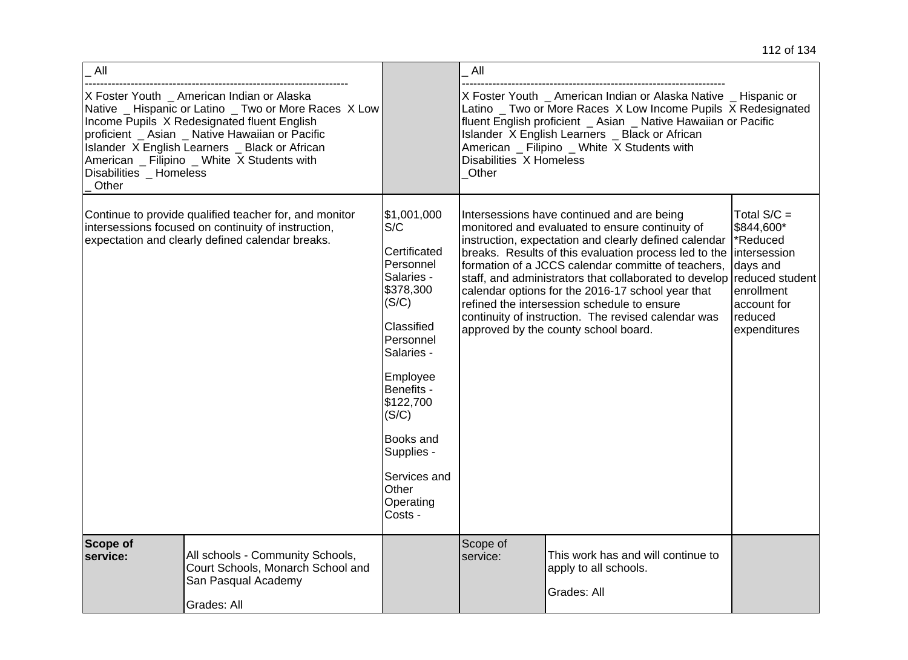| All                                                                                                                                                                                                                                                                                                                                        |                                                                                                                                                                   |                                                                                                                                                                                                                                                          | All                              |                                                                                                                                                                                                                                                                                                                                                                                                                                                                                                                                                 |                                                                                                                                |
|--------------------------------------------------------------------------------------------------------------------------------------------------------------------------------------------------------------------------------------------------------------------------------------------------------------------------------------------|-------------------------------------------------------------------------------------------------------------------------------------------------------------------|----------------------------------------------------------------------------------------------------------------------------------------------------------------------------------------------------------------------------------------------------------|----------------------------------|-------------------------------------------------------------------------------------------------------------------------------------------------------------------------------------------------------------------------------------------------------------------------------------------------------------------------------------------------------------------------------------------------------------------------------------------------------------------------------------------------------------------------------------------------|--------------------------------------------------------------------------------------------------------------------------------|
| X Foster Youth _ American Indian or Alaska<br>Native _ Hispanic or Latino _ Two or More Races X Low<br>Income Pupils X Redesignated fluent English<br>proficient _ Asian _ Native Hawaiian or Pacific<br>Islander X English Learners _ Black or African<br>American _ Filipino _ White X Students with<br>Disabilities _ Homeless<br>Other |                                                                                                                                                                   |                                                                                                                                                                                                                                                          | Disabilities X Homeless<br>Other | X Foster Youth _ American Indian or Alaska Native _ Hispanic or<br>Latino _ Two or More Races X Low Income Pupils X Redesignated<br>fluent English proficient _ Asian _ Native Hawaiian or Pacific<br>Islander X English Learners _ Black or African<br>American _ Filipino _ White X Students with                                                                                                                                                                                                                                             |                                                                                                                                |
|                                                                                                                                                                                                                                                                                                                                            | Continue to provide qualified teacher for, and monitor<br>intersessions focused on continuity of instruction,<br>expectation and clearly defined calendar breaks. | \$1,001,000<br>S/C<br>Certificated<br>Personnel<br>Salaries -<br>\$378,300<br>(S/C)<br>Classified<br>Personnel<br>Salaries -<br>Employee<br>Benefits -<br>\$122,700<br>(S/C)<br>Books and<br>Supplies -<br>Services and<br>Other<br>Operating<br>Costs - |                                  | Intersessions have continued and are being<br>monitored and evaluated to ensure continuity of<br>instruction, expectation and clearly defined calendar<br>breaks. Results of this evaluation process led to the intersession<br>formation of a JCCS calendar committe of teachers,<br>staff, and administrators that collaborated to develop<br>calendar options for the 2016-17 school year that<br>refined the intersession schedule to ensure<br>continuity of instruction. The revised calendar was<br>approved by the county school board. | Total $S/C =$<br>\$844,600*<br>*Reduced<br>days and<br>reduced student<br>enrollment<br>account for<br>reduced<br>expenditures |
| <b>Scope of</b><br>service:                                                                                                                                                                                                                                                                                                                | All schools - Community Schools,<br>Court Schools, Monarch School and<br>San Pasqual Academy<br>Grades: All                                                       |                                                                                                                                                                                                                                                          | Scope of<br>service:             | This work has and will continue to<br>apply to all schools.<br>Grades: All                                                                                                                                                                                                                                                                                                                                                                                                                                                                      |                                                                                                                                |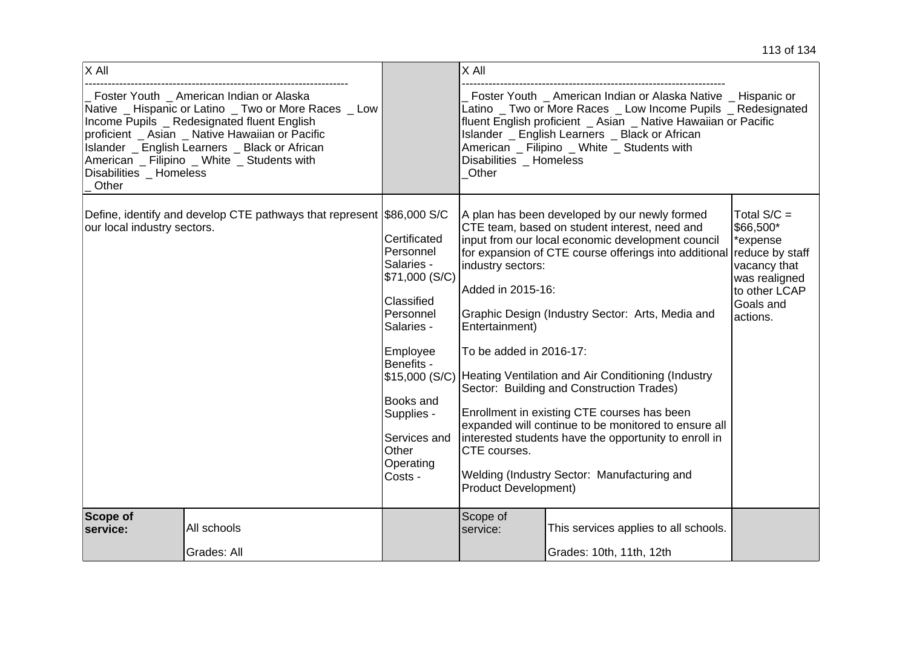| X All                            |                                                                                                                                                                                                                                                                                                      |                                                                                                                                                                                                                            | X All                                                                                                                              |                                                                                                                                                                                                                                                                                                                                                                                                                                                                                                                                                                                                    |                                                                                                                   |
|----------------------------------|------------------------------------------------------------------------------------------------------------------------------------------------------------------------------------------------------------------------------------------------------------------------------------------------------|----------------------------------------------------------------------------------------------------------------------------------------------------------------------------------------------------------------------------|------------------------------------------------------------------------------------------------------------------------------------|----------------------------------------------------------------------------------------------------------------------------------------------------------------------------------------------------------------------------------------------------------------------------------------------------------------------------------------------------------------------------------------------------------------------------------------------------------------------------------------------------------------------------------------------------------------------------------------------------|-------------------------------------------------------------------------------------------------------------------|
| Disabilities _ Homeless<br>Other | Foster Youth _ American Indian or Alaska<br>Native _ Hispanic or Latino _ Two or More Races _ Low<br>Income Pupils _ Redesignated fluent English<br>proficient _ Asian _ Native Hawaiian or Pacific<br>Islander _ English Learners _ Black or African<br>American _ Filipino _ White _ Students with |                                                                                                                                                                                                                            | Disabilities _ Homeless<br>Other                                                                                                   | Foster Youth _ American Indian or Alaska Native _ Hispanic or<br>Latino _ Two or More Races _ Low Income Pupils _ Redesignated<br>fluent English proficient _ Asian _ Native Hawaiian or Pacific<br>Islander _ English Learners _ Black or African<br>American _ Filipino _ White _ Students with                                                                                                                                                                                                                                                                                                  |                                                                                                                   |
| our local industry sectors.      | Define, identify and develop CTE pathways that represent \$86,000 S/C                                                                                                                                                                                                                                | Certificated<br>Personnel<br>Salaries -<br>\$71,000 (S/C)<br>Classified<br>Personnel<br>Salaries -<br>Employee<br>Benefits -<br>\$15,000 (S/C)<br>Books and<br>Supplies -<br>Services and<br>Other<br>Operating<br>Costs - | industry sectors:<br>Added in 2015-16:<br>Entertainment)<br>To be added in 2016-17:<br>CTE courses.<br><b>Product Development)</b> | A plan has been developed by our newly formed<br>CTE team, based on student interest, need and<br>input from our local economic development council<br>for expansion of CTE course offerings into additional reduce by staff<br>Graphic Design (Industry Sector: Arts, Media and<br>Heating Ventilation and Air Conditioning (Industry<br>Sector: Building and Construction Trades)<br>Enrollment in existing CTE courses has been<br>expanded will continue to be monitored to ensure all<br>interested students have the opportunity to enroll in<br>Welding (Industry Sector: Manufacturing and | Total $S/C =$<br>\$66,500*<br>*expense<br>vacancy that<br>was realigned<br>to other LCAP<br>Goals and<br>actions. |
| <b>Scope of</b><br>service:      | All schools                                                                                                                                                                                                                                                                                          |                                                                                                                                                                                                                            | Scope of<br>service:                                                                                                               | This services applies to all schools.                                                                                                                                                                                                                                                                                                                                                                                                                                                                                                                                                              |                                                                                                                   |
|                                  | Grades: All                                                                                                                                                                                                                                                                                          |                                                                                                                                                                                                                            |                                                                                                                                    | Grades: 10th, 11th, 12th                                                                                                                                                                                                                                                                                                                                                                                                                                                                                                                                                                           |                                                                                                                   |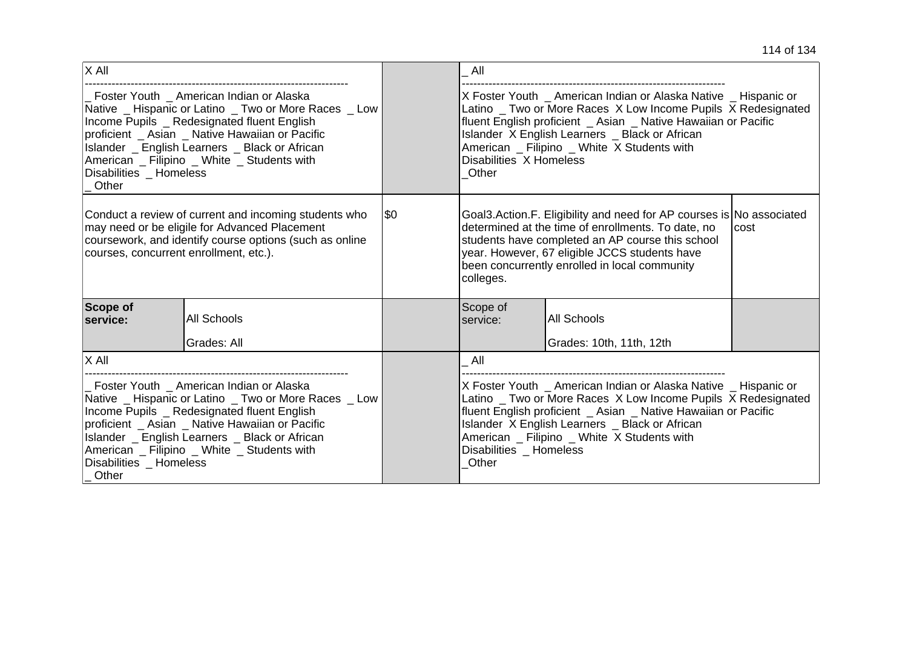| $X$ All                                                                                                                                                                                                                                                                                                                              |                    |     | All                                                                                                                                                                                                                                                                                                                                     |                                                                                                                                                                                                                                                                                                     |  |
|--------------------------------------------------------------------------------------------------------------------------------------------------------------------------------------------------------------------------------------------------------------------------------------------------------------------------------------|--------------------|-----|-----------------------------------------------------------------------------------------------------------------------------------------------------------------------------------------------------------------------------------------------------------------------------------------------------------------------------------------|-----------------------------------------------------------------------------------------------------------------------------------------------------------------------------------------------------------------------------------------------------------------------------------------------------|--|
| Foster Youth American Indian or Alaska<br>Native _ Hispanic or Latino _ Two or More Races _ Low<br>Income Pupils _ Redesignated fluent English<br>proficient _ Asian _ Native Hawaiian or Pacific<br>Islander _ English Learners _ Black or African<br>American _ Filipino _ White _ Students with<br>Disabilities Homeless<br>Other |                    |     | Disabilities X Homeless<br>Other                                                                                                                                                                                                                                                                                                        | X Foster Youth _ American Indian or Alaska Native _ Hispanic or<br>Latino _ Two or More Races X Low Income Pupils X Redesignated<br>fluent English proficient _ Asian _ Native Hawaiian or Pacific<br>Islander X English Learners _ Black or African<br>American _ Filipino _ White X Students with |  |
| Conduct a review of current and incoming students who<br>may need or be eligile for Advanced Placement<br>coursework, and identify course options (such as online<br>courses, concurrent enrollment, etc.).                                                                                                                          |                    | \$0 | colleges.                                                                                                                                                                                                                                                                                                                               | Goal3.Action.F. Eligibility and need for AP courses is No associated<br>determined at the time of enrollments. To date, no<br>cost<br>students have completed an AP course this school<br>year. However, 67 eligible JCCS students have<br>been concurrently enrolled in local community            |  |
| Scope of<br>service:                                                                                                                                                                                                                                                                                                                 | <b>All Schools</b> |     | Scope of<br>service:                                                                                                                                                                                                                                                                                                                    | <b>All Schools</b>                                                                                                                                                                                                                                                                                  |  |
|                                                                                                                                                                                                                                                                                                                                      | Grades: All        |     |                                                                                                                                                                                                                                                                                                                                         | Grades: 10th, 11th, 12th                                                                                                                                                                                                                                                                            |  |
| $\overline{\mathsf{X}}$ All                                                                                                                                                                                                                                                                                                          |                    |     | All                                                                                                                                                                                                                                                                                                                                     |                                                                                                                                                                                                                                                                                                     |  |
| Foster Youth American Indian or Alaska<br>Native _ Hispanic or Latino _ Two or More Races _ Low<br>Income Pupils _ Redesignated fluent English<br>proficient _ Asian _ Native Hawaiian or Pacific<br>Islander _ English Learners _ Black or African<br>American _ Filipino _ White _ Students with<br>Disabilities Homeless<br>Other |                    |     | X Foster Youth _ American Indian or Alaska Native _ Hispanic or<br>Latino _ Two or More Races X Low Income Pupils X Redesignated<br>fluent English proficient _ Asian _ Native Hawaiian or Pacific<br>Islander X English Learners _ Black or African<br>American _ Filipino _ White X Students with<br>Disabilities _ Homeless<br>Other |                                                                                                                                                                                                                                                                                                     |  |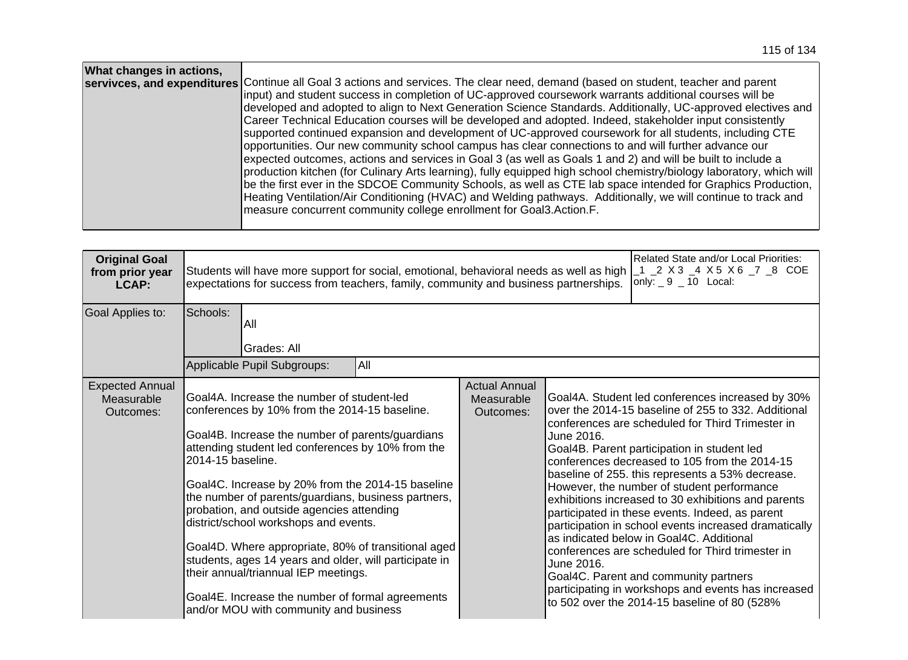| What changes in actions, | servivces, and expenditures Continue all Goal 3 actions and services. The clear need, demand (based on student, teacher and parent<br>input) and student success in completion of UC-approved coursework warrants additional courses will be |
|--------------------------|----------------------------------------------------------------------------------------------------------------------------------------------------------------------------------------------------------------------------------------------|
|                          | developed and adopted to align to Next Generation Science Standards. Additionally, UC-approved electives and                                                                                                                                 |
|                          | Career Technical Education courses will be developed and adopted. Indeed, stakeholder input consistently                                                                                                                                     |
|                          | supported continued expansion and development of UC-approved coursework for all students, including CTE                                                                                                                                      |
|                          | opportunities. Our new community school campus has clear connections to and will further advance our                                                                                                                                         |
|                          | expected outcomes, actions and services in Goal 3 (as well as Goals 1 and 2) and will be built to include a                                                                                                                                  |
|                          | production kitchen (for Culinary Arts learning), fully equipped high school chemistry/biology laboratory, which will<br>be the first ever in the SDCOE Community Schools, as well as CTE lab space intended for Graphics Production,         |
|                          | Heating Ventilation/Air Conditioning (HVAC) and Welding pathways. Additionally, we will continue to track and                                                                                                                                |
|                          | measure concurrent community college enrollment for Goal3.Action.F.                                                                                                                                                                          |
|                          |                                                                                                                                                                                                                                              |

| <b>Original Goal</b><br>from prior year<br>LCAP:  | Students will have more support for social, emotional, behavioral needs as well as high<br>expectations for success from teachers, family, community and business partnerships.                                                                                                                                                                                                                                                                                                                                                                                                                                                                                                    |                                                 | Related State and/or Local Priorities:<br>_1 _2 X 3 _4 X 5 X 6 _7 _8 COE<br>only: $9 - 10$ Local:                                                                                                                                                                                                                                                                                                                                                                                                                                                                                                                                                                                                                                                                                                            |
|---------------------------------------------------|------------------------------------------------------------------------------------------------------------------------------------------------------------------------------------------------------------------------------------------------------------------------------------------------------------------------------------------------------------------------------------------------------------------------------------------------------------------------------------------------------------------------------------------------------------------------------------------------------------------------------------------------------------------------------------|-------------------------------------------------|--------------------------------------------------------------------------------------------------------------------------------------------------------------------------------------------------------------------------------------------------------------------------------------------------------------------------------------------------------------------------------------------------------------------------------------------------------------------------------------------------------------------------------------------------------------------------------------------------------------------------------------------------------------------------------------------------------------------------------------------------------------------------------------------------------------|
| Goal Applies to:                                  | Schools:<br>All<br>Grades: All<br>All<br>Applicable Pupil Subgroups:                                                                                                                                                                                                                                                                                                                                                                                                                                                                                                                                                                                                               |                                                 |                                                                                                                                                                                                                                                                                                                                                                                                                                                                                                                                                                                                                                                                                                                                                                                                              |
| <b>Expected Annual</b><br>Measurable<br>Outcomes: | Goal4A. Increase the number of student-led<br>conferences by 10% from the 2014-15 baseline.<br>Goal4B. Increase the number of parents/guardians<br>attending student led conferences by 10% from the<br>2014-15 baseline.<br>Goal4C. Increase by 20% from the 2014-15 baseline<br>the number of parents/guardians, business partners,<br>probation, and outside agencies attending<br>district/school workshops and events.<br>Goal4D. Where appropriate, 80% of transitional aged<br>students, ages 14 years and older, will participate in<br>their annual/triannual IEP meetings.<br>Goal4E. Increase the number of formal agreements<br>and/or MOU with community and business | <b>Actual Annual</b><br>Measurable<br>Outcomes: | Goal4A. Student led conferences increased by 30%<br>over the 2014-15 baseline of 255 to 332. Additional<br>conferences are scheduled for Third Trimester in<br>June 2016.<br>Goal4B. Parent participation in student led<br>conferences decreased to 105 from the 2014-15<br>baseline of 255. this represents a 53% decrease.<br>However, the number of student performance<br>exhibitions increased to 30 exhibitions and parents<br>participated in these events. Indeed, as parent<br>participation in school events increased dramatically<br>as indicated below in Goal4C. Additional<br>conferences are scheduled for Third trimester in<br>June 2016.<br>Goal4C. Parent and community partners<br>participating in workshops and events has increased<br>to 502 over the 2014-15 baseline of 80 (528% |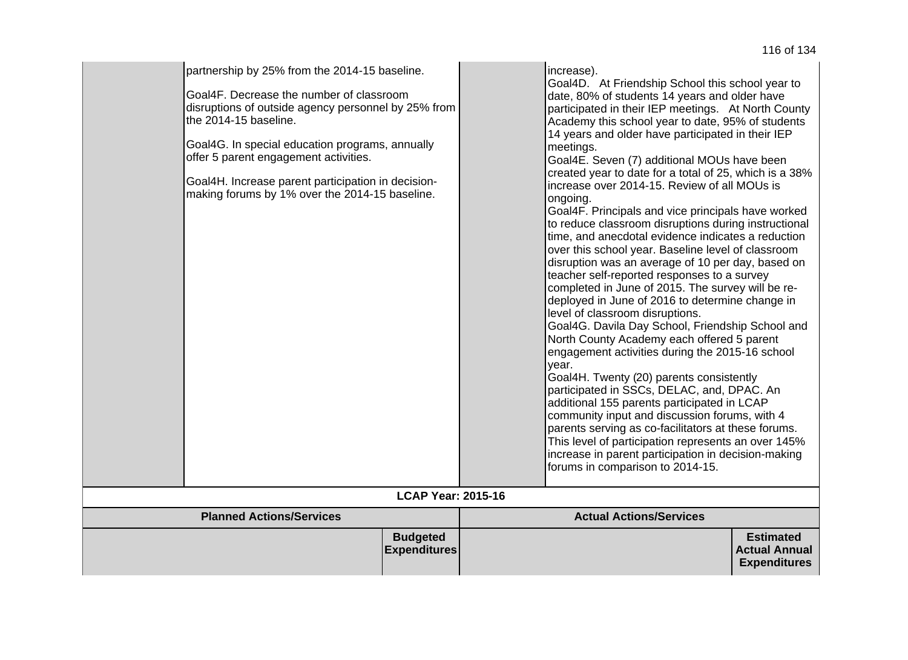| partnership by 25% from the 2014-15 baseline.<br>Goal4F. Decrease the number of classroom<br>disruptions of outside agency personnel by 25% from<br>the 2014-15 baseline.<br>Goal4G. In special education programs, annually<br>offer 5 parent engagement activities.<br>Goal4H. Increase parent participation in decision-<br>making forums by 1% over the 2014-15 baseline. |                                        | increase).<br>Goal4D. At Friendship School this school year to<br>date, 80% of students 14 years and older have<br>participated in their IEP meetings. At North County<br>Academy this school year to date, 95% of students<br>14 years and older have participated in their IEP<br>meetings.<br>Goal4E. Seven (7) additional MOUs have been<br>created year to date for a total of 25, which is a 38%<br>increase over 2014-15. Review of all MOUs is<br>ongoing.<br>Goal4F. Principals and vice principals have worked<br>to reduce classroom disruptions during instructional<br>time, and anecdotal evidence indicates a reduction<br>over this school year. Baseline level of classroom<br>disruption was an average of 10 per day, based on<br>teacher self-reported responses to a survey<br>completed in June of 2015. The survey will be re-<br>deployed in June of 2016 to determine change in<br>level of classroom disruptions.<br>Goal4G. Davila Day School, Friendship School and<br>North County Academy each offered 5 parent<br>engagement activities during the 2015-16 school<br>year.<br>Goal4H. Twenty (20) parents consistently<br>participated in SSCs, DELAC, and, DPAC. An<br>additional 155 parents participated in LCAP<br>community input and discussion forums, with 4<br>parents serving as co-facilitators at these forums.<br>This level of participation represents an over 145%<br>increase in parent participation in decision-making<br>forums in comparison to 2014-15. |                                                                 |
|-------------------------------------------------------------------------------------------------------------------------------------------------------------------------------------------------------------------------------------------------------------------------------------------------------------------------------------------------------------------------------|----------------------------------------|--------------------------------------------------------------------------------------------------------------------------------------------------------------------------------------------------------------------------------------------------------------------------------------------------------------------------------------------------------------------------------------------------------------------------------------------------------------------------------------------------------------------------------------------------------------------------------------------------------------------------------------------------------------------------------------------------------------------------------------------------------------------------------------------------------------------------------------------------------------------------------------------------------------------------------------------------------------------------------------------------------------------------------------------------------------------------------------------------------------------------------------------------------------------------------------------------------------------------------------------------------------------------------------------------------------------------------------------------------------------------------------------------------------------------------------------------------------------------------------------------------------|-----------------------------------------------------------------|
|                                                                                                                                                                                                                                                                                                                                                                               | <b>LCAP Year: 2015-16</b>              |                                                                                                                                                                                                                                                                                                                                                                                                                                                                                                                                                                                                                                                                                                                                                                                                                                                                                                                                                                                                                                                                                                                                                                                                                                                                                                                                                                                                                                                                                                              |                                                                 |
| <b>Planned Actions/Services</b>                                                                                                                                                                                                                                                                                                                                               |                                        | <b>Actual Actions/Services</b>                                                                                                                                                                                                                                                                                                                                                                                                                                                                                                                                                                                                                                                                                                                                                                                                                                                                                                                                                                                                                                                                                                                                                                                                                                                                                                                                                                                                                                                                               |                                                                 |
|                                                                                                                                                                                                                                                                                                                                                                               | <b>Budgeted</b><br><b>Expenditures</b> |                                                                                                                                                                                                                                                                                                                                                                                                                                                                                                                                                                                                                                                                                                                                                                                                                                                                                                                                                                                                                                                                                                                                                                                                                                                                                                                                                                                                                                                                                                              | <b>Estimated</b><br><b>Actual Annual</b><br><b>Expenditures</b> |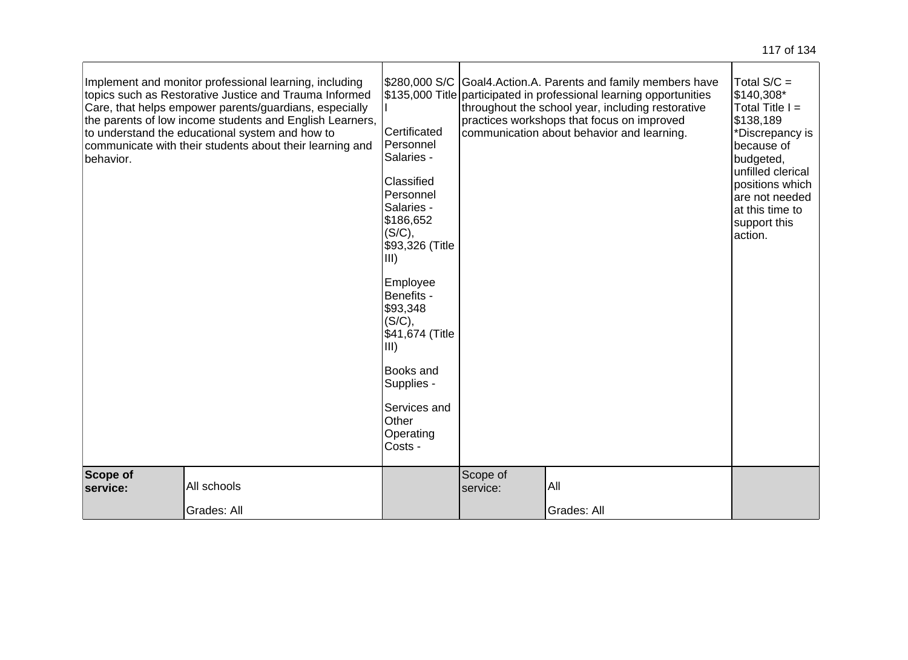| behavior.            | Implement and monitor professional learning, including<br>topics such as Restorative Justice and Trauma Informed<br>Care, that helps empower parents/guardians, especially<br>the parents of low income students and English Learners,<br>to understand the educational system and how to<br>communicate with their students about their learning and | Certificated<br>Personnel<br>Salaries -<br>Classified<br>Personnel<br>Salaries -<br>\$186,652<br>(S/C),<br>\$93,326 (Title<br>III<br>Employee<br>Benefits -<br>\$93,348<br>(S/C),<br>\$41,674 (Title<br>III)<br>Books and<br>Supplies -<br>Services and<br>Other<br>Operating<br>Costs - |                      | \$280,000 S/C Goal4. Action. A. Parents and family members have<br>\$135,000 Title participated in professional learning opportunities<br>throughout the school year, including restorative<br>practices workshops that focus on improved<br>communication about behavior and learning. | Total $S/C =$<br>\$140,308*<br>Total Title $I =$<br>\$138,189<br>*Discrepancy is<br>because of<br>budgeted,<br>unfilled clerical<br>positions which<br>are not needed<br>at this time to<br>support this<br>action. |
|----------------------|-------------------------------------------------------------------------------------------------------------------------------------------------------------------------------------------------------------------------------------------------------------------------------------------------------------------------------------------------------|------------------------------------------------------------------------------------------------------------------------------------------------------------------------------------------------------------------------------------------------------------------------------------------|----------------------|-----------------------------------------------------------------------------------------------------------------------------------------------------------------------------------------------------------------------------------------------------------------------------------------|---------------------------------------------------------------------------------------------------------------------------------------------------------------------------------------------------------------------|
| Scope of<br>service: | All schools<br>Grades: All                                                                                                                                                                                                                                                                                                                            |                                                                                                                                                                                                                                                                                          | Scope of<br>service: | All<br>Grades: All                                                                                                                                                                                                                                                                      |                                                                                                                                                                                                                     |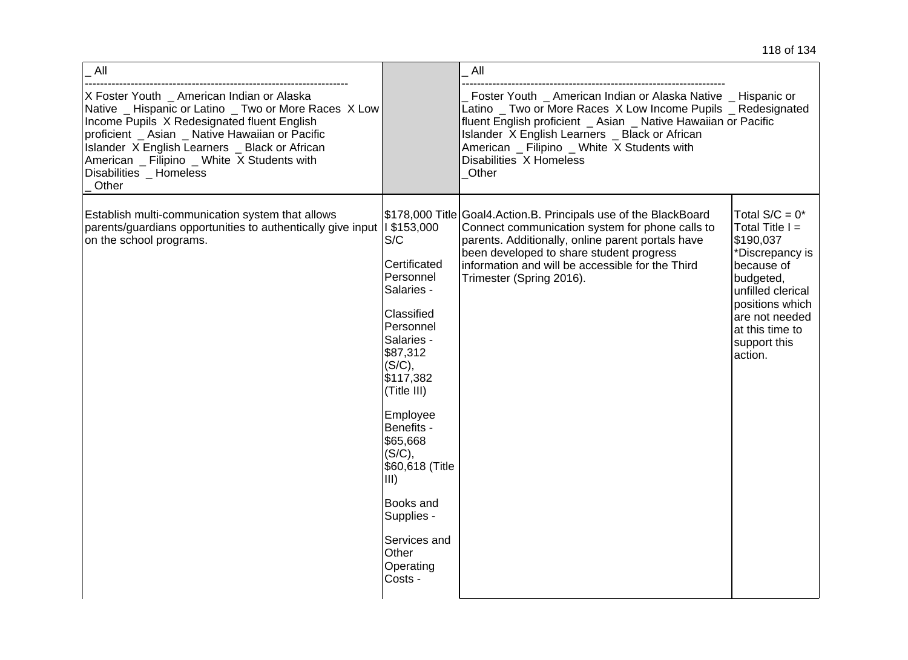|  |  |  |  | 118 of 134 |
|--|--|--|--|------------|
|--|--|--|--|------------|

| All                                                                                                                                                                                                                                                                                                                                    |                                                                                                                                                                                                                                                                                                                | All                                                                                                                                                                                                                                                                                                                                   |                                                                                                                                                                                                           |
|----------------------------------------------------------------------------------------------------------------------------------------------------------------------------------------------------------------------------------------------------------------------------------------------------------------------------------------|----------------------------------------------------------------------------------------------------------------------------------------------------------------------------------------------------------------------------------------------------------------------------------------------------------------|---------------------------------------------------------------------------------------------------------------------------------------------------------------------------------------------------------------------------------------------------------------------------------------------------------------------------------------|-----------------------------------------------------------------------------------------------------------------------------------------------------------------------------------------------------------|
| X Foster Youth _ American Indian or Alaska<br>Native _ Hispanic or Latino _ Two or More Races X Low<br>Income Pupils X Redesignated fluent English<br>proficient _ Asian _ Native Hawaiian or Pacific<br>Islander X English Learners _ Black or African<br>American Filipino White X Students with<br>Disabilities _ Homeless<br>Other |                                                                                                                                                                                                                                                                                                                | Foster Youth _ American Indian or Alaska Native _ Hispanic or<br>Latino _ Two or More Races X Low Income Pupils _ Redesignated<br>fluent English proficient _ Asian _ Native Hawaiian or Pacific<br>Islander X English Learners _ Black or African<br>American _ Filipino _ White X Students with<br>Disabilities X Homeless<br>Other |                                                                                                                                                                                                           |
| Establish multi-communication system that allows<br>parents/guardians opportunities to authentically give input  <br>on the school programs.                                                                                                                                                                                           | 1\$153,000<br>S/C<br>Certificated<br>Personnel<br>Salaries -<br>Classified<br>Personnel<br>Salaries -<br>\$87,312<br>(S/C),<br>\$117,382<br>(Title III)<br>Employee<br>Benefits -<br>\$65,668<br>(S/C),<br>\$60,618 (Title<br>III)<br>Books and<br>Supplies -<br>Services and<br>Other<br>Operating<br>Costs - | \$178,000 Title Goal4. Action. B. Principals use of the BlackBoard<br>Connect communication system for phone calls to<br>parents. Additionally, online parent portals have<br>been developed to share student progress<br>information and will be accessible for the Third<br>Trimester (Spring 2016).                                | Total $S/C = 0^*$<br>Total Title $I =$<br>\$190,037<br>*Discrepancy is<br>because of<br>budgeted,<br>unfilled clerical<br>positions which<br>are not needed<br>at this time to<br>support this<br>action. |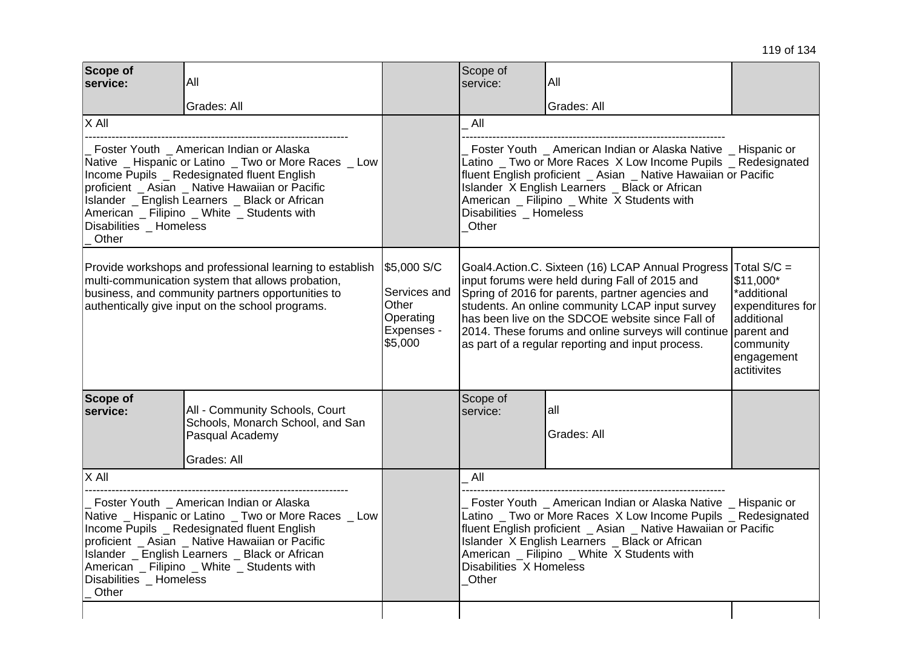| Scope of<br>service:                                                                                                                                                                                                                                                                                                                     | All                                                                                                  |                                                                            | Scope of<br>service:                                                                                                                                                                                                                                                                                                                         | All                                                                                                                                                                                                                                                                                                                                                                        |  |
|------------------------------------------------------------------------------------------------------------------------------------------------------------------------------------------------------------------------------------------------------------------------------------------------------------------------------------------|------------------------------------------------------------------------------------------------------|----------------------------------------------------------------------------|----------------------------------------------------------------------------------------------------------------------------------------------------------------------------------------------------------------------------------------------------------------------------------------------------------------------------------------------|----------------------------------------------------------------------------------------------------------------------------------------------------------------------------------------------------------------------------------------------------------------------------------------------------------------------------------------------------------------------------|--|
|                                                                                                                                                                                                                                                                                                                                          | Grades: All                                                                                          |                                                                            |                                                                                                                                                                                                                                                                                                                                              | Grades: All                                                                                                                                                                                                                                                                                                                                                                |  |
| X All                                                                                                                                                                                                                                                                                                                                    |                                                                                                      |                                                                            | All                                                                                                                                                                                                                                                                                                                                          |                                                                                                                                                                                                                                                                                                                                                                            |  |
| Foster Youth _ American Indian or Alaska<br>Native _ Hispanic or Latino _ Two or More Races _ Low<br>Income Pupils _ Redesignated fluent English<br>proficient _ Asian _ Native Hawaiian or Pacific<br>Islander _ English Learners _ Black or African<br>American _ Filipino _ White _ Students with<br>Disabilities Homeless<br>Other   |                                                                                                      |                                                                            | Foster Youth American Indian or Alaska Native Hispanic or<br>Latino _ Two or More Races X Low Income Pupils _ Redesignated<br>fluent English proficient _ Asian _ Native Hawaiian or Pacific<br>Islander X English Learners _ Black or African<br>American _ Filipino _ White X Students with<br>Disabilities _ Homeless<br>Other            |                                                                                                                                                                                                                                                                                                                                                                            |  |
| Provide workshops and professional learning to establish<br>multi-communication system that allows probation,<br>business, and community partners opportunities to<br>authentically give input on the school programs.                                                                                                                   |                                                                                                      | \$5,000 S/C<br>Services and<br>Other<br>Operating<br>Expenses -<br>\$5,000 |                                                                                                                                                                                                                                                                                                                                              | Goal4.Action.C. Sixteen (16) LCAP Annual Progress<br>input forums were held during Fall of 2015 and<br>Spring of 2016 for parents, partner agencies and<br>students. An online community LCAP input survey<br>has been live on the SDCOE website since Fall of<br>2014. These forums and online surveys will continue<br>as part of a regular reporting and input process. |  |
| Scope of<br>service:                                                                                                                                                                                                                                                                                                                     | All - Community Schools, Court<br>Schools, Monarch School, and San<br>Pasqual Academy<br>Grades: All |                                                                            | Scope of<br>service:                                                                                                                                                                                                                                                                                                                         | all<br>Grades: All                                                                                                                                                                                                                                                                                                                                                         |  |
| $X$ All                                                                                                                                                                                                                                                                                                                                  |                                                                                                      |                                                                            | All                                                                                                                                                                                                                                                                                                                                          |                                                                                                                                                                                                                                                                                                                                                                            |  |
| Foster Youth _ American Indian or Alaska<br>Native _ Hispanic or Latino _ Two or More Races _ Low<br>Income Pupils _ Redesignated fluent English<br>proficient _ Asian _ Native Hawaiian or Pacific<br>Islander _ English Learners _ Black or African<br>American _ Filipino _ White _ Students with<br>Disabilities _ Homeless<br>Other |                                                                                                      |                                                                            | Foster Youth _ American Indian or Alaska Native _ Hispanic or<br>Latino _ Two or More Races X Low Income Pupils _ Redesignated<br>fluent English proficient _ Asian _ Native Hawaiian or Pacific<br>Islander X English Learners _ Black or African<br>American _ Filipino _ White X Students with<br>Disabilities X Homeless<br><b>Other</b> |                                                                                                                                                                                                                                                                                                                                                                            |  |
|                                                                                                                                                                                                                                                                                                                                          |                                                                                                      |                                                                            |                                                                                                                                                                                                                                                                                                                                              |                                                                                                                                                                                                                                                                                                                                                                            |  |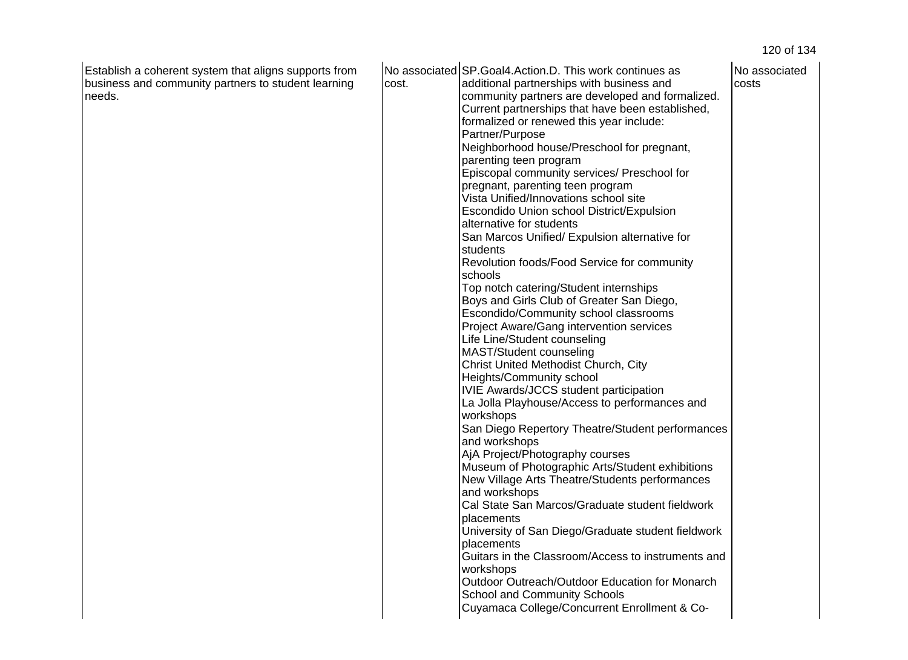| Life Line/Student counseling<br>MAST/Student counseling<br>Christ United Methodist Church, City<br>Heights/Community school<br>IVIE Awards/JCCS student participation<br>La Jolla Playhouse/Access to performances and<br>workshops<br>San Diego Repertory Theatre/Student performances<br>and workshops<br>AjA Project/Photography courses<br>Museum of Photographic Arts/Student exhibitions<br>New Village Arts Theatre/Students performances<br>and workshops<br>Cal State San Marcos/Graduate student fieldwork<br>placements<br>University of San Diego/Graduate student fieldwork<br>placements<br>Guitars in the Classroom/Access to instruments and<br>workshops<br>Outdoor Outreach/Outdoor Education for Monarch<br><b>School and Community Schools</b> | Establish a coherent system that aligns supports from<br>business and community partners to student learning<br>needs. | cost. | No associated SP. Goal4. Action. D. This work continues as<br>additional partnerships with business and<br>community partners are developed and formalized.<br>Current partnerships that have been established,<br>formalized or renewed this year include:<br>Partner/Purpose<br>Neighborhood house/Preschool for pregnant,<br>parenting teen program<br>Episcopal community services/ Preschool for<br>pregnant, parenting teen program<br>Vista Unified/Innovations school site<br>Escondido Union school District/Expulsion<br>alternative for students<br>San Marcos Unified/ Expulsion alternative for<br>students<br>Revolution foods/Food Service for community<br>schools<br>Top notch catering/Student internships<br>Boys and Girls Club of Greater San Diego,<br>Escondido/Community school classrooms | No associated<br>costs |
|--------------------------------------------------------------------------------------------------------------------------------------------------------------------------------------------------------------------------------------------------------------------------------------------------------------------------------------------------------------------------------------------------------------------------------------------------------------------------------------------------------------------------------------------------------------------------------------------------------------------------------------------------------------------------------------------------------------------------------------------------------------------|------------------------------------------------------------------------------------------------------------------------|-------|--------------------------------------------------------------------------------------------------------------------------------------------------------------------------------------------------------------------------------------------------------------------------------------------------------------------------------------------------------------------------------------------------------------------------------------------------------------------------------------------------------------------------------------------------------------------------------------------------------------------------------------------------------------------------------------------------------------------------------------------------------------------------------------------------------------------|------------------------|
| Project Aware/Gang intervention services                                                                                                                                                                                                                                                                                                                                                                                                                                                                                                                                                                                                                                                                                                                           |                                                                                                                        |       |                                                                                                                                                                                                                                                                                                                                                                                                                                                                                                                                                                                                                                                                                                                                                                                                                    |                        |
|                                                                                                                                                                                                                                                                                                                                                                                                                                                                                                                                                                                                                                                                                                                                                                    |                                                                                                                        |       |                                                                                                                                                                                                                                                                                                                                                                                                                                                                                                                                                                                                                                                                                                                                                                                                                    |                        |
|                                                                                                                                                                                                                                                                                                                                                                                                                                                                                                                                                                                                                                                                                                                                                                    |                                                                                                                        |       |                                                                                                                                                                                                                                                                                                                                                                                                                                                                                                                                                                                                                                                                                                                                                                                                                    |                        |
|                                                                                                                                                                                                                                                                                                                                                                                                                                                                                                                                                                                                                                                                                                                                                                    |                                                                                                                        |       |                                                                                                                                                                                                                                                                                                                                                                                                                                                                                                                                                                                                                                                                                                                                                                                                                    |                        |
|                                                                                                                                                                                                                                                                                                                                                                                                                                                                                                                                                                                                                                                                                                                                                                    |                                                                                                                        |       |                                                                                                                                                                                                                                                                                                                                                                                                                                                                                                                                                                                                                                                                                                                                                                                                                    |                        |
|                                                                                                                                                                                                                                                                                                                                                                                                                                                                                                                                                                                                                                                                                                                                                                    |                                                                                                                        |       |                                                                                                                                                                                                                                                                                                                                                                                                                                                                                                                                                                                                                                                                                                                                                                                                                    |                        |
|                                                                                                                                                                                                                                                                                                                                                                                                                                                                                                                                                                                                                                                                                                                                                                    |                                                                                                                        |       |                                                                                                                                                                                                                                                                                                                                                                                                                                                                                                                                                                                                                                                                                                                                                                                                                    |                        |
|                                                                                                                                                                                                                                                                                                                                                                                                                                                                                                                                                                                                                                                                                                                                                                    |                                                                                                                        |       |                                                                                                                                                                                                                                                                                                                                                                                                                                                                                                                                                                                                                                                                                                                                                                                                                    |                        |
|                                                                                                                                                                                                                                                                                                                                                                                                                                                                                                                                                                                                                                                                                                                                                                    |                                                                                                                        |       |                                                                                                                                                                                                                                                                                                                                                                                                                                                                                                                                                                                                                                                                                                                                                                                                                    |                        |
|                                                                                                                                                                                                                                                                                                                                                                                                                                                                                                                                                                                                                                                                                                                                                                    |                                                                                                                        |       |                                                                                                                                                                                                                                                                                                                                                                                                                                                                                                                                                                                                                                                                                                                                                                                                                    |                        |
|                                                                                                                                                                                                                                                                                                                                                                                                                                                                                                                                                                                                                                                                                                                                                                    |                                                                                                                        |       |                                                                                                                                                                                                                                                                                                                                                                                                                                                                                                                                                                                                                                                                                                                                                                                                                    |                        |
|                                                                                                                                                                                                                                                                                                                                                                                                                                                                                                                                                                                                                                                                                                                                                                    |                                                                                                                        |       |                                                                                                                                                                                                                                                                                                                                                                                                                                                                                                                                                                                                                                                                                                                                                                                                                    |                        |
|                                                                                                                                                                                                                                                                                                                                                                                                                                                                                                                                                                                                                                                                                                                                                                    |                                                                                                                        |       |                                                                                                                                                                                                                                                                                                                                                                                                                                                                                                                                                                                                                                                                                                                                                                                                                    |                        |
|                                                                                                                                                                                                                                                                                                                                                                                                                                                                                                                                                                                                                                                                                                                                                                    |                                                                                                                        |       |                                                                                                                                                                                                                                                                                                                                                                                                                                                                                                                                                                                                                                                                                                                                                                                                                    |                        |
|                                                                                                                                                                                                                                                                                                                                                                                                                                                                                                                                                                                                                                                                                                                                                                    |                                                                                                                        |       |                                                                                                                                                                                                                                                                                                                                                                                                                                                                                                                                                                                                                                                                                                                                                                                                                    |                        |
|                                                                                                                                                                                                                                                                                                                                                                                                                                                                                                                                                                                                                                                                                                                                                                    |                                                                                                                        |       |                                                                                                                                                                                                                                                                                                                                                                                                                                                                                                                                                                                                                                                                                                                                                                                                                    |                        |
|                                                                                                                                                                                                                                                                                                                                                                                                                                                                                                                                                                                                                                                                                                                                                                    |                                                                                                                        |       |                                                                                                                                                                                                                                                                                                                                                                                                                                                                                                                                                                                                                                                                                                                                                                                                                    |                        |
|                                                                                                                                                                                                                                                                                                                                                                                                                                                                                                                                                                                                                                                                                                                                                                    |                                                                                                                        |       |                                                                                                                                                                                                                                                                                                                                                                                                                                                                                                                                                                                                                                                                                                                                                                                                                    |                        |
|                                                                                                                                                                                                                                                                                                                                                                                                                                                                                                                                                                                                                                                                                                                                                                    |                                                                                                                        |       |                                                                                                                                                                                                                                                                                                                                                                                                                                                                                                                                                                                                                                                                                                                                                                                                                    |                        |
|                                                                                                                                                                                                                                                                                                                                                                                                                                                                                                                                                                                                                                                                                                                                                                    |                                                                                                                        |       |                                                                                                                                                                                                                                                                                                                                                                                                                                                                                                                                                                                                                                                                                                                                                                                                                    |                        |
|                                                                                                                                                                                                                                                                                                                                                                                                                                                                                                                                                                                                                                                                                                                                                                    |                                                                                                                        |       | Cuyamaca College/Concurrent Enrollment & Co-                                                                                                                                                                                                                                                                                                                                                                                                                                                                                                                                                                                                                                                                                                                                                                       |                        |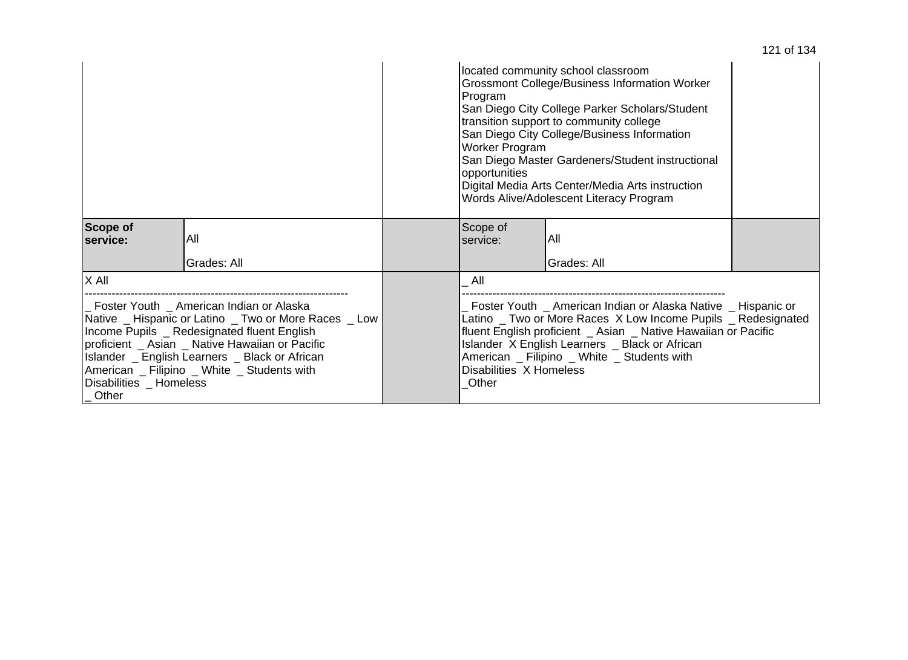|                                                                                                                                                                                                                                                                                                                                                 |             | located community school classroom<br>Grossmont College/Business Information Worker<br>Program<br>San Diego City College Parker Scholars/Student<br>transition support to community college<br>San Diego City College/Business Information<br>Worker Program<br>San Diego Master Gardeners/Student instructional<br>opportunities<br>Digital Media Arts Center/Media Arts instruction<br>Words Alive/Adolescent Literacy Program |             |  |
|-------------------------------------------------------------------------------------------------------------------------------------------------------------------------------------------------------------------------------------------------------------------------------------------------------------------------------------------------|-------------|----------------------------------------------------------------------------------------------------------------------------------------------------------------------------------------------------------------------------------------------------------------------------------------------------------------------------------------------------------------------------------------------------------------------------------|-------------|--|
| Scope of<br>service:                                                                                                                                                                                                                                                                                                                            | All         | Scope of<br>service:                                                                                                                                                                                                                                                                                                                                                                                                             | IAII        |  |
|                                                                                                                                                                                                                                                                                                                                                 | Grades: All |                                                                                                                                                                                                                                                                                                                                                                                                                                  | Grades: All |  |
| X All                                                                                                                                                                                                                                                                                                                                           |             | All                                                                                                                                                                                                                                                                                                                                                                                                                              |             |  |
| _ Foster Youth _ American Indian or Alaska<br>Native _ Hispanic or Latino _ Two or More Races _ Low<br>Income Pupils _ Redesignated fluent English<br>proficient _ Asian _ Native Hawaiian or Pacific<br>Islander _ English Learners _ Black or African<br>American _ Filipino _ White _ Students with<br>Disabilities _ Homeless<br>$\_$ Other |             | Foster Youth _ American Indian or Alaska Native _ Hispanic or<br>Latino _ Two or More Races X Low Income Pupils _ Redesignated<br>fluent English proficient _ Asian _ Native Hawaiian or Pacific<br>Islander X English Learners _ Black or African<br>American Filipino _ White _ Students with<br>Disabilities X Homeless<br>Other                                                                                              |             |  |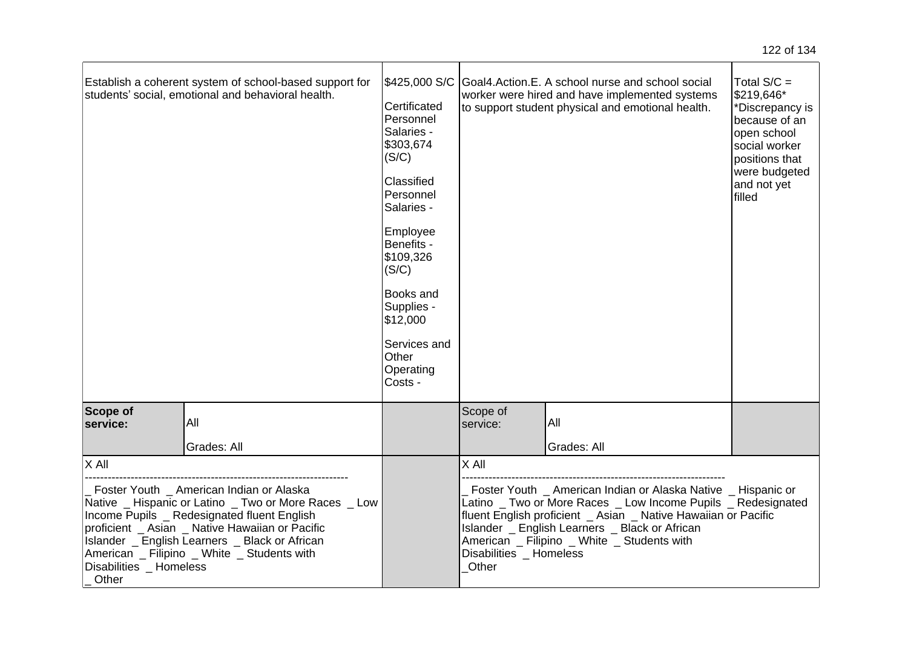|                                                                                                                                                                                                                                                                                                                                          | Establish a coherent system of school-based support for<br>students' social, emotional and behavioral health. | \$425,000 S/C<br>Certificated<br>Personnel<br>Salaries -<br>\$303,674<br>(S/C)<br>Classified<br>Personnel<br>Salaries -<br>Employee<br>Benefits -<br>\$109,326<br>(S/C)<br>Books and<br>Supplies -<br>\$12,000<br>Services and<br>Other<br>Operating<br>Costs - |                                                                                                                                                                                                                                                                                                                                     | Goal4.Action.E. A school nurse and school social<br>worker were hired and have implemented systems<br>to support student physical and emotional health. | Total $S/C =$<br>\$219,646*<br>*Discrepancy is<br>because of an<br>open school<br>social worker<br>positions that<br>were budgeted<br>and not yet<br>filled |
|------------------------------------------------------------------------------------------------------------------------------------------------------------------------------------------------------------------------------------------------------------------------------------------------------------------------------------------|---------------------------------------------------------------------------------------------------------------|-----------------------------------------------------------------------------------------------------------------------------------------------------------------------------------------------------------------------------------------------------------------|-------------------------------------------------------------------------------------------------------------------------------------------------------------------------------------------------------------------------------------------------------------------------------------------------------------------------------------|---------------------------------------------------------------------------------------------------------------------------------------------------------|-------------------------------------------------------------------------------------------------------------------------------------------------------------|
| Scope of<br>service:                                                                                                                                                                                                                                                                                                                     | All                                                                                                           |                                                                                                                                                                                                                                                                 | Scope of<br>service:                                                                                                                                                                                                                                                                                                                | All                                                                                                                                                     |                                                                                                                                                             |
|                                                                                                                                                                                                                                                                                                                                          | Grades: All                                                                                                   |                                                                                                                                                                                                                                                                 |                                                                                                                                                                                                                                                                                                                                     | Grades: All                                                                                                                                             |                                                                                                                                                             |
| $\overline{\mathsf{X}}$ All                                                                                                                                                                                                                                                                                                              |                                                                                                               |                                                                                                                                                                                                                                                                 | X All                                                                                                                                                                                                                                                                                                                               |                                                                                                                                                         |                                                                                                                                                             |
| Foster Youth _ American Indian or Alaska<br>Native _ Hispanic or Latino _ Two or More Races _ Low<br>Income Pupils _ Redesignated fluent English<br>proficient _ Asian _ Native Hawaiian or Pacific<br>Islander _ English Learners _ Black or African<br>American _ Filipino _ White _ Students with<br>Disabilities _ Homeless<br>Other |                                                                                                               |                                                                                                                                                                                                                                                                 | Foster Youth _ American Indian or Alaska Native _ Hispanic or<br>Latino _ Two or More Races _ Low Income Pupils _ Redesignated<br>fluent English proficient _ Asian _ Native Hawaiian or Pacific<br>Islander _ English Learners _ Black or African<br>American _ Filipino _ White _ Students with<br>Disabilities Homeless<br>Other |                                                                                                                                                         |                                                                                                                                                             |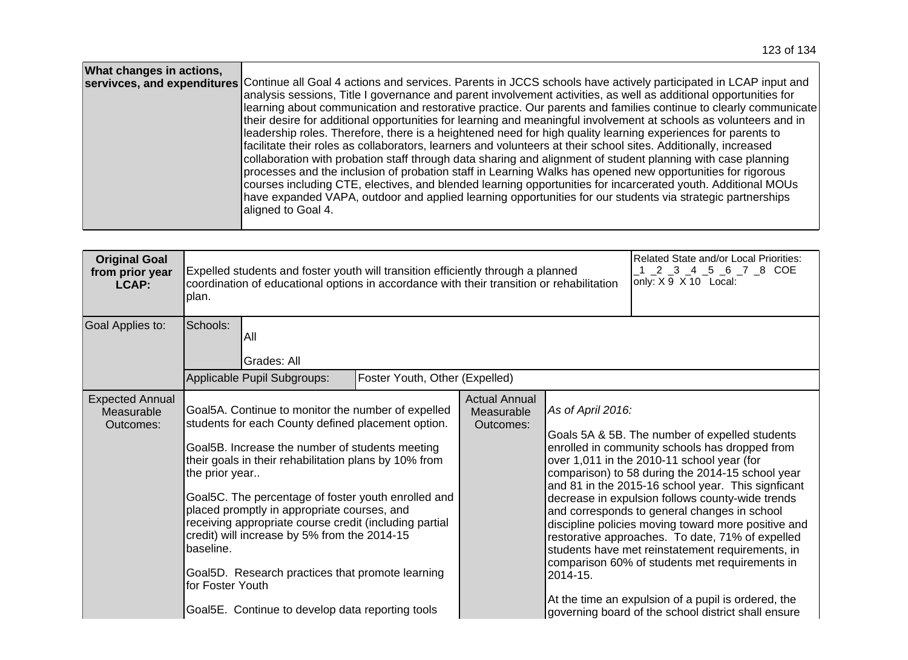| What changes in actions, | servivces, and expenditures Continue all Goal 4 actions and services. Parents in JCCS schools have actively participated in LCAP input and<br>analysis sessions, Title I governance and parent involvement activities, as well as additional opportunities for<br>learning about communication and restorative practice. Our parents and families continue to clearly communicate<br>their desire for additional opportunities for learning and meaningful involvement at schools as volunteers and in<br>leadership roles. Therefore, there is a heightened need for high quality learning experiences for parents to<br>facilitate their roles as collaborators, learners and volunteers at their school sites. Additionally, increased<br>collaboration with probation staff through data sharing and alignment of student planning with case planning<br>processes and the inclusion of probation staff in Learning Walks has opened new opportunities for rigorous<br>courses including CTE, electives, and blended learning opportunities for incarcerated youth. Additional MOUs<br>have expanded VAPA, outdoor and applied learning opportunities for our students via strategic partnerships |
|--------------------------|-------------------------------------------------------------------------------------------------------------------------------------------------------------------------------------------------------------------------------------------------------------------------------------------------------------------------------------------------------------------------------------------------------------------------------------------------------------------------------------------------------------------------------------------------------------------------------------------------------------------------------------------------------------------------------------------------------------------------------------------------------------------------------------------------------------------------------------------------------------------------------------------------------------------------------------------------------------------------------------------------------------------------------------------------------------------------------------------------------------------------------------------------------------------------------------------------------|
|                          | aligned to Goal 4.                                                                                                                                                                                                                                                                                                                                                                                                                                                                                                                                                                                                                                                                                                                                                                                                                                                                                                                                                                                                                                                                                                                                                                                    |

| <b>Original Goal</b><br>from prior year<br>LCAP:  | Expelled students and foster youth will transition efficiently through a planned<br>coordination of educational options in accordance with their transition or rehabilitation<br>plan. |                                                                                                                                                                                                                                                                                                                                                                                                                                                                                                                                              |                                |                                                 |                               | Related State and/or Local Priorities:<br>$\_2$ $\_3$ $\_4$ $\_5$ $\_6$ $\_7$ $\_8$ COE<br>only: X 9 X 10 Local:                                                                                                                                                                                                                                                                                                                                                                                                                                                                                                                                                                            |
|---------------------------------------------------|----------------------------------------------------------------------------------------------------------------------------------------------------------------------------------------|----------------------------------------------------------------------------------------------------------------------------------------------------------------------------------------------------------------------------------------------------------------------------------------------------------------------------------------------------------------------------------------------------------------------------------------------------------------------------------------------------------------------------------------------|--------------------------------|-------------------------------------------------|-------------------------------|---------------------------------------------------------------------------------------------------------------------------------------------------------------------------------------------------------------------------------------------------------------------------------------------------------------------------------------------------------------------------------------------------------------------------------------------------------------------------------------------------------------------------------------------------------------------------------------------------------------------------------------------------------------------------------------------|
| Goal Applies to:                                  | Schools:                                                                                                                                                                               | All<br>Grades: All<br>Applicable Pupil Subgroups:                                                                                                                                                                                                                                                                                                                                                                                                                                                                                            | Foster Youth, Other (Expelled) |                                                 |                               |                                                                                                                                                                                                                                                                                                                                                                                                                                                                                                                                                                                                                                                                                             |
| <b>Expected Annual</b><br>Measurable<br>Outcomes: | the prior year<br>baseline.<br>for Foster Youth                                                                                                                                        | Goal5A. Continue to monitor the number of expelled<br>students for each County defined placement option.<br>Goal5B. Increase the number of students meeting<br>their goals in their rehabilitation plans by 10% from<br>Goal5C. The percentage of foster youth enrolled and<br>placed promptly in appropriate courses, and<br>receiving appropriate course credit (including partial<br>credit) will increase by 5% from the 2014-15<br>Goal5D. Research practices that promote learning<br>Goal5E. Continue to develop data reporting tools |                                | <b>Actual Annual</b><br>Measurable<br>Outcomes: | As of April 2016:<br>2014-15. | Goals 5A & 5B. The number of expelled students<br>enrolled in community schools has dropped from<br>over 1,011 in the 2010-11 school year (for<br>comparison) to 58 during the 2014-15 school year<br>and 81 in the 2015-16 school year. This signficant<br>decrease in expulsion follows county-wide trends<br>and corresponds to general changes in school<br>discipline policies moving toward more positive and<br>restorative approaches. To date, 71% of expelled<br>students have met reinstatement requirements, in<br>comparison 60% of students met requirements in<br>At the time an expulsion of a pupil is ordered, the<br>governing board of the school district shall ensure |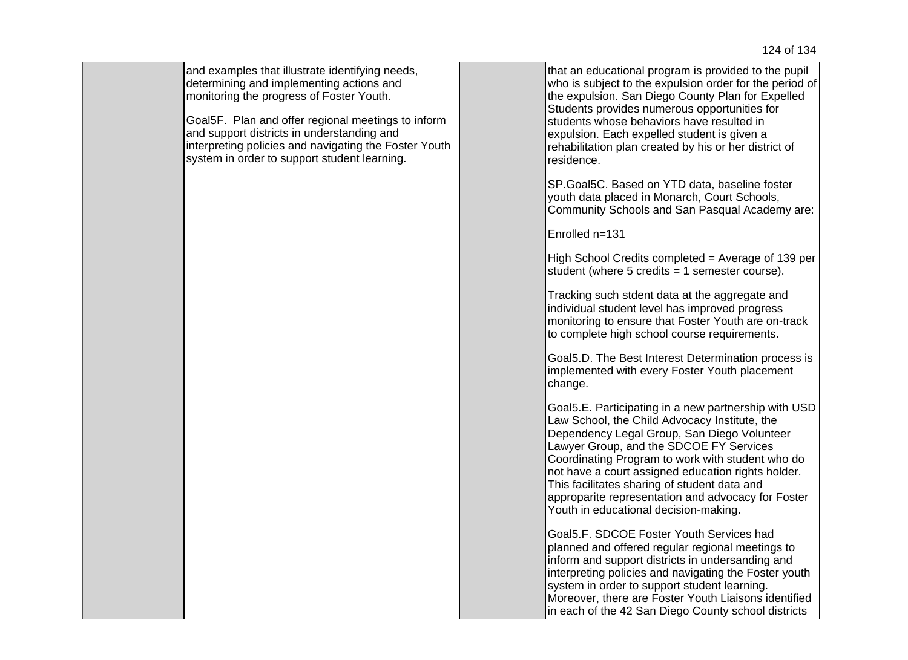and examples that illustrate identifying needs, determining and implementing actions and monitoring the progress of Foster Youth.

Goal5F. Plan and offer regional meetings to inform and support districts in understanding and interpreting policies and navigating the Foster Youth system in order to support student learning.

that an educational program is provided to the pupil who is subject to the expulsion order for the period of the expulsion. San Diego County Plan for Expelled Students provides numerous opportunities for students whose behaviors have resulted in expulsion. Each expelled student is given a rehabilitation plan created by his or her district of residence.

SP.Goal5C. Based on YTD data, baseline foster youth data placed in Monarch, Court Schools, Community Schools and San Pasqual Academy are:

Enrolled n=131

High School Credits completed = Average of 139 per student (where  $5$  credits = 1 semester course).

Tracking such stdent data at the aggregate and individual student level has improved progress monitoring to ensure that Foster Youth are on-track to complete high school course requirements.

Goal5.D. The Best Interest Determination process is implemented with every Foster Youth placement change.

Goal5.E. Participating in a new partnership with USD Law School, the Child Advocacy Institute, the Dependency Legal Group, San Diego Volunteer Lawyer Group, and the SDCOE FY Services Coordinating Program to work with student who do not have a court assigned education rights holder. This facilitates sharing of student data and approparite representation and advocacy for Foster Youth in educational decision-making.

Goal5.F. SDCOE Foster Youth Services had planned and offered regular regional meetings to inform and support districts in undersanding and interpreting policies and navigating the Foster youth system in order to support student learning. Moreover, there are Foster Youth Liaisons identified in each of the 42 San Diego County school districts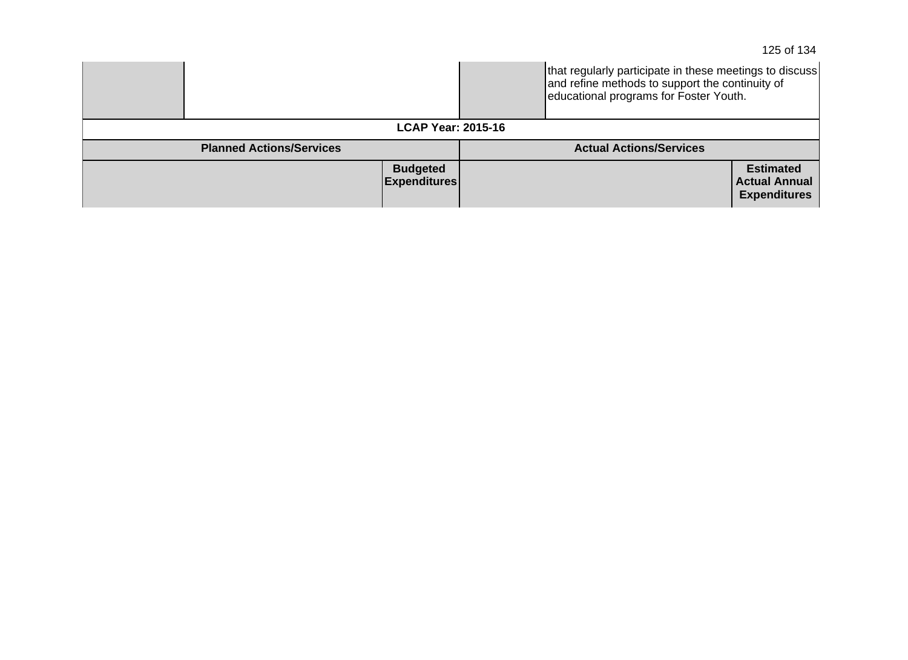|                                        |  | that regularly participate in these meetings to discuss<br>and refine methods to support the continuity of<br>educational programs for Foster Youth. |                                          |  |
|----------------------------------------|--|------------------------------------------------------------------------------------------------------------------------------------------------------|------------------------------------------|--|
| <b>LCAP Year: 2015-16</b>              |  |                                                                                                                                                      |                                          |  |
| <b>Planned Actions/Services</b>        |  | <b>Actual Actions/Services</b>                                                                                                                       |                                          |  |
| <b>Budgeted</b><br><b>Expenditures</b> |  |                                                                                                                                                      | <b>Estimated</b><br><b>Actual Annual</b> |  |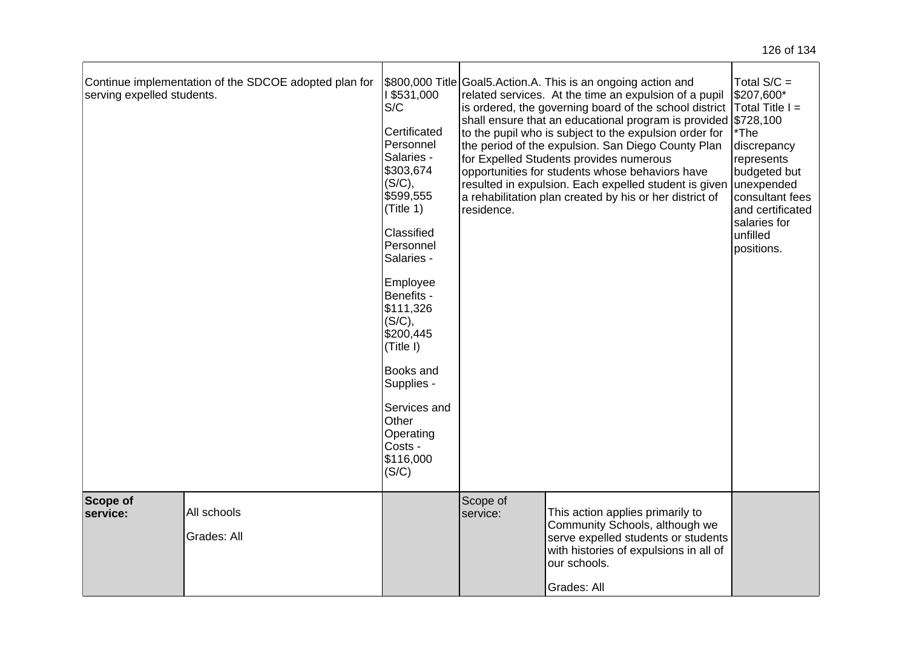| serving expelled students. | Continue implementation of the SDCOE adopted plan for | 1\$531,000<br>S/C<br>Certificated<br>Personnel<br>Salaries -<br>\$303,674<br>(S/C),<br>\$599,555<br>(Title 1)<br>Classified<br>Personnel<br>Salaries -<br>Employee<br>Benefits -<br>\$111,326<br>(S/C),<br>\$200,445<br>(Title I)<br><b>Books and</b><br>Supplies -<br>Services and<br>Other<br>Operating<br>Costs -<br>\$116,000<br>(S/C) | residence.           | \$800,000 Title Goal5. Action. A. This is an ongoing action and<br>related services. At the time an expulsion of a pupil<br>is ordered, the governing board of the school district<br>shall ensure that an educational program is provided \$728,100<br>to the pupil who is subject to the expulsion order for<br>the period of the expulsion. San Diego County Plan<br>for Expelled Students provides numerous<br>opportunities for students whose behaviors have<br>resulted in expulsion. Each expelled student is given<br>a rehabilitation plan created by his or her district of | Total $S/C =$<br>\$207,600*<br>$\mathsf{T}$ otal Title I =<br>*The<br>discrepancy<br>represents<br>budgeted but<br>unexpended<br>consultant fees<br>and certificated<br>salaries for<br>unfilled<br>positions. |
|----------------------------|-------------------------------------------------------|--------------------------------------------------------------------------------------------------------------------------------------------------------------------------------------------------------------------------------------------------------------------------------------------------------------------------------------------|----------------------|----------------------------------------------------------------------------------------------------------------------------------------------------------------------------------------------------------------------------------------------------------------------------------------------------------------------------------------------------------------------------------------------------------------------------------------------------------------------------------------------------------------------------------------------------------------------------------------|----------------------------------------------------------------------------------------------------------------------------------------------------------------------------------------------------------------|
| Scope of<br>service:       | All schools<br>Grades: All                            |                                                                                                                                                                                                                                                                                                                                            | Scope of<br>service: | This action applies primarily to<br>Community Schools, although we<br>serve expelled students or students<br>with histories of expulsions in all of<br>our schools.<br>Grades: All                                                                                                                                                                                                                                                                                                                                                                                                     |                                                                                                                                                                                                                |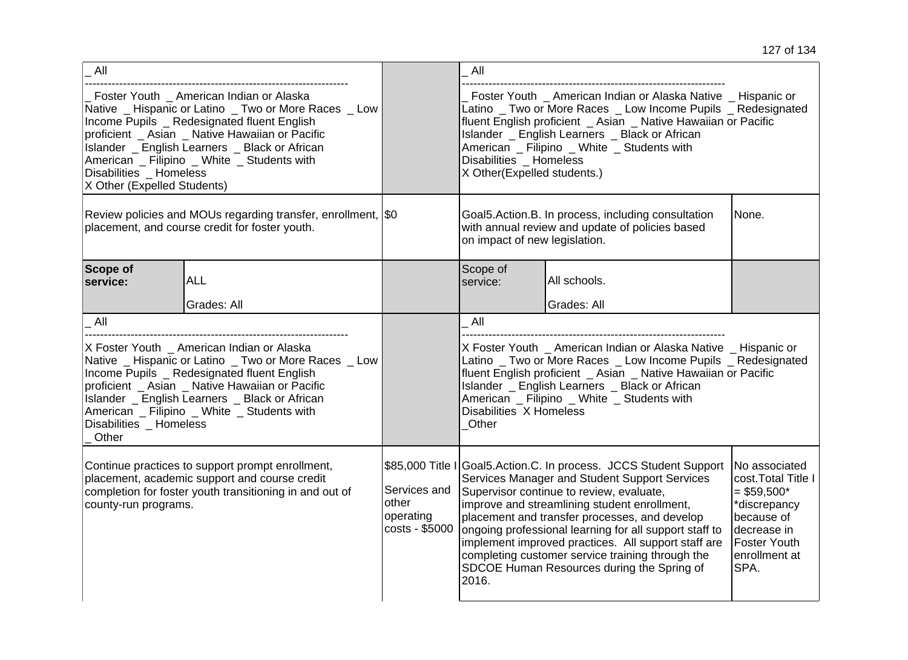| All                                                                                                                                                                                                                                                                                                                                                            |                           |                                                      | All                                                                                                                                                                                                                                                                                                                                                                                                                                                                                         |                                                                                                                                                 |                                                                                                                                                   |
|----------------------------------------------------------------------------------------------------------------------------------------------------------------------------------------------------------------------------------------------------------------------------------------------------------------------------------------------------------------|---------------------------|------------------------------------------------------|---------------------------------------------------------------------------------------------------------------------------------------------------------------------------------------------------------------------------------------------------------------------------------------------------------------------------------------------------------------------------------------------------------------------------------------------------------------------------------------------|-------------------------------------------------------------------------------------------------------------------------------------------------|---------------------------------------------------------------------------------------------------------------------------------------------------|
| Foster Youth _ American Indian or Alaska<br>Native _ Hispanic or Latino _ Two or More Races _ Low<br>Income Pupils _ Redesignated fluent English<br>proficient _ Asian _ Native Hawaiian or Pacific<br>Islander _ English Learners _ Black or African<br>American _ Filipino _ White _ Students with<br>Disabilities _ Homeless<br>X Other (Expelled Students) |                           |                                                      | Foster Youth _ American Indian or Alaska Native _ Hispanic or<br>Latino _ Two or More Races _ Low Income Pupils _ Redesignated<br>fluent English proficient _ Asian _ Native Hawaiian or Pacific<br>Islander _ English Learners _ Black or African<br>American _ Filipino _ White _ Students with<br>Disabilities _ Homeless<br>X Other(Expelled students.)                                                                                                                                 |                                                                                                                                                 |                                                                                                                                                   |
| Review policies and MOUs regarding transfer, enrollment, \$0<br>placement, and course credit for foster youth.                                                                                                                                                                                                                                                 |                           |                                                      |                                                                                                                                                                                                                                                                                                                                                                                                                                                                                             | Goal5.Action.B. In process, including consultation<br>None.<br>with annual review and update of policies based<br>on impact of new legislation. |                                                                                                                                                   |
| <b>Scope of</b><br>service:                                                                                                                                                                                                                                                                                                                                    | <b>ALL</b><br>Grades: All |                                                      | Scope of<br>service:                                                                                                                                                                                                                                                                                                                                                                                                                                                                        | All schools.<br>Grades: All                                                                                                                     |                                                                                                                                                   |
| All                                                                                                                                                                                                                                                                                                                                                            |                           |                                                      | All                                                                                                                                                                                                                                                                                                                                                                                                                                                                                         |                                                                                                                                                 |                                                                                                                                                   |
| X Foster Youth _ American Indian or Alaska<br>Native _ Hispanic or Latino _ Two or More Races _ Low<br>Income Pupils _ Redesignated fluent English<br>proficient _ Asian _ Native Hawaiian or Pacific<br>Islander _ English Learners _ Black or African<br>American Filipino White Students with<br>Disabilities Homeless<br>Other                             |                           |                                                      | X Foster Youth _ American Indian or Alaska Native _ Hispanic or<br>Latino _ Two or More Races _ Low Income Pupils _ Redesignated<br>fluent English proficient _ Asian _ Native Hawaiian or Pacific<br>Islander _ English Learners _ Black or African<br>American _ Filipino _ White _ Students with<br>Disabilities X Homeless<br>Other                                                                                                                                                     |                                                                                                                                                 |                                                                                                                                                   |
| Continue practices to support prompt enrollment,<br>placement, academic support and course credit<br>completion for foster youth transitioning in and out of<br>county-run programs.                                                                                                                                                                           |                           | Services and<br>other<br>operating<br>costs - \$5000 | \$85,000 Title I Goal5.Action.C. In process. JCCS Student Support<br>Services Manager and Student Support Services<br>Supervisor continue to review, evaluate,<br>improve and streamlining student enrollment,<br>placement and transfer processes, and develop<br>ongoing professional learning for all support staff to<br>implement improved practices. All support staff are<br>completing customer service training through the<br>SDCOE Human Resources during the Spring of<br>2016. |                                                                                                                                                 | No associated<br>cost. Total Title I<br>$= $59,500*$<br>*discrepancy<br>because of<br>decrease in<br><b>Foster Youth</b><br>enrollment at<br>SPA. |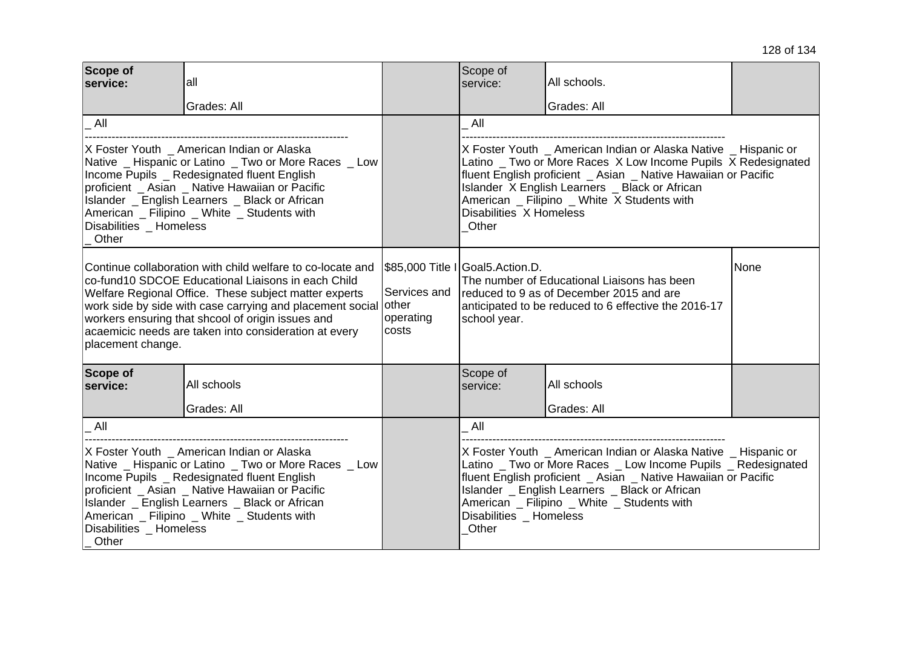| Scope of<br>service:                                                                                                                                                                                                                                                                                                                                                             | lall<br>Grades: All |                                    | Scope of<br>service:                                                                                                                                                                                                                                                                                                                  | All schools.<br>Grades: All |      |
|----------------------------------------------------------------------------------------------------------------------------------------------------------------------------------------------------------------------------------------------------------------------------------------------------------------------------------------------------------------------------------|---------------------|------------------------------------|---------------------------------------------------------------------------------------------------------------------------------------------------------------------------------------------------------------------------------------------------------------------------------------------------------------------------------------|-----------------------------|------|
| All                                                                                                                                                                                                                                                                                                                                                                              |                     |                                    | All                                                                                                                                                                                                                                                                                                                                   |                             |      |
| X Foster Youth _ American Indian or Alaska<br>Native _ Hispanic or Latino _ Two or More Races _ Low<br>Income Pupils _ Redesignated fluent English<br>proficient _ Asian _ Native Hawaiian or Pacific<br>Islander _ English Learners _ Black or African<br>American _ Filipino _ White _ Students with<br>Disabilities Homeless<br>Other                                         |                     |                                    | X Foster Youth American Indian or Alaska Native Hispanic or<br>Latino _ Two or More Races X Low Income Pupils X Redesignated<br>fluent English proficient _ Asian _ Native Hawaiian or Pacific<br>Islander X English Learners _ Black or African<br>American _ Filipino _ White X Students with<br>Disabilities X Homeless<br>Other   |                             |      |
| Continue collaboration with child welfare to co-locate and<br>Ico-fund10 SDCOE Educational Liaisons in each Child<br>Welfare Regional Office. These subject matter experts<br>work side by side with case carrying and placement social other<br>workers ensuring that shcool of origin issues and<br>acaemicic needs are taken into consideration at every<br>placement change. |                     | Services and<br>operating<br>costs | \$85,000 Title I Goal5.Action.D.<br>The number of Educational Liaisons has been<br>reduced to 9 as of December 2015 and are<br>anticipated to be reduced to 6 effective the 2016-17<br>school year.                                                                                                                                   |                             | None |
| Scope of<br>service:                                                                                                                                                                                                                                                                                                                                                             | All schools         |                                    | Scope of<br>service:                                                                                                                                                                                                                                                                                                                  | All schools                 |      |
|                                                                                                                                                                                                                                                                                                                                                                                  | Grades: All         |                                    |                                                                                                                                                                                                                                                                                                                                       | Grades: All                 |      |
| All                                                                                                                                                                                                                                                                                                                                                                              |                     |                                    | All                                                                                                                                                                                                                                                                                                                                   |                             |      |
| X Foster Youth _ American Indian or Alaska<br>Native _ Hispanic or Latino _ Two or More Races _ Low<br>Income Pupils _ Redesignated fluent English<br>proficient _ Asian _ Native Hawaiian or Pacific<br>Islander _ English Learners _ Black or African<br>American _ Filipino _ White _ Students with<br>Disabilities Homeless<br>Other                                         |                     |                                    | X Foster Youth _ American Indian or Alaska Native _ Hispanic or<br>Latino _ Two or More Races _ Low Income Pupils _ Redesignated<br>fluent English proficient _ Asian _ Native Hawaiian or Pacific<br>Islander _ English Learners _ Black or African<br>American _ Filipino _ White _ Students with<br>Disabilities Homeless<br>Other |                             |      |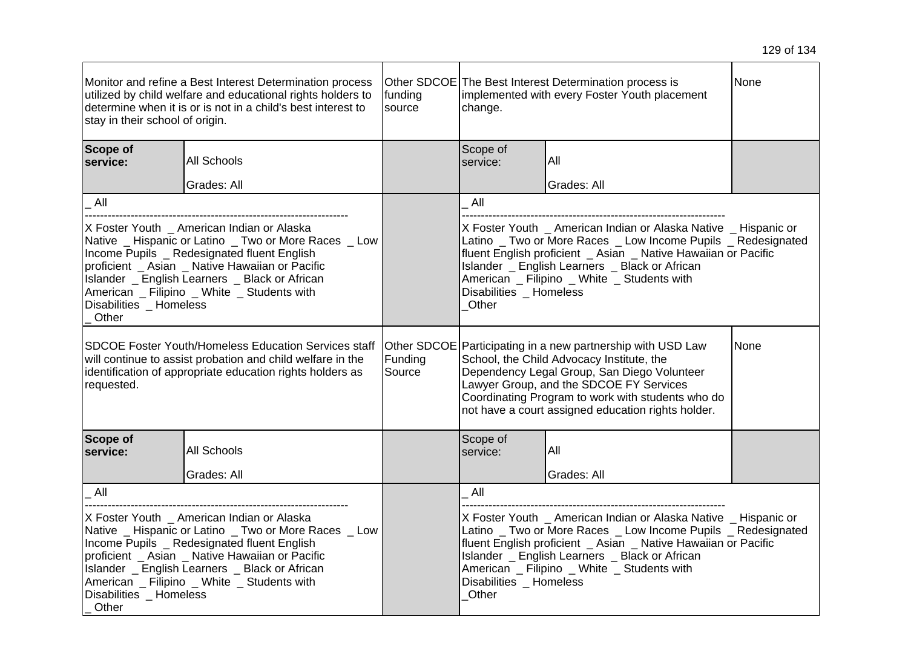| Monitor and refine a Best Interest Determination process<br>utilized by child welfare and educational rights holders to<br>determine when it is or is not in a child's best interest to<br>stay in their school of origin.                                                                                                               |             | funding<br>source | Other SDCOE The Best Interest Determination process is<br>implemented with every Foster Youth placement<br>change.                                                                                                                                                                                                                    |             | None |
|------------------------------------------------------------------------------------------------------------------------------------------------------------------------------------------------------------------------------------------------------------------------------------------------------------------------------------------|-------------|-------------------|---------------------------------------------------------------------------------------------------------------------------------------------------------------------------------------------------------------------------------------------------------------------------------------------------------------------------------------|-------------|------|
| Scope of<br>service:                                                                                                                                                                                                                                                                                                                     | All Schools |                   | Scope of<br>service:                                                                                                                                                                                                                                                                                                                  | All         |      |
|                                                                                                                                                                                                                                                                                                                                          | Grades: All |                   |                                                                                                                                                                                                                                                                                                                                       | Grades: All |      |
| All                                                                                                                                                                                                                                                                                                                                      |             |                   | All                                                                                                                                                                                                                                                                                                                                   |             |      |
| X Foster Youth _ American Indian or Alaska<br>Native _ Hispanic or Latino _ Two or More Races _ Low<br>Income Pupils _ Redesignated fluent English<br>proficient _ Asian _ Native Hawaiian or Pacific<br>Islander _ English Learners _ Black or African<br>American Filipino _ White _ Students with<br>Disabilities Homeless<br>Other   |             |                   | X Foster Youth _ American Indian or Alaska Native _ Hispanic or<br>Latino _ Two or More Races _ Low Income Pupils _ Redesignated<br>fluent English proficient _ Asian _ Native Hawaiian or Pacific<br>Islander _ English Learners _ Black or African<br>American _ Filipino _ White _ Students with<br>Disabilities Homeless<br>Other |             |      |
| <b>SDCOE Foster Youth/Homeless Education Services staff</b><br>will continue to assist probation and child welfare in the<br>identification of appropriate education rights holders as<br>requested.                                                                                                                                     |             | Funding<br>Source | Other SDCOE Participating in a new partnership with USD Law<br>None<br>School, the Child Advocacy Institute, the<br>Dependency Legal Group, San Diego Volunteer<br>Lawyer Group, and the SDCOE FY Services<br>Coordinating Program to work with students who do<br>not have a court assigned education rights holder.                 |             |      |
| Scope of<br>service:                                                                                                                                                                                                                                                                                                                     | All Schools |                   | Scope of<br>service:                                                                                                                                                                                                                                                                                                                  | All         |      |
|                                                                                                                                                                                                                                                                                                                                          | Grades: All |                   |                                                                                                                                                                                                                                                                                                                                       | Grades: All |      |
| All                                                                                                                                                                                                                                                                                                                                      |             |                   | All                                                                                                                                                                                                                                                                                                                                   |             |      |
| X Foster Youth _ American Indian or Alaska<br>Native _ Hispanic or Latino _ Two or More Races _ Low<br>Income Pupils _ Redesignated fluent English<br>proficient _ Asian _ Native Hawaiian or Pacific<br>Islander _ English Learners _ Black or African<br>American _ Filipino _ White _ Students with<br>Disabilities Homeless<br>Other |             |                   | X Foster Youth American Indian or Alaska Native Hispanic or<br>Latino _ Two or More Races _ Low Income Pupils _ Redesignated<br>fluent English proficient _ Asian _ Native Hawaiian or Pacific<br>Islander _ English Learners _ Black or African<br>American _ Filipino _ White _ Students with<br>Disabilities _ Homeless<br>Other   |             |      |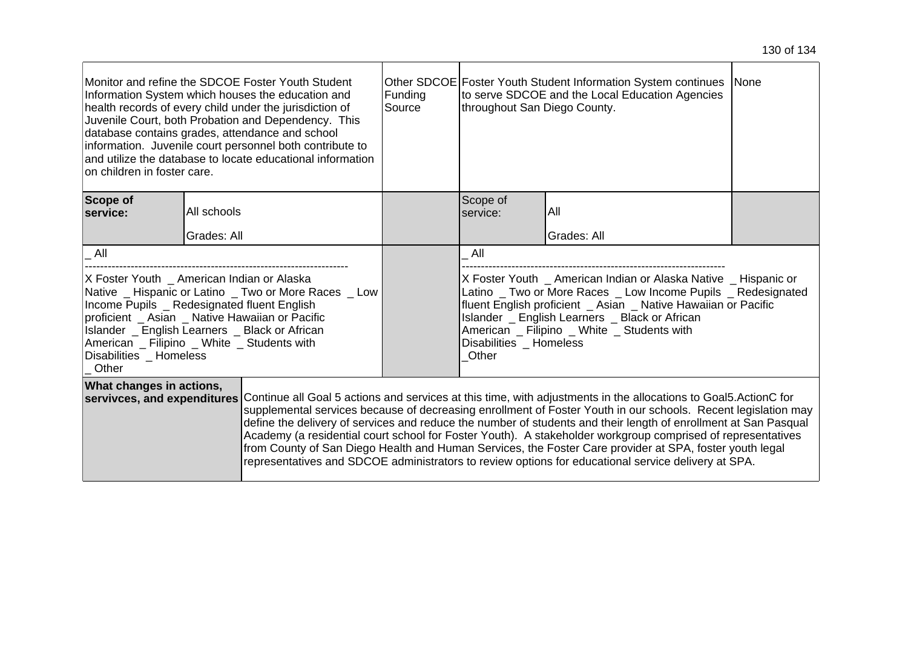| Monitor and refine the SDCOE Foster Youth Student<br>Information System which houses the education and<br>health records of every child under the jurisdiction of<br>Juvenile Court, both Probation and Dependency. This<br>database contains grades, attendance and school<br>information. Juvenile court personnel both contribute to<br>and utilize the database to locate educational information<br>lon children in foster care.                                                                                                                                                                                                                                                                                                            |             | Funding<br>Source | Other SDCOE Foster Youth Student Information System continues None<br>to serve SDCOE and the Local Education Agencies<br>throughout San Diego County.                                                                                                                                                                                   |             |  |
|--------------------------------------------------------------------------------------------------------------------------------------------------------------------------------------------------------------------------------------------------------------------------------------------------------------------------------------------------------------------------------------------------------------------------------------------------------------------------------------------------------------------------------------------------------------------------------------------------------------------------------------------------------------------------------------------------------------------------------------------------|-------------|-------------------|-----------------------------------------------------------------------------------------------------------------------------------------------------------------------------------------------------------------------------------------------------------------------------------------------------------------------------------------|-------------|--|
| Scope of<br>service:                                                                                                                                                                                                                                                                                                                                                                                                                                                                                                                                                                                                                                                                                                                             | All schools |                   | Scope of<br>service:                                                                                                                                                                                                                                                                                                                    | All         |  |
|                                                                                                                                                                                                                                                                                                                                                                                                                                                                                                                                                                                                                                                                                                                                                  | Grades: All |                   |                                                                                                                                                                                                                                                                                                                                         | Grades: All |  |
| All                                                                                                                                                                                                                                                                                                                                                                                                                                                                                                                                                                                                                                                                                                                                              |             |                   | All                                                                                                                                                                                                                                                                                                                                     |             |  |
| X Foster Youth _ American Indian or Alaska<br>Native _ Hispanic or Latino _ Two or More Races _ Low<br>Income Pupils _ Redesignated fluent English<br>proficient _ Asian _ Native Hawaiian or Pacific<br>Islander _ English Learners _ Black or African<br>American _ Filipino _ White _ Students with<br>Disabilities _ Homeless<br>Other                                                                                                                                                                                                                                                                                                                                                                                                       |             |                   | X Foster Youth _ American Indian or Alaska Native _ Hispanic or<br>Latino _ Two or More Races _ Low Income Pupils _ Redesignated<br>fluent English proficient _ Asian _ Native Hawaiian or Pacific<br>Islander _ English Learners _ Black or African<br>American _ Filipino _ White _ Students with<br>Disabilities _ Homeless<br>Other |             |  |
| What changes in actions,<br>Continue all Goal 5 actions and services at this time, with adjustments in the allocations to Goal5. ActionC for<br>servivces, and expenditures<br>supplemental services because of decreasing enrollment of Foster Youth in our schools. Recent legislation may<br>define the delivery of services and reduce the number of students and their length of enrollment at San Pasqual<br>Academy (a residential court school for Foster Youth). A stakeholder workgroup comprised of representatives<br>from County of San Diego Health and Human Services, the Foster Care provider at SPA, foster youth legal<br>representatives and SDCOE administrators to review options for educational service delivery at SPA. |             |                   |                                                                                                                                                                                                                                                                                                                                         |             |  |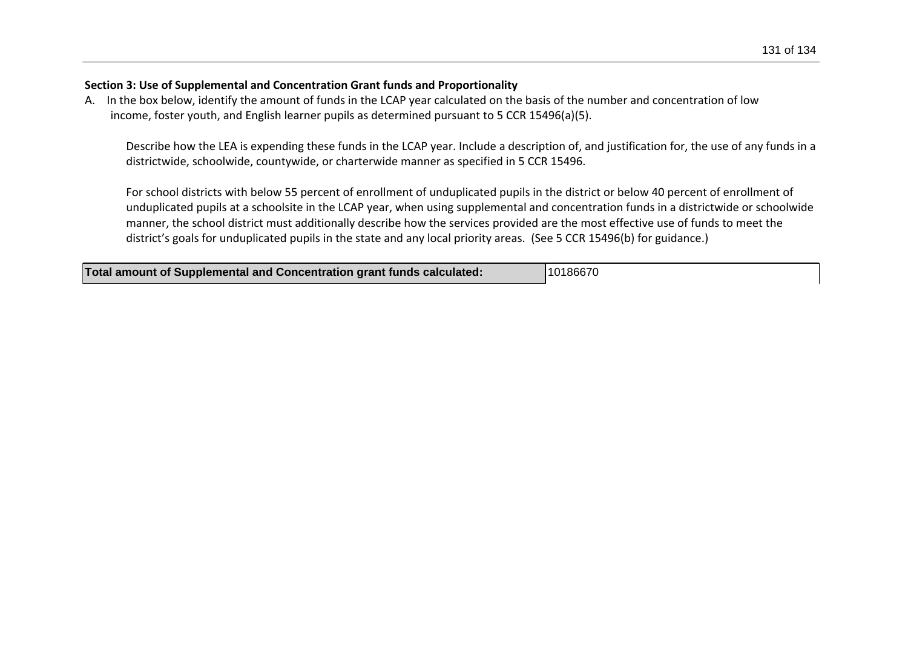## **Section 3: Use of Supplemental and Concentration Grant funds and Proportionality**

A. In the box below, identify the amount of funds in the LCAP year calculated on the basis of the number and concentration of low income, foster youth, and English learner pupils as determined pursuant to 5 CCR 15496(a)(5).

Describe how the LEA is expending these funds in the LCAP year. Include a description of, and justification for, the use of any funds in a districtwide, schoolwide, countywide, or charterwide manner as specified in 5 CCR 15496.

For school districts with below 55 percent of enrollment of unduplicated pupils in the district or below 40 percent of enrollment of unduplicated pupils at a schoolsite in the LCAP year, when using supplemental and concentration funds in a districtwide or schoolwide manner, the school district must additionally describe how the services provided are the most effective use of funds to meet the district's goals for unduplicated pupils in the state and any local priority areas. (See 5 CCR 15496(b) for guidance.)

| <b>Total amount of Supplemental and Concentration grant funds calculated:</b> | 10186670 |
|-------------------------------------------------------------------------------|----------|
|-------------------------------------------------------------------------------|----------|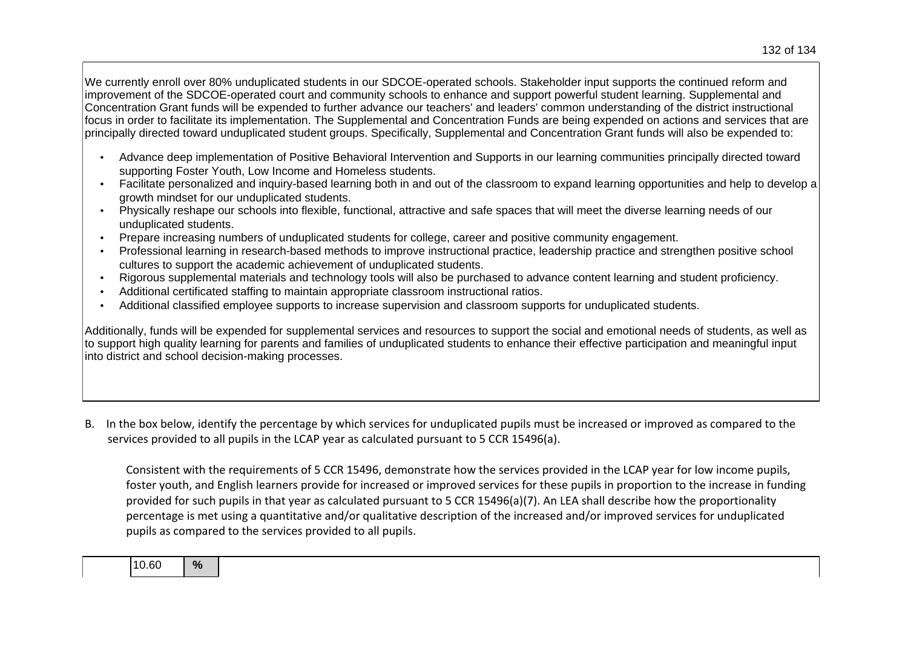We currently enroll over 80% unduplicated students in our SDCOE-operated schools. Stakeholder input supports the continued reform and improvement of the SDCOE-operated court and community schools to enhance and support powerful student learning. Supplemental and Concentration Grant funds will be expended to further advance our teachers' and leaders' common understanding of the district instructional focus in order to facilitate its implementation. The Supplemental and Concentration Funds are being expended on actions and services that are principally directed toward unduplicated student groups. Specifically, Supplemental and Concentration Grant funds will also be expended to:

- Advance deep implementation of Positive Behavioral Intervention and Supports in our learning communities principally directed toward supporting Foster Youth, Low Income and Homeless students.
- Facilitate personalized and inquiry-based learning both in and out of the classroom to expand learning opportunities and help to develop a growth mindset for our unduplicated students.
- Physically reshape our schools into flexible, functional, attractive and safe spaces that will meet the diverse learning needs of our unduplicated students.
- Prepare increasing numbers of unduplicated students for college, career and positive community engagement.
- Professional learning in research-based methods to improve instructional practice, leadership practice and strengthen positive school cultures to support the academic achievement of unduplicated students.
- Rigorous supplemental materials and technology tools will also be purchased to advance content learning and student proficiency.
- Additional certificated staffing to maintain appropriate classroom instructional ratios.
- Additional classified employee supports to increase supervision and classroom supports for unduplicated students.

Additionally, funds will be expended for supplemental services and resources to support the social and emotional needs of students, as well as to support high quality learning for parents and families of unduplicated students to enhance their effective participation and meaningful input into district and school decision-making processes.

B. In the box below, identify the percentage by which services for unduplicated pupils must be increased or improved as compared to the services provided to all pupils in the LCAP year as calculated pursuant to 5 CCR 15496(a).

Consistent with the requirements of 5 CCR 15496, demonstrate how the services provided in the LCAP year for low income pupils, foster youth, and English learners provide for increased or improved services for these pupils in proportion to the increase in funding provided for such pupils in that year as calculated pursuant to 5 CCR 15496(a)(7). An LEA shall describe how the proportionality percentage is met using a quantitative and/or qualitative description of the increased and/or improved services for unduplicated pupils as compared to the services provided to all pupils.

10.60 **%**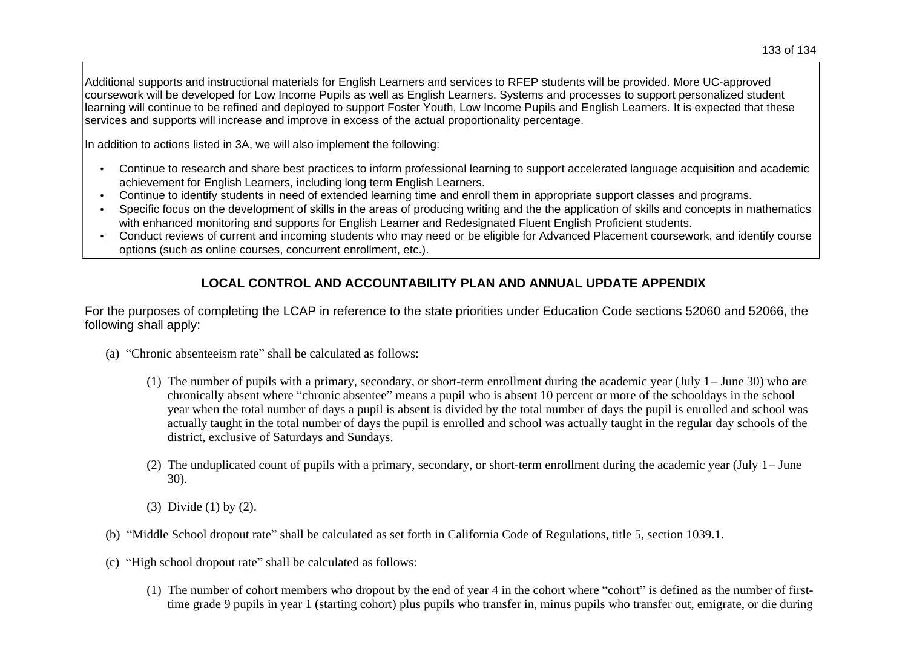In addition to actions listed in 3A, we will also implement the following:

- Continue to research and share best practices to inform professional learning to support accelerated language acquisition and academic achievement for English Learners, including long term English Learners.
- Continue to identify students in need of extended learning time and enroll them in appropriate support classes and programs.
- Specific focus on the development of skills in the areas of producing writing and the the application of skills and concepts in mathematics with enhanced monitoring and supports for English Learner and Redesignated Fluent English Proficient students.
- Conduct reviews of current and incoming students who may need or be eligible for Advanced Placement coursework, and identify course options (such as online courses, concurrent enrollment, etc.).

## **LOCAL CONTROL AND ACCOUNTABILITY PLAN AND ANNUAL UPDATE APPENDIX**

For the purposes of completing the LCAP in reference to the state priorities under Education Code sections 52060 and 52066, the following shall apply:

- (a) "Chronic absenteeism rate" shall be calculated as follows:
	- (1) The number of pupils with a primary, secondary, or short-term enrollment during the academic year (July  $1 -$  June 30) who are chronically absent where "chronic absentee" means a pupil who is absent 10 percent or more of the schooldays in the school year when the total number of days a pupil is absent is divided by the total number of days the pupil is enrolled and school was actually taught in the total number of days the pupil is enrolled and school was actually taught in the regular day schools of the district, exclusive of Saturdays and Sundays.
	- (2) The unduplicated count of pupils with a primary, secondary, or short-term enrollment during the academic year (July  $1 -$  June 30).
	- (3) Divide (1) by (2).
- (b) "Middle School dropout rate" shall be calculated as set forth in California Code of Regulations, title 5, section 1039.1.
- (c) "High school dropout rate" shall be calculated as follows:
	- (1) The number of cohort members who dropout by the end of year 4 in the cohort where "cohort" is defined as the number of firsttime grade 9 pupils in year 1 (starting cohort) plus pupils who transfer in, minus pupils who transfer out, emigrate, or die during